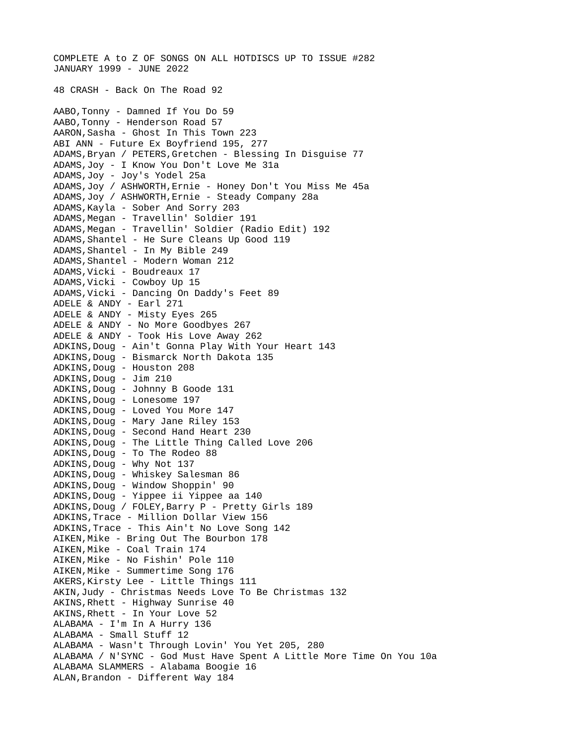COMPLETE A to Z OF SONGS ON ALL HOTDISCS UP TO ISSUE #282 JANUARY 1999 - JUNE 2022 48 CRASH - Back On The Road 92 AABO,Tonny - Damned If You Do 59 AABO,Tonny - Henderson Road 57 AARON,Sasha - Ghost In This Town 223 ABI ANN - Future Ex Boyfriend 195, 277 ADAMS,Bryan / PETERS,Gretchen - Blessing In Disguise 77 ADAMS,Joy - I Know You Don't Love Me 31a ADAMS,Joy - Joy's Yodel 25a ADAMS,Joy / ASHWORTH,Ernie - Honey Don't You Miss Me 45a ADAMS,Joy / ASHWORTH,Ernie - Steady Company 28a ADAMS,Kayla - Sober And Sorry 203 ADAMS,Megan - Travellin' Soldier 191 ADAMS,Megan - Travellin' Soldier (Radio Edit) 192 ADAMS,Shantel - He Sure Cleans Up Good 119 ADAMS,Shantel - In My Bible 249 ADAMS,Shantel - Modern Woman 212 ADAMS,Vicki - Boudreaux 17 ADAMS,Vicki - Cowboy Up 15 ADAMS,Vicki - Dancing On Daddy's Feet 89 ADELE & ANDY - Earl 271 ADELE & ANDY - Misty Eyes 265 ADELE & ANDY - No More Goodbyes 267 ADELE & ANDY - Took His Love Away 262 ADKINS,Doug - Ain't Gonna Play With Your Heart 143 ADKINS,Doug - Bismarck North Dakota 135 ADKINS, Doug - Houston 208 ADKINS,Doug - Jim 210 ADKINS,Doug - Johnny B Goode 131 ADKINS,Doug - Lonesome 197 ADKINS,Doug - Loved You More 147 ADKINS,Doug - Mary Jane Riley 153 ADKINS,Doug - Second Hand Heart 230 ADKINS,Doug - The Little Thing Called Love 206 ADKINS,Doug - To The Rodeo 88 ADKINS,Doug - Why Not 137 ADKINS,Doug - Whiskey Salesman 86 ADKINS,Doug - Window Shoppin' 90 ADKINS,Doug - Yippee ii Yippee aa 140 ADKINS,Doug / FOLEY,Barry P - Pretty Girls 189 ADKINS,Trace - Million Dollar View 156 ADKINS,Trace - This Ain't No Love Song 142 AIKEN,Mike - Bring Out The Bourbon 178 AIKEN,Mike - Coal Train 174 AIKEN,Mike - No Fishin' Pole 110 AIKEN, Mike - Summertime Song 176 AKERS,Kirsty Lee - Little Things 111 AKIN,Judy - Christmas Needs Love To Be Christmas 132 AKINS,Rhett - Highway Sunrise 40 AKINS,Rhett - In Your Love 52 ALABAMA - I'm In A Hurry 136 ALABAMA - Small Stuff 12 ALABAMA - Wasn't Through Lovin' You Yet 205, 280 ALABAMA / N'SYNC - God Must Have Spent A Little More Time On You 10a ALABAMA SLAMMERS - Alabama Boogie 16 ALAN,Brandon - Different Way 184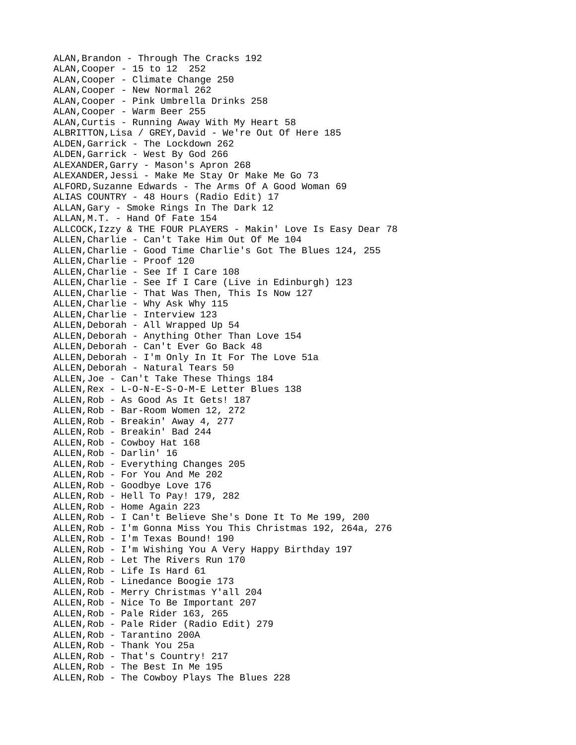ALAN,Brandon - Through The Cracks 192 ALAN,Cooper - 15 to 12 252 ALAN,Cooper - Climate Change 250 ALAN,Cooper - New Normal 262 ALAN,Cooper - Pink Umbrella Drinks 258 ALAN,Cooper - Warm Beer 255 ALAN,Curtis - Running Away With My Heart 58 ALBRITTON,Lisa / GREY,David - We're Out Of Here 185 ALDEN,Garrick - The Lockdown 262 ALDEN,Garrick - West By God 266 ALEXANDER,Garry - Mason's Apron 268 ALEXANDER,Jessi - Make Me Stay Or Make Me Go 73 ALFORD,Suzanne Edwards - The Arms Of A Good Woman 69 ALIAS COUNTRY - 48 Hours (Radio Edit) 17 ALLAN,Gary - Smoke Rings In The Dark 12 ALLAN,M.T. - Hand Of Fate 154 ALLCOCK,Izzy & THE FOUR PLAYERS - Makin' Love Is Easy Dear 78 ALLEN,Charlie - Can't Take Him Out Of Me 104 ALLEN,Charlie - Good Time Charlie's Got The Blues 124, 255 ALLEN,Charlie - Proof 120 ALLEN,Charlie - See If I Care 108 ALLEN,Charlie - See If I Care (Live in Edinburgh) 123 ALLEN,Charlie - That Was Then, This Is Now 127 ALLEN,Charlie - Why Ask Why 115 ALLEN,Charlie - Interview 123 ALLEN,Deborah - All Wrapped Up 54 ALLEN,Deborah - Anything Other Than Love 154 ALLEN,Deborah - Can't Ever Go Back 48 ALLEN,Deborah - I'm Only In It For The Love 51a ALLEN,Deborah - Natural Tears 50 ALLEN,Joe - Can't Take These Things 184 ALLEN,Rex - L-O-N-E-S-O-M-E Letter Blues 138 ALLEN,Rob - As Good As It Gets! 187 ALLEN,Rob - Bar-Room Women 12, 272 ALLEN,Rob - Breakin' Away 4, 277 ALLEN,Rob - Breakin' Bad 244 ALLEN,Rob - Cowboy Hat 168 ALLEN,Rob - Darlin' 16 ALLEN,Rob - Everything Changes 205 ALLEN,Rob - For You And Me 202 ALLEN,Rob - Goodbye Love 176 ALLEN,Rob - Hell To Pay! 179, 282 ALLEN,Rob - Home Again 223 ALLEN,Rob - I Can't Believe She's Done It To Me 199, 200 ALLEN,Rob - I'm Gonna Miss You This Christmas 192, 264a, 276 ALLEN,Rob - I'm Texas Bound! 190 ALLEN,Rob - I'm Wishing You A Very Happy Birthday 197 ALLEN,Rob - Let The Rivers Run 170 ALLEN,Rob - Life Is Hard 61 ALLEN,Rob - Linedance Boogie 173 ALLEN,Rob - Merry Christmas Y'all 204 ALLEN,Rob - Nice To Be Important 207 ALLEN,Rob - Pale Rider 163, 265 ALLEN,Rob - Pale Rider (Radio Edit) 279 ALLEN,Rob - Tarantino 200A ALLEN,Rob - Thank You 25a ALLEN,Rob - That's Country! 217 ALLEN,Rob - The Best In Me 195 ALLEN,Rob - The Cowboy Plays The Blues 228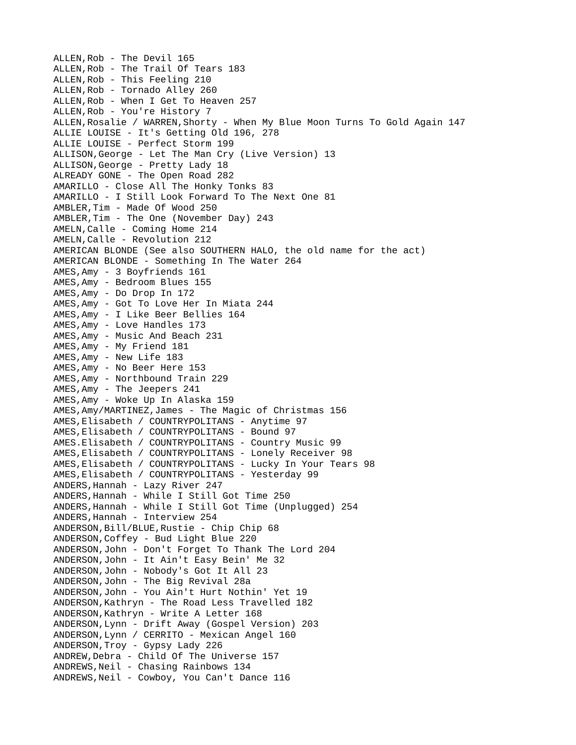ALLEN,Rob - The Devil 165 ALLEN,Rob - The Trail Of Tears 183 ALLEN,Rob - This Feeling 210 ALLEN,Rob - Tornado Alley 260 ALLEN,Rob - When I Get To Heaven 257 ALLEN,Rob - You're History 7 ALLEN,Rosalie / WARREN,Shorty - When My Blue Moon Turns To Gold Again 147 ALLIE LOUISE - It's Getting Old 196, 278 ALLIE LOUISE - Perfect Storm 199 ALLISON,George - Let The Man Cry (Live Version) 13 ALLISON,George - Pretty Lady 18 ALREADY GONE - The Open Road 282 AMARILLO - Close All The Honky Tonks 83 AMARILLO - I Still Look Forward To The Next One 81 AMBLER,Tim - Made Of Wood 250 AMBLER,Tim - The One (November Day) 243 AMELN,Calle - Coming Home 214 AMELN,Calle - Revolution 212 AMERICAN BLONDE (See also SOUTHERN HALO, the old name for the act) AMERICAN BLONDE - Something In The Water 264 AMES,Amy - 3 Boyfriends 161 AMES,Amy - Bedroom Blues 155 AMES,Amy - Do Drop In 172 AMES,Amy - Got To Love Her In Miata 244 AMES,Amy - I Like Beer Bellies 164 AMES,Amy - Love Handles 173 AMES,Amy - Music And Beach 231 AMES,Amy - My Friend 181 AMES,Amy - New Life 183 AMES,Amy - No Beer Here 153 AMES,Amy - Northbound Train 229 AMES,Amy - The Jeepers 241 AMES,Amy - Woke Up In Alaska 159 AMES,Amy/MARTINEZ,James - The Magic of Christmas 156 AMES,Elisabeth / COUNTRYPOLITANS - Anytime 97 AMES,Elisabeth / COUNTRYPOLITANS - Bound 97 AMES.Elisabeth / COUNTRYPOLITANS - Country Music 99 AMES,Elisabeth / COUNTRYPOLITANS - Lonely Receiver 98 AMES,Elisabeth / COUNTRYPOLITANS - Lucky In Your Tears 98 AMES,Elisabeth / COUNTRYPOLITANS - Yesterday 99 ANDERS,Hannah - Lazy River 247 ANDERS,Hannah - While I Still Got Time 250 ANDERS,Hannah - While I Still Got Time (Unplugged) 254 ANDERS,Hannah - Interview 254 ANDERSON,Bill/BLUE,Rustie - Chip Chip 68 ANDERSON,Coffey - Bud Light Blue 220 ANDERSON,John - Don't Forget To Thank The Lord 204 ANDERSON,John - It Ain't Easy Bein' Me 32 ANDERSON,John - Nobody's Got It All 23 ANDERSON,John - The Big Revival 28a ANDERSON,John - You Ain't Hurt Nothin' Yet 19 ANDERSON,Kathryn - The Road Less Travelled 182 ANDERSON,Kathryn - Write A Letter 168 ANDERSON,Lynn - Drift Away (Gospel Version) 203 ANDERSON,Lynn / CERRITO - Mexican Angel 160 ANDERSON,Troy - Gypsy Lady 226 ANDREW,Debra - Child Of The Universe 157 ANDREWS,Neil - Chasing Rainbows 134 ANDREWS,Neil - Cowboy, You Can't Dance 116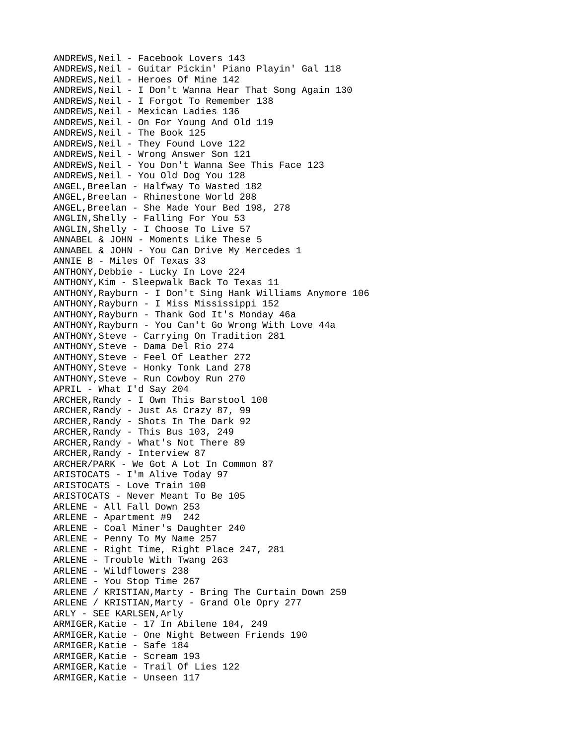ANDREWS,Neil - Facebook Lovers 143 ANDREWS,Neil - Guitar Pickin' Piano Playin' Gal 118 ANDREWS,Neil - Heroes Of Mine 142 ANDREWS,Neil - I Don't Wanna Hear That Song Again 130 ANDREWS,Neil - I Forgot To Remember 138 ANDREWS,Neil - Mexican Ladies 136 ANDREWS,Neil - On For Young And Old 119 ANDREWS,Neil - The Book 125 ANDREWS,Neil - They Found Love 122 ANDREWS,Neil - Wrong Answer Son 121 ANDREWS,Neil - You Don't Wanna See This Face 123 ANDREWS,Neil - You Old Dog You 128 ANGEL,Breelan - Halfway To Wasted 182 ANGEL,Breelan - Rhinestone World 208 ANGEL,Breelan - She Made Your Bed 198, 278 ANGLIN,Shelly - Falling For You 53 ANGLIN,Shelly - I Choose To Live 57 ANNABEL & JOHN - Moments Like These 5 ANNABEL & JOHN - You Can Drive My Mercedes 1 ANNIE B - Miles Of Texas 33 ANTHONY,Debbie - Lucky In Love 224 ANTHONY,Kim - Sleepwalk Back To Texas 11 ANTHONY,Rayburn - I Don't Sing Hank Williams Anymore 106 ANTHONY,Rayburn - I Miss Mississippi 152 ANTHONY,Rayburn - Thank God It's Monday 46a ANTHONY,Rayburn - You Can't Go Wrong With Love 44a ANTHONY,Steve - Carrying On Tradition 281 ANTHONY,Steve - Dama Del Rio 274 ANTHONY,Steve - Feel Of Leather 272 ANTHONY,Steve - Honky Tonk Land 278 ANTHONY,Steve - Run Cowboy Run 270 APRIL - What I'd Say 204 ARCHER,Randy - I Own This Barstool 100 ARCHER,Randy - Just As Crazy 87, 99 ARCHER,Randy - Shots In The Dark 92 ARCHER, Randy - This Bus 103, 249 ARCHER,Randy - What's Not There 89 ARCHER,Randy - Interview 87 ARCHER/PARK - We Got A Lot In Common 87 ARISTOCATS - I'm Alive Today 97 ARISTOCATS - Love Train 100 ARISTOCATS - Never Meant To Be 105 ARLENE - All Fall Down 253 ARLENE - Apartment #9 242 ARLENE - Coal Miner's Daughter 240 ARLENE - Penny To My Name 257 ARLENE - Right Time, Right Place 247, 281 ARLENE - Trouble With Twang 263 ARLENE - Wildflowers 238 ARLENE - You Stop Time 267 ARLENE / KRISTIAN, Marty - Bring The Curtain Down 259 ARLENE / KRISTIAN,Marty - Grand Ole Opry 277 ARLY - SEE KARLSEN,Arly ARMIGER,Katie - 17 In Abilene 104, 249 ARMIGER,Katie - One Night Between Friends 190 ARMIGER, Katie - Safe 184 ARMIGER, Katie - Scream 193 ARMIGER,Katie - Trail Of Lies 122 ARMIGER,Katie - Unseen 117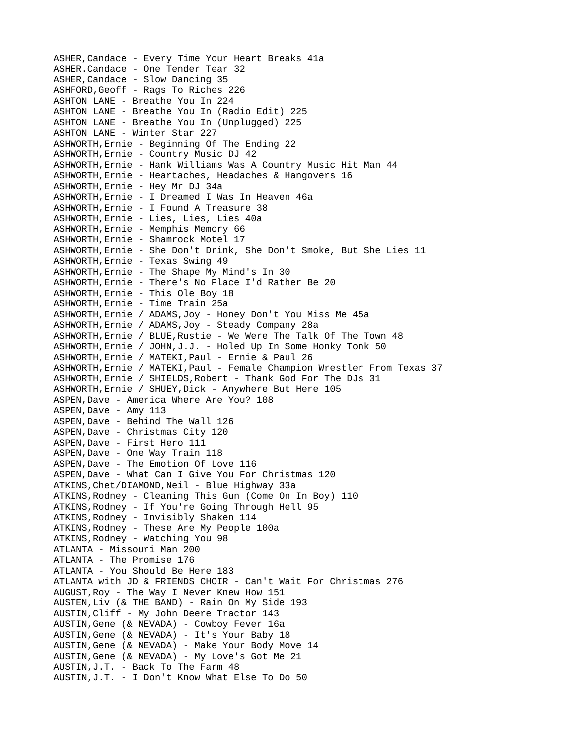ASHER,Candace - Every Time Your Heart Breaks 41a ASHER.Candace - One Tender Tear 32 ASHER,Candace - Slow Dancing 35 ASHFORD,Geoff - Rags To Riches 226 ASHTON LANE - Breathe You In 224 ASHTON LANE - Breathe You In (Radio Edit) 225 ASHTON LANE - Breathe You In (Unplugged) 225 ASHTON LANE - Winter Star 227 ASHWORTH,Ernie - Beginning Of The Ending 22 ASHWORTH,Ernie - Country Music DJ 42 ASHWORTH,Ernie - Hank Williams Was A Country Music Hit Man 44 ASHWORTH,Ernie - Heartaches, Headaches & Hangovers 16 ASHWORTH,Ernie - Hey Mr DJ 34a ASHWORTH,Ernie - I Dreamed I Was In Heaven 46a ASHWORTH,Ernie - I Found A Treasure 38 ASHWORTH,Ernie - Lies, Lies, Lies 40a ASHWORTH,Ernie - Memphis Memory 66 ASHWORTH,Ernie - Shamrock Motel 17 ASHWORTH,Ernie - She Don't Drink, She Don't Smoke, But She Lies 11 ASHWORTH,Ernie - Texas Swing 49 ASHWORTH,Ernie - The Shape My Mind's In 30 ASHWORTH,Ernie - There's No Place I'd Rather Be 20 ASHWORTH,Ernie - This Ole Boy 18 ASHWORTH,Ernie - Time Train 25a ASHWORTH,Ernie / ADAMS,Joy - Honey Don't You Miss Me 45a ASHWORTH,Ernie / ADAMS,Joy - Steady Company 28a ASHWORTH,Ernie / BLUE,Rustie - We Were The Talk Of The Town 48 ASHWORTH,Ernie / JOHN,J.J. - Holed Up In Some Honky Tonk 50 ASHWORTH,Ernie / MATEKI,Paul - Ernie & Paul 26 ASHWORTH,Ernie / MATEKI,Paul - Female Champion Wrestler From Texas 37 ASHWORTH, Ernie / SHIELDS, Robert - Thank God For The DJs 31 ASHWORTH,Ernie / SHUEY,Dick - Anywhere But Here 105 ASPEN,Dave - America Where Are You? 108 ASPEN, Dave - Amy 113 ASPEN,Dave - Behind The Wall 126 ASPEN,Dave - Christmas City 120 ASPEN,Dave - First Hero 111 ASPEN,Dave - One Way Train 118 ASPEN,Dave - The Emotion Of Love 116 ASPEN,Dave - What Can I Give You For Christmas 120 ATKINS, Chet/DIAMOND, Neil - Blue Highway 33a ATKINS,Rodney - Cleaning This Gun (Come On In Boy) 110 ATKINS,Rodney - If You're Going Through Hell 95 ATKINS,Rodney - Invisibly Shaken 114 ATKINS,Rodney - These Are My People 100a ATKINS,Rodney - Watching You 98 ATLANTA - Missouri Man 200 ATLANTA - The Promise 176 ATLANTA - You Should Be Here 183 ATLANTA with JD & FRIENDS CHOIR - Can't Wait For Christmas 276 AUGUST,Roy - The Way I Never Knew How 151 AUSTEN,Liv (& THE BAND) - Rain On My Side 193 AUSTIN,Cliff - My John Deere Tractor 143 AUSTIN,Gene (& NEVADA) - Cowboy Fever 16a AUSTIN,Gene (& NEVADA) - It's Your Baby 18 AUSTIN,Gene (& NEVADA) - Make Your Body Move 14 AUSTIN,Gene (& NEVADA) - My Love's Got Me 21 AUSTIN,J.T. - Back To The Farm 48 AUSTIN,J.T. - I Don't Know What Else To Do 50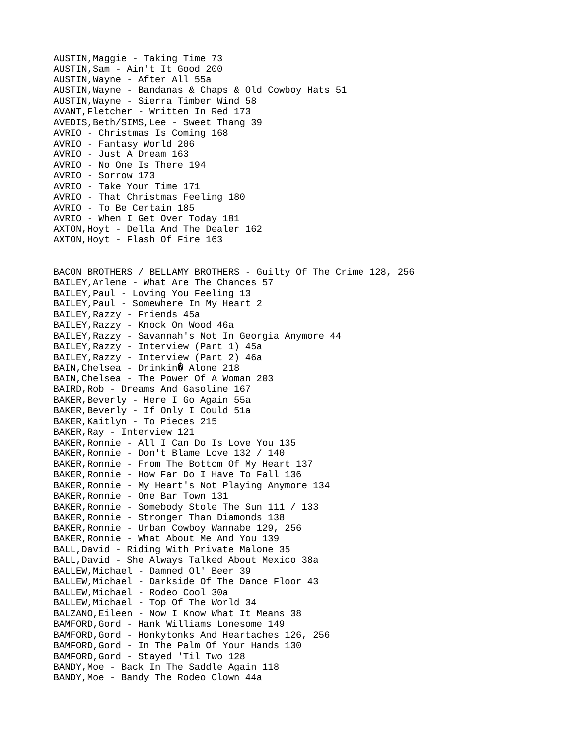AUSTIN,Maggie - Taking Time 73 AUSTIN,Sam - Ain't It Good 200 AUSTIN,Wayne - After All 55a AUSTIN,Wayne - Bandanas & Chaps & Old Cowboy Hats 51 AUSTIN,Wayne - Sierra Timber Wind 58 AVANT,Fletcher - Written In Red 173 AVEDIS, Beth/SIMS, Lee - Sweet Thang 39 AVRIO - Christmas Is Coming 168 AVRIO - Fantasy World 206 AVRIO - Just A Dream 163 AVRIO - No One Is There 194 AVRIO - Sorrow 173 AVRIO - Take Your Time 171 AVRIO - That Christmas Feeling 180 AVRIO - To Be Certain 185 AVRIO - When I Get Over Today 181 AXTON,Hoyt - Della And The Dealer 162 AXTON,Hoyt - Flash Of Fire 163 BACON BROTHERS / BELLAMY BROTHERS - Guilty Of The Crime 128, 256 BAILEY,Arlene - What Are The Chances 57 BAILEY,Paul - Loving You Feeling 13 BAILEY,Paul - Somewhere In My Heart 2 BAILEY,Razzy - Friends 45a BAILEY,Razzy - Knock On Wood 46a BAILEY,Razzy - Savannah's Not In Georgia Anymore 44 BAILEY,Razzy - Interview (Part 1) 45a BAILEY,Razzy - Interview (Part 2) 46a BAIN, Chelsea - Drinkin0 Alone 218 BAIN,Chelsea - The Power Of A Woman 203 BAIRD,Rob - Dreams And Gasoline 167 BAKER,Beverly - Here I Go Again 55a BAKER,Beverly - If Only I Could 51a BAKER, Kaitlyn - To Pieces 215 BAKER,Ray - Interview 121 BAKER,Ronnie - All I Can Do Is Love You 135 BAKER,Ronnie - Don't Blame Love 132 / 140 BAKER,Ronnie - From The Bottom Of My Heart 137 BAKER,Ronnie - How Far Do I Have To Fall 136 BAKER,Ronnie - My Heart's Not Playing Anymore 134 BAKER,Ronnie - One Bar Town 131 BAKER,Ronnie - Somebody Stole The Sun 111 / 133 BAKER,Ronnie - Stronger Than Diamonds 138 BAKER,Ronnie - Urban Cowboy Wannabe 129, 256 BAKER,Ronnie - What About Me And You 139 BALL,David - Riding With Private Malone 35 BALL,David - She Always Talked About Mexico 38a BALLEW,Michael - Damned Ol' Beer 39 BALLEW,Michael - Darkside Of The Dance Floor 43 BALLEW,Michael - Rodeo Cool 30a BALLEW,Michael - Top Of The World 34 BALZANO,Eileen - Now I Know What It Means 38 BAMFORD,Gord - Hank Williams Lonesome 149 BAMFORD,Gord - Honkytonks And Heartaches 126, 256 BAMFORD,Gord - In The Palm Of Your Hands 130 BAMFORD,Gord - Stayed 'Til Two 128 BANDY,Moe - Back In The Saddle Again 118 BANDY, Moe - Bandy The Rodeo Clown 44a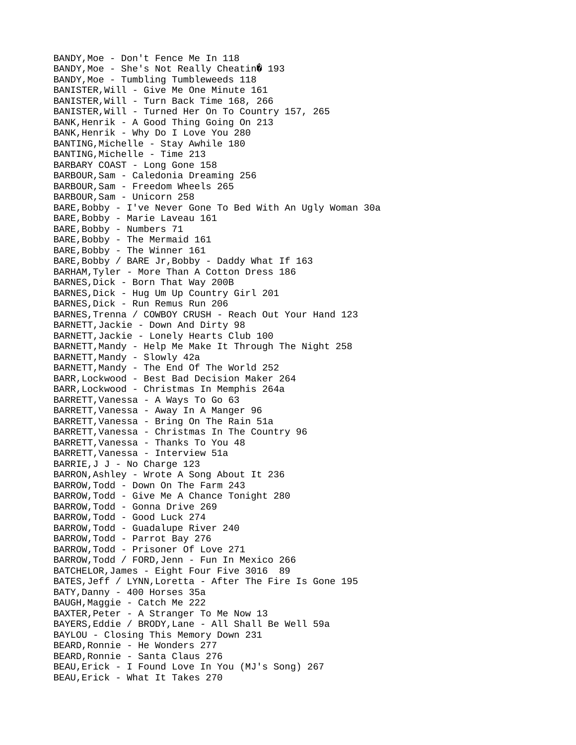BANDY,Moe - Don't Fence Me In 118  $BANDY, Moe - She's Not Really Cheatin  $0$  193$ BANDY, Moe - Tumbling Tumbleweeds 118 BANISTER,Will - Give Me One Minute 161 BANISTER,Will - Turn Back Time 168, 266 BANISTER,Will - Turned Her On To Country 157, 265 BANK,Henrik - A Good Thing Going On 213 BANK,Henrik - Why Do I Love You 280 BANTING,Michelle - Stay Awhile 180 BANTING,Michelle - Time 213 BARBARY COAST - Long Gone 158 BARBOUR,Sam - Caledonia Dreaming 256 BARBOUR,Sam - Freedom Wheels 265 BARBOUR,Sam - Unicorn 258 BARE, Bobby - I've Never Gone To Bed With An Ugly Woman 30a BARE, Bobby - Marie Laveau 161 BARE, Bobby - Numbers 71 BARE, Bobby - The Mermaid 161 BARE, Bobby - The Winner 161 BARE,Bobby / BARE Jr,Bobby - Daddy What If 163 BARHAM,Tyler - More Than A Cotton Dress 186 BARNES, Dick - Born That Way 200B BARNES,Dick - Hug Um Up Country Girl 201 BARNES,Dick - Run Remus Run 206 BARNES,Trenna / COWBOY CRUSH - Reach Out Your Hand 123 BARNETT,Jackie - Down And Dirty 98 BARNETT,Jackie - Lonely Hearts Club 100 BARNETT,Mandy - Help Me Make It Through The Night 258 BARNETT, Mandy - Slowly 42a BARNETT,Mandy - The End Of The World 252 BARR,Lockwood - Best Bad Decision Maker 264 BARR,Lockwood - Christmas In Memphis 264a BARRETT,Vanessa - A Ways To Go 63 BARRETT,Vanessa - Away In A Manger 96 BARRETT,Vanessa - Bring On The Rain 51a BARRETT,Vanessa - Christmas In The Country 96 BARRETT,Vanessa - Thanks To You 48 BARRETT,Vanessa - Interview 51a BARRIE,J J - No Charge 123 BARRON,Ashley - Wrote A Song About It 236 BARROW,Todd - Down On The Farm 243 BARROW,Todd - Give Me A Chance Tonight 280 BARROW,Todd - Gonna Drive 269 BARROW,Todd - Good Luck 274 BARROW,Todd - Guadalupe River 240 BARROW,Todd - Parrot Bay 276 BARROW,Todd - Prisoner Of Love 271 BARROW,Todd / FORD,Jenn - Fun In Mexico 266 BATCHELOR,James - Eight Four Five 3016 89 BATES,Jeff / LYNN,Loretta - After The Fire Is Gone 195 BATY,Danny - 400 Horses 35a BAUGH,Maggie - Catch Me 222 BAXTER,Peter - A Stranger To Me Now 13 BAYERS,Eddie / BRODY,Lane - All Shall Be Well 59a BAYLOU - Closing This Memory Down 231 BEARD, Ronnie - He Wonders 277 BEARD,Ronnie - Santa Claus 276 BEAU,Erick - I Found Love In You (MJ's Song) 267 BEAU,Erick - What It Takes 270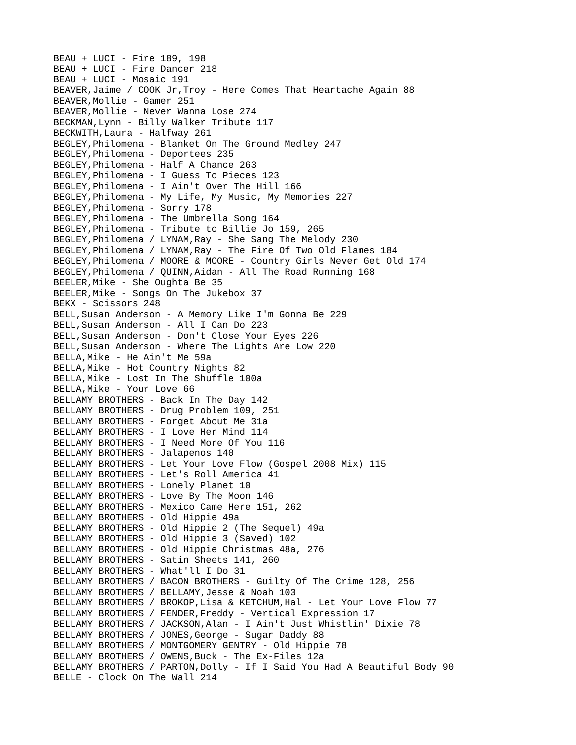BEAU + LUCI - Fire 189, 198 BEAU + LUCI - Fire Dancer 218 BEAU + LUCI - Mosaic 191 BEAVER,Jaime / COOK Jr,Troy - Here Comes That Heartache Again 88 BEAVER,Mollie - Gamer 251 BEAVER,Mollie - Never Wanna Lose 274 BECKMAN,Lynn - Billy Walker Tribute 117 BECKWITH,Laura - Halfway 261 BEGLEY,Philomena - Blanket On The Ground Medley 247 BEGLEY,Philomena - Deportees 235 BEGLEY,Philomena - Half A Chance 263 BEGLEY,Philomena - I Guess To Pieces 123 BEGLEY,Philomena - I Ain't Over The Hill 166 BEGLEY,Philomena - My Life, My Music, My Memories 227 BEGLEY,Philomena - Sorry 178 BEGLEY,Philomena - The Umbrella Song 164 BEGLEY,Philomena - Tribute to Billie Jo 159, 265 BEGLEY,Philomena / LYNAM,Ray - She Sang The Melody 230 BEGLEY,Philomena / LYNAM,Ray - The Fire Of Two Old Flames 184 BEGLEY, Philomena / MOORE & MOORE - Country Girls Never Get Old 174 BEGLEY,Philomena / QUINN,Aidan - All The Road Running 168 BEELER,Mike - She Oughta Be 35 BEELER,Mike - Songs On The Jukebox 37 BEKX - Scissors 248 BELL,Susan Anderson - A Memory Like I'm Gonna Be 229 BELL,Susan Anderson - All I Can Do 223 BELL,Susan Anderson - Don't Close Your Eyes 226 BELL,Susan Anderson - Where The Lights Are Low 220 BELLA,Mike - He Ain't Me 59a BELLA,Mike - Hot Country Nights 82 BELLA,Mike - Lost In The Shuffle 100a BELLA,Mike - Your Love 66 BELLAMY BROTHERS - Back In The Day 142 BELLAMY BROTHERS - Drug Problem 109, 251 BELLAMY BROTHERS - Forget About Me 31a BELLAMY BROTHERS - I Love Her Mind 114 BELLAMY BROTHERS - I Need More Of You 116 BELLAMY BROTHERS - Jalapenos 140 BELLAMY BROTHERS - Let Your Love Flow (Gospel 2008 Mix) 115 BELLAMY BROTHERS - Let's Roll America 41 BELLAMY BROTHERS - Lonely Planet 10 BELLAMY BROTHERS - Love By The Moon 146 BELLAMY BROTHERS - Mexico Came Here 151, 262 BELLAMY BROTHERS - Old Hippie 49a BELLAMY BROTHERS - Old Hippie 2 (The Sequel) 49a BELLAMY BROTHERS - Old Hippie 3 (Saved) 102 BELLAMY BROTHERS - Old Hippie Christmas 48a, 276 BELLAMY BROTHERS - Satin Sheets 141, 260 BELLAMY BROTHERS - What'll I Do 31 BELLAMY BROTHERS / BACON BROTHERS - Guilty Of The Crime 128, 256 BELLAMY BROTHERS / BELLAMY,Jesse & Noah 103 BELLAMY BROTHERS / BROKOP, Lisa & KETCHUM, Hal - Let Your Love Flow 77 BELLAMY BROTHERS / FENDER,Freddy - Vertical Expression 17 BELLAMY BROTHERS / JACKSON,Alan - I Ain't Just Whistlin' Dixie 78 BELLAMY BROTHERS / JONES,George - Sugar Daddy 88 BELLAMY BROTHERS / MONTGOMERY GENTRY - Old Hippie 78 BELLAMY BROTHERS / OWENS, Buck - The Ex-Files 12a BELLAMY BROTHERS / PARTON,Dolly - If I Said You Had A Beautiful Body 90 BELLE - Clock On The Wall 214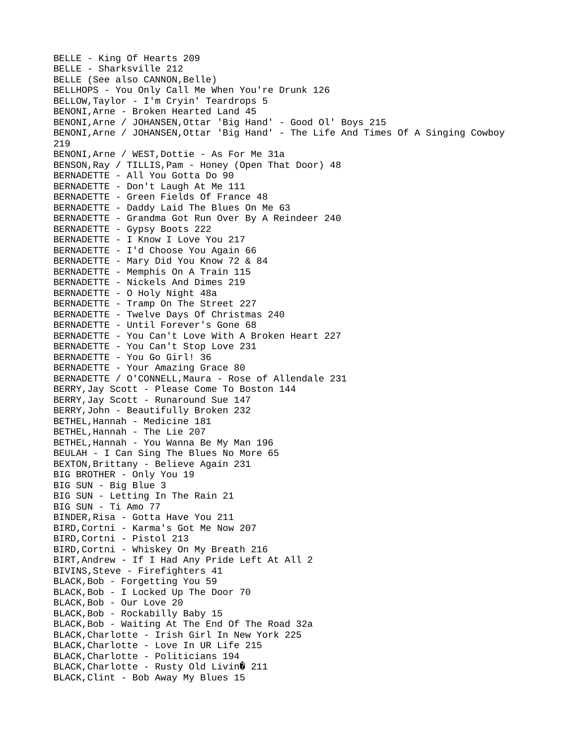BELLE - King Of Hearts 209 BELLE - Sharksville 212 BELLE (See also CANNON, Belle) BELLHOPS - You Only Call Me When You're Drunk 126 BELLOW,Taylor - I'm Cryin' Teardrops 5 BENONI,Arne - Broken Hearted Land 45 BENONI,Arne / JOHANSEN,Ottar 'Big Hand' - Good Ol' Boys 215 BENONI,Arne / JOHANSEN,Ottar 'Big Hand' - The Life And Times Of A Singing Cowboy 219 BENONI,Arne / WEST,Dottie - As For Me 31a BENSON,Ray / TILLIS,Pam - Honey (Open That Door) 48 BERNADETTE - All You Gotta Do 90 BERNADETTE - Don't Laugh At Me 111 BERNADETTE - Green Fields Of France 48 BERNADETTE - Daddy Laid The Blues On Me 63 BERNADETTE - Grandma Got Run Over By A Reindeer 240 BERNADETTE - Gypsy Boots 222 BERNADETTE - I Know I Love You 217 BERNADETTE - I'd Choose You Again 66 BERNADETTE - Mary Did You Know 72 & 84 BERNADETTE - Memphis On A Train 115 BERNADETTE - Nickels And Dimes 219 BERNADETTE - O Holy Night 48a BERNADETTE - Tramp On The Street 227 BERNADETTE - Twelve Days Of Christmas 240 BERNADETTE - Until Forever's Gone 68 BERNADETTE - You Can't Love With A Broken Heart 227 BERNADETTE - You Can't Stop Love 231 BERNADETTE - You Go Girl! 36 BERNADETTE - Your Amazing Grace 80 BERNADETTE / O'CONNELL,Maura - Rose of Allendale 231 BERRY,Jay Scott - Please Come To Boston 144 BERRY,Jay Scott - Runaround Sue 147 BERRY,John - Beautifully Broken 232 BETHEL,Hannah - Medicine 181 BETHEL,Hannah - The Lie 207 BETHEL,Hannah - You Wanna Be My Man 196 BEULAH - I Can Sing The Blues No More 65 BEXTON,Brittany - Believe Again 231 BIG BROTHER - Only You 19 BIG SUN - Big Blue 3 BIG SUN - Letting In The Rain 21 BIG SUN - Ti Amo 77 BINDER,Risa - Gotta Have You 211 BIRD,Cortni - Karma's Got Me Now 207 BIRD,Cortni - Pistol 213 BIRD,Cortni - Whiskey On My Breath 216 BIRT,Andrew - If I Had Any Pride Left At All 2 BIVINS,Steve - Firefighters 41 BLACK,Bob - Forgetting You 59 BLACK,Bob - I Locked Up The Door 70 BLACK,Bob - Our Love 20 BLACK,Bob - Rockabilly Baby 15 BLACK,Bob - Waiting At The End Of The Road 32a BLACK,Charlotte - Irish Girl In New York 225 BLACK,Charlotte - Love In UR Life 215 BLACK,Charlotte - Politicians 194  $BLACK, Charlotte - Rusty Old Livin $Q$  211$ BLACK,Clint - Bob Away My Blues 15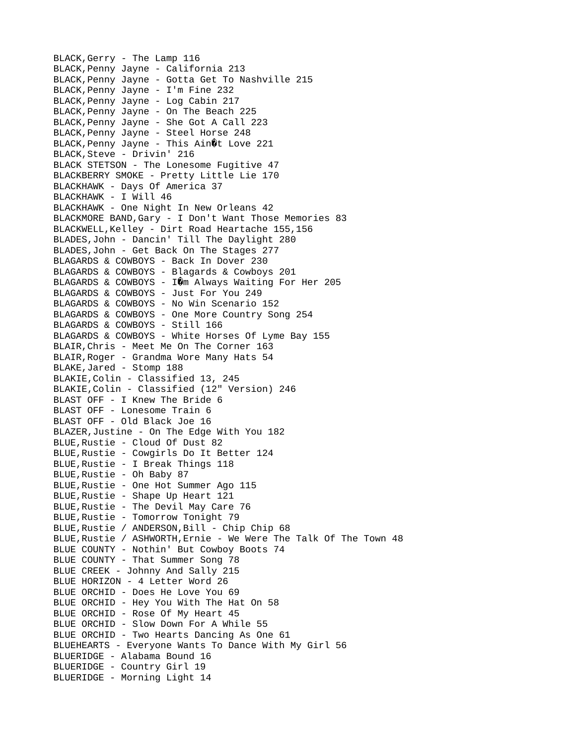BLACK,Gerry - The Lamp 116 BLACK,Penny Jayne - California 213 BLACK,Penny Jayne - Gotta Get To Nashville 215 BLACK,Penny Jayne - I'm Fine 232 BLACK,Penny Jayne - Log Cabin 217 BLACK,Penny Jayne - On The Beach 225 BLACK,Penny Jayne - She Got A Call 223 BLACK,Penny Jayne - Steel Horse 248 BLACK, Penny Jayne - This Ain 0t Love 221 BLACK,Steve - Drivin' 216 BLACK STETSON - The Lonesome Fugitive 47 BLACKBERRY SMOKE - Pretty Little Lie 170 BLACKHAWK - Days Of America 37 BLACKHAWK - I Will 46 BLACKHAWK - One Night In New Orleans 42 BLACKMORE BAND,Gary - I Don't Want Those Memories 83 BLACKWELL,Kelley - Dirt Road Heartache 155,156 BLADES,John - Dancin' Till The Daylight 280 BLADES,John - Get Back On The Stages 277 BLAGARDS & COWBOYS - Back In Dover 230 BLAGARDS & COWBOYS - Blagards & Cowboys 201 BLAGARDS & COWBOYS -  $I\hat{\mathbf{\theta}}$ m Always Waiting For Her 205 BLAGARDS & COWBOYS - Just For You 249 BLAGARDS & COWBOYS - No Win Scenario 152 BLAGARDS & COWBOYS - One More Country Song 254 BLAGARDS & COWBOYS - Still 166 BLAGARDS & COWBOYS - White Horses Of Lyme Bay 155 BLAIR,Chris - Meet Me On The Corner 163 BLAIR,Roger - Grandma Wore Many Hats 54 BLAKE,Jared - Stomp 188 BLAKIE,Colin - Classified 13, 245 BLAKIE,Colin - Classified (12" Version) 246 BLAST OFF - I Knew The Bride 6 BLAST OFF - Lonesome Train 6 BLAST OFF - Old Black Joe 16 BLAZER,Justine - On The Edge With You 182 BLUE,Rustie - Cloud Of Dust 82 BLUE,Rustie - Cowgirls Do It Better 124 BLUE,Rustie - I Break Things 118 BLUE,Rustie - Oh Baby 87 BLUE,Rustie - One Hot Summer Ago 115 BLUE,Rustie - Shape Up Heart 121 BLUE,Rustie - The Devil May Care 76 BLUE,Rustie - Tomorrow Tonight 79 BLUE,Rustie / ANDERSON,Bill - Chip Chip 68 BLUE,Rustie / ASHWORTH,Ernie - We Were The Talk Of The Town 48 BLUE COUNTY - Nothin' But Cowboy Boots 74 BLUE COUNTY - That Summer Song 78 BLUE CREEK - Johnny And Sally 215 BLUE HORIZON - 4 Letter Word 26 BLUE ORCHID - Does He Love You 69 BLUE ORCHID - Hey You With The Hat On 58 BLUE ORCHID - Rose Of My Heart 45 BLUE ORCHID - Slow Down For A While 55 BLUE ORCHID - Two Hearts Dancing As One 61 BLUEHEARTS - Everyone Wants To Dance With My Girl 56 BLUERIDGE - Alabama Bound 16 BLUERIDGE - Country Girl 19 BLUERIDGE - Morning Light 14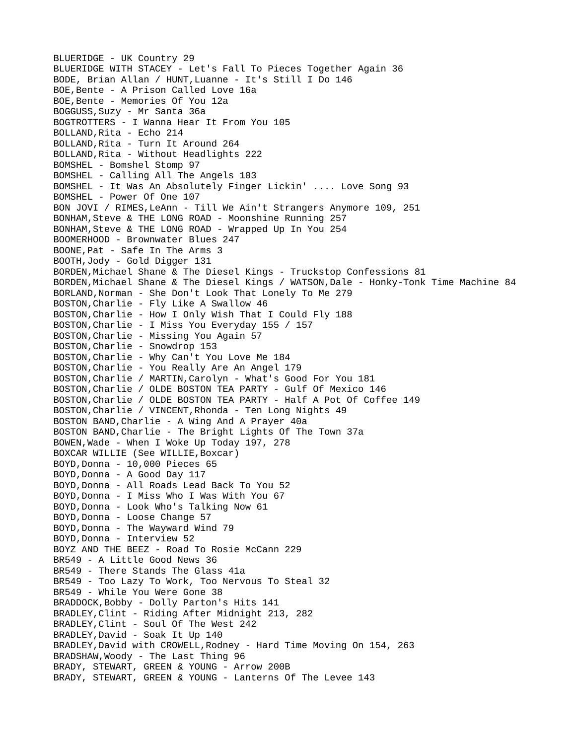BLUERIDGE - UK Country 29 BLUERIDGE WITH STACEY - Let's Fall To Pieces Together Again 36 BODE, Brian Allan / HUNT,Luanne - It's Still I Do 146 BOE,Bente - A Prison Called Love 16a BOE,Bente - Memories Of You 12a BOGGUSS,Suzy - Mr Santa 36a BOGTROTTERS - I Wanna Hear It From You 105 BOLLAND,Rita - Echo 214 BOLLAND,Rita - Turn It Around 264 BOLLAND,Rita - Without Headlights 222 BOMSHEL - Bomshel Stomp 97 BOMSHEL - Calling All The Angels 103 BOMSHEL - It Was An Absolutely Finger Lickin' .... Love Song 93 BOMSHEL - Power Of One 107 BON JOVI / RIMES,LeAnn - Till We Ain't Strangers Anymore 109, 251 BONHAM,Steve & THE LONG ROAD - Moonshine Running 257 BONHAM,Steve & THE LONG ROAD - Wrapped Up In You 254 BOOMERHOOD - Brownwater Blues 247 BOONE,Pat - Safe In The Arms 3 BOOTH,Jody - Gold Digger 131 BORDEN,Michael Shane & The Diesel Kings - Truckstop Confessions 81 BORDEN,Michael Shane & The Diesel Kings / WATSON,Dale - Honky-Tonk Time Machine 84 BORLAND,Norman - She Don't Look That Lonely To Me 279 BOSTON,Charlie - Fly Like A Swallow 46 BOSTON,Charlie - How I Only Wish That I Could Fly 188 BOSTON,Charlie - I Miss You Everyday 155 / 157 BOSTON,Charlie - Missing You Again 57 BOSTON,Charlie - Snowdrop 153 BOSTON,Charlie - Why Can't You Love Me 184 BOSTON,Charlie - You Really Are An Angel 179 BOSTON,Charlie / MARTIN,Carolyn - What's Good For You 181 BOSTON,Charlie / OLDE BOSTON TEA PARTY - Gulf Of Mexico 146 BOSTON,Charlie / OLDE BOSTON TEA PARTY - Half A Pot Of Coffee 149 BOSTON,Charlie / VINCENT,Rhonda - Ten Long Nights 49 BOSTON BAND,Charlie - A Wing And A Prayer 40a BOSTON BAND,Charlie - The Bright Lights Of The Town 37a BOWEN,Wade - When I Woke Up Today 197, 278 BOXCAR WILLIE (See WILLIE,Boxcar) BOYD,Donna - 10,000 Pieces 65 BOYD, Donna - A Good Day 117 BOYD, Donna - All Roads Lead Back To You 52 BOYD,Donna - I Miss Who I Was With You 67 BOYD, Donna - Look Who's Talking Now 61 BOYD, Donna - Loose Change 57 BOYD, Donna - The Wayward Wind 79 BOYD, Donna - Interview 52 BOYZ AND THE BEEZ - Road To Rosie McCann 229 BR549 - A Little Good News 36 BR549 - There Stands The Glass 41a BR549 - Too Lazy To Work, Too Nervous To Steal 32 BR549 - While You Were Gone 38 BRADDOCK,Bobby - Dolly Parton's Hits 141 BRADLEY,Clint - Riding After Midnight 213, 282 BRADLEY,Clint - Soul Of The West 242 BRADLEY,David - Soak It Up 140 BRADLEY,David with CROWELL,Rodney - Hard Time Moving On 154, 263 BRADSHAW,Woody - The Last Thing 96 BRADY, STEWART, GREEN & YOUNG - Arrow 200B BRADY, STEWART, GREEN & YOUNG - Lanterns Of The Levee 143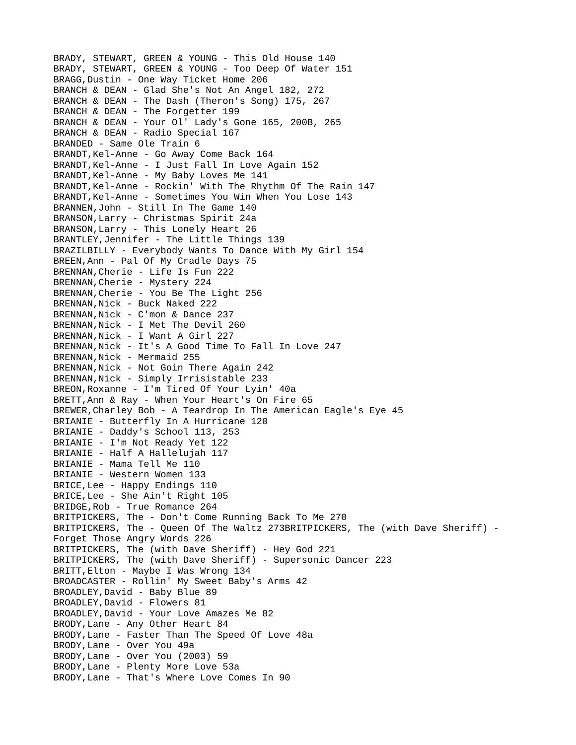BRADY, STEWART, GREEN & YOUNG - This Old House 140 BRADY, STEWART, GREEN & YOUNG - Too Deep Of Water 151 BRAGG,Dustin - One Way Ticket Home 206 BRANCH & DEAN - Glad She's Not An Angel 182, 272 BRANCH & DEAN - The Dash (Theron's Song) 175, 267 BRANCH & DEAN - The Forgetter 199 BRANCH & DEAN - Your Ol' Lady's Gone 165, 200B, 265 BRANCH & DEAN - Radio Special 167 BRANDED - Same Ole Train 6 BRANDT,Kel-Anne - Go Away Come Back 164 BRANDT,Kel-Anne - I Just Fall In Love Again 152 BRANDT,Kel-Anne - My Baby Loves Me 141 BRANDT, Kel-Anne - Rockin' With The Rhythm Of The Rain 147 BRANDT,Kel-Anne - Sometimes You Win When You Lose 143 BRANNEN,John - Still In The Game 140 BRANSON,Larry - Christmas Spirit 24a BRANSON,Larry - This Lonely Heart 26 BRANTLEY,Jennifer - The Little Things 139 BRAZILBILLY - Everybody Wants To Dance With My Girl 154 BREEN,Ann - Pal Of My Cradle Days 75 BRENNAN,Cherie - Life Is Fun 222 BRENNAN,Cherie - Mystery 224 BRENNAN,Cherie - You Be The Light 256 BRENNAN,Nick - Buck Naked 222 BRENNAN,Nick - C'mon & Dance 237 BRENNAN,Nick - I Met The Devil 260 BRENNAN,Nick - I Want A Girl 227 BRENNAN,Nick - It's A Good Time To Fall In Love 247 BRENNAN, Nick - Mermaid 255 BRENNAN,Nick - Not Goin There Again 242 BRENNAN,Nick - Simply Irrisistable 233 BREON,Roxanne - I'm Tired Of Your Lyin' 40a BRETT,Ann & Ray - When Your Heart's On Fire 65 BREWER,Charley Bob - A Teardrop In The American Eagle's Eye 45 BRIANIE - Butterfly In A Hurricane 120 BRIANIE - Daddy's School 113, 253 BRIANIE - I'm Not Ready Yet 122 BRIANIE - Half A Hallelujah 117 BRIANIE - Mama Tell Me 110 BRIANIE - Western Women 133 BRICE,Lee - Happy Endings 110 BRICE,Lee - She Ain't Right 105 BRIDGE,Rob - True Romance 264 BRITPICKERS, The - Don't Come Running Back To Me 270 BRITPICKERS, The - Queen Of The Waltz 273BRITPICKERS, The (with Dave Sheriff) - Forget Those Angry Words 226 BRITPICKERS, The (with Dave Sheriff) - Hey God 221 BRITPICKERS, The (with Dave Sheriff) - Supersonic Dancer 223 BRITT,Elton - Maybe I Was Wrong 134 BROADCASTER - Rollin' My Sweet Baby's Arms 42 BROADLEY,David - Baby Blue 89 BROADLEY,David - Flowers 81 BROADLEY,David - Your Love Amazes Me 82 BRODY,Lane - Any Other Heart 84 BRODY,Lane - Faster Than The Speed Of Love 48a BRODY,Lane - Over You 49a BRODY,Lane - Over You (2003) 59 BRODY,Lane - Plenty More Love 53a BRODY,Lane - That's Where Love Comes In 90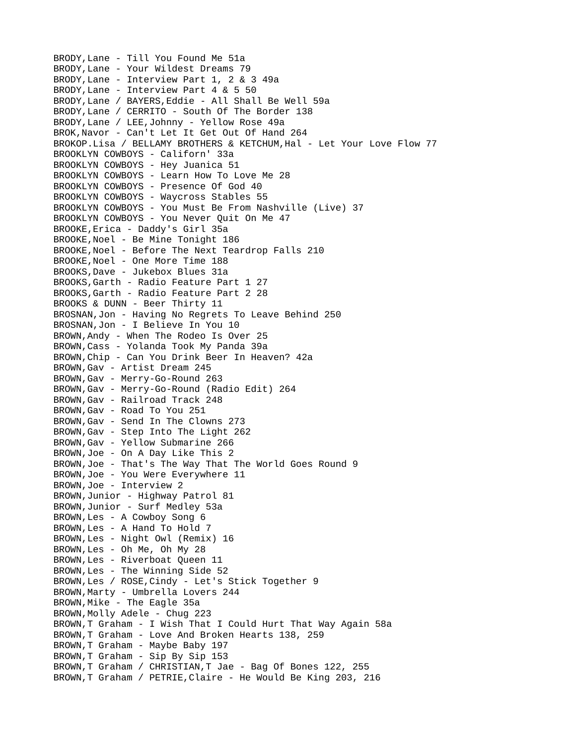BRODY,Lane - Till You Found Me 51a BRODY,Lane - Your Wildest Dreams 79 BRODY,Lane - Interview Part 1, 2 & 3 49a BRODY,Lane - Interview Part 4 & 5 50 BRODY,Lane / BAYERS,Eddie - All Shall Be Well 59a BRODY,Lane / CERRITO - South Of The Border 138 BRODY,Lane / LEE,Johnny - Yellow Rose 49a BROK,Navor - Can't Let It Get Out Of Hand 264 BROKOP.Lisa / BELLAMY BROTHERS & KETCHUM,Hal - Let Your Love Flow 77 BROOKLYN COWBOYS - Californ' 33a BROOKLYN COWBOYS - Hey Juanica 51 BROOKLYN COWBOYS - Learn How To Love Me 28 BROOKLYN COWBOYS - Presence Of God 40 BROOKLYN COWBOYS - Waycross Stables 55 BROOKLYN COWBOYS - You Must Be From Nashville (Live) 37 BROOKLYN COWBOYS - You Never Quit On Me 47 BROOKE,Erica - Daddy's Girl 35a BROOKE,Noel - Be Mine Tonight 186 BROOKE,Noel - Before The Next Teardrop Falls 210 BROOKE,Noel - One More Time 188 BROOKS,Dave - Jukebox Blues 31a BROOKS,Garth - Radio Feature Part 1 27 BROOKS,Garth - Radio Feature Part 2 28 BROOKS & DUNN - Beer Thirty 11 BROSNAN,Jon - Having No Regrets To Leave Behind 250 BROSNAN,Jon - I Believe In You 10 BROWN,Andy - When The Rodeo Is Over 25 BROWN,Cass - Yolanda Took My Panda 39a BROWN,Chip - Can You Drink Beer In Heaven? 42a BROWN,Gav - Artist Dream 245 BROWN,Gav - Merry-Go-Round 263 BROWN,Gav - Merry-Go-Round (Radio Edit) 264 BROWN,Gav - Railroad Track 248 BROWN,Gav - Road To You 251 BROWN,Gav - Send In The Clowns 273 BROWN,Gav - Step Into The Light 262 BROWN,Gav - Yellow Submarine 266 BROWN,Joe - On A Day Like This 2 BROWN,Joe - That's The Way That The World Goes Round 9 BROWN,Joe - You Were Everywhere 11 BROWN,Joe - Interview 2 BROWN,Junior - Highway Patrol 81 BROWN,Junior - Surf Medley 53a BROWN,Les - A Cowboy Song 6 BROWN,Les - A Hand To Hold 7 BROWN,Les - Night Owl (Remix) 16 BROWN,Les - Oh Me, Oh My 28 BROWN,Les - Riverboat Queen 11 BROWN,Les - The Winning Side 52 BROWN,Les / ROSE,Cindy - Let's Stick Together 9 BROWN,Marty - Umbrella Lovers 244 BROWN,Mike - The Eagle 35a BROWN, Molly Adele - Chug 223 BROWN,T Graham - I Wish That I Could Hurt That Way Again 58a BROWN,T Graham - Love And Broken Hearts 138, 259 BROWN,T Graham - Maybe Baby 197 BROWN,T Graham - Sip By Sip 153 BROWN,T Graham / CHRISTIAN,T Jae - Bag Of Bones 122, 255 BROWN,T Graham / PETRIE,Claire - He Would Be King 203, 216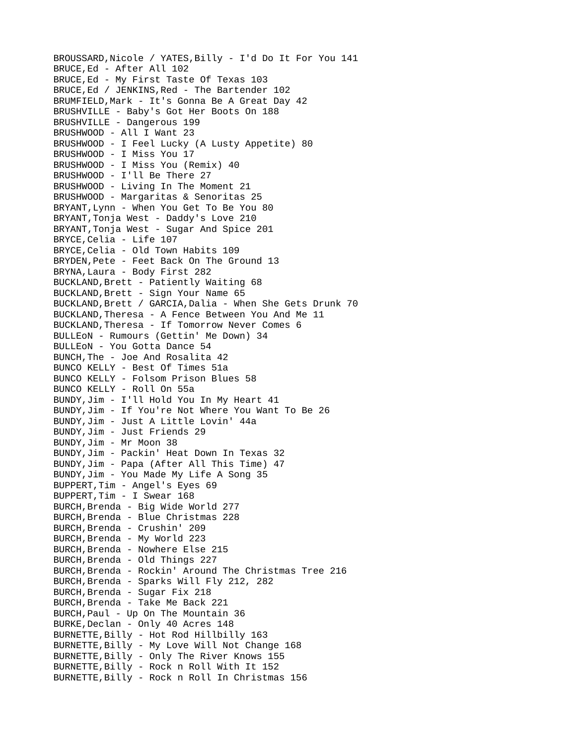BROUSSARD,Nicole / YATES,Billy - I'd Do It For You 141 BRUCE,Ed - After All 102 BRUCE,Ed - My First Taste Of Texas 103 BRUCE,Ed / JENKINS,Red - The Bartender 102 BRUMFIELD,Mark - It's Gonna Be A Great Day 42 BRUSHVILLE - Baby's Got Her Boots On 188 BRUSHVILLE - Dangerous 199 BRUSHWOOD - All I Want 23 BRUSHWOOD - I Feel Lucky (A Lusty Appetite) 80 BRUSHWOOD - I Miss You 17 BRUSHWOOD - I Miss You (Remix) 40 BRUSHWOOD - I'll Be There 27 BRUSHWOOD - Living In The Moment 21 BRUSHWOOD - Margaritas & Senoritas 25 BRYANT,Lynn - When You Get To Be You 80 BRYANT,Tonja West - Daddy's Love 210 BRYANT,Tonja West - Sugar And Spice 201 BRYCE,Celia - Life 107 BRYCE,Celia - Old Town Habits 109 BRYDEN,Pete - Feet Back On The Ground 13 BRYNA,Laura - Body First 282 BUCKLAND, Brett - Patiently Waiting 68 BUCKLAND, Brett - Sign Your Name 65 BUCKLAND,Brett / GARCIA,Dalia - When She Gets Drunk 70 BUCKLAND,Theresa - A Fence Between You And Me 11 BUCKLAND,Theresa - If Tomorrow Never Comes 6 BULLEoN - Rumours (Gettin' Me Down) 34 BULLEoN - You Gotta Dance 54 BUNCH,The - Joe And Rosalita 42 BUNCO KELLY - Best Of Times 51a BUNCO KELLY - Folsom Prison Blues 58 BUNCO KELLY - Roll On 55a BUNDY,Jim - I'll Hold You In My Heart 41 BUNDY,Jim - If You're Not Where You Want To Be 26 BUNDY,Jim - Just A Little Lovin' 44a BUNDY,Jim - Just Friends 29 BUNDY,Jim - Mr Moon 38 BUNDY,Jim - Packin' Heat Down In Texas 32 BUNDY,Jim - Papa (After All This Time) 47 BUNDY,Jim - You Made My Life A Song 35 BUPPERT,Tim - Angel's Eyes 69 BUPPERT,Tim - I Swear 168 BURCH,Brenda - Big Wide World 277 BURCH,Brenda - Blue Christmas 228 BURCH,Brenda - Crushin' 209 BURCH,Brenda - My World 223 BURCH,Brenda - Nowhere Else 215 BURCH,Brenda - Old Things 227 BURCH,Brenda - Rockin' Around The Christmas Tree 216 BURCH,Brenda - Sparks Will Fly 212, 282 BURCH,Brenda - Sugar Fix 218 BURCH,Brenda - Take Me Back 221 BURCH,Paul - Up On The Mountain 36 BURKE,Declan - Only 40 Acres 148 BURNETTE,Billy - Hot Rod Hillbilly 163 BURNETTE,Billy - My Love Will Not Change 168 BURNETTE,Billy - Only The River Knows 155 BURNETTE,Billy - Rock n Roll With It 152 BURNETTE,Billy - Rock n Roll In Christmas 156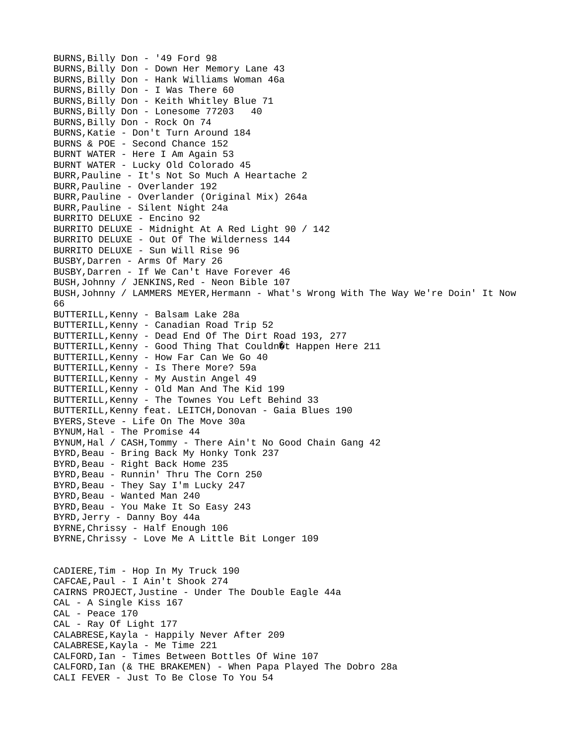BURNS,Billy Don - '49 Ford 98 BURNS,Billy Don - Down Her Memory Lane 43 BURNS,Billy Don - Hank Williams Woman 46a BURNS,Billy Don - I Was There 60 BURNS,Billy Don - Keith Whitley Blue 71 BURNS,Billy Don - Lonesome 77203 40 BURNS,Billy Don - Rock On 74 BURNS,Katie - Don't Turn Around 184 BURNS & POE - Second Chance 152 BURNT WATER - Here I Am Again 53 BURNT WATER - Lucky Old Colorado 45 BURR,Pauline - It's Not So Much A Heartache 2 BURR,Pauline - Overlander 192 BURR,Pauline - Overlander (Original Mix) 264a BURR,Pauline - Silent Night 24a BURRITO DELUXE - Encino 92 BURRITO DELUXE - Midnight At A Red Light 90 / 142 BURRITO DELUXE - Out Of The Wilderness 144 BURRITO DELUXE - Sun Will Rise 96 BUSBY,Darren - Arms Of Mary 26 BUSBY,Darren - If We Can't Have Forever 46 BUSH,Johnny / JENKINS,Red - Neon Bible 107 BUSH,Johnny / LAMMERS MEYER,Hermann - What's Wrong With The Way We're Doin' It Now 66 BUTTERILL,Kenny - Balsam Lake 28a BUTTERILL,Kenny - Canadian Road Trip 52 BUTTERILL,Kenny - Dead End Of The Dirt Road 193, 277 BUTTERILL, Kenny - Good Thing That Couldn@t Happen Here 211 BUTTERILL,Kenny - How Far Can We Go 40 BUTTERILL,Kenny - Is There More? 59a BUTTERILL,Kenny - My Austin Angel 49 BUTTERILL,Kenny - Old Man And The Kid 199 BUTTERILL,Kenny - The Townes You Left Behind 33 BUTTERILL,Kenny feat. LEITCH,Donovan - Gaia Blues 190 BYERS,Steve - Life On The Move 30a BYNUM,Hal - The Promise 44 BYNUM,Hal / CASH,Tommy - There Ain't No Good Chain Gang 42 BYRD,Beau - Bring Back My Honky Tonk 237 BYRD, Beau - Right Back Home 235 BYRD, Beau - Runnin' Thru The Corn 250 BYRD, Beau - They Say I'm Lucky 247 BYRD, Beau - Wanted Man 240 BYRD, Beau - You Make It So Easy 243 BYRD,Jerry - Danny Boy 44a BYRNE,Chrissy - Half Enough 106 BYRNE,Chrissy - Love Me A Little Bit Longer 109 CADIERE,Tim - Hop In My Truck 190 CAFCAE,Paul - I Ain't Shook 274 CAIRNS PROJECT,Justine - Under The Double Eagle 44a CAL - A Single Kiss 167 CAL - Peace 170 CAL - Ray Of Light 177 CALABRESE,Kayla - Happily Never After 209 CALABRESE,Kayla - Me Time 221 CALFORD,Ian - Times Between Bottles Of Wine 107 CALFORD,Ian (& THE BRAKEMEN) - When Papa Played The Dobro 28a CALI FEVER - Just To Be Close To You 54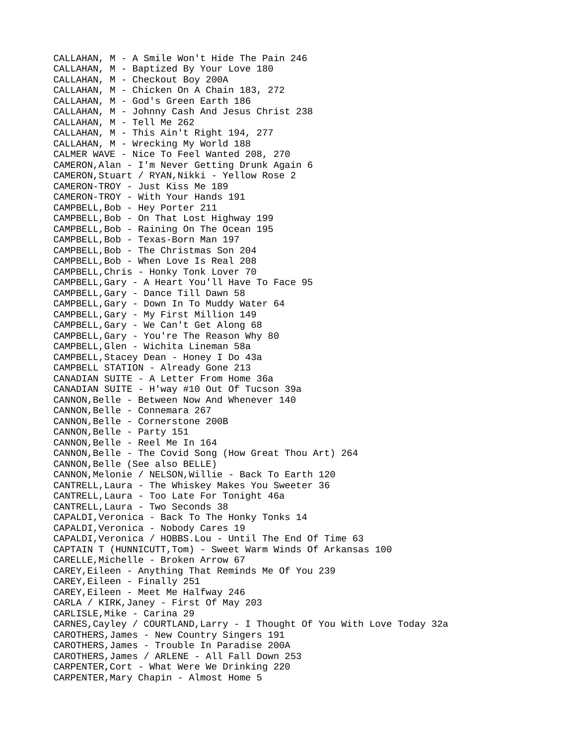CALLAHAN, M - A Smile Won't Hide The Pain 246 CALLAHAN, M - Baptized By Your Love 180 CALLAHAN, M - Checkout Boy 200A CALLAHAN, M - Chicken On A Chain 183, 272 CALLAHAN, M - God's Green Earth 186 CALLAHAN, M - Johnny Cash And Jesus Christ 238 CALLAHAN, M - Tell Me 262 CALLAHAN, M - This Ain't Right 194, 277 CALLAHAN, M - Wrecking My World 188 CALMER WAVE - Nice To Feel Wanted 208, 270 CAMERON,Alan - I'm Never Getting Drunk Again 6 CAMERON,Stuart / RYAN,Nikki - Yellow Rose 2 CAMERON-TROY - Just Kiss Me 189 CAMERON-TROY - With Your Hands 191 CAMPBELL,Bob - Hey Porter 211 CAMPBELL,Bob - On That Lost Highway 199 CAMPBELL,Bob - Raining On The Ocean 195 CAMPBELL,Bob - Texas-Born Man 197 CAMPBELL,Bob - The Christmas Son 204 CAMPBELL,Bob - When Love Is Real 208 CAMPBELL,Chris - Honky Tonk Lover 70 CAMPBELL,Gary - A Heart You'll Have To Face 95 CAMPBELL,Gary - Dance Till Dawn 58 CAMPBELL,Gary - Down In To Muddy Water 64 CAMPBELL,Gary - My First Million 149 CAMPBELL,Gary - We Can't Get Along 68 CAMPBELL,Gary - You're The Reason Why 80 CAMPBELL,Glen - Wichita Lineman 58a CAMPBELL,Stacey Dean - Honey I Do 43a CAMPBELL STATION - Already Gone 213 CANADIAN SUITE - A Letter From Home 36a CANADIAN SUITE - H'way #10 Out Of Tucson 39a CANNON,Belle - Between Now And Whenever 140 CANNON,Belle - Connemara 267 CANNON,Belle - Cornerstone 200B CANNON, Belle - Party 151 CANNON,Belle - Reel Me In 164 CANNON,Belle - The Covid Song (How Great Thou Art) 264 CANNON,Belle (See also BELLE) CANNON,Melonie / NELSON,Willie - Back To Earth 120 CANTRELL,Laura - The Whiskey Makes You Sweeter 36 CANTRELL,Laura - Too Late For Tonight 46a CANTRELL,Laura - Two Seconds 38 CAPALDI,Veronica - Back To The Honky Tonks 14 CAPALDI,Veronica - Nobody Cares 19 CAPALDI,Veronica / HOBBS.Lou - Until The End Of Time 63 CAPTAIN T (HUNNICUTT,Tom) - Sweet Warm Winds Of Arkansas 100 CARELLE,Michelle - Broken Arrow 67 CAREY,Eileen - Anything That Reminds Me Of You 239 CAREY,Eileen - Finally 251 CAREY,Eileen - Meet Me Halfway 246 CARLA / KIRK,Janey - First Of May 203 CARLISLE,Mike - Carina 29 CARNES,Cayley / COURTLAND,Larry - I Thought Of You With Love Today 32a CAROTHERS,James - New Country Singers 191 CAROTHERS,James - Trouble In Paradise 200A CAROTHERS,James / ARLENE - All Fall Down 253 CARPENTER,Cort - What Were We Drinking 220 CARPENTER,Mary Chapin - Almost Home 5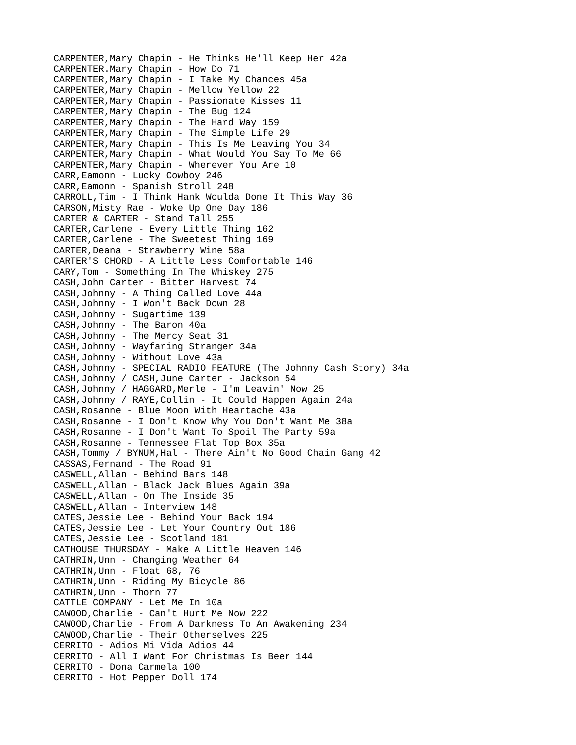CARPENTER,Mary Chapin - He Thinks He'll Keep Her 42a CARPENTER.Mary Chapin - How Do 71 CARPENTER,Mary Chapin - I Take My Chances 45a CARPENTER,Mary Chapin - Mellow Yellow 22 CARPENTER,Mary Chapin - Passionate Kisses 11 CARPENTER,Mary Chapin - The Bug 124 CARPENTER,Mary Chapin - The Hard Way 159 CARPENTER,Mary Chapin - The Simple Life 29 CARPENTER,Mary Chapin - This Is Me Leaving You 34 CARPENTER,Mary Chapin - What Would You Say To Me 66 CARPENTER,Mary Chapin - Wherever You Are 10 CARR,Eamonn - Lucky Cowboy 246 CARR,Eamonn - Spanish Stroll 248 CARROLL,Tim - I Think Hank Woulda Done It This Way 36 CARSON,Misty Rae - Woke Up One Day 186 CARTER & CARTER - Stand Tall 255 CARTER,Carlene - Every Little Thing 162 CARTER,Carlene - The Sweetest Thing 169 CARTER,Deana - Strawberry Wine 58a CARTER'S CHORD - A Little Less Comfortable 146 CARY,Tom - Something In The Whiskey 275 CASH,John Carter - Bitter Harvest 74 CASH,Johnny - A Thing Called Love 44a CASH,Johnny - I Won't Back Down 28 CASH,Johnny - Sugartime 139 CASH,Johnny - The Baron 40a CASH,Johnny - The Mercy Seat 31 CASH,Johnny - Wayfaring Stranger 34a CASH,Johnny - Without Love 43a CASH,Johnny - SPECIAL RADIO FEATURE (The Johnny Cash Story) 34a CASH,Johnny / CASH,June Carter - Jackson 54 CASH,Johnny / HAGGARD,Merle - I'm Leavin' Now 25 CASH,Johnny / RAYE,Collin - It Could Happen Again 24a CASH,Rosanne - Blue Moon With Heartache 43a CASH,Rosanne - I Don't Know Why You Don't Want Me 38a CASH,Rosanne - I Don't Want To Spoil The Party 59a CASH,Rosanne - Tennessee Flat Top Box 35a CASH,Tommy / BYNUM,Hal - There Ain't No Good Chain Gang 42 CASSAS,Fernand - The Road 91 CASWELL,Allan - Behind Bars 148 CASWELL,Allan - Black Jack Blues Again 39a CASWELL,Allan - On The Inside 35 CASWELL,Allan - Interview 148 CATES,Jessie Lee - Behind Your Back 194 CATES,Jessie Lee - Let Your Country Out 186 CATES,Jessie Lee - Scotland 181 CATHOUSE THURSDAY - Make A Little Heaven 146 CATHRIN,Unn - Changing Weather 64 CATHRIN,Unn - Float 68, 76 CATHRIN,Unn - Riding My Bicycle 86 CATHRIN,Unn - Thorn 77 CATTLE COMPANY - Let Me In 10a CAWOOD,Charlie - Can't Hurt Me Now 222 CAWOOD,Charlie - From A Darkness To An Awakening 234 CAWOOD,Charlie - Their Otherselves 225 CERRITO - Adios Mi Vida Adios 44 CERRITO - All I Want For Christmas Is Beer 144 CERRITO - Dona Carmela 100 CERRITO - Hot Pepper Doll 174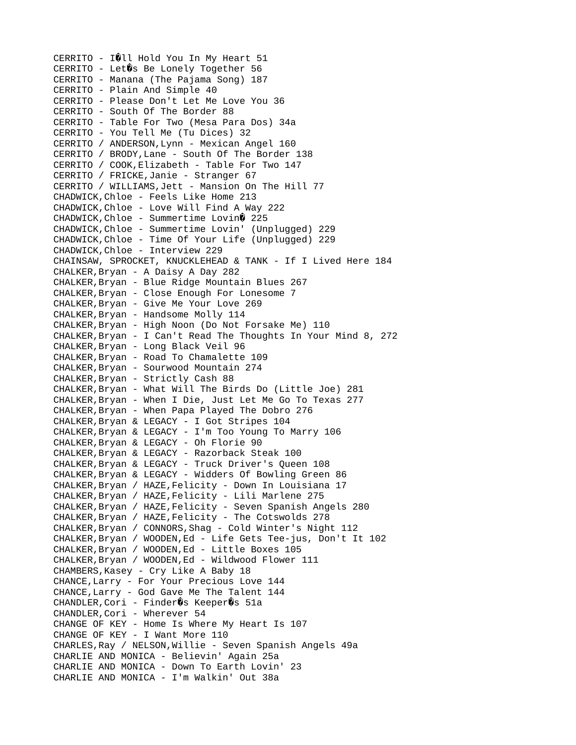CERRITO - IQLL Hold You In My Heart  $51$ CERRITO - Let  $\hat{\mathbf{g}}$ s Be Lonely Together 56 CERRITO - Manana (The Pajama Song) 187 CERRITO - Plain And Simple 40 CERRITO - Please Don't Let Me Love You 36 CERRITO - South Of The Border 88 CERRITO - Table For Two (Mesa Para Dos) 34a CERRITO - You Tell Me (Tu Dices) 32 CERRITO / ANDERSON,Lynn - Mexican Angel 160 CERRITO / BRODY,Lane - South Of The Border 138 CERRITO / COOK,Elizabeth - Table For Two 147 CERRITO / FRICKE,Janie - Stranger 67 CERRITO / WILLIAMS,Jett - Mansion On The Hill 77 CHADWICK,Chloe - Feels Like Home 213 CHADWICK,Chloe - Love Will Find A Way 222  $CHADWICK,$ Chloe - Summertime Lovin $\mathbf{\$}$  225 CHADWICK,Chloe - Summertime Lovin' (Unplugged) 229 CHADWICK,Chloe - Time Of Your Life (Unplugged) 229 CHADWICK,Chloe - Interview 229 CHAINSAW, SPROCKET, KNUCKLEHEAD & TANK - If I Lived Here 184 CHALKER,Bryan - A Daisy A Day 282 CHALKER,Bryan - Blue Ridge Mountain Blues 267 CHALKER,Bryan - Close Enough For Lonesome 7 CHALKER,Bryan - Give Me Your Love 269 CHALKER,Bryan - Handsome Molly 114 CHALKER,Bryan - High Noon (Do Not Forsake Me) 110 CHALKER,Bryan - I Can't Read The Thoughts In Your Mind 8, 272 CHALKER,Bryan - Long Black Veil 96 CHALKER,Bryan - Road To Chamalette 109 CHALKER,Bryan - Sourwood Mountain 274 CHALKER,Bryan - Strictly Cash 88 CHALKER,Bryan - What Will The Birds Do (Little Joe) 281 CHALKER,Bryan - When I Die, Just Let Me Go To Texas 277 CHALKER,Bryan - When Papa Played The Dobro 276 CHALKER,Bryan & LEGACY - I Got Stripes 104 CHALKER,Bryan & LEGACY - I'm Too Young To Marry 106 CHALKER,Bryan & LEGACY - Oh Florie 90 CHALKER,Bryan & LEGACY - Razorback Steak 100 CHALKER,Bryan & LEGACY - Truck Driver's Queen 108 CHALKER,Bryan & LEGACY - Widders Of Bowling Green 86 CHALKER,Bryan / HAZE,Felicity - Down In Louisiana 17 CHALKER,Bryan / HAZE,Felicity - Lili Marlene 275 CHALKER,Bryan / HAZE,Felicity - Seven Spanish Angels 280 CHALKER,Bryan / HAZE,Felicity - The Cotswolds 278 CHALKER,Bryan / CONNORS,Shag - Cold Winter's Night 112 CHALKER,Bryan / WOODEN,Ed - Life Gets Tee-jus, Don't It 102 CHALKER,Bryan / WOODEN,Ed - Little Boxes 105 CHALKER,Bryan / WOODEN,Ed - Wildwood Flower 111 CHAMBERS,Kasey - Cry Like A Baby 18 CHANCE,Larry - For Your Precious Love 144 CHANCE,Larry - God Gave Me The Talent 144  $CHANDLER, Cori - Finder ②s Keeper ③s 51a$ CHANDLER,Cori - Wherever 54 CHANGE OF KEY - Home Is Where My Heart Is 107 CHANGE OF KEY - I Want More 110 CHARLES,Ray / NELSON,Willie - Seven Spanish Angels 49a CHARLIE AND MONICA - Believin' Again 25a CHARLIE AND MONICA - Down To Earth Lovin' 23 CHARLIE AND MONICA - I'm Walkin' Out 38a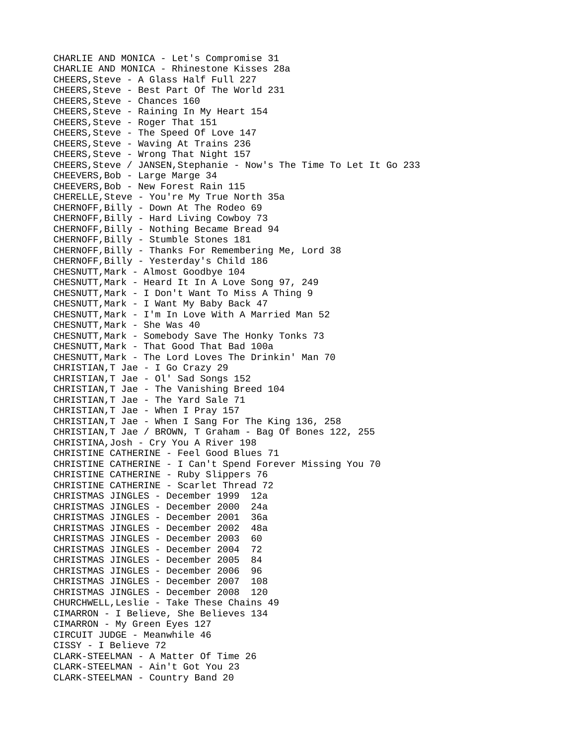CHARLIE AND MONICA - Let's Compromise 31 CHARLIE AND MONICA - Rhinestone Kisses 28a CHEERS,Steve - A Glass Half Full 227 CHEERS,Steve - Best Part Of The World 231 CHEERS,Steve - Chances 160 CHEERS,Steve - Raining In My Heart 154 CHEERS,Steve - Roger That 151 CHEERS,Steve - The Speed Of Love 147 CHEERS,Steve - Waving At Trains 236 CHEERS,Steve - Wrong That Night 157 CHEERS,Steve / JANSEN,Stephanie - Now's The Time To Let It Go 233 CHEEVERS,Bob - Large Marge 34 CHEEVERS,Bob - New Forest Rain 115 CHERELLE,Steve - You're My True North 35a CHERNOFF,Billy - Down At The Rodeo 69 CHERNOFF,Billy - Hard Living Cowboy 73 CHERNOFF,Billy - Nothing Became Bread 94 CHERNOFF,Billy - Stumble Stones 181 CHERNOFF,Billy - Thanks For Remembering Me, Lord 38 CHERNOFF,Billy - Yesterday's Child 186 CHESNUTT,Mark - Almost Goodbye 104 CHESNUTT,Mark - Heard It In A Love Song 97, 249 CHESNUTT,Mark - I Don't Want To Miss A Thing 9 CHESNUTT,Mark - I Want My Baby Back 47 CHESNUTT,Mark - I'm In Love With A Married Man 52 CHESNUTT,Mark - She Was 40 CHESNUTT,Mark - Somebody Save The Honky Tonks 73 CHESNUTT,Mark - That Good That Bad 100a CHESNUTT,Mark - The Lord Loves The Drinkin' Man 70 CHRISTIAN,T Jae - I Go Crazy 29 CHRISTIAN,T Jae - Ol' Sad Songs 152 CHRISTIAN,T Jae - The Vanishing Breed 104 CHRISTIAN,T Jae - The Yard Sale 71 CHRISTIAN,T Jae - When I Pray 157 CHRISTIAN,T Jae - When I Sang For The King 136, 258 CHRISTIAN,T Jae / BROWN, T Graham - Bag Of Bones 122, 255 CHRISTINA,Josh - Cry You A River 198 CHRISTINE CATHERINE - Feel Good Blues 71 CHRISTINE CATHERINE - I Can't Spend Forever Missing You 70 CHRISTINE CATHERINE - Ruby Slippers 76 CHRISTINE CATHERINE - Scarlet Thread 72 CHRISTMAS JINGLES - December 1999 12a CHRISTMAS JINGLES - December 2000 24a CHRISTMAS JINGLES - December 2001 36a CHRISTMAS JINGLES - December 2002 48a CHRISTMAS JINGLES - December 2003 60 CHRISTMAS JINGLES - December 2004 72 CHRISTMAS JINGLES - December 2005 84 CHRISTMAS JINGLES - December 2006 96 CHRISTMAS JINGLES - December 2007 108 CHRISTMAS JINGLES - December 2008 120 CHURCHWELL,Leslie - Take These Chains 49 CIMARRON - I Believe, She Believes 134 CIMARRON - My Green Eyes 127 CIRCUIT JUDGE - Meanwhile 46 CISSY - I Believe 72 CLARK-STEELMAN - A Matter Of Time 26 CLARK-STEELMAN - Ain't Got You 23 CLARK-STEELMAN - Country Band 20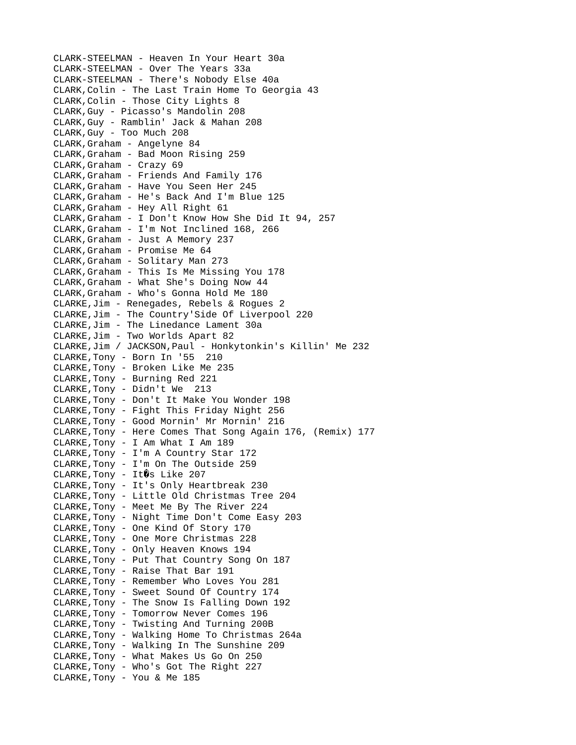CLARK-STEELMAN - Heaven In Your Heart 30a CLARK-STEELMAN - Over The Years 33a CLARK-STEELMAN - There's Nobody Else 40a CLARK,Colin - The Last Train Home To Georgia 43 CLARK,Colin - Those City Lights 8 CLARK,Guy - Picasso's Mandolin 208 CLARK,Guy - Ramblin' Jack & Mahan 208 CLARK,Guy - Too Much 208 CLARK,Graham - Angelyne 84 CLARK,Graham - Bad Moon Rising 259 CLARK,Graham - Crazy 69 CLARK,Graham - Friends And Family 176 CLARK,Graham - Have You Seen Her 245 CLARK,Graham - He's Back And I'm Blue 125 CLARK,Graham - Hey All Right 61 CLARK,Graham - I Don't Know How She Did It 94, 257 CLARK,Graham - I'm Not Inclined 168, 266 CLARK,Graham - Just A Memory 237 CLARK,Graham - Promise Me 64 CLARK,Graham - Solitary Man 273 CLARK,Graham - This Is Me Missing You 178 CLARK,Graham - What She's Doing Now 44 CLARK,Graham - Who's Gonna Hold Me 180 CLARKE,Jim - Renegades, Rebels & Rogues 2 CLARKE,Jim - The Country'Side Of Liverpool 220 CLARKE,Jim - The Linedance Lament 30a CLARKE,Jim - Two Worlds Apart 82 CLARKE,Jim / JACKSON,Paul - Honkytonkin's Killin' Me 232 CLARKE,Tony - Born In '55 210 CLARKE,Tony - Broken Like Me 235 CLARKE,Tony - Burning Red 221 CLARKE,Tony - Didn't We 213 CLARKE,Tony - Don't It Make You Wonder 198 CLARKE,Tony - Fight This Friday Night 256 CLARKE,Tony - Good Mornin' Mr Mornin' 216 CLARKE,Tony - Here Comes That Song Again 176, (Remix) 177 CLARKE,Tony - I Am What I Am 189 CLARKE,Tony - I'm A Country Star 172 CLARKE,Tony - I'm On The Outside 259 CLARKE, Tony - It  $\hat{v}$ s Like 207 CLARKE,Tony - It's Only Heartbreak 230 CLARKE,Tony - Little Old Christmas Tree 204 CLARKE,Tony - Meet Me By The River 224 CLARKE,Tony - Night Time Don't Come Easy 203 CLARKE,Tony - One Kind Of Story 170 CLARKE,Tony - One More Christmas 228 CLARKE,Tony - Only Heaven Knows 194 CLARKE,Tony - Put That Country Song On 187 CLARKE,Tony - Raise That Bar 191 CLARKE,Tony - Remember Who Loves You 281 CLARKE,Tony - Sweet Sound Of Country 174 CLARKE,Tony - The Snow Is Falling Down 192 CLARKE,Tony - Tomorrow Never Comes 196 CLARKE,Tony - Twisting And Turning 200B CLARKE,Tony - Walking Home To Christmas 264a CLARKE,Tony - Walking In The Sunshine 209 CLARKE,Tony - What Makes Us Go On 250 CLARKE,Tony - Who's Got The Right 227 CLARKE,Tony - You & Me 185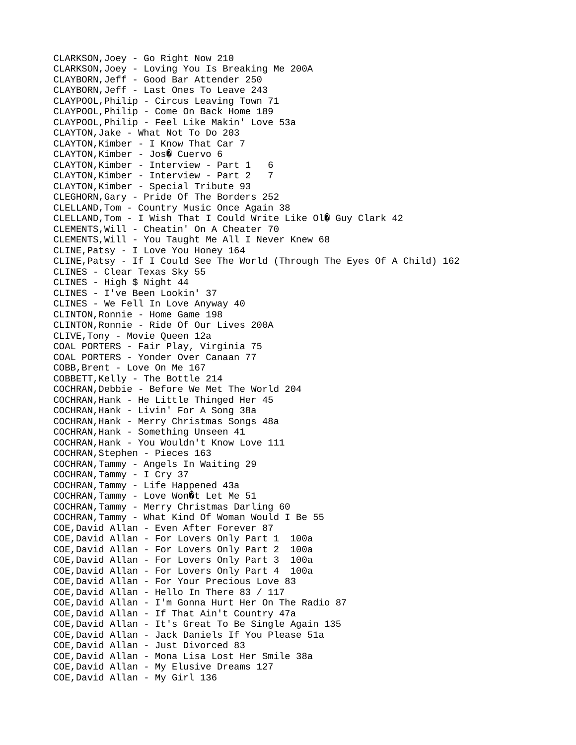```
CLARKSON,Joey - Go Right Now 210
CLARKSON,Joey - Loving You Is Breaking Me 200A
CLAYBORN,Jeff - Good Bar Attender 250
CLAYBORN,Jeff - Last Ones To Leave 243
CLAYPOOL,Philip - Circus Leaving Town 71
CLAYPOOL,Philip - Come On Back Home 189
CLAYPOOL,Philip - Feel Like Makin' Love 53a
CLAYTON,Jake - What Not To Do 203
CLAYTON,Kimber - I Know That Car 7
CLAYTON, Kimber - Jos0 Cuervo 6
CLAYTON,Kimber - Interview - Part 1 6
CLAYTON,Kimber - Interview - Part 2 7
CLAYTON,Kimber - Special Tribute 93
CLEGHORN,Gary - Pride Of The Borders 252
CLELLAND,Tom - Country Music Once Again 38
CLELLAND, Tom - I Wish That I Could Write Like 0\mathbf{1}\mathbf{\hat{V}} Guy Clark 42
CLEMENTS,Will - Cheatin' On A Cheater 70
CLEMENTS,Will - You Taught Me All I Never Knew 68
CLINE,Patsy - I Love You Honey 164
CLINE,Patsy - If I Could See The World (Through The Eyes Of A Child) 162
CLINES - Clear Texas Sky 55
CLINES - High $ Night 44
CLINES - I've Been Lookin' 37
CLINES - We Fell In Love Anyway 40
CLINTON,Ronnie - Home Game 198
CLINTON,Ronnie - Ride Of Our Lives 200A
CLIVE,Tony - Movie Queen 12a
COAL PORTERS - Fair Play, Virginia 75
COAL PORTERS - Yonder Over Canaan 77
COBB,Brent - Love On Me 167
COBBETT,Kelly - The Bottle 214
COCHRAN,Debbie - Before We Met The World 204
COCHRAN,Hank - He Little Thinged Her 45
COCHRAN,Hank - Livin' For A Song 38a
COCHRAN,Hank - Merry Christmas Songs 48a
COCHRAN,Hank - Something Unseen 41
COCHRAN,Hank - You Wouldn't Know Love 111
COCHRAN,Stephen - Pieces 163
COCHRAN,Tammy - Angels In Waiting 29
COCHRAN,Tammy - I Cry 37
COCHRAN,Tammy - Life Happened 43a
COCHRAN, Tammy - Love Won0t Let Me 51
COCHRAN,Tammy - Merry Christmas Darling 60
COCHRAN,Tammy - What Kind Of Woman Would I Be 55
COE,David Allan - Even After Forever 87
COE,David Allan - For Lovers Only Part 1 100a
COE,David Allan - For Lovers Only Part 2 100a
COE,David Allan - For Lovers Only Part 3 100a
COE,David Allan - For Lovers Only Part 4 100a
COE,David Allan - For Your Precious Love 83
COE,David Allan - Hello In There 83 / 117
COE,David Allan - I'm Gonna Hurt Her On The Radio 87
COE,David Allan - If That Ain't Country 47a
COE,David Allan - It's Great To Be Single Again 135
COE,David Allan - Jack Daniels If You Please 51a
COE,David Allan - Just Divorced 83
COE,David Allan - Mona Lisa Lost Her Smile 38a
COE,David Allan - My Elusive Dreams 127
COE,David Allan - My Girl 136
```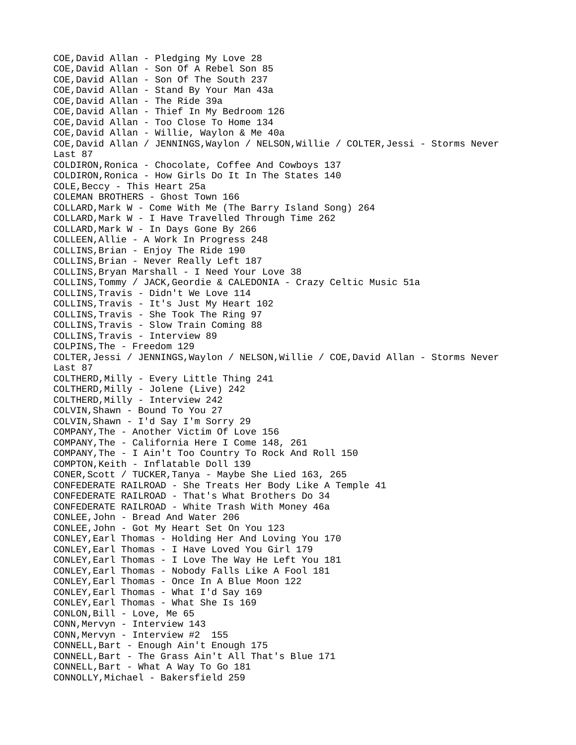COE,David Allan - Pledging My Love 28 COE,David Allan - Son Of A Rebel Son 85 COE,David Allan - Son Of The South 237 COE,David Allan - Stand By Your Man 43a COE,David Allan - The Ride 39a COE,David Allan - Thief In My Bedroom 126 COE,David Allan - Too Close To Home 134 COE,David Allan - Willie, Waylon & Me 40a COE,David Allan / JENNINGS,Waylon / NELSON,Willie / COLTER,Jessi - Storms Never Last 87 COLDIRON,Ronica - Chocolate, Coffee And Cowboys 137 COLDIRON,Ronica - How Girls Do It In The States 140 COLE,Beccy - This Heart 25a COLEMAN BROTHERS - Ghost Town 166 COLLARD,Mark W - Come With Me (The Barry Island Song) 264 COLLARD,Mark W - I Have Travelled Through Time 262 COLLARD,Mark W - In Days Gone By 266 COLLEEN,Allie - A Work In Progress 248 COLLINS,Brian - Enjoy The Ride 190 COLLINS,Brian - Never Really Left 187 COLLINS,Bryan Marshall - I Need Your Love 38 COLLINS,Tommy / JACK,Geordie & CALEDONIA - Crazy Celtic Music 51a COLLINS,Travis - Didn't We Love 114 COLLINS,Travis - It's Just My Heart 102 COLLINS,Travis - She Took The Ring 97 COLLINS,Travis - Slow Train Coming 88 COLLINS,Travis - Interview 89 COLPINS,The - Freedom 129 COLTER,Jessi / JENNINGS,Waylon / NELSON,Willie / COE,David Allan - Storms Never Last 87 COLTHERD,Milly - Every Little Thing 241 COLTHERD,Milly - Jolene (Live) 242 COLTHERD,Milly - Interview 242 COLVIN,Shawn - Bound To You 27 COLVIN,Shawn - I'd Say I'm Sorry 29 COMPANY,The - Another Victim Of Love 156 COMPANY,The - California Here I Come 148, 261 COMPANY,The - I Ain't Too Country To Rock And Roll 150 COMPTON,Keith - Inflatable Doll 139 CONER,Scott / TUCKER,Tanya - Maybe She Lied 163, 265 CONFEDERATE RAILROAD - She Treats Her Body Like A Temple 41 CONFEDERATE RAILROAD - That's What Brothers Do 34 CONFEDERATE RAILROAD - White Trash With Money 46a CONLEE,John - Bread And Water 206 CONLEE,John - Got My Heart Set On You 123 CONLEY,Earl Thomas - Holding Her And Loving You 170 CONLEY,Earl Thomas - I Have Loved You Girl 179 CONLEY,Earl Thomas - I Love The Way He Left You 181 CONLEY,Earl Thomas - Nobody Falls Like A Fool 181 CONLEY,Earl Thomas - Once In A Blue Moon 122 CONLEY,Earl Thomas - What I'd Say 169 CONLEY,Earl Thomas - What She Is 169 CONLON,Bill - Love, Me 65 CONN,Mervyn - Interview 143 CONN,Mervyn - Interview #2 155 CONNELL,Bart - Enough Ain't Enough 175 CONNELL,Bart - The Grass Ain't All That's Blue 171 CONNELL,Bart - What A Way To Go 181 CONNOLLY,Michael - Bakersfield 259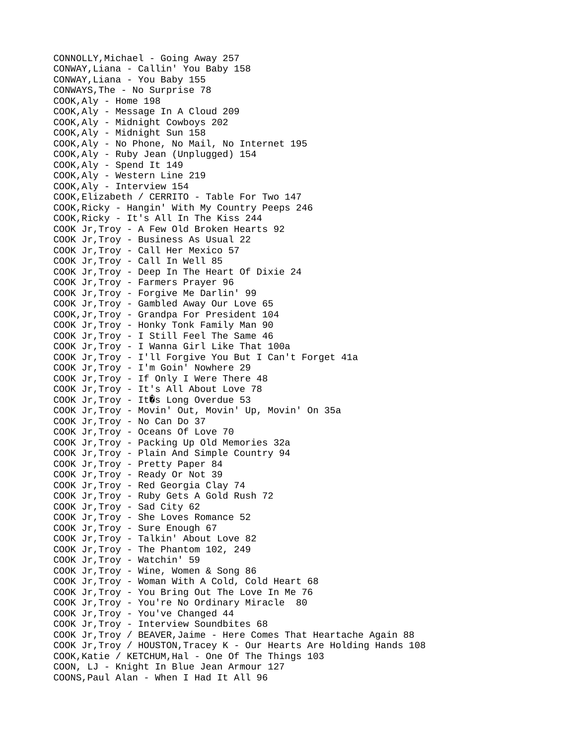CONNOLLY,Michael - Going Away 257 CONWAY,Liana - Callin' You Baby 158 CONWAY,Liana - You Baby 155 CONWAYS,The - No Surprise 78 COOK,Aly - Home 198 COOK,Aly - Message In A Cloud 209 COOK,Aly - Midnight Cowboys 202 COOK,Aly - Midnight Sun 158 COOK,Aly - No Phone, No Mail, No Internet 195 COOK,Aly - Ruby Jean (Unplugged) 154 COOK,Aly - Spend It 149 COOK,Aly - Western Line 219 COOK,Aly - Interview 154 COOK,Elizabeth / CERRITO - Table For Two 147 COOK,Ricky - Hangin' With My Country Peeps 246 COOK,Ricky - It's All In The Kiss 244 COOK Jr,Troy - A Few Old Broken Hearts 92 COOK Jr,Troy - Business As Usual 22 COOK Jr,Troy - Call Her Mexico 57 COOK Jr,Troy - Call In Well 85 COOK Jr,Troy - Deep In The Heart Of Dixie 24 COOK Jr,Troy - Farmers Prayer 96 COOK Jr,Troy - Forgive Me Darlin' 99 COOK Jr,Troy - Gambled Away Our Love 65 COOK,Jr,Troy - Grandpa For President 104 COOK Jr,Troy - Honky Tonk Family Man 90 COOK Jr,Troy - I Still Feel The Same 46 COOK Jr,Troy - I Wanna Girl Like That 100a COOK Jr,Troy - I'll Forgive You But I Can't Forget 41a COOK Jr,Troy - I'm Goin' Nowhere 29 COOK Jr,Troy - If Only I Were There 48 COOK Jr,Troy - It's All About Love 78 COOK Jr,  $Troy - ItQs$  Long Overdue 53 COOK Jr,Troy - Movin' Out, Movin' Up, Movin' On 35a COOK Jr,Troy - No Can Do 37 COOK Jr,Troy - Oceans Of Love 70 COOK Jr,Troy - Packing Up Old Memories 32a COOK Jr,Troy - Plain And Simple Country 94 COOK Jr,Troy - Pretty Paper 84 COOK Jr,Troy - Ready Or Not 39 COOK Jr,Troy - Red Georgia Clay 74 COOK Jr,Troy - Ruby Gets A Gold Rush 72 COOK Jr,Troy - Sad City 62 COOK Jr,Troy - She Loves Romance 52 COOK Jr,Troy - Sure Enough 67 COOK Jr,Troy - Talkin' About Love 82 COOK Jr,Troy - The Phantom 102, 249 COOK Jr,Troy - Watchin' 59 COOK Jr,Troy - Wine, Women & Song 86 COOK Jr,Troy - Woman With A Cold, Cold Heart 68 COOK Jr,Troy - You Bring Out The Love In Me 76 COOK Jr,Troy - You're No Ordinary Miracle 80 COOK Jr,Troy - You've Changed 44 COOK Jr,Troy - Interview Soundbites 68 COOK Jr,Troy / BEAVER,Jaime - Here Comes That Heartache Again 88 COOK Jr,Troy / HOUSTON,Tracey K - Our Hearts Are Holding Hands 108 COOK,Katie / KETCHUM,Hal - One Of The Things 103 COON, LJ - Knight In Blue Jean Armour 127 COONS,Paul Alan - When I Had It All 96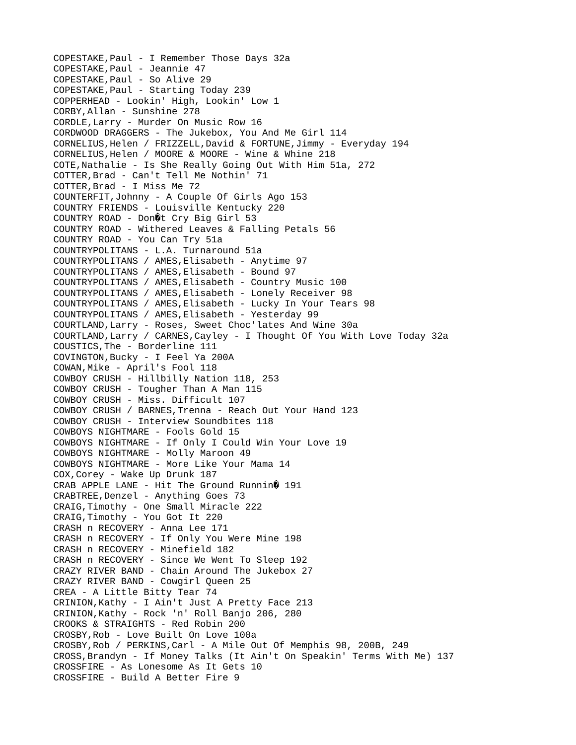COPESTAKE,Paul - I Remember Those Days 32a COPESTAKE,Paul - Jeannie 47 COPESTAKE,Paul - So Alive 29 COPESTAKE,Paul - Starting Today 239 COPPERHEAD - Lookin' High, Lookin' Low 1 CORBY,Allan - Sunshine 278 CORDLE,Larry - Murder On Music Row 16 CORDWOOD DRAGGERS - The Jukebox, You And Me Girl 114 CORNELIUS,Helen / FRIZZELL,David & FORTUNE,Jimmy - Everyday 194 CORNELIUS,Helen / MOORE & MOORE - Wine & Whine 218 COTE,Nathalie - Is She Really Going Out With Him 51a, 272 COTTER,Brad - Can't Tell Me Nothin' 71 COTTER,Brad - I Miss Me 72 COUNTERFIT,Johnny - A Couple Of Girls Ago 153 COUNTRY FRIENDS - Louisville Kentucky 220 COUNTRY ROAD - Don it Cry Big Girl 53 COUNTRY ROAD - Withered Leaves & Falling Petals 56 COUNTRY ROAD - You Can Try 51a COUNTRYPOLITANS - L.A. Turnaround 51a COUNTRYPOLITANS / AMES,Elisabeth - Anytime 97 COUNTRYPOLITANS / AMES,Elisabeth - Bound 97 COUNTRYPOLITANS / AMES,Elisabeth - Country Music 100 COUNTRYPOLITANS / AMES,Elisabeth - Lonely Receiver 98 COUNTRYPOLITANS / AMES,Elisabeth - Lucky In Your Tears 98 COUNTRYPOLITANS / AMES,Elisabeth - Yesterday 99 COURTLAND,Larry - Roses, Sweet Choc'lates And Wine 30a COURTLAND,Larry / CARNES,Cayley - I Thought Of You With Love Today 32a COUSTICS,The - Borderline 111 COVINGTON,Bucky - I Feel Ya 200A COWAN,Mike - April's Fool 118 COWBOY CRUSH - Hillbilly Nation 118, 253 COWBOY CRUSH - Tougher Than A Man 115 COWBOY CRUSH - Miss. Difficult 107 COWBOY CRUSH / BARNES,Trenna - Reach Out Your Hand 123 COWBOY CRUSH - Interview Soundbites 118 COWBOYS NIGHTMARE - Fools Gold 15 COWBOYS NIGHTMARE - If Only I Could Win Your Love 19 COWBOYS NIGHTMARE - Molly Maroon 49 COWBOYS NIGHTMARE - More Like Your Mama 14 COX,Corey - Wake Up Drunk 187 CRAB APPLE LANE - Hit The Ground Runnin  $\hat{Q}$  191 CRABTREE,Denzel - Anything Goes 73 CRAIG,Timothy - One Small Miracle 222 CRAIG,Timothy - You Got It 220 CRASH n RECOVERY - Anna Lee 171 CRASH n RECOVERY - If Only You Were Mine 198 CRASH n RECOVERY - Minefield 182 CRASH n RECOVERY - Since We Went To Sleep 192 CRAZY RIVER BAND - Chain Around The Jukebox 27 CRAZY RIVER BAND - Cowgirl Queen 25 CREA - A Little Bitty Tear 74 CRINION,Kathy - I Ain't Just A Pretty Face 213 CRINION,Kathy - Rock 'n' Roll Banjo 206, 280 CROOKS & STRAIGHTS - Red Robin 200 CROSBY,Rob - Love Built On Love 100a CROSBY,Rob / PERKINS,Carl - A Mile Out Of Memphis 98, 200B, 249 CROSS,Brandyn - If Money Talks (It Ain't On Speakin' Terms With Me) 137 CROSSFIRE - As Lonesome As It Gets 10 CROSSFIRE - Build A Better Fire 9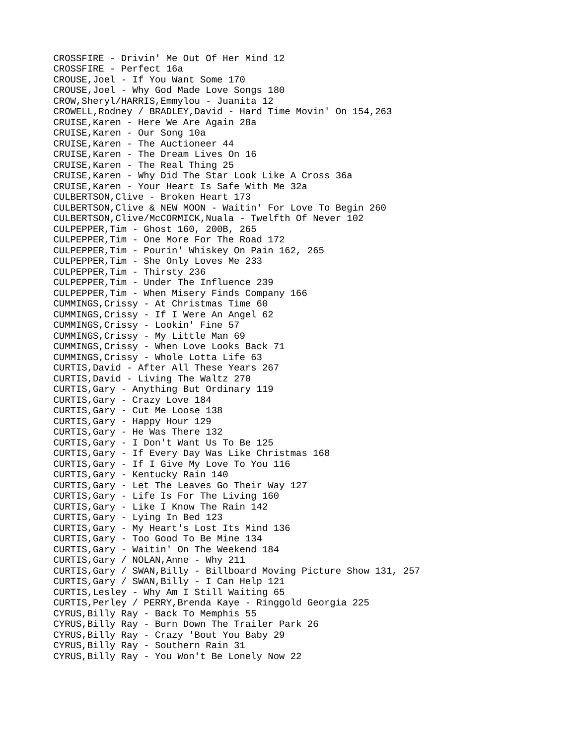CROSSFIRE - Drivin' Me Out Of Her Mind 12 CROSSFIRE - Perfect 16a CROUSE,Joel - If You Want Some 170 CROUSE,Joel - Why God Made Love Songs 180 CROW,Sheryl/HARRIS,Emmylou - Juanita 12 CROWELL,Rodney / BRADLEY,David - Hard Time Movin' On 154,263 CRUISE,Karen - Here We Are Again 28a CRUISE,Karen - Our Song 10a CRUISE,Karen - The Auctioneer 44 CRUISE,Karen - The Dream Lives On 16 CRUISE,Karen - The Real Thing 25 CRUISE,Karen - Why Did The Star Look Like A Cross 36a CRUISE,Karen - Your Heart Is Safe With Me 32a CULBERTSON,Clive - Broken Heart 173 CULBERTSON,Clive & NEW MOON - Waitin' For Love To Begin 260 CULBERTSON,Clive/McCORMICK,Nuala - Twelfth Of Never 102 CULPEPPER,Tim - Ghost 160, 200B, 265 CULPEPPER,Tim - One More For The Road 172 CULPEPPER,Tim - Pourin' Whiskey On Pain 162, 265 CULPEPPER,Tim - She Only Loves Me 233 CULPEPPER,Tim - Thirsty 236 CULPEPPER,Tim - Under The Influence 239 CULPEPPER,Tim - When Misery Finds Company 166 CUMMINGS,Crissy - At Christmas Time 60 CUMMINGS,Crissy - If I Were An Angel 62 CUMMINGS,Crissy - Lookin' Fine 57 CUMMINGS,Crissy - My Little Man 69 CUMMINGS,Crissy - When Love Looks Back 71 CUMMINGS,Crissy - Whole Lotta Life 63 CURTIS,David - After All These Years 267 CURTIS,David - Living The Waltz 270 CURTIS,Gary - Anything But Ordinary 119 CURTIS,Gary - Crazy Love 184 CURTIS,Gary - Cut Me Loose 138 CURTIS,Gary - Happy Hour 129 CURTIS,Gary - He Was There 132 CURTIS,Gary - I Don't Want Us To Be 125 CURTIS,Gary - If Every Day Was Like Christmas 168 CURTIS,Gary - If I Give My Love To You 116 CURTIS,Gary - Kentucky Rain 140 CURTIS,Gary - Let The Leaves Go Their Way 127 CURTIS,Gary - Life Is For The Living 160 CURTIS,Gary - Like I Know The Rain 142 CURTIS,Gary - Lying In Bed 123 CURTIS,Gary - My Heart's Lost Its Mind 136 CURTIS,Gary - Too Good To Be Mine 134 CURTIS,Gary - Waitin' On The Weekend 184 CURTIS,Gary / NOLAN,Anne - Why 211 CURTIS,Gary / SWAN,Billy - Billboard Moving Picture Show 131, 257 CURTIS,Gary / SWAN,Billy - I Can Help 121 CURTIS,Lesley - Why Am I Still Waiting 65 CURTIS,Perley / PERRY,Brenda Kaye - Ringgold Georgia 225 CYRUS,Billy Ray - Back To Memphis 55 CYRUS,Billy Ray - Burn Down The Trailer Park 26 CYRUS,Billy Ray - Crazy 'Bout You Baby 29 CYRUS,Billy Ray - Southern Rain 31 CYRUS,Billy Ray - You Won't Be Lonely Now 22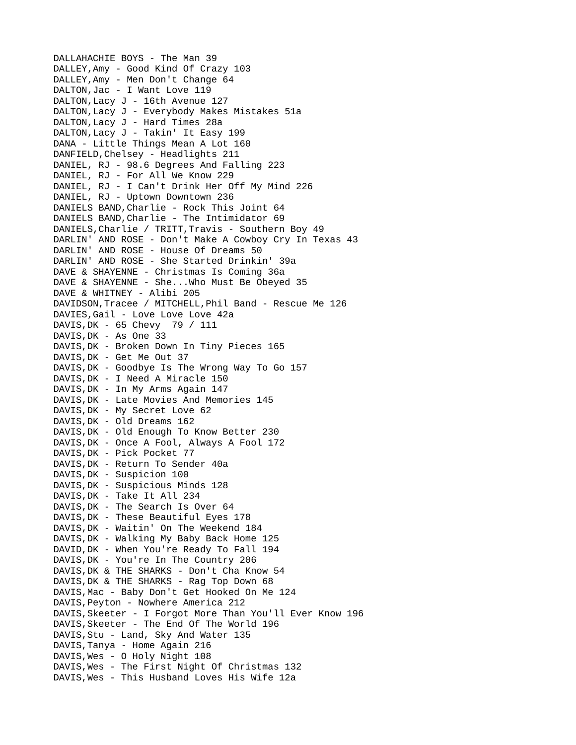DALLAHACHIE BOYS - The Man 39 DALLEY,Amy - Good Kind Of Crazy 103 DALLEY,Amy - Men Don't Change 64 DALTON,Jac - I Want Love 119 DALTON,Lacy J - 16th Avenue 127 DALTON,Lacy J - Everybody Makes Mistakes 51a DALTON,Lacy J - Hard Times 28a DALTON,Lacy J - Takin' It Easy 199 DANA - Little Things Mean A Lot 160 DANFIELD,Chelsey - Headlights 211 DANIEL, RJ - 98.6 Degrees And Falling 223 DANIEL, RJ - For All We Know 229 DANIEL, RJ - I Can't Drink Her Off My Mind 226 DANIEL, RJ - Uptown Downtown 236 DANIELS BAND,Charlie - Rock This Joint 64 DANIELS BAND,Charlie - The Intimidator 69 DANIELS, Charlie / TRITT, Travis - Southern Boy 49 DARLIN' AND ROSE - Don't Make A Cowboy Cry In Texas 43 DARLIN' AND ROSE - House Of Dreams 50 DARLIN' AND ROSE - She Started Drinkin' 39a DAVE & SHAYENNE - Christmas Is Coming 36a DAVE & SHAYENNE - She...Who Must Be Obeyed 35 DAVE & WHITNEY - Alibi 205 DAVIDSON,Tracee / MITCHELL,Phil Band - Rescue Me 126 DAVIES,Gail - Love Love Love 42a DAVIS,DK - 65 Chevy 79 / 111 DAVIS,DK - As One 33 DAVIS,DK - Broken Down In Tiny Pieces 165 DAVIS,DK - Get Me Out 37 DAVIS,DK - Goodbye Is The Wrong Way To Go 157 DAVIS,DK - I Need A Miracle 150 DAVIS,DK - In My Arms Again 147 DAVIS,DK - Late Movies And Memories 145 DAVIS,DK - My Secret Love 62 DAVIS,DK - Old Dreams 162 DAVIS,DK - Old Enough To Know Better 230 DAVIS,DK - Once A Fool, Always A Fool 172 DAVIS,DK - Pick Pocket 77 DAVIS,DK - Return To Sender 40a DAVIS,DK - Suspicion 100 DAVIS,DK - Suspicious Minds 128 DAVIS,DK - Take It All 234 DAVIS,DK - The Search Is Over 64 DAVIS,DK - These Beautiful Eyes 178 DAVIS,DK - Waitin' On The Weekend 184 DAVIS,DK - Walking My Baby Back Home 125 DAVID,DK - When You're Ready To Fall 194 DAVIS,DK - You're In The Country 206 DAVIS,DK & THE SHARKS - Don't Cha Know 54 DAVIS,DK & THE SHARKS - Rag Top Down 68 DAVIS,Mac - Baby Don't Get Hooked On Me 124 DAVIS,Peyton - Nowhere America 212 DAVIS,Skeeter - I Forgot More Than You'll Ever Know 196 DAVIS,Skeeter - The End Of The World 196 DAVIS,Stu - Land, Sky And Water 135 DAVIS,Tanya - Home Again 216 DAVIS,Wes - O Holy Night 108 DAVIS,Wes - The First Night Of Christmas 132 DAVIS,Wes - This Husband Loves His Wife 12a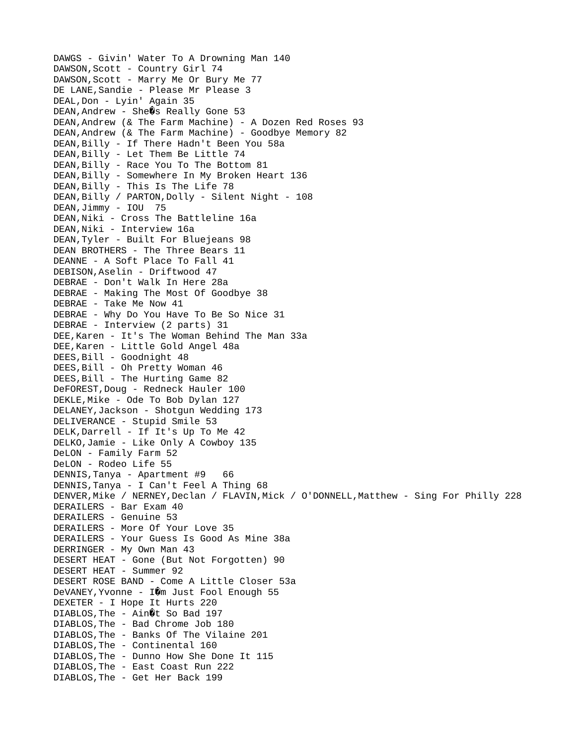DAWGS - Givin' Water To A Drowning Man 140 DAWSON, Scott - Country Girl 74 DAWSON,Scott - Marry Me Or Bury Me 77 DE LANE, Sandie - Please Mr Please 3 DEAL,Don - Lyin' Again 35  $DEAN$ , Andrew - She $\mathcal{O}_S$  Really Gone 53 DEAN,Andrew (& The Farm Machine) - A Dozen Red Roses 93 DEAN,Andrew (& The Farm Machine) - Goodbye Memory 82 DEAN,Billy - If There Hadn't Been You 58a DEAN, Billy - Let Them Be Little 74 DEAN,Billy - Race You To The Bottom 81 DEAN,Billy - Somewhere In My Broken Heart 136 DEAN,Billy - This Is The Life 78 DEAN, Billy / PARTON, Dolly - Silent Night - 108 DEAN, Jimmy - IOU 75 DEAN,Niki - Cross The Battleline 16a DEAN, Niki - Interview 16a DEAN,Tyler - Built For Bluejeans 98 DEAN BROTHERS - The Three Bears 11 DEANNE - A Soft Place To Fall 41 DEBISON,Aselin - Driftwood 47 DEBRAE - Don't Walk In Here 28a DEBRAE - Making The Most Of Goodbye 38 DEBRAE - Take Me Now 41 DEBRAE - Why Do You Have To Be So Nice 31 DEBRAE - Interview (2 parts) 31 DEE,Karen - It's The Woman Behind The Man 33a DEE,Karen - Little Gold Angel 48a DEES, Bill - Goodnight 48 DEES, Bill - Oh Pretty Woman 46 DEES,Bill - The Hurting Game 82 DeFOREST,Doug - Redneck Hauler 100 DEKLE, Mike - Ode To Bob Dylan 127 DELANEY,Jackson - Shotgun Wedding 173 DELIVERANCE - Stupid Smile 53 DELK,Darrell - If It's Up To Me 42 DELKO,Jamie - Like Only A Cowboy 135 DeLON - Family Farm 52 DeLON - Rodeo Life 55 DENNIS,Tanya - Apartment #9 66 DENNIS,Tanya - I Can't Feel A Thing 68 DENVER,Mike / NERNEY,Declan / FLAVIN,Mick / O'DONNELL,Matthew - Sing For Philly 228 DERAILERS - Bar Exam 40 DERAILERS - Genuine 53 DERAILERS - More Of Your Love 35 DERAILERS - Your Guess Is Good As Mine 38a DERRINGER - My Own Man 43 DESERT HEAT - Gone (But Not Forgotten) 90 DESERT HEAT - Summer 92 DESERT ROSE BAND - Come A Little Closer 53a DeVANEY, Yvonne - I $\hat{\mathbf{Q}}$ m Just Fool Enough 55 DEXETER - I Hope It Hurts 220 DIABLOS, The -  $Ain@t$  So Bad 197 DIABLOS,The - Bad Chrome Job 180 DIABLOS,The - Banks Of The Vilaine 201 DIABLOS,The - Continental 160 DIABLOS,The - Dunno How She Done It 115 DIABLOS,The - East Coast Run 222 DIABLOS,The - Get Her Back 199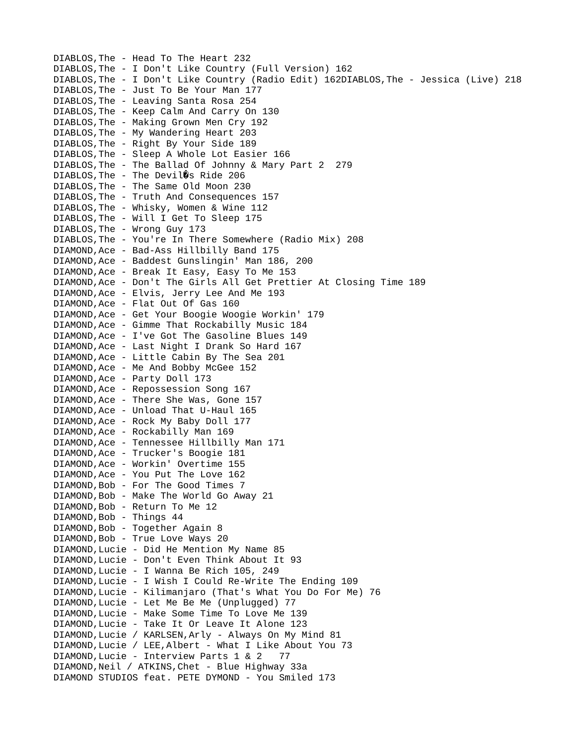DIABLOS,The - Head To The Heart 232 DIABLOS,The - I Don't Like Country (Full Version) 162 DIABLOS,The - I Don't Like Country (Radio Edit) 162DIABLOS,The - Jessica (Live) 218 DIABLOS,The - Just To Be Your Man 177 DIABLOS,The - Leaving Santa Rosa 254 DIABLOS,The - Keep Calm And Carry On 130 DIABLOS,The - Making Grown Men Cry 192 DIABLOS,The - My Wandering Heart 203 DIABLOS,The - Right By Your Side 189 DIABLOS,The - Sleep A Whole Lot Easier 166 DIABLOS,The - The Ballad Of Johnny & Mary Part 2 279 DIABLOS, The - The Devil $\hat{Q}$ s Ride 206 DIABLOS,The - The Same Old Moon 230 DIABLOS,The - Truth And Consequences 157 DIABLOS,The - Whisky, Women & Wine 112 DIABLOS,The - Will I Get To Sleep 175 DIABLOS,The - Wrong Guy 173 DIABLOS,The - You're In There Somewhere (Radio Mix) 208 DIAMOND,Ace - Bad-Ass Hillbilly Band 175 DIAMOND,Ace - Baddest Gunslingin' Man 186, 200 DIAMOND,Ace - Break It Easy, Easy To Me 153 DIAMOND,Ace - Don't The Girls All Get Prettier At Closing Time 189 DIAMOND,Ace - Elvis, Jerry Lee And Me 193 DIAMOND,Ace - Flat Out Of Gas 160 DIAMOND,Ace - Get Your Boogie Woogie Workin' 179 DIAMOND,Ace - Gimme That Rockabilly Music 184 DIAMOND,Ace - I've Got The Gasoline Blues 149 DIAMOND,Ace - Last Night I Drank So Hard 167 DIAMOND,Ace - Little Cabin By The Sea 201 DIAMOND,Ace - Me And Bobby McGee 152 DIAMOND,Ace - Party Doll 173 DIAMOND,Ace - Repossession Song 167 DIAMOND,Ace - There She Was, Gone 157 DIAMOND,Ace - Unload That U-Haul 165 DIAMOND,Ace - Rock My Baby Doll 177 DIAMOND,Ace - Rockabilly Man 169 DIAMOND,Ace - Tennessee Hillbilly Man 171 DIAMOND,Ace - Trucker's Boogie 181 DIAMOND,Ace - Workin' Overtime 155 DIAMOND,Ace - You Put The Love 162 DIAMOND,Bob - For The Good Times 7 DIAMOND,Bob - Make The World Go Away 21 DIAMOND,Bob - Return To Me 12 DIAMOND, Bob - Things 44 DIAMOND, Bob - Together Again 8 DIAMOND,Bob - True Love Ways 20 DIAMOND,Lucie - Did He Mention My Name 85 DIAMOND,Lucie - Don't Even Think About It 93 DIAMOND,Lucie - I Wanna Be Rich 105, 249 DIAMOND,Lucie - I Wish I Could Re-Write The Ending 109 DIAMOND,Lucie - Kilimanjaro (That's What You Do For Me) 76 DIAMOND,Lucie - Let Me Be Me (Unplugged) 77 DIAMOND,Lucie - Make Some Time To Love Me 139 DIAMOND,Lucie - Take It Or Leave It Alone 123 DIAMOND,Lucie / KARLSEN,Arly - Always On My Mind 81 DIAMOND,Lucie / LEE,Albert - What I Like About You 73 DIAMOND,Lucie - Interview Parts 1 & 2 77 DIAMOND,Neil / ATKINS,Chet - Blue Highway 33a DIAMOND STUDIOS feat. PETE DYMOND - You Smiled 173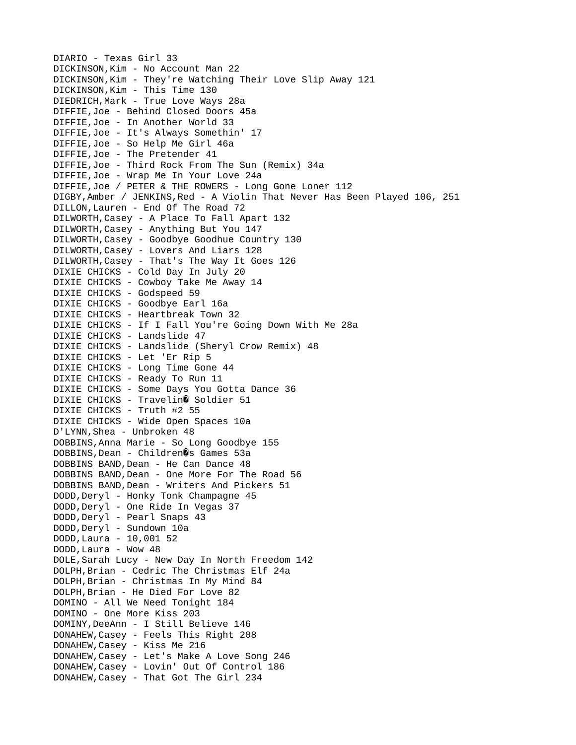DIARIO - Texas Girl 33 DICKINSON,Kim - No Account Man 22 DICKINSON,Kim - They're Watching Their Love Slip Away 121 DICKINSON,Kim - This Time 130 DIEDRICH,Mark - True Love Ways 28a DIFFIE,Joe - Behind Closed Doors 45a DIFFIE,Joe - In Another World 33 DIFFIE,Joe - It's Always Somethin' 17 DIFFIE,Joe - So Help Me Girl 46a DIFFIE,Joe - The Pretender 41 DIFFIE,Joe - Third Rock From The Sun (Remix) 34a DIFFIE,Joe - Wrap Me In Your Love 24a DIFFIE,Joe / PETER & THE ROWERS - Long Gone Loner 112 DIGBY,Amber / JENKINS,Red - A Violin That Never Has Been Played 106, 251 DILLON,Lauren - End Of The Road 72 DILWORTH,Casey - A Place To Fall Apart 132 DILWORTH,Casey - Anything But You 147 DILWORTH,Casey - Goodbye Goodhue Country 130 DILWORTH,Casey - Lovers And Liars 128 DILWORTH,Casey - That's The Way It Goes 126 DIXIE CHICKS - Cold Day In July 20 DIXIE CHICKS - Cowboy Take Me Away 14 DIXIE CHICKS - Godspeed 59 DIXIE CHICKS - Goodbye Earl 16a DIXIE CHICKS - Heartbreak Town 32 DIXIE CHICKS - If I Fall You're Going Down With Me 28a DIXIE CHICKS - Landslide 47 DIXIE CHICKS - Landslide (Sheryl Crow Remix) 48 DIXIE CHICKS - Let 'Er Rip 5 DIXIE CHICKS - Long Time Gone 44 DIXIE CHICKS - Ready To Run 11 DIXIE CHICKS - Some Days You Gotta Dance 36 DIXIE CHICKS - Travelin@ Soldier 51 DIXIE CHICKS - Truth #2 55 DIXIE CHICKS - Wide Open Spaces 10a D'LYNN,Shea - Unbroken 48 DOBBINS,Anna Marie - So Long Goodbye 155 DOBBINS, Dean - Children & Games 53a DOBBINS BAND,Dean - He Can Dance 48 DOBBINS BAND, Dean - One More For The Road 56 DOBBINS BAND, Dean - Writers And Pickers 51 DODD, Deryl - Honky Tonk Champagne 45 DODD,Deryl - One Ride In Vegas 37 DODD, Deryl - Pearl Snaps 43 DODD, Deryl - Sundown 10a DODD,Laura - 10,001 52 DODD,Laura - Wow 48 DOLE,Sarah Lucy - New Day In North Freedom 142 DOLPH,Brian - Cedric The Christmas Elf 24a DOLPH,Brian - Christmas In My Mind 84 DOLPH,Brian - He Died For Love 82 DOMINO - All We Need Tonight 184 DOMINO - One More Kiss 203 DOMINY,DeeAnn - I Still Believe 146 DONAHEW,Casey - Feels This Right 208 DONAHEW,Casey - Kiss Me 216 DONAHEW,Casey - Let's Make A Love Song 246 DONAHEW,Casey - Lovin' Out Of Control 186 DONAHEW,Casey - That Got The Girl 234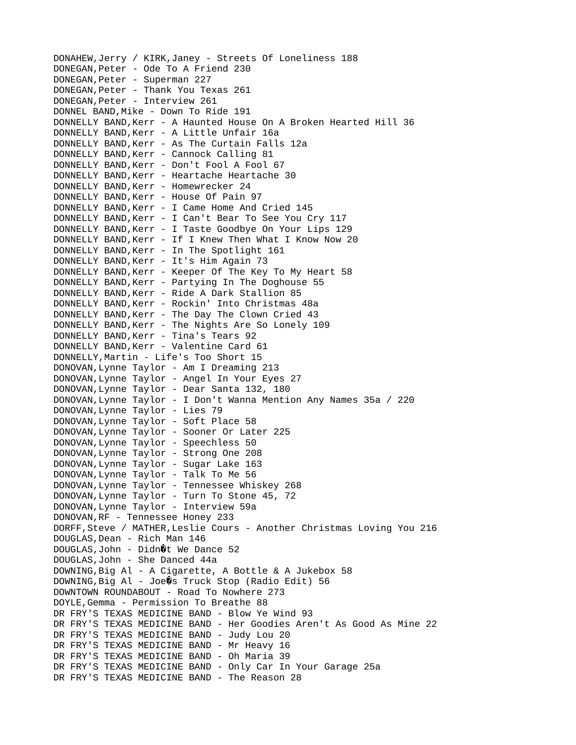DONAHEW,Jerry / KIRK,Janey - Streets Of Loneliness 188 DONEGAN,Peter - Ode To A Friend 230 DONEGAN,Peter - Superman 227 DONEGAN,Peter - Thank You Texas 261 DONEGAN,Peter - Interview 261 DONNEL BAND, Mike - Down To Ride 191 DONNELLY BAND,Kerr - A Haunted House On A Broken Hearted Hill 36 DONNELLY BAND, Kerr - A Little Unfair 16a DONNELLY BAND,Kerr - As The Curtain Falls 12a DONNELLY BAND, Kerr - Cannock Calling 81 DONNELLY BAND,Kerr - Don't Fool A Fool 67 DONNELLY BAND, Kerr - Heartache Heartache 30 DONNELLY BAND, Kerr - Homewrecker 24 DONNELLY BAND,Kerr - House Of Pain 97 DONNELLY BAND,Kerr - I Came Home And Cried 145 DONNELLY BAND,Kerr - I Can't Bear To See You Cry 117 DONNELLY BAND,Kerr - I Taste Goodbye On Your Lips 129 DONNELLY BAND,Kerr - If I Knew Then What I Know Now 20 DONNELLY BAND, Kerr - In The Spotlight 161 DONNELLY BAND, Kerr - It's Him Again 73 DONNELLY BAND,Kerr - Keeper Of The Key To My Heart 58 DONNELLY BAND,Kerr - Partying In The Doghouse 55 DONNELLY BAND,Kerr - Ride A Dark Stallion 85 DONNELLY BAND,Kerr - Rockin' Into Christmas 48a DONNELLY BAND,Kerr - The Day The Clown Cried 43 DONNELLY BAND,Kerr - The Nights Are So Lonely 109 DONNELLY BAND, Kerr - Tina's Tears 92 DONNELLY BAND, Kerr - Valentine Card 61 DONNELLY,Martin - Life's Too Short 15 DONOVAN,Lynne Taylor - Am I Dreaming 213 DONOVAN,Lynne Taylor - Angel In Your Eyes 27 DONOVAN,Lynne Taylor - Dear Santa 132, 180 DONOVAN,Lynne Taylor - I Don't Wanna Mention Any Names 35a / 220 DONOVAN,Lynne Taylor - Lies 79 DONOVAN,Lynne Taylor - Soft Place 58 DONOVAN,Lynne Taylor - Sooner Or Later 225 DONOVAN,Lynne Taylor - Speechless 50 DONOVAN,Lynne Taylor - Strong One 208 DONOVAN,Lynne Taylor - Sugar Lake 163 DONOVAN,Lynne Taylor - Talk To Me 56 DONOVAN,Lynne Taylor - Tennessee Whiskey 268 DONOVAN,Lynne Taylor - Turn To Stone 45, 72 DONOVAN,Lynne Taylor - Interview 59a DONOVAN,RF - Tennessee Honey 233 DORFF,Steve / MATHER,Leslie Cours - Another Christmas Loving You 216 DOUGLAS,Dean - Rich Man 146 DOUGLAS, John - Didn $\hat{Q}$ t We Dance 52 DOUGLAS,John - She Danced 44a DOWNING,Big Al - A Cigarette, A Bottle & A Jukebox 58  $DOWNING, Biq Al - Joe  $Q$ s **Truck Stop (Radio Edit)** 56$ DOWNTOWN ROUNDABOUT - Road To Nowhere 273 DOYLE,Gemma - Permission To Breathe 88 DR FRY'S TEXAS MEDICINE BAND - Blow Ye Wind 93 DR FRY'S TEXAS MEDICINE BAND - Her Goodies Aren't As Good As Mine 22 DR FRY'S TEXAS MEDICINE BAND - Judy Lou 20 DR FRY'S TEXAS MEDICINE BAND - Mr Heavy 16 DR FRY'S TEXAS MEDICINE BAND - Oh Maria 39 DR FRY'S TEXAS MEDICINE BAND - Only Car In Your Garage 25a DR FRY'S TEXAS MEDICINE BAND - The Reason 28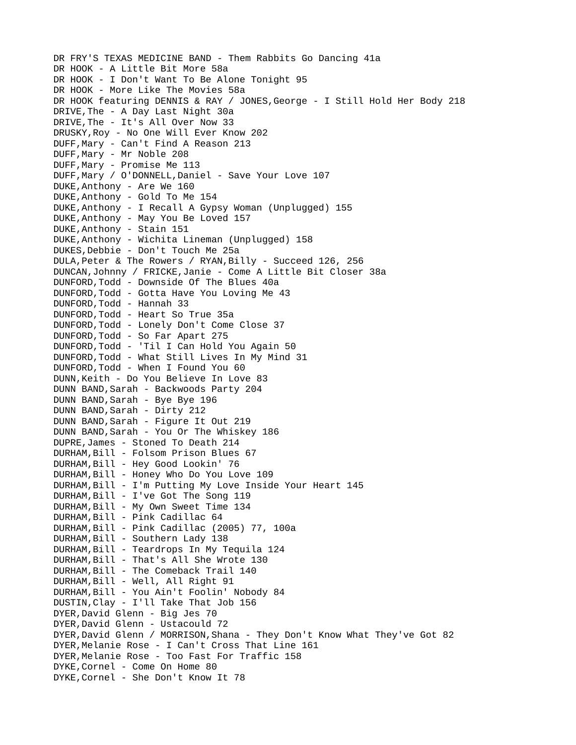DR FRY'S TEXAS MEDICINE BAND - Them Rabbits Go Dancing 41a DR HOOK - A Little Bit More 58a DR HOOK - I Don't Want To Be Alone Tonight 95 DR HOOK - More Like The Movies 58a DR HOOK featuring DENNIS & RAY / JONES,George - I Still Hold Her Body 218 DRIVE,The - A Day Last Night 30a DRIVE,The - It's All Over Now 33 DRUSKY,Roy - No One Will Ever Know 202 DUFF,Mary - Can't Find A Reason 213 DUFF,Mary - Mr Noble 208 DUFF,Mary - Promise Me 113 DUFF,Mary / O'DONNELL,Daniel - Save Your Love 107 DUKE,Anthony - Are We 160 DUKE,Anthony - Gold To Me 154 DUKE,Anthony - I Recall A Gypsy Woman (Unplugged) 155 DUKE,Anthony - May You Be Loved 157 DUKE,Anthony - Stain 151 DUKE,Anthony - Wichita Lineman (Unplugged) 158 DUKES,Debbie - Don't Touch Me 25a DULA,Peter & The Rowers / RYAN,Billy - Succeed 126, 256 DUNCAN,Johnny / FRICKE,Janie - Come A Little Bit Closer 38a DUNFORD,Todd - Downside Of The Blues 40a DUNFORD,Todd - Gotta Have You Loving Me 43 DUNFORD,Todd - Hannah 33 DUNFORD,Todd - Heart So True 35a DUNFORD,Todd - Lonely Don't Come Close 37 DUNFORD,Todd - So Far Apart 275 DUNFORD,Todd - 'Til I Can Hold You Again 50 DUNFORD,Todd - What Still Lives In My Mind 31 DUNFORD,Todd - When I Found You 60 DUNN,Keith - Do You Believe In Love 83 DUNN BAND,Sarah - Backwoods Party 204 DUNN BAND,Sarah - Bye Bye 196 DUNN BAND,Sarah - Dirty 212 DUNN BAND,Sarah - Figure It Out 219 DUNN BAND,Sarah - You Or The Whiskey 186 DUPRE,James - Stoned To Death 214 DURHAM,Bill - Folsom Prison Blues 67 DURHAM,Bill - Hey Good Lookin' 76 DURHAM,Bill - Honey Who Do You Love 109 DURHAM,Bill - I'm Putting My Love Inside Your Heart 145 DURHAM,Bill - I've Got The Song 119 DURHAM,Bill - My Own Sweet Time 134 DURHAM,Bill - Pink Cadillac 64 DURHAM,Bill - Pink Cadillac (2005) 77, 100a DURHAM,Bill - Southern Lady 138 DURHAM,Bill - Teardrops In My Tequila 124 DURHAM,Bill - That's All She Wrote 130 DURHAM,Bill - The Comeback Trail 140 DURHAM,Bill - Well, All Right 91 DURHAM,Bill - You Ain't Foolin' Nobody 84 DUSTIN,Clay - I'll Take That Job 156 DYER,David Glenn - Big Jes 70 DYER,David Glenn - Ustacould 72 DYER,David Glenn / MORRISON,Shana - They Don't Know What They've Got 82 DYER,Melanie Rose - I Can't Cross That Line 161 DYER,Melanie Rose - Too Fast For Traffic 158 DYKE, Cornel - Come On Home 80 DYKE, Cornel - She Don't Know It 78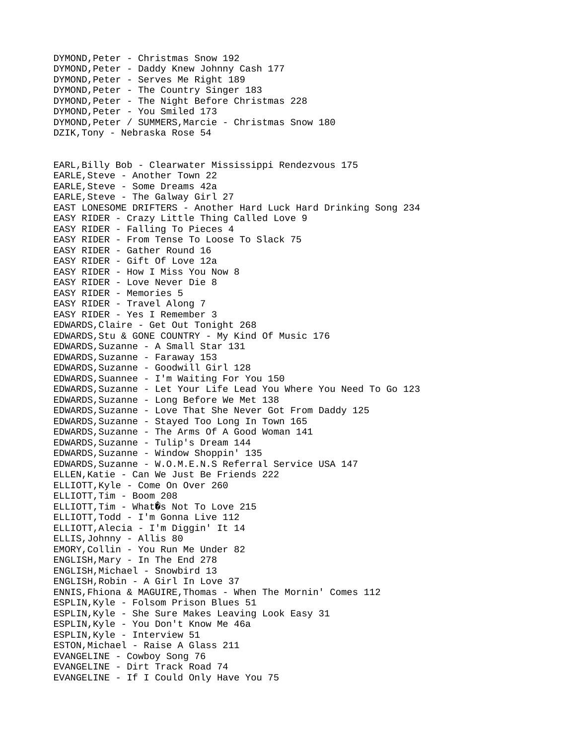DYMOND,Peter - Christmas Snow 192 DYMOND,Peter - Daddy Knew Johnny Cash 177 DYMOND,Peter - Serves Me Right 189 DYMOND, Peter - The Country Singer 183 DYMOND,Peter - The Night Before Christmas 228 DYMOND,Peter - You Smiled 173 DYMOND,Peter / SUMMERS,Marcie - Christmas Snow 180 DZIK,Tony - Nebraska Rose 54 EARL,Billy Bob - Clearwater Mississippi Rendezvous 175 EARLE,Steve - Another Town 22 EARLE,Steve - Some Dreams 42a EARLE,Steve - The Galway Girl 27 EAST LONESOME DRIFTERS - Another Hard Luck Hard Drinking Song 234 EASY RIDER - Crazy Little Thing Called Love 9 EASY RIDER - Falling To Pieces 4 EASY RIDER - From Tense To Loose To Slack 75 EASY RIDER - Gather Round 16 EASY RIDER - Gift Of Love 12a EASY RIDER - How I Miss You Now 8 EASY RIDER - Love Never Die 8 EASY RIDER - Memories 5 EASY RIDER - Travel Along 7 EASY RIDER - Yes I Remember 3 EDWARDS,Claire - Get Out Tonight 268 EDWARDS,Stu & GONE COUNTRY - My Kind Of Music 176 EDWARDS,Suzanne - A Small Star 131 EDWARDS,Suzanne - Faraway 153 EDWARDS,Suzanne - Goodwill Girl 128 EDWARDS,Suannee - I'm Waiting For You 150 EDWARDS,Suzanne - Let Your Life Lead You Where You Need To Go 123 EDWARDS,Suzanne - Long Before We Met 138 EDWARDS,Suzanne - Love That She Never Got From Daddy 125 EDWARDS,Suzanne - Stayed Too Long In Town 165 EDWARDS,Suzanne - The Arms Of A Good Woman 141 EDWARDS,Suzanne - Tulip's Dream 144 EDWARDS,Suzanne - Window Shoppin' 135 EDWARDS,Suzanne - W.O.M.E.N.S Referral Service USA 147 ELLEN,Katie - Can We Just Be Friends 222 ELLIOTT,Kyle - Come On Over 260 ELLIOTT,Tim - Boom 208 ELLIOTT, Tim - What $\hat{Q}$ s Not To Love 215 ELLIOTT,Todd - I'm Gonna Live 112 ELLIOTT,Alecia - I'm Diggin' It 14 ELLIS,Johnny - Allis 80 EMORY,Collin - You Run Me Under 82 ENGLISH,Mary - In The End 278 ENGLISH, Michael - Snowbird 13 ENGLISH,Robin - A Girl In Love 37 ENNIS,Fhiona & MAGUIRE,Thomas - When The Mornin' Comes 112 ESPLIN,Kyle - Folsom Prison Blues 51 ESPLIN,Kyle - She Sure Makes Leaving Look Easy 31 ESPLIN,Kyle - You Don't Know Me 46a ESPLIN,Kyle - Interview 51 ESTON,Michael - Raise A Glass 211 EVANGELINE - Cowboy Song 76 EVANGELINE - Dirt Track Road 74 EVANGELINE - If I Could Only Have You 75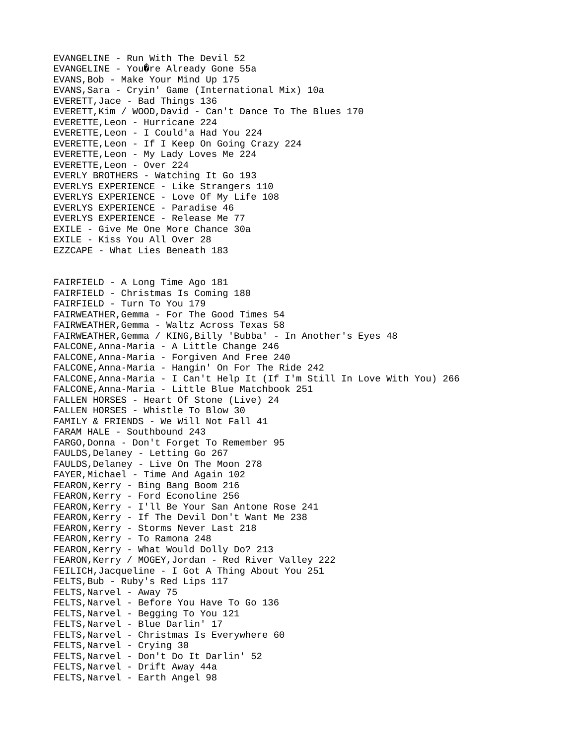EVANGELINE - Run With The Devil 52 EVANGELINE - You@re Already Gone 55a EVANS,Bob - Make Your Mind Up 175 EVANS,Sara - Cryin' Game (International Mix) 10a EVERETT,Jace - Bad Things 136 EVERETT,Kim / WOOD,David - Can't Dance To The Blues 170 EVERETTE,Leon - Hurricane 224 EVERETTE,Leon - I Could'a Had You 224 EVERETTE,Leon - If I Keep On Going Crazy 224 EVERETTE,Leon - My Lady Loves Me 224 EVERETTE,Leon - Over 224 EVERLY BROTHERS - Watching It Go 193 EVERLYS EXPERIENCE - Like Strangers 110 EVERLYS EXPERIENCE - Love Of My Life 108 EVERLYS EXPERIENCE - Paradise 46 EVERLYS EXPERIENCE - Release Me 77 EXILE - Give Me One More Chance 30a EXILE - Kiss You All Over 28 EZZCAPE - What Lies Beneath 183 FAIRFIELD - A Long Time Ago 181 FAIRFIELD - Christmas Is Coming 180 FAIRFIELD - Turn To You 179 FAIRWEATHER,Gemma - For The Good Times 54 FAIRWEATHER,Gemma - Waltz Across Texas 58 FAIRWEATHER, Gemma / KING, Billy 'Bubba' - In Another's Eyes 48 FALCONE,Anna-Maria - A Little Change 246 FALCONE,Anna-Maria - Forgiven And Free 240 FALCONE,Anna-Maria - Hangin' On For The Ride 242 FALCONE,Anna-Maria - I Can't Help It (If I'm Still In Love With You) 266 FALCONE,Anna-Maria - Little Blue Matchbook 251 FALLEN HORSES - Heart Of Stone (Live) 24 FALLEN HORSES - Whistle To Blow 30 FAMILY & FRIENDS - We Will Not Fall 41 FARAM HALE - Southbound 243 FARGO, Donna - Don't Forget To Remember 95 FAULDS,Delaney - Letting Go 267 FAULDS, Delaney - Live On The Moon 278 FAYER,Michael - Time And Again 102 FEARON,Kerry - Bing Bang Boom 216 FEARON,Kerry - Ford Econoline 256 FEARON,Kerry - I'll Be Your San Antone Rose 241 FEARON,Kerry - If The Devil Don't Want Me 238 FEARON,Kerry - Storms Never Last 218 FEARON,Kerry - To Ramona 248 FEARON,Kerry - What Would Dolly Do? 213 FEARON,Kerry / MOGEY,Jordan - Red River Valley 222 FEILICH,Jacqueline - I Got A Thing About You 251 FELTS,Bub - Ruby's Red Lips 117 FELTS, Narvel - Away 75 FELTS,Narvel - Before You Have To Go 136 FELTS,Narvel - Begging To You 121 FELTS,Narvel - Blue Darlin' 17 FELTS,Narvel - Christmas Is Everywhere 60 FELTS,Narvel - Crying 30 FELTS,Narvel - Don't Do It Darlin' 52 FELTS,Narvel - Drift Away 44a FELTS,Narvel - Earth Angel 98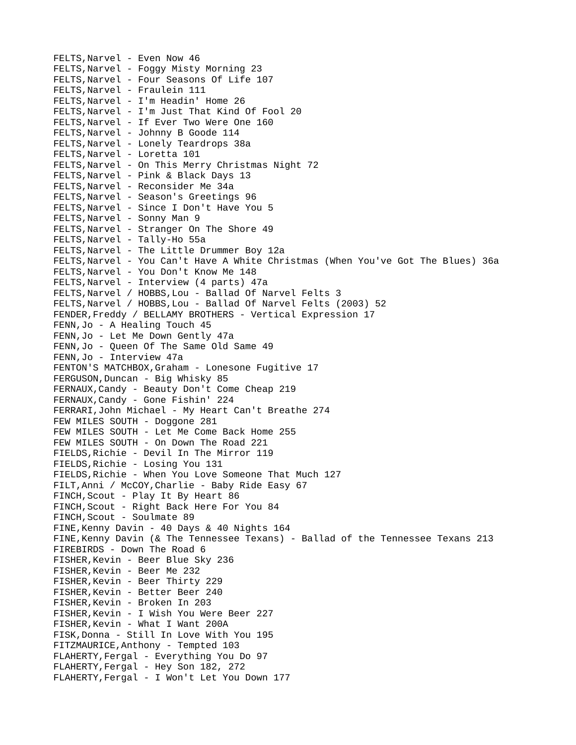FELTS,Narvel - Even Now 46 FELTS,Narvel - Foggy Misty Morning 23 FELTS,Narvel - Four Seasons Of Life 107 FELTS,Narvel - Fraulein 111 FELTS,Narvel - I'm Headin' Home 26 FELTS,Narvel - I'm Just That Kind Of Fool 20 FELTS,Narvel - If Ever Two Were One 160 FELTS,Narvel - Johnny B Goode 114 FELTS,Narvel - Lonely Teardrops 38a FELTS,Narvel - Loretta 101 FELTS,Narvel - On This Merry Christmas Night 72 FELTS,Narvel - Pink & Black Days 13 FELTS,Narvel - Reconsider Me 34a FELTS,Narvel - Season's Greetings 96 FELTS,Narvel - Since I Don't Have You 5 FELTS, Narvel - Sonny Man 9 FELTS, Narvel - Stranger On The Shore 49 FELTS,Narvel - Tally-Ho 55a FELTS,Narvel - The Little Drummer Boy 12a FELTS,Narvel - You Can't Have A White Christmas (When You've Got The Blues) 36a FELTS, Narvel - You Don't Know Me 148 FELTS,Narvel - Interview (4 parts) 47a FELTS,Narvel / HOBBS,Lou - Ballad Of Narvel Felts 3 FELTS,Narvel / HOBBS,Lou - Ballad Of Narvel Felts (2003) 52 FENDER, Freddy / BELLAMY BROTHERS - Vertical Expression 17 FENN,Jo - A Healing Touch 45 FENN,Jo - Let Me Down Gently 47a FENN,Jo - Queen Of The Same Old Same 49 FENN,Jo - Interview 47a FENTON'S MATCHBOX,Graham - Lonesone Fugitive 17 FERGUSON,Duncan - Big Whisky 85 FERNAUX,Candy - Beauty Don't Come Cheap 219 FERNAUX,Candy - Gone Fishin' 224 FERRARI,John Michael - My Heart Can't Breathe 274 FEW MILES SOUTH - Doggone 281 FEW MILES SOUTH - Let Me Come Back Home 255 FEW MILES SOUTH - On Down The Road 221 FIELDS,Richie - Devil In The Mirror 119 FIELDS,Richie - Losing You 131 FIELDS,Richie - When You Love Someone That Much 127 FILT,Anni / McCOY,Charlie - Baby Ride Easy 67 FINCH,Scout - Play It By Heart 86 FINCH,Scout - Right Back Here For You 84 FINCH, Scout - Soulmate 89 FINE,Kenny Davin - 40 Days & 40 Nights 164 FINE,Kenny Davin (& The Tennessee Texans) - Ballad of the Tennessee Texans 213 FIREBIRDS - Down The Road 6 FISHER,Kevin - Beer Blue Sky 236 FISHER,Kevin - Beer Me 232 FISHER,Kevin - Beer Thirty 229 FISHER, Kevin - Better Beer 240 FISHER,Kevin - Broken In 203 FISHER,Kevin - I Wish You Were Beer 227 FISHER,Kevin - What I Want 200A FISK,Donna - Still In Love With You 195 FITZMAURICE,Anthony - Tempted 103 FLAHERTY,Fergal - Everything You Do 97 FLAHERTY,Fergal - Hey Son 182, 272 FLAHERTY,Fergal - I Won't Let You Down 177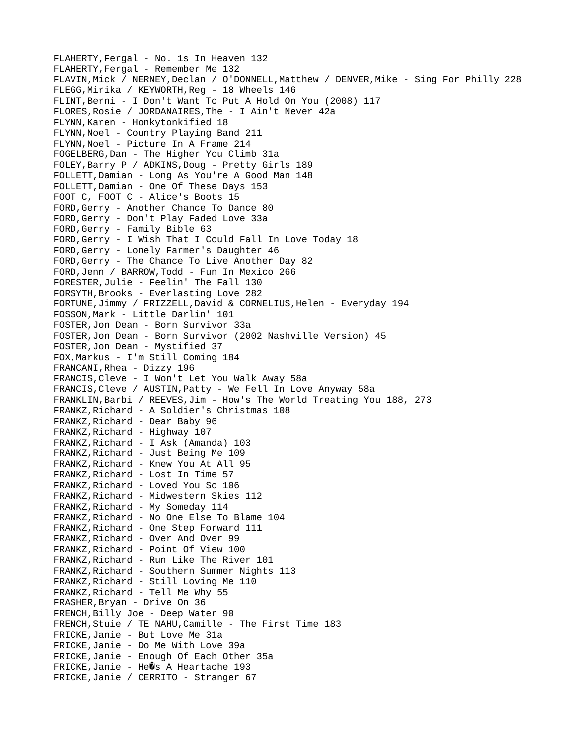FLAHERTY,Fergal - No. 1s In Heaven 132 FLAHERTY,Fergal - Remember Me 132 FLAVIN,Mick / NERNEY,Declan / O'DONNELL,Matthew / DENVER,Mike - Sing For Philly 228 FLEGG,Mirika / KEYWORTH,Reg - 18 Wheels 146 FLINT,Berni - I Don't Want To Put A Hold On You (2008) 117 FLORES,Rosie / JORDANAIRES,The - I Ain't Never 42a FLYNN,Karen - Honkytonkified 18 FLYNN, Noel - Country Playing Band 211 FLYNN,Noel - Picture In A Frame 214 FOGELBERG,Dan - The Higher You Climb 31a FOLEY,Barry P / ADKINS,Doug - Pretty Girls 189 FOLLETT,Damian - Long As You're A Good Man 148 FOLLETT,Damian - One Of These Days 153 FOOT C, FOOT C - Alice's Boots 15 FORD,Gerry - Another Chance To Dance 80 FORD,Gerry - Don't Play Faded Love 33a FORD,Gerry - Family Bible 63 FORD,Gerry - I Wish That I Could Fall In Love Today 18 FORD,Gerry - Lonely Farmer's Daughter 46 FORD,Gerry - The Chance To Live Another Day 82 FORD,Jenn / BARROW,Todd - Fun In Mexico 266 FORESTER,Julie - Feelin' The Fall 130 FORSYTH,Brooks - Everlasting Love 282 FORTUNE, Jimmy / FRIZZELL, David & CORNELIUS, Helen - Everyday 194 FOSSON,Mark - Little Darlin' 101 FOSTER,Jon Dean - Born Survivor 33a FOSTER,Jon Dean - Born Survivor (2002 Nashville Version) 45 FOSTER,Jon Dean - Mystified 37 FOX,Markus - I'm Still Coming 184 FRANCANI,Rhea - Dizzy 196 FRANCIS,Cleve - I Won't Let You Walk Away 58a FRANCIS,Cleve / AUSTIN,Patty - We Fell In Love Anyway 58a FRANKLIN,Barbi / REEVES,Jim - How's The World Treating You 188, 273 FRANKZ,Richard - A Soldier's Christmas 108 FRANKZ,Richard - Dear Baby 96 FRANKZ, Richard - Highway 107 FRANKZ,Richard - I Ask (Amanda) 103 FRANKZ,Richard - Just Being Me 109 FRANKZ,Richard - Knew You At All 95 FRANKZ,Richard - Lost In Time 57 FRANKZ,Richard - Loved You So 106 FRANKZ,Richard - Midwestern Skies 112 FRANKZ, Richard - My Someday 114 FRANKZ,Richard - No One Else To Blame 104 FRANKZ,Richard - One Step Forward 111 FRANKZ,Richard - Over And Over 99 FRANKZ,Richard - Point Of View 100 FRANKZ,Richard - Run Like The River 101 FRANKZ,Richard - Southern Summer Nights 113 FRANKZ,Richard - Still Loving Me 110 FRANKZ,Richard - Tell Me Why 55 FRASHER,Bryan - Drive On 36 FRENCH,Billy Joe - Deep Water 90 FRENCH,Stuie / TE NAHU,Camille - The First Time 183 FRICKE,Janie - But Love Me 31a FRICKE,Janie - Do Me With Love 39a FRICKE,Janie - Enough Of Each Other 35a  $FRICKE, Janie - He\hat{Q}S$  A Heartache 193 FRICKE,Janie / CERRITO - Stranger 67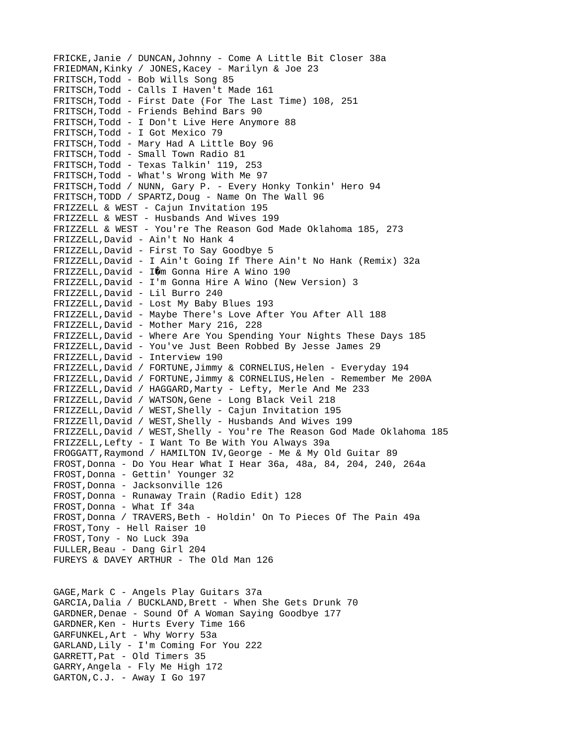FRICKE,Janie / DUNCAN,Johnny - Come A Little Bit Closer 38a FRIEDMAN,Kinky / JONES,Kacey - Marilyn & Joe 23 FRITSCH,Todd - Bob Wills Song 85 FRITSCH,Todd - Calls I Haven't Made 161 FRITSCH,Todd - First Date (For The Last Time) 108, 251 FRITSCH,Todd - Friends Behind Bars 90 FRITSCH,Todd - I Don't Live Here Anymore 88 FRITSCH,Todd - I Got Mexico 79 FRITSCH,Todd - Mary Had A Little Boy 96 FRITSCH,Todd - Small Town Radio 81 FRITSCH,Todd - Texas Talkin' 119, 253 FRITSCH,Todd - What's Wrong With Me 97 FRITSCH,Todd / NUNN, Gary P. - Every Honky Tonkin' Hero 94 FRITSCH,TODD / SPARTZ,Doug - Name On The Wall 96 FRIZZELL & WEST - Cajun Invitation 195 FRIZZELL & WEST - Husbands And Wives 199 FRIZZELL & WEST - You're The Reason God Made Oklahoma 185, 273 FRIZZELL,David - Ain't No Hank 4 FRIZZELL,David - First To Say Goodbye 5 FRIZZELL,David - I Ain't Going If There Ain't No Hank (Remix) 32a FRIZZELL, David - IOm Gonna Hire A Wino 190 FRIZZELL,David - I'm Gonna Hire A Wino (New Version) 3 FRIZZELL,David - Lil Burro 240 FRIZZELL,David - Lost My Baby Blues 193 FRIZZELL,David - Maybe There's Love After You After All 188 FRIZZELL,David - Mother Mary 216, 228 FRIZZELL,David - Where Are You Spending Your Nights These Days 185 FRIZZELL,David - You've Just Been Robbed By Jesse James 29 FRIZZELL,David - Interview 190 FRIZZELL,David / FORTUNE,Jimmy & CORNELIUS,Helen - Everyday 194 FRIZZELL, David / FORTUNE, Jimmy & CORNELIUS, Helen - Remember Me 200A FRIZZELL,David / HAGGARD,Marty - Lefty, Merle And Me 233 FRIZZELL,David / WATSON,Gene - Long Black Veil 218 FRIZZELL,David / WEST,Shelly - Cajun Invitation 195 FRIZZEll,David / WEST,Shelly - Husbands And Wives 199 FRIZZELL,David / WEST,Shelly - You're The Reason God Made Oklahoma 185 FRIZZELL,Lefty - I Want To Be With You Always 39a FROGGATT,Raymond / HAMILTON IV,George - Me & My Old Guitar 89 FROST,Donna - Do You Hear What I Hear 36a, 48a, 84, 204, 240, 264a FROST,Donna - Gettin' Younger 32 FROST,Donna - Jacksonville 126 FROST,Donna - Runaway Train (Radio Edit) 128 FROST,Donna - What If 34a FROST, Donna / TRAVERS, Beth - Holdin' On To Pieces Of The Pain 49a FROST,Tony - Hell Raiser 10 FROST,Tony - No Luck 39a FULLER,Beau - Dang Girl 204 FUREYS & DAVEY ARTHUR - The Old Man 126 GAGE,Mark C - Angels Play Guitars 37a GARCIA,Dalia / BUCKLAND,Brett - When She Gets Drunk 70 GARDNER,Denae - Sound Of A Woman Saying Goodbye 177 GARDNER,Ken - Hurts Every Time 166 GARFUNKEL,Art - Why Worry 53a GARLAND,Lily - I'm Coming For You 222 GARRETT,Pat - Old Timers 35 GARRY,Angela - Fly Me High 172 GARTON,C.J. - Away I Go 197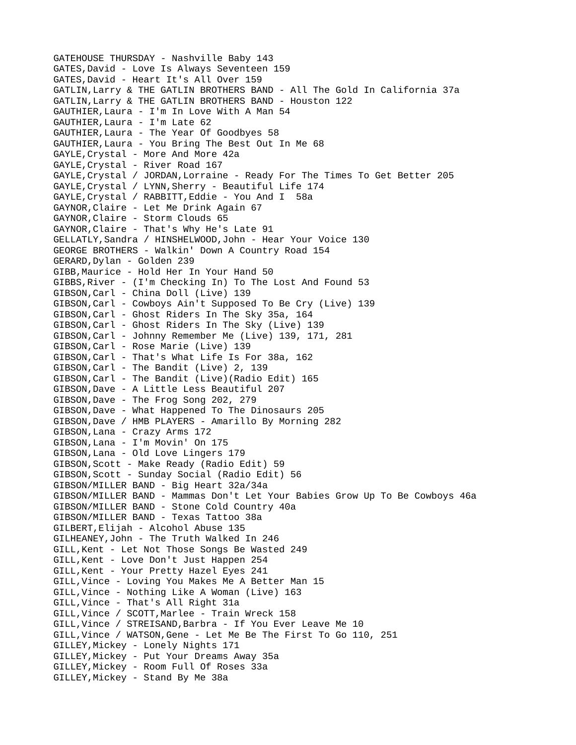GATEHOUSE THURSDAY - Nashville Baby 143 GATES,David - Love Is Always Seventeen 159 GATES,David - Heart It's All Over 159 GATLIN,Larry & THE GATLIN BROTHERS BAND - All The Gold In California 37a GATLIN,Larry & THE GATLIN BROTHERS BAND - Houston 122 GAUTHIER,Laura - I'm In Love With A Man 54 GAUTHIER,Laura - I'm Late 62 GAUTHIER,Laura - The Year Of Goodbyes 58 GAUTHIER,Laura - You Bring The Best Out In Me 68 GAYLE, Crystal - More And More 42a GAYLE,Crystal - River Road 167 GAYLE,Crystal / JORDAN,Lorraine - Ready For The Times To Get Better 205 GAYLE,Crystal / LYNN,Sherry - Beautiful Life 174 GAYLE,Crystal / RABBITT,Eddie - You And I 58a GAYNOR,Claire - Let Me Drink Again 67 GAYNOR,Claire - Storm Clouds 65 GAYNOR,Claire - That's Why He's Late 91 GELLATLY,Sandra / HINSHELWOOD,John - Hear Your Voice 130 GEORGE BROTHERS - Walkin' Down A Country Road 154 GERARD,Dylan - Golden 239 GIBB,Maurice - Hold Her In Your Hand 50 GIBBS,River - (I'm Checking In) To The Lost And Found 53 GIBSON,Carl - China Doll (Live) 139 GIBSON,Carl - Cowboys Ain't Supposed To Be Cry (Live) 139 GIBSON,Carl - Ghost Riders In The Sky 35a, 164 GIBSON,Carl - Ghost Riders In The Sky (Live) 139 GIBSON,Carl - Johnny Remember Me (Live) 139, 171, 281 GIBSON,Carl - Rose Marie (Live) 139 GIBSON,Carl - That's What Life Is For 38a, 162 GIBSON,Carl - The Bandit (Live) 2, 139 GIBSON,Carl - The Bandit (Live)(Radio Edit) 165 GIBSON,Dave - A Little Less Beautiful 207 GIBSON,Dave - The Frog Song 202, 279 GIBSON,Dave - What Happened To The Dinosaurs 205 GIBSON,Dave / HMB PLAYERS - Amarillo By Morning 282 GIBSON,Lana - Crazy Arms 172 GIBSON,Lana - I'm Movin' On 175 GIBSON,Lana - Old Love Lingers 179 GIBSON,Scott - Make Ready (Radio Edit) 59 GIBSON,Scott - Sunday Social (Radio Edit) 56 GIBSON/MILLER BAND - Big Heart 32a/34a GIBSON/MILLER BAND - Mammas Don't Let Your Babies Grow Up To Be Cowboys 46a GIBSON/MILLER BAND - Stone Cold Country 40a GIBSON/MILLER BAND - Texas Tattoo 38a GILBERT,Elijah - Alcohol Abuse 135 GILHEANEY,John - The Truth Walked In 246 GILL,Kent - Let Not Those Songs Be Wasted 249 GILL,Kent - Love Don't Just Happen 254 GILL,Kent - Your Pretty Hazel Eyes 241 GILL,Vince - Loving You Makes Me A Better Man 15 GILL,Vince - Nothing Like A Woman (Live) 163 GILL,Vince - That's All Right 31a GILL,Vince / SCOTT,Marlee - Train Wreck 158 GILL,Vince / STREISAND,Barbra - If You Ever Leave Me 10 GILL,Vince / WATSON,Gene - Let Me Be The First To Go 110, 251 GILLEY,Mickey - Lonely Nights 171 GILLEY,Mickey - Put Your Dreams Away 35a GILLEY,Mickey - Room Full Of Roses 33a GILLEY,Mickey - Stand By Me 38a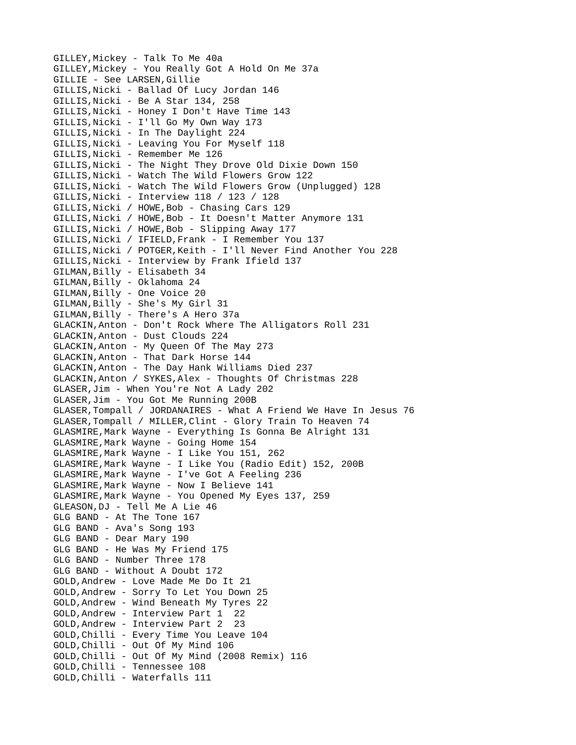GILLEY,Mickey - Talk To Me 40a GILLEY,Mickey - You Really Got A Hold On Me 37a GILLIE - See LARSEN,Gillie GILLIS,Nicki - Ballad Of Lucy Jordan 146 GILLIS,Nicki - Be A Star 134, 258 GILLIS,Nicki - Honey I Don't Have Time 143 GILLIS,Nicki - I'll Go My Own Way 173 GILLIS,Nicki - In The Daylight 224 GILLIS,Nicki - Leaving You For Myself 118 GILLIS,Nicki - Remember Me 126 GILLIS,Nicki - The Night They Drove Old Dixie Down 150 GILLIS,Nicki - Watch The Wild Flowers Grow 122 GILLIS,Nicki - Watch The Wild Flowers Grow (Unplugged) 128 GILLIS,Nicki - Interview 118 / 123 / 128 GILLIS,Nicki / HOWE,Bob - Chasing Cars 129 GILLIS,Nicki / HOWE,Bob - It Doesn't Matter Anymore 131 GILLIS,Nicki / HOWE,Bob - Slipping Away 177 GILLIS,Nicki / IFIELD,Frank - I Remember You 137 GILLIS,Nicki / POTGER,Keith - I'll Never Find Another You 228 GILLIS,Nicki - Interview by Frank Ifield 137 GILMAN,Billy - Elisabeth 34 GILMAN,Billy - Oklahoma 24 GILMAN,Billy - One Voice 20 GILMAN,Billy - She's My Girl 31 GILMAN,Billy - There's A Hero 37a GLACKIN,Anton - Don't Rock Where The Alligators Roll 231 GLACKIN,Anton - Dust Clouds 224 GLACKIN,Anton - My Queen Of The May 273 GLACKIN,Anton - That Dark Horse 144 GLACKIN,Anton - The Day Hank Williams Died 237 GLACKIN,Anton / SYKES,Alex - Thoughts Of Christmas 228 GLASER,Jim - When You're Not A Lady 202 GLASER,Jim - You Got Me Running 200B GLASER,Tompall / JORDANAIRES - What A Friend We Have In Jesus 76 GLASER,Tompall / MILLER,Clint - Glory Train To Heaven 74 GLASMIRE,Mark Wayne - Everything Is Gonna Be Alright 131 GLASMIRE,Mark Wayne - Going Home 154 GLASMIRE,Mark Wayne - I Like You 151, 262 GLASMIRE,Mark Wayne - I Like You (Radio Edit) 152, 200B GLASMIRE,Mark Wayne - I've Got A Feeling 236 GLASMIRE,Mark Wayne - Now I Believe 141 GLASMIRE,Mark Wayne - You Opened My Eyes 137, 259 GLEASON,DJ - Tell Me A Lie 46 GLG BAND - At The Tone 167 GLG BAND - Ava's Song 193 GLG BAND - Dear Mary 190 GLG BAND - He Was My Friend 175 GLG BAND - Number Three 178 GLG BAND - Without A Doubt 172 GOLD,Andrew - Love Made Me Do It 21 GOLD,Andrew - Sorry To Let You Down 25 GOLD,Andrew - Wind Beneath My Tyres 22 GOLD,Andrew - Interview Part 1 22 GOLD,Andrew - Interview Part 2 23 GOLD,Chilli - Every Time You Leave 104 GOLD,Chilli - Out Of My Mind 106 GOLD,Chilli - Out Of My Mind (2008 Remix) 116 GOLD,Chilli - Tennessee 108 GOLD,Chilli - Waterfalls 111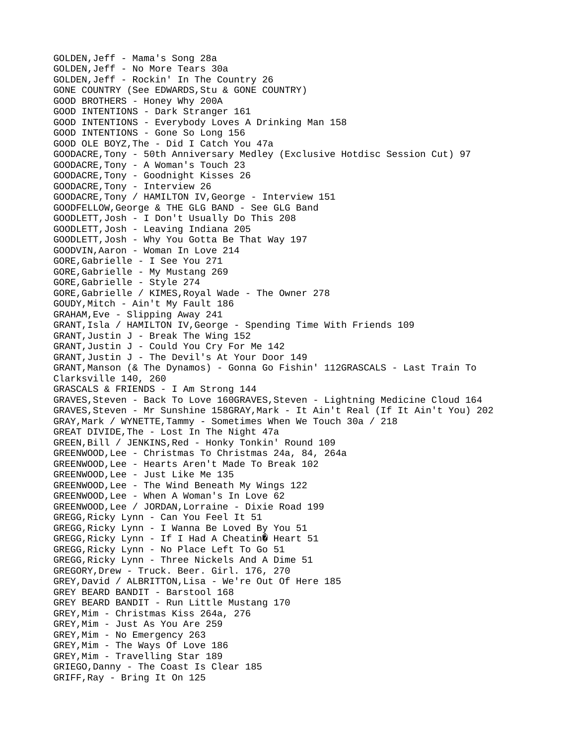GOLDEN,Jeff - Mama's Song 28a GOLDEN,Jeff - No More Tears 30a GOLDEN,Jeff - Rockin' In The Country 26 GONE COUNTRY (See EDWARDS,Stu & GONE COUNTRY) GOOD BROTHERS - Honey Why 200A GOOD INTENTIONS - Dark Stranger 161 GOOD INTENTIONS - Everybody Loves A Drinking Man 158 GOOD INTENTIONS - Gone So Long 156 GOOD OLE BOYZ,The - Did I Catch You 47a GOODACRE,Tony - 50th Anniversary Medley (Exclusive Hotdisc Session Cut) 97 GOODACRE,Tony - A Woman's Touch 23 GOODACRE,Tony - Goodnight Kisses 26 GOODACRE,Tony - Interview 26 GOODACRE,Tony / HAMILTON IV,George - Interview 151 GOODFELLOW,George & THE GLG BAND - See GLG Band GOODLETT,Josh - I Don't Usually Do This 208 GOODLETT,Josh - Leaving Indiana 205 GOODLETT,Josh - Why You Gotta Be That Way 197 GOODVIN,Aaron - Woman In Love 214 GORE,Gabrielle - I See You 271 GORE,Gabrielle - My Mustang 269 GORE,Gabrielle - Style 274 GORE,Gabrielle / KIMES,Royal Wade - The Owner 278 GOUDY,Mitch - Ain't My Fault 186 GRAHAM,Eve - Slipping Away 241 GRANT,Isla / HAMILTON IV,George - Spending Time With Friends 109 GRANT,Justin J - Break The Wing 152 GRANT,Justin J - Could You Cry For Me 142 GRANT,Justin J - The Devil's At Your Door 149 GRANT,Manson (& The Dynamos) - Gonna Go Fishin' 112GRASCALS - Last Train To Clarksville 140, 260 GRASCALS & FRIENDS - I Am Strong 144 GRAVES,Steven - Back To Love 160GRAVES,Steven - Lightning Medicine Cloud 164 GRAVES,Steven - Mr Sunshine 158GRAY,Mark - It Ain't Real (If It Ain't You) 202 GRAY,Mark / WYNETTE,Tammy - Sometimes When We Touch 30a / 218 GREAT DIVIDE,The - Lost In The Night 47a GREEN,Bill / JENKINS,Red - Honky Tonkin' Round 109 GREENWOOD,Lee - Christmas To Christmas 24a, 84, 264a GREENWOOD,Lee - Hearts Aren't Made To Break 102 GREENWOOD,Lee - Just Like Me 135 GREENWOOD,Lee - The Wind Beneath My Wings 122 GREENWOOD,Lee - When A Woman's In Love 62 GREENWOOD,Lee / JORDAN,Lorraine - Dixie Road 199 GREGG,Ricky Lynn - Can You Feel It 51 GREGG,Ricky Lynn - I Wanna Be Loved By You 51 GREGG, Ricky Lynn - If I Had A Cheatin  $\hat{\mathbf{\theta}}$  Heart 51 GREGG,Ricky Lynn - No Place Left To Go 51 GREGG,Ricky Lynn - Three Nickels And A Dime 51 GREGORY,Drew - Truck. Beer. Girl. 176, 270 GREY,David / ALBRITTON,Lisa - We're Out Of Here 185 GREY BEARD BANDIT - Barstool 168 GREY BEARD BANDIT - Run Little Mustang 170 GREY,Mim - Christmas Kiss 264a, 276 GREY,Mim - Just As You Are 259 GREY,Mim - No Emergency 263 GREY,Mim - The Ways Of Love 186 GREY,Mim - Travelling Star 189 GRIEGO,Danny - The Coast Is Clear 185 GRIFF,Ray - Bring It On 125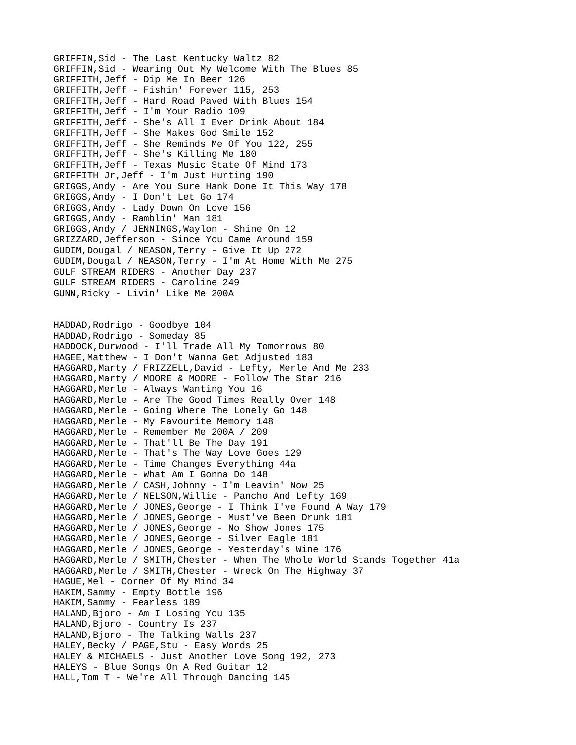GRIFFIN,Sid - The Last Kentucky Waltz 82 GRIFFIN,Sid - Wearing Out My Welcome With The Blues 85 GRIFFITH,Jeff - Dip Me In Beer 126 GRIFFITH,Jeff - Fishin' Forever 115, 253 GRIFFITH,Jeff - Hard Road Paved With Blues 154 GRIFFITH,Jeff - I'm Your Radio 109 GRIFFITH,Jeff - She's All I Ever Drink About 184 GRIFFITH,Jeff - She Makes God Smile 152 GRIFFITH,Jeff - She Reminds Me Of You 122, 255 GRIFFITH,Jeff - She's Killing Me 180 GRIFFITH,Jeff - Texas Music State Of Mind 173 GRIFFITH Jr,Jeff - I'm Just Hurting 190 GRIGGS,Andy - Are You Sure Hank Done It This Way 178 GRIGGS,Andy - I Don't Let Go 174 GRIGGS,Andy - Lady Down On Love 156 GRIGGS,Andy - Ramblin' Man 181 GRIGGS,Andy / JENNINGS,Waylon - Shine On 12 GRIZZARD,Jefferson - Since You Came Around 159 GUDIM,Dougal / NEASON,Terry - Give It Up 272 GUDIM,Dougal / NEASON,Terry - I'm At Home With Me 275 GULF STREAM RIDERS - Another Day 237 GULF STREAM RIDERS - Caroline 249 GUNN,Ricky - Livin' Like Me 200A HADDAD,Rodrigo - Goodbye 104 HADDAD,Rodrigo - Someday 85 HADDOCK,Durwood - I'll Trade All My Tomorrows 80 HAGEE,Matthew - I Don't Wanna Get Adjusted 183 HAGGARD,Marty / FRIZZELL,David - Lefty, Merle And Me 233 HAGGARD,Marty / MOORE & MOORE - Follow The Star 216 HAGGARD,Merle - Always Wanting You 16 HAGGARD,Merle - Are The Good Times Really Over 148 HAGGARD,Merle - Going Where The Lonely Go 148 HAGGARD, Merle - My Favourite Memory 148 HAGGARD, Merle - Remember Me 200A / 209 HAGGARD,Merle - That'll Be The Day 191 HAGGARD, Merle - That's The Way Love Goes 129 HAGGARD,Merle - Time Changes Everything 44a HAGGARD,Merle - What Am I Gonna Do 148 HAGGARD,Merle / CASH,Johnny - I'm Leavin' Now 25 HAGGARD,Merle / NELSON,Willie - Pancho And Lefty 169 HAGGARD,Merle / JONES,George - I Think I've Found A Way 179 HAGGARD,Merle / JONES,George - Must've Been Drunk 181 HAGGARD, Merle / JONES, George - No Show Jones 175 HAGGARD,Merle / JONES,George - Silver Eagle 181 HAGGARD, Merle / JONES, George - Yesterday's Wine 176 HAGGARD, Merle / SMITH, Chester - When The Whole World Stands Together 41a HAGGARD, Merle / SMITH, Chester - Wreck On The Highway 37 HAGUE,Mel - Corner Of My Mind 34 HAKIM,Sammy - Empty Bottle 196 HAKIM,Sammy - Fearless 189 HALAND,Bjoro - Am I Losing You 135 HALAND, Bjoro - Country Is 237 HALAND,Bjoro - The Talking Walls 237 HALEY,Becky / PAGE,Stu - Easy Words 25 HALEY & MICHAELS - Just Another Love Song 192, 273 HALEYS - Blue Songs On A Red Guitar 12 HALL,Tom T - We're All Through Dancing 145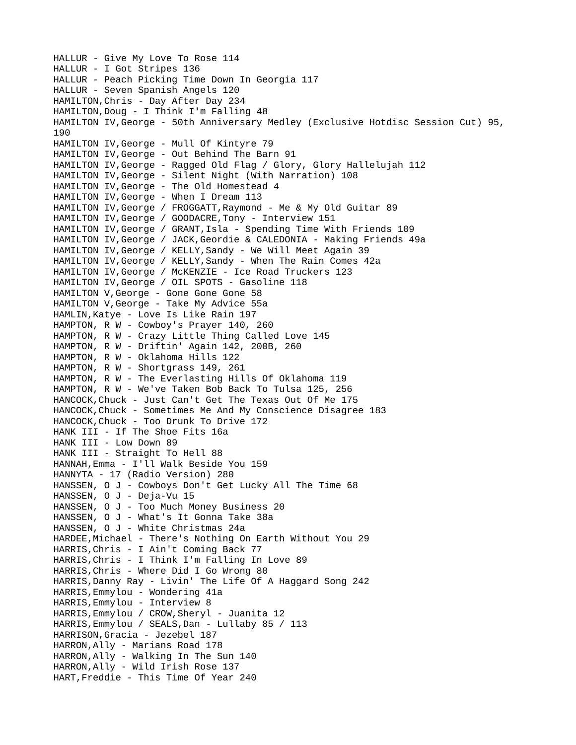HALLUR - Give My Love To Rose 114 HALLUR - I Got Stripes 136 HALLUR - Peach Picking Time Down In Georgia 117 HALLUR - Seven Spanish Angels 120 HAMILTON,Chris - Day After Day 234 HAMILTON,Doug - I Think I'm Falling 48 HAMILTON IV,George - 50th Anniversary Medley (Exclusive Hotdisc Session Cut) 95, 190 HAMILTON IV,George - Mull Of Kintyre 79 HAMILTON IV,George - Out Behind The Barn 91 HAMILTON IV,George - Ragged Old Flag / Glory, Glory Hallelujah 112 HAMILTON IV,George - Silent Night (With Narration) 108 HAMILTON IV,George - The Old Homestead 4 HAMILTON IV,George - When I Dream 113 HAMILTON IV,George / FROGGATT,Raymond - Me & My Old Guitar 89 HAMILTON IV,George / GOODACRE,Tony - Interview 151 HAMILTON IV, George / GRANT, Isla - Spending Time With Friends 109 HAMILTON IV,George / JACK,Geordie & CALEDONIA - Making Friends 49a HAMILTON IV,George / KELLY,Sandy - We Will Meet Again 39 HAMILTON IV,George / KELLY,Sandy - When The Rain Comes 42a HAMILTON IV, George / McKENZIE - Ice Road Truckers 123 HAMILTON IV,George / OIL SPOTS - Gasoline 118 HAMILTON V,George - Gone Gone Gone 58 HAMILTON V,George - Take My Advice 55a HAMLIN,Katye - Love Is Like Rain 197 HAMPTON, R W - Cowboy's Prayer 140, 260 HAMPTON, R W - Crazy Little Thing Called Love 145 HAMPTON, R W - Driftin' Again 142, 200B, 260 HAMPTON, R W - Oklahoma Hills 122 HAMPTON, R W - Shortgrass 149, 261 HAMPTON, R W - The Everlasting Hills Of Oklahoma 119 HAMPTON, R W - We've Taken Bob Back To Tulsa 125, 256 HANCOCK,Chuck - Just Can't Get The Texas Out Of Me 175 HANCOCK,Chuck - Sometimes Me And My Conscience Disagree 183 HANCOCK,Chuck - Too Drunk To Drive 172 HANK III - If The Shoe Fits 16a HANK III - Low Down 89 HANK III - Straight To Hell 88 HANNAH,Emma - I'll Walk Beside You 159 HANNYTA - 17 (Radio Version) 280 HANSSEN, O J - Cowboys Don't Get Lucky All The Time 68 HANSSEN, O J - Deja-Vu 15 HANSSEN, O J - Too Much Money Business 20 HANSSEN, O J - What's It Gonna Take 38a HANSSEN, O J - White Christmas 24a HARDEE,Michael - There's Nothing On Earth Without You 29 HARRIS,Chris - I Ain't Coming Back 77 HARRIS,Chris - I Think I'm Falling In Love 89 HARRIS,Chris - Where Did I Go Wrong 80 HARRIS,Danny Ray - Livin' The Life Of A Haggard Song 242 HARRIS,Emmylou - Wondering 41a HARRIS,Emmylou - Interview 8 HARRIS,Emmylou / CROW,Sheryl - Juanita 12 HARRIS, Emmylou / SEALS, Dan - Lullaby 85 / 113 HARRISON,Gracia - Jezebel 187 HARRON,Ally - Marians Road 178 HARRON,Ally - Walking In The Sun 140 HARRON,Ally - Wild Irish Rose 137 HART,Freddie - This Time Of Year 240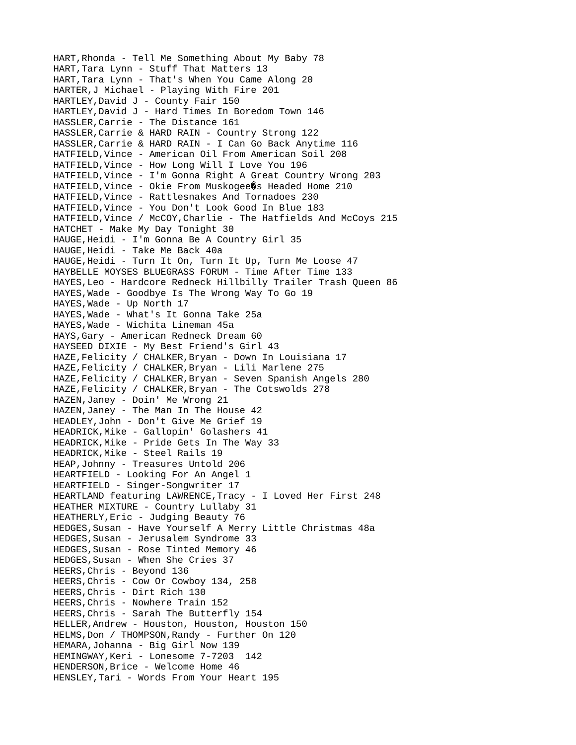HART,Rhonda - Tell Me Something About My Baby 78 HART,Tara Lynn - Stuff That Matters 13 HART,Tara Lynn - That's When You Came Along 20 HARTER,J Michael - Playing With Fire 201 HARTLEY,David J - County Fair 150 HARTLEY,David J - Hard Times In Boredom Town 146 HASSLER,Carrie - The Distance 161 HASSLER,Carrie & HARD RAIN - Country Strong 122 HASSLER,Carrie & HARD RAIN - I Can Go Back Anytime 116 HATFIELD,Vince - American Oil From American Soil 208 HATFIELD,Vince - How Long Will I Love You 196 HATFIELD,Vince - I'm Gonna Right A Great Country Wrong 203  $HATFIELD, Vince - Okie From Muskogee<sup>o</sup>$  Headed Home 210 HATFIELD,Vince - Rattlesnakes And Tornadoes 230 HATFIELD,Vince - You Don't Look Good In Blue 183 HATFIELD,Vince / McCOY,Charlie - The Hatfields And McCoys 215 HATCHET - Make My Day Tonight 30 HAUGE,Heidi - I'm Gonna Be A Country Girl 35 HAUGE,Heidi - Take Me Back 40a HAUGE,Heidi - Turn It On, Turn It Up, Turn Me Loose 47 HAYBELLE MOYSES BLUEGRASS FORUM - Time After Time 133 HAYES,Leo - Hardcore Redneck Hillbilly Trailer Trash Queen 86 HAYES,Wade - Goodbye Is The Wrong Way To Go 19 HAYES,Wade - Up North 17 HAYES,Wade - What's It Gonna Take 25a HAYES,Wade - Wichita Lineman 45a HAYS,Gary - American Redneck Dream 60 HAYSEED DIXIE - My Best Friend's Girl 43 HAZE,Felicity / CHALKER,Bryan - Down In Louisiana 17 HAZE,Felicity / CHALKER,Bryan - Lili Marlene 275 HAZE,Felicity / CHALKER,Bryan - Seven Spanish Angels 280 HAZE,Felicity / CHALKER,Bryan - The Cotswolds 278 HAZEN,Janey - Doin' Me Wrong 21 HAZEN,Janey - The Man In The House 42 HEADLEY,John - Don't Give Me Grief 19 HEADRICK,Mike - Gallopin' Golashers 41 HEADRICK,Mike - Pride Gets In The Way 33 HEADRICK,Mike - Steel Rails 19 HEAP,Johnny - Treasures Untold 206 HEARTFIELD - Looking For An Angel 1 HEARTFIELD - Singer-Songwriter 17 HEARTLAND featuring LAWRENCE,Tracy - I Loved Her First 248 HEATHER MIXTURE - Country Lullaby 31 HEATHERLY,Eric - Judging Beauty 76 HEDGES,Susan - Have Yourself A Merry Little Christmas 48a HEDGES,Susan - Jerusalem Syndrome 33 HEDGES,Susan - Rose Tinted Memory 46 HEDGES,Susan - When She Cries 37 HEERS,Chris - Beyond 136 HEERS,Chris - Cow Or Cowboy 134, 258 HEERS,Chris - Dirt Rich 130 HEERS,Chris - Nowhere Train 152 HEERS,Chris - Sarah The Butterfly 154 HELLER,Andrew - Houston, Houston, Houston 150 HELMS, Don / THOMPSON, Randy - Further On 120 HEMARA,Johanna - Big Girl Now 139 HEMINGWAY,Keri - Lonesome 7-7203 142 HENDERSON,Brice - Welcome Home 46 HENSLEY,Tari - Words From Your Heart 195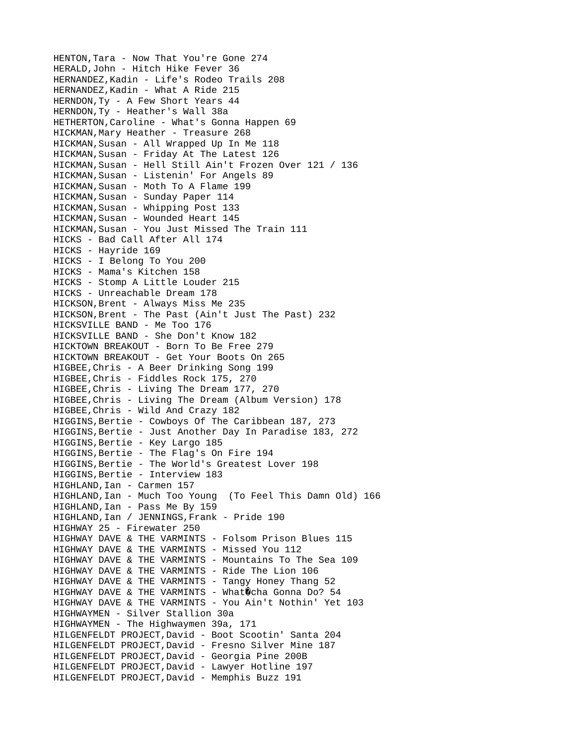HENTON,Tara - Now That You're Gone 274 HERALD,John - Hitch Hike Fever 36 HERNANDEZ,Kadin - Life's Rodeo Trails 208 HERNANDEZ,Kadin - What A Ride 215 HERNDON,Ty - A Few Short Years 44 HERNDON,Ty - Heather's Wall 38a HETHERTON,Caroline - What's Gonna Happen 69 HICKMAN, Mary Heather - Treasure 268 HICKMAN,Susan - All Wrapped Up In Me 118 HICKMAN,Susan - Friday At The Latest 126 HICKMAN,Susan - Hell Still Ain't Frozen Over 121 / 136 HICKMAN,Susan - Listenin' For Angels 89 HICKMAN,Susan - Moth To A Flame 199 HICKMAN,Susan - Sunday Paper 114 HICKMAN,Susan - Whipping Post 133 HICKMAN,Susan - Wounded Heart 145 HICKMAN,Susan - You Just Missed The Train 111 HICKS - Bad Call After All 174 HICKS - Hayride 169 HICKS - I Belong To You 200 HICKS - Mama's Kitchen 158 HICKS - Stomp A Little Louder 215 HICKS - Unreachable Dream 178 HICKSON,Brent - Always Miss Me 235 HICKSON,Brent - The Past (Ain't Just The Past) 232 HICKSVILLE BAND - Me Too 176 HICKSVILLE BAND - She Don't Know 182 HICKTOWN BREAKOUT - Born To Be Free 279 HICKTOWN BREAKOUT - Get Your Boots On 265 HIGBEE,Chris - A Beer Drinking Song 199 HIGBEE,Chris - Fiddles Rock 175, 270 HIGBEE,Chris - Living The Dream 177, 270 HIGBEE,Chris - Living The Dream (Album Version) 178 HIGBEE,Chris - Wild And Crazy 182 HIGGINS,Bertie - Cowboys Of The Caribbean 187, 273 HIGGINS,Bertie - Just Another Day In Paradise 183, 272 HIGGINS,Bertie - Key Largo 185 HIGGINS,Bertie - The Flag's On Fire 194 HIGGINS,Bertie - The World's Greatest Lover 198 HIGGINS,Bertie - Interview 183 HIGHLAND, Ian - Carmen 157 HIGHLAND,Ian - Much Too Young (To Feel This Damn Old) 166 HIGHLAND, Ian - Pass Me By 159 HIGHLAND,Ian / JENNINGS,Frank - Pride 190 HIGHWAY 25 - Firewater 250 HIGHWAY DAVE & THE VARMINTS - Folsom Prison Blues 115 HIGHWAY DAVE & THE VARMINTS - Missed You 112 HIGHWAY DAVE & THE VARMINTS - Mountains To The Sea 109 HIGHWAY DAVE & THE VARMINTS - Ride The Lion 106 HIGHWAY DAVE & THE VARMINTS - Tangy Honey Thang 52 HIGHWAY DAVE & THE VARMINTS - What $\hat{Q}$ cha Gonna Do? 54 HIGHWAY DAVE & THE VARMINTS - You Ain't Nothin' Yet 103 HIGHWAYMEN - Silver Stallion 30a HIGHWAYMEN - The Highwaymen 39a, 171 HILGENFELDT PROJECT,David - Boot Scootin' Santa 204 HILGENFELDT PROJECT,David - Fresno Silver Mine 187 HILGENFELDT PROJECT,David - Georgia Pine 200B HILGENFELDT PROJECT,David - Lawyer Hotline 197 HILGENFELDT PROJECT,David - Memphis Buzz 191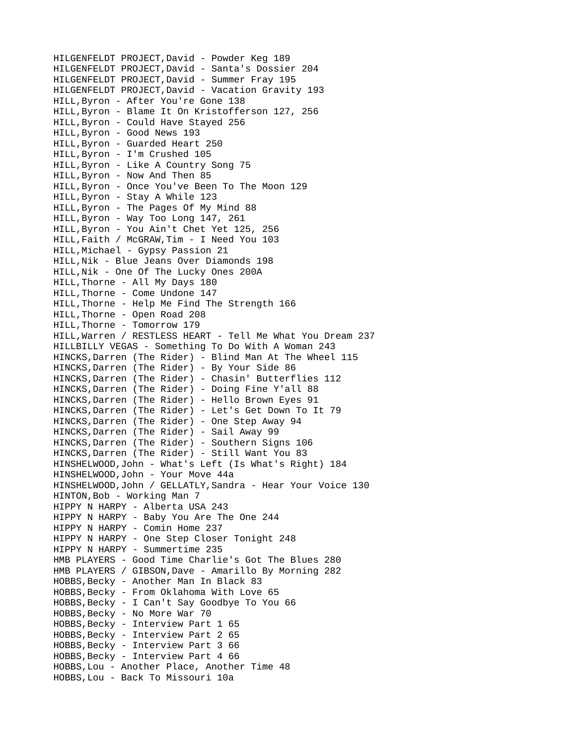HILGENFELDT PROJECT,David - Powder Keg 189 HILGENFELDT PROJECT,David - Santa's Dossier 204 HILGENFELDT PROJECT,David - Summer Fray 195 HILGENFELDT PROJECT,David - Vacation Gravity 193 HILL,Byron - After You're Gone 138 HILL,Byron - Blame It On Kristofferson 127, 256 HILL,Byron - Could Have Stayed 256 HILL,Byron - Good News 193 HILL,Byron - Guarded Heart 250 HILL,Byron - I'm Crushed 105 HILL,Byron - Like A Country Song 75 HILL,Byron - Now And Then 85 HILL,Byron - Once You've Been To The Moon 129 HILL,Byron - Stay A While 123 HILL,Byron - The Pages Of My Mind 88 HILL,Byron - Way Too Long 147, 261 HILL,Byron - You Ain't Chet Yet 125, 256 HILL,Faith / McGRAW,Tim - I Need You 103 HILL,Michael - Gypsy Passion 21 HILL,Nik - Blue Jeans Over Diamonds 198 HILL,Nik - One Of The Lucky Ones 200A HILL,Thorne - All My Days 180 HILL,Thorne - Come Undone 147 HILL,Thorne - Help Me Find The Strength 166 HILL,Thorne - Open Road 208 HILL,Thorne - Tomorrow 179 HILL,Warren / RESTLESS HEART - Tell Me What You Dream 237 HILLBILLY VEGAS - Something To Do With A Woman 243 HINCKS,Darren (The Rider) - Blind Man At The Wheel 115 HINCKS,Darren (The Rider) - By Your Side 86 HINCKS,Darren (The Rider) - Chasin' Butterflies 112 HINCKS,Darren (The Rider) - Doing Fine Y'all 88 HINCKS,Darren (The Rider) - Hello Brown Eyes 91 HINCKS,Darren (The Rider) - Let's Get Down To It 79 HINCKS,Darren (The Rider) - One Step Away 94 HINCKS,Darren (The Rider) - Sail Away 99 HINCKS,Darren (The Rider) - Southern Signs 106 HINCKS,Darren (The Rider) - Still Want You 83 HINSHELWOOD,John - What's Left (Is What's Right) 184 HINSHELWOOD,John - Your Move 44a HINSHELWOOD,John / GELLATLY,Sandra - Hear Your Voice 130 HINTON,Bob - Working Man 7 HIPPY N HARPY - Alberta USA 243 HIPPY N HARPY - Baby You Are The One 244 HIPPY N HARPY - Comin Home 237 HIPPY N HARPY - One Step Closer Tonight 248 HIPPY N HARPY - Summertime 235 HMB PLAYERS - Good Time Charlie's Got The Blues 280 HMB PLAYERS / GIBSON,Dave - Amarillo By Morning 282 HOBBS, Becky - Another Man In Black 83 HOBBS,Becky - From Oklahoma With Love 65 HOBBS,Becky - I Can't Say Goodbye To You 66 HOBBS,Becky - No More War 70 HOBBS, Becky - Interview Part 1 65 HOBBS, Becky - Interview Part 2 65 HOBBS,Becky - Interview Part 3 66 HOBBS, Becky - Interview Part 4 66 HOBBS,Lou - Another Place, Another Time 48 HOBBS,Lou - Back To Missouri 10a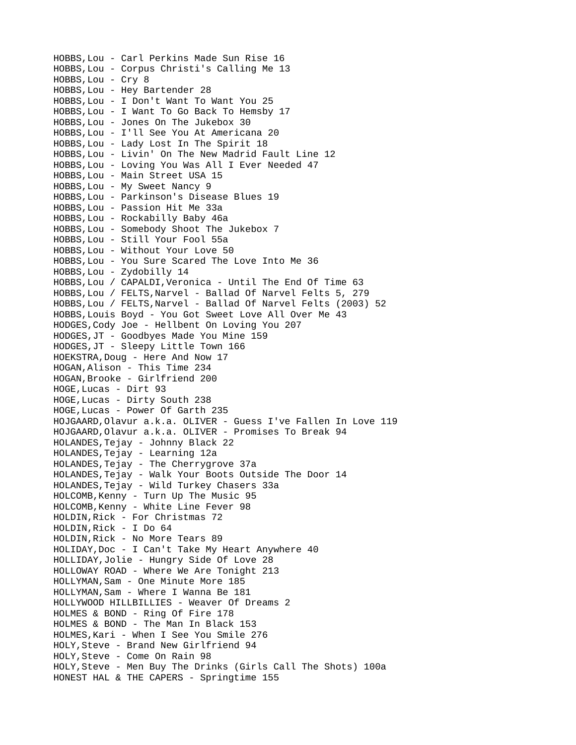HOBBS,Lou - Carl Perkins Made Sun Rise 16 HOBBS,Lou - Corpus Christi's Calling Me 13 HOBBS,Lou - Cry 8 HOBBS,Lou - Hey Bartender 28 HOBBS,Lou - I Don't Want To Want You 25 HOBBS,Lou - I Want To Go Back To Hemsby 17 HOBBS,Lou - Jones On The Jukebox 30 HOBBS,Lou - I'll See You At Americana 20 HOBBS,Lou - Lady Lost In The Spirit 18 HOBBS,Lou - Livin' On The New Madrid Fault Line 12 HOBBS,Lou - Loving You Was All I Ever Needed 47 HOBBS,Lou - Main Street USA 15 HOBBS,Lou - My Sweet Nancy 9 HOBBS,Lou - Parkinson's Disease Blues 19 HOBBS,Lou - Passion Hit Me 33a HOBBS,Lou - Rockabilly Baby 46a HOBBS,Lou - Somebody Shoot The Jukebox 7 HOBBS,Lou - Still Your Fool 55a HOBBS,Lou - Without Your Love 50 HOBBS,Lou - You Sure Scared The Love Into Me 36 HOBBS,Lou - Zydobilly 14 HOBBS,Lou / CAPALDI,Veronica - Until The End Of Time 63 HOBBS,Lou / FELTS,Narvel - Ballad Of Narvel Felts 5, 279 HOBBS,Lou / FELTS,Narvel - Ballad Of Narvel Felts (2003) 52 HOBBS,Louis Boyd - You Got Sweet Love All Over Me 43 HODGES,Cody Joe - Hellbent On Loving You 207 HODGES,JT - Goodbyes Made You Mine 159 HODGES,JT - Sleepy Little Town 166 HOEKSTRA,Doug - Here And Now 17 HOGAN,Alison - This Time 234 HOGAN,Brooke - Girlfriend 200 HOGE,Lucas - Dirt 93 HOGE,Lucas - Dirty South 238 HOGE,Lucas - Power Of Garth 235 HOJGAARD,Olavur a.k.a. OLIVER - Guess I've Fallen In Love 119 HOJGAARD,Olavur a.k.a. OLIVER - Promises To Break 94 HOLANDES,Tejay - Johnny Black 22 HOLANDES,Tejay - Learning 12a HOLANDES,Tejay - The Cherrygrove 37a HOLANDES,Tejay - Walk Your Boots Outside The Door 14 HOLANDES,Tejay - Wild Turkey Chasers 33a HOLCOMB,Kenny - Turn Up The Music 95 HOLCOMB,Kenny - White Line Fever 98 HOLDIN,Rick - For Christmas 72 HOLDIN,Rick - I Do 64 HOLDIN,Rick - No More Tears 89 HOLIDAY,Doc - I Can't Take My Heart Anywhere 40 HOLLIDAY,Jolie - Hungry Side Of Love 28 HOLLOWAY ROAD - Where We Are Tonight 213 HOLLYMAN,Sam - One Minute More 185 HOLLYMAN,Sam - Where I Wanna Be 181 HOLLYWOOD HILLBILLIES - Weaver Of Dreams 2 HOLMES & BOND - Ring Of Fire 178 HOLMES & BOND - The Man In Black 153 HOLMES,Kari - When I See You Smile 276 HOLY,Steve - Brand New Girlfriend 94 HOLY,Steve - Come On Rain 98 HOLY,Steve - Men Buy The Drinks (Girls Call The Shots) 100a HONEST HAL & THE CAPERS - Springtime 155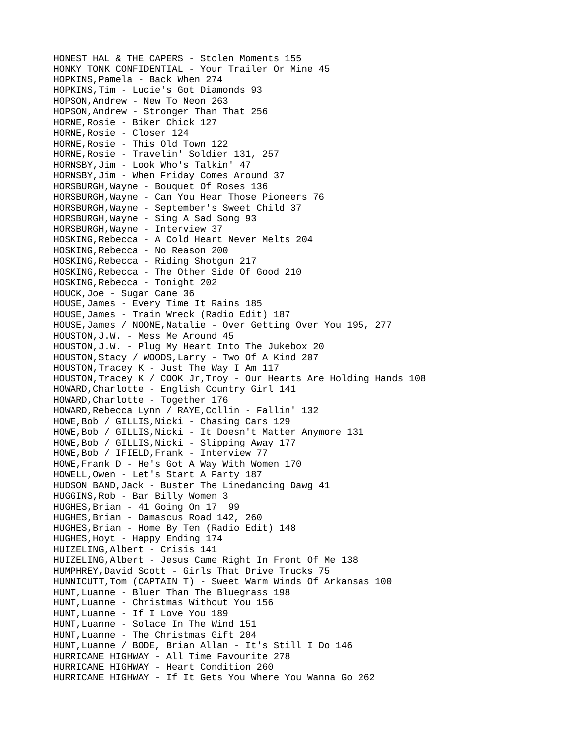HONEST HAL & THE CAPERS - Stolen Moments 155 HONKY TONK CONFIDENTIAL - Your Trailer Or Mine 45 HOPKINS,Pamela - Back When 274 HOPKINS,Tim - Lucie's Got Diamonds 93 HOPSON,Andrew - New To Neon 263 HOPSON,Andrew - Stronger Than That 256 HORNE,Rosie - Biker Chick 127 HORNE, Rosie - Closer 124 HORNE, Rosie - This Old Town 122 HORNE,Rosie - Travelin' Soldier 131, 257 HORNSBY,Jim - Look Who's Talkin' 47 HORNSBY,Jim - When Friday Comes Around 37 HORSBURGH,Wayne - Bouquet Of Roses 136 HORSBURGH,Wayne - Can You Hear Those Pioneers 76 HORSBURGH,Wayne - September's Sweet Child 37 HORSBURGH,Wayne - Sing A Sad Song 93 HORSBURGH,Wayne - Interview 37 HOSKING,Rebecca - A Cold Heart Never Melts 204 HOSKING,Rebecca - No Reason 200 HOSKING,Rebecca - Riding Shotgun 217 HOSKING,Rebecca - The Other Side Of Good 210 HOSKING,Rebecca - Tonight 202 HOUCK,Joe - Sugar Cane 36 HOUSE,James - Every Time It Rains 185 HOUSE,James - Train Wreck (Radio Edit) 187 HOUSE,James / NOONE,Natalie - Over Getting Over You 195, 277 HOUSTON,J.W. - Mess Me Around 45 HOUSTON,J.W. - Plug My Heart Into The Jukebox 20 HOUSTON,Stacy / WOODS,Larry - Two Of A Kind 207 HOUSTON,Tracey K - Just The Way I Am 117 HOUSTON,Tracey K / COOK Jr,Troy - Our Hearts Are Holding Hands 108 HOWARD,Charlotte - English Country Girl 141 HOWARD,Charlotte - Together 176 HOWARD,Rebecca Lynn / RAYE,Collin - Fallin' 132 HOWE, Bob / GILLIS, Nicki - Chasing Cars 129 HOWE, Bob / GILLIS, Nicki - It Doesn't Matter Anymore 131 HOWE, Bob / GILLIS, Nicki - Slipping Away 177 HOWE, Bob / IFIELD, Frank - Interview 77 HOWE,Frank D - He's Got A Way With Women 170 HOWELL,Owen - Let's Start A Party 187 HUDSON BAND,Jack - Buster The Linedancing Dawg 41 HUGGINS,Rob - Bar Billy Women 3 HUGHES,Brian - 41 Going On 17 99 HUGHES,Brian - Damascus Road 142, 260 HUGHES,Brian - Home By Ten (Radio Edit) 148 HUGHES,Hoyt - Happy Ending 174 HUIZELING,Albert - Crisis 141 HUIZELING,Albert - Jesus Came Right In Front Of Me 138 HUMPHREY,David Scott - Girls That Drive Trucks 75 HUNNICUTT,Tom (CAPTAIN T) - Sweet Warm Winds Of Arkansas 100 HUNT,Luanne - Bluer Than The Bluegrass 198 HUNT,Luanne - Christmas Without You 156 HUNT,Luanne - If I Love You 189 HUNT,Luanne - Solace In The Wind 151 HUNT,Luanne - The Christmas Gift 204 HUNT,Luanne / BODE, Brian Allan - It's Still I Do 146 HURRICANE HIGHWAY - All Time Favourite 278 HURRICANE HIGHWAY - Heart Condition 260 HURRICANE HIGHWAY - If It Gets You Where You Wanna Go 262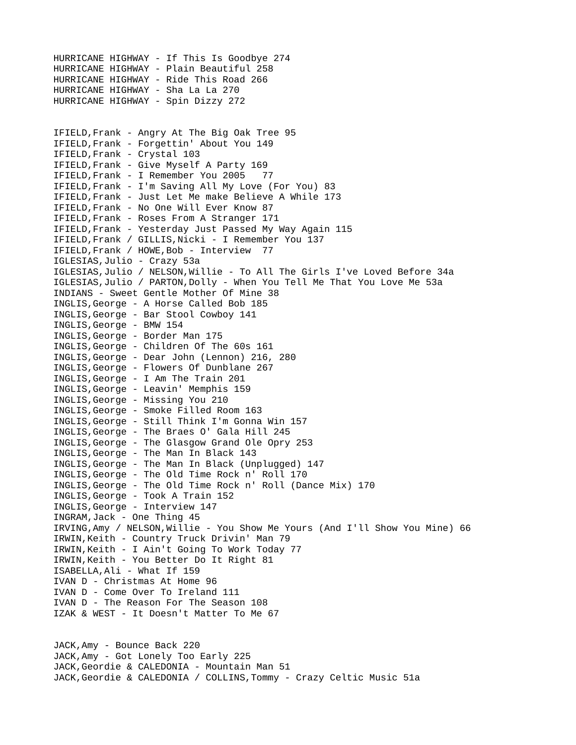HURRICANE HIGHWAY - If This Is Goodbye 274 HURRICANE HIGHWAY - Plain Beautiful 258 HURRICANE HIGHWAY - Ride This Road 266 HURRICANE HIGHWAY - Sha La La 270 HURRICANE HIGHWAY - Spin Dizzy 272 IFIELD,Frank - Angry At The Big Oak Tree 95 IFIELD,Frank - Forgettin' About You 149 IFIELD,Frank - Crystal 103 IFIELD,Frank - Give Myself A Party 169 IFIELD,Frank - I Remember You 2005 77 IFIELD,Frank - I'm Saving All My Love (For You) 83 IFIELD,Frank - Just Let Me make Believe A While 173 IFIELD,Frank - No One Will Ever Know 87 IFIELD,Frank - Roses From A Stranger 171 IFIELD,Frank - Yesterday Just Passed My Way Again 115 IFIELD,Frank / GILLIS,Nicki - I Remember You 137 IFIELD,Frank / HOWE,Bob - Interview 77 IGLESIAS,Julio - Crazy 53a IGLESIAS,Julio / NELSON,Willie - To All The Girls I've Loved Before 34a IGLESIAS,Julio / PARTON,Dolly - When You Tell Me That You Love Me 53a INDIANS - Sweet Gentle Mother Of Mine 38 INGLIS,George - A Horse Called Bob 185 INGLIS,George - Bar Stool Cowboy 141 INGLIS,George - BMW 154 INGLIS,George - Border Man 175 INGLIS,George - Children Of The 60s 161 INGLIS,George - Dear John (Lennon) 216, 280 INGLIS,George - Flowers Of Dunblane 267 INGLIS,George - I Am The Train 201 INGLIS,George - Leavin' Memphis 159 INGLIS,George - Missing You 210 INGLIS,George - Smoke Filled Room 163 INGLIS,George - Still Think I'm Gonna Win 157 INGLIS,George - The Braes O' Gala Hill 245 INGLIS,George - The Glasgow Grand Ole Opry 253 INGLIS,George - The Man In Black 143 INGLIS,George - The Man In Black (Unplugged) 147 INGLIS,George - The Old Time Rock n' Roll 170 INGLIS,George - The Old Time Rock n' Roll (Dance Mix) 170 INGLIS,George - Took A Train 152 INGLIS,George - Interview 147 INGRAM,Jack - One Thing 45 IRVING,Amy / NELSON,Willie - You Show Me Yours (And I'll Show You Mine) 66 IRWIN,Keith - Country Truck Drivin' Man 79 IRWIN,Keith - I Ain't Going To Work Today 77 IRWIN,Keith - You Better Do It Right 81 ISABELLA,Ali - What If 159 IVAN D - Christmas At Home 96 IVAN D - Come Over To Ireland 111 IVAN D - The Reason For The Season 108 IZAK & WEST - It Doesn't Matter To Me 67 JACK,Amy - Bounce Back 220

JACK,Amy - Got Lonely Too Early 225 JACK,Geordie & CALEDONIA - Mountain Man 51 JACK,Geordie & CALEDONIA / COLLINS,Tommy - Crazy Celtic Music 51a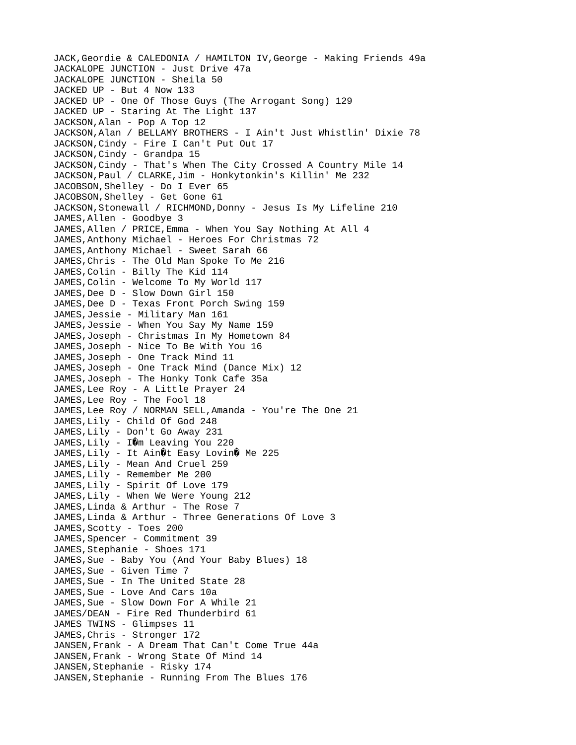JACK,Geordie & CALEDONIA / HAMILTON IV,George - Making Friends 49a JACKALOPE JUNCTION - Just Drive 47a JACKALOPE JUNCTION - Sheila 50 JACKED UP - But 4 Now 133 JACKED UP - One Of Those Guys (The Arrogant Song) 129 JACKED UP - Staring At The Light 137 JACKSON,Alan - Pop A Top 12 JACKSON,Alan / BELLAMY BROTHERS - I Ain't Just Whistlin' Dixie 78 JACKSON,Cindy - Fire I Can't Put Out 17 JACKSON, Cindy - Grandpa 15 JACKSON,Cindy - That's When The City Crossed A Country Mile 14 JACKSON, Paul / CLARKE, Jim - Honkytonkin's Killin' Me 232 JACOBSON,Shelley - Do I Ever 65 JACOBSON, Shelley - Get Gone 61 JACKSON, Stonewall / RICHMOND, Donny - Jesus Is My Lifeline 210 JAMES,Allen - Goodbye 3 JAMES,Allen / PRICE,Emma - When You Say Nothing At All 4 JAMES,Anthony Michael - Heroes For Christmas 72 JAMES, Anthony Michael - Sweet Sarah 66 JAMES,Chris - The Old Man Spoke To Me 216 JAMES, Colin - Billy The Kid 114 JAMES, Colin - Welcome To My World 117 JAMES, Dee D - Slow Down Girl 150 JAMES, Dee D - Texas Front Porch Swing 159 JAMES,Jessie - Military Man 161 JAMES,Jessie - When You Say My Name 159 JAMES,Joseph - Christmas In My Hometown 84 JAMES,Joseph - Nice To Be With You 16 JAMES,Joseph - One Track Mind 11 JAMES,Joseph - One Track Mind (Dance Mix) 12 JAMES,Joseph - The Honky Tonk Cafe 35a JAMES,Lee Roy - A Little Prayer 24 JAMES,Lee Roy - The Fool 18 JAMES, Lee Roy / NORMAN SELL, Amanda - You're The One 21 JAMES, Lily - Child Of God 248 JAMES, Lily - Don't Go Away 231 JAMES, Lily -  $I\hat{\mathbf{Q}}$ m Leaving You 220 JAMES, Lily - It Ain $\mathsf{\textcircled{t}}$  Easy Lovin $\mathsf{\textcircled{t}}$  Me 225 JAMES, Lily - Mean And Cruel 259 JAMES,Lily - Remember Me 200 JAMES,Lily - Spirit Of Love 179 JAMES,Lily - When We Were Young 212 JAMES, Linda & Arthur - The Rose 7 JAMES,Linda & Arthur - Three Generations Of Love 3 JAMES, Scotty - Toes 200 JAMES, Spencer - Commitment 39 JAMES, Stephanie - Shoes 171 JAMES,Sue - Baby You (And Your Baby Blues) 18 JAMES, Sue - Given Time 7 JAMES, Sue - In The United State 28 JAMES, Sue - Love And Cars 10a JAMES,Sue - Slow Down For A While 21 JAMES/DEAN - Fire Red Thunderbird 61 JAMES TWINS - Glimpses 11 JAMES, Chris - Stronger 172 JANSEN,Frank - A Dream That Can't Come True 44a JANSEN,Frank - Wrong State Of Mind 14 JANSEN, Stephanie - Risky 174 JANSEN,Stephanie - Running From The Blues 176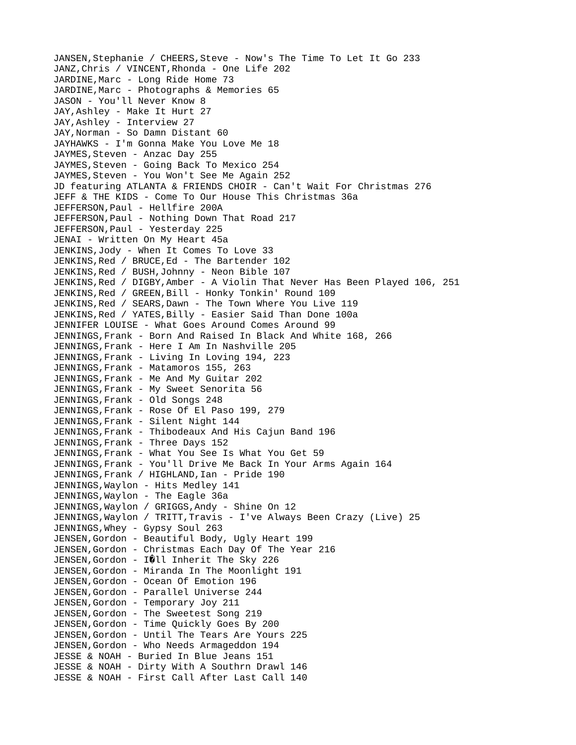JANSEN,Stephanie / CHEERS,Steve - Now's The Time To Let It Go 233 JANZ,Chris / VINCENT,Rhonda - One Life 202 JARDINE, Marc - Long Ride Home 73 JARDINE, Marc - Photographs & Memories 65 JASON - You'll Never Know 8 JAY,Ashley - Make It Hurt 27 JAY,Ashley - Interview 27 JAY,Norman - So Damn Distant 60 JAYHAWKS - I'm Gonna Make You Love Me 18 JAYMES, Steven - Anzac Day 255 JAYMES, Steven - Going Back To Mexico 254 JAYMES, Steven - You Won't See Me Again 252 JD featuring ATLANTA & FRIENDS CHOIR - Can't Wait For Christmas 276 JEFF & THE KIDS - Come To Our House This Christmas 36a JEFFERSON,Paul - Hellfire 200A JEFFERSON,Paul - Nothing Down That Road 217 JEFFERSON,Paul - Yesterday 225 JENAI - Written On My Heart 45a JENKINS,Jody - When It Comes To Love 33 JENKINS,Red / BRUCE,Ed - The Bartender 102 JENKINS, Red / BUSH, Johnny - Neon Bible 107 JENKINS,Red / DIGBY,Amber - A Violin That Never Has Been Played 106, 251 JENKINS,Red / GREEN,Bill - Honky Tonkin' Round 109 JENKINS,Red / SEARS,Dawn - The Town Where You Live 119 JENKINS,Red / YATES,Billy - Easier Said Than Done 100a JENNIFER LOUISE - What Goes Around Comes Around 99 JENNINGS,Frank - Born And Raised In Black And White 168, 266 JENNINGS,Frank - Here I Am In Nashville 205 JENNINGS,Frank - Living In Loving 194, 223 JENNINGS,Frank - Matamoros 155, 263 JENNINGS,Frank - Me And My Guitar 202 JENNINGS,Frank - My Sweet Senorita 56 JENNINGS,Frank - Old Songs 248 JENNINGS,Frank - Rose Of El Paso 199, 279 JENNINGS,Frank - Silent Night 144 JENNINGS,Frank - Thibodeaux And His Cajun Band 196 JENNINGS,Frank - Three Days 152 JENNINGS,Frank - What You See Is What You Get 59 JENNINGS,Frank - You'll Drive Me Back In Your Arms Again 164 JENNINGS, Frank / HIGHLAND, Ian - Pride 190 JENNINGS,Waylon - Hits Medley 141 JENNINGS,Waylon - The Eagle 36a JENNINGS,Waylon / GRIGGS,Andy - Shine On 12 JENNINGS,Waylon / TRITT,Travis - I've Always Been Crazy (Live) 25 JENNINGS,Whey - Gypsy Soul 263 JENSEN,Gordon - Beautiful Body, Ugly Heart 199 JENSEN,Gordon - Christmas Each Day Of The Year 216 JENSEN, Gordon - I $\hat{Q}$ ll Inherit The Sky 226 JENSEN, Gordon - Miranda In The Moonlight 191 JENSEN,Gordon - Ocean Of Emotion 196 JENSEN,Gordon - Parallel Universe 244 JENSEN,Gordon - Temporary Joy 211 JENSEN,Gordon - The Sweetest Song 219 JENSEN,Gordon - Time Quickly Goes By 200 JENSEN,Gordon - Until The Tears Are Yours 225 JENSEN,Gordon - Who Needs Armageddon 194 JESSE & NOAH - Buried In Blue Jeans 151 JESSE & NOAH - Dirty With A Southrn Drawl 146 JESSE & NOAH - First Call After Last Call 140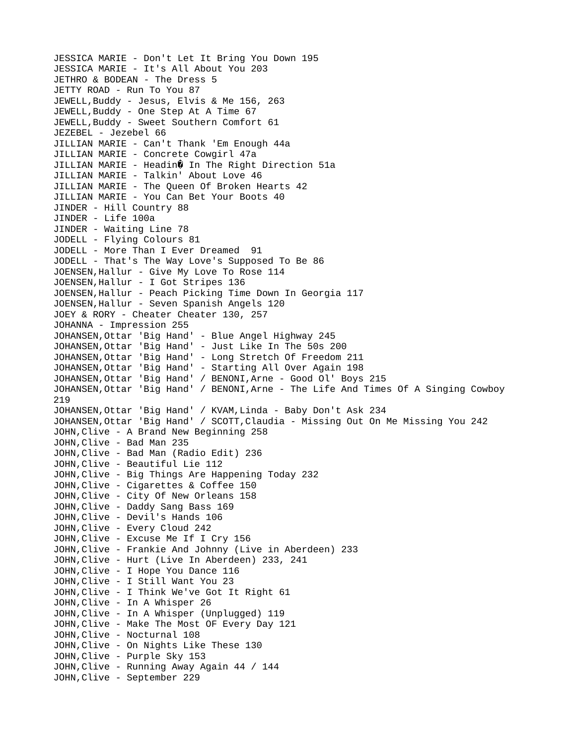JESSICA MARIE - Don't Let It Bring You Down 195 JESSICA MARIE - It's All About You 203 JETHRO & BODEAN - The Dress 5 JETTY ROAD - Run To You 87 JEWELL,Buddy - Jesus, Elvis & Me 156, 263 JEWELL,Buddy - One Step At A Time 67 JEWELL,Buddy - Sweet Southern Comfort 61 JEZEBEL - Jezebel 66 JILLIAN MARIE - Can't Thank 'Em Enough 44a JILLIAN MARIE - Concrete Cowgirl 47a JILLIAN MARIE - Headin $\hat{\mathbf{Q}}$  In The Right Direction 51a JILLIAN MARIE - Talkin' About Love 46 JILLIAN MARIE - The Queen Of Broken Hearts 42 JILLIAN MARIE - You Can Bet Your Boots 40 JINDER - Hill Country 88 JINDER - Life 100a JINDER - Waiting Line 78 JODELL - Flying Colours 81 JODELL - More Than I Ever Dreamed 91 JODELL - That's The Way Love's Supposed To Be 86 JOENSEN,Hallur - Give My Love To Rose 114 JOENSEN,Hallur - I Got Stripes 136 JOENSEN,Hallur - Peach Picking Time Down In Georgia 117 JOENSEN,Hallur - Seven Spanish Angels 120 JOEY & RORY - Cheater Cheater 130, 257 JOHANNA - Impression 255 JOHANSEN,Ottar 'Big Hand' - Blue Angel Highway 245 JOHANSEN,Ottar 'Big Hand' - Just Like In The 50s 200 JOHANSEN,Ottar 'Big Hand' - Long Stretch Of Freedom 211 JOHANSEN,Ottar 'Big Hand' - Starting All Over Again 198 JOHANSEN,Ottar 'Big Hand' / BENONI,Arne - Good Ol' Boys 215 JOHANSEN,Ottar 'Big Hand' / BENONI,Arne - The Life And Times Of A Singing Cowboy 219 JOHANSEN,Ottar 'Big Hand' / KVAM,Linda - Baby Don't Ask 234 JOHANSEN,Ottar 'Big Hand' / SCOTT,Claudia - Missing Out On Me Missing You 242 JOHN,Clive - A Brand New Beginning 258 JOHN,Clive - Bad Man 235 JOHN,Clive - Bad Man (Radio Edit) 236 JOHN,Clive - Beautiful Lie 112 JOHN,Clive - Big Things Are Happening Today 232 JOHN,Clive - Cigarettes & Coffee 150 JOHN,Clive - City Of New Orleans 158 JOHN,Clive - Daddy Sang Bass 169 JOHN,Clive - Devil's Hands 106 JOHN,Clive - Every Cloud 242 JOHN,Clive - Excuse Me If I Cry 156 JOHN,Clive - Frankie And Johnny (Live in Aberdeen) 233 JOHN,Clive - Hurt (Live In Aberdeen) 233, 241 JOHN,Clive - I Hope You Dance 116 JOHN,Clive - I Still Want You 23 JOHN,Clive - I Think We've Got It Right 61 JOHN,Clive - In A Whisper 26 JOHN,Clive - In A Whisper (Unplugged) 119 JOHN,Clive - Make The Most OF Every Day 121 JOHN,Clive - Nocturnal 108 JOHN,Clive - On Nights Like These 130 JOHN,Clive - Purple Sky 153 JOHN,Clive - Running Away Again 44 / 144 JOHN,Clive - September 229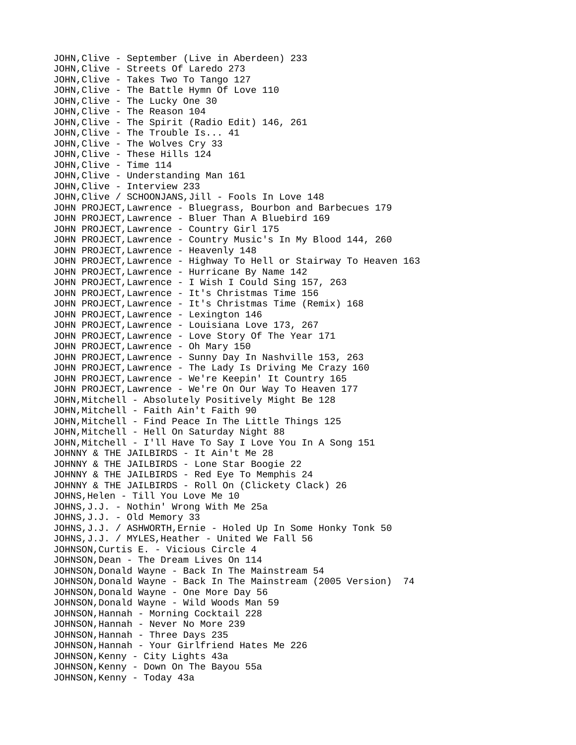JOHN,Clive - September (Live in Aberdeen) 233 JOHN,Clive - Streets Of Laredo 273 JOHN,Clive - Takes Two To Tango 127 JOHN,Clive - The Battle Hymn Of Love 110 JOHN,Clive - The Lucky One 30 JOHN,Clive - The Reason 104 JOHN,Clive - The Spirit (Radio Edit) 146, 261 JOHN,Clive - The Trouble Is... 41 JOHN,Clive - The Wolves Cry 33 JOHN,Clive - These Hills 124 JOHN,Clive - Time 114 JOHN,Clive - Understanding Man 161 JOHN,Clive - Interview 233 JOHN,Clive / SCHOONJANS,Jill - Fools In Love 148 JOHN PROJECT,Lawrence - Bluegrass, Bourbon and Barbecues 179 JOHN PROJECT,Lawrence - Bluer Than A Bluebird 169 JOHN PROJECT,Lawrence - Country Girl 175 JOHN PROJECT,Lawrence - Country Music's In My Blood 144, 260 JOHN PROJECT, Lawrence - Heavenly 148 JOHN PROJECT,Lawrence - Highway To Hell or Stairway To Heaven 163 JOHN PROJECT,Lawrence - Hurricane By Name 142 JOHN PROJECT,Lawrence - I Wish I Could Sing 157, 263 JOHN PROJECT,Lawrence - It's Christmas Time 156 JOHN PROJECT,Lawrence - It's Christmas Time (Remix) 168 JOHN PROJECT, Lawrence - Lexington 146 JOHN PROJECT,Lawrence - Louisiana Love 173, 267 JOHN PROJECT, Lawrence - Love Story Of The Year 171 JOHN PROJECT, Lawrence - Oh Mary 150 JOHN PROJECT,Lawrence - Sunny Day In Nashville 153, 263 JOHN PROJECT,Lawrence - The Lady Is Driving Me Crazy 160 JOHN PROJECT,Lawrence - We're Keepin' It Country 165 JOHN PROJECT,Lawrence - We're On Our Way To Heaven 177 JOHN,Mitchell - Absolutely Positively Might Be 128 JOHN,Mitchell - Faith Ain't Faith 90 JOHN,Mitchell - Find Peace In The Little Things 125 JOHN, Mitchell - Hell On Saturday Night 88 JOHN,Mitchell - I'll Have To Say I Love You In A Song 151 JOHNNY & THE JAILBIRDS - It Ain't Me 28 JOHNNY & THE JAILBIRDS - Lone Star Boogie 22 JOHNNY & THE JAILBIRDS - Red Eye To Memphis 24 JOHNNY & THE JAILBIRDS - Roll On (Clickety Clack) 26 JOHNS,Helen - Till You Love Me 10 JOHNS,J.J. - Nothin' Wrong With Me 25a JOHNS,J.J. - Old Memory 33 JOHNS,J.J. / ASHWORTH,Ernie - Holed Up In Some Honky Tonk 50 JOHNS,J.J. / MYLES,Heather - United We Fall 56 JOHNSON,Curtis E. - Vicious Circle 4 JOHNSON,Dean - The Dream Lives On 114 JOHNSON,Donald Wayne - Back In The Mainstream 54 JOHNSON,Donald Wayne - Back In The Mainstream (2005 Version) 74 JOHNSON, Donald Wayne - One More Day 56 JOHNSON,Donald Wayne - Wild Woods Man 59 JOHNSON,Hannah - Morning Cocktail 228 JOHNSON,Hannah - Never No More 239 JOHNSON,Hannah - Three Days 235 JOHNSON,Hannah - Your Girlfriend Hates Me 226 JOHNSON,Kenny - City Lights 43a JOHNSON,Kenny - Down On The Bayou 55a JOHNSON, Kenny - Today 43a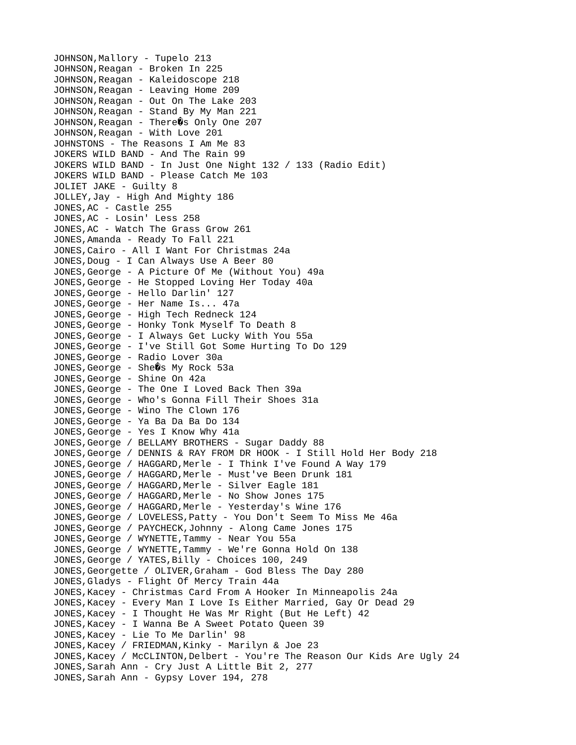JOHNSON, Mallory - Tupelo 213 JOHNSON, Reagan - Broken In 225 JOHNSON,Reagan - Kaleidoscope 218 JOHNSON,Reagan - Leaving Home 209 JOHNSON,Reagan - Out On The Lake 203 JOHNSON,Reagan - Stand By My Man 221 JOHNSON, Reagan - There 0s Only One 207 JOHNSON,Reagan - With Love 201 JOHNSTONS - The Reasons I Am Me 83 JOKERS WILD BAND - And The Rain 99 JOKERS WILD BAND - In Just One Night 132 / 133 (Radio Edit) JOKERS WILD BAND - Please Catch Me 103 JOLIET JAKE - Guilty 8 JOLLEY,Jay - High And Mighty 186 JONES,AC - Castle 255 JONES,AC - Losin' Less 258 JONES,AC - Watch The Grass Grow 261 JONES,Amanda - Ready To Fall 221 JONES,Cairo - All I Want For Christmas 24a JONES,Doug - I Can Always Use A Beer 80 JONES,George - A Picture Of Me (Without You) 49a JONES,George - He Stopped Loving Her Today 40a JONES,George - Hello Darlin' 127 JONES,George - Her Name Is... 47a JONES,George - High Tech Redneck 124 JONES,George - Honky Tonk Myself To Death 8 JONES,George - I Always Get Lucky With You 55a JONES,George - I've Still Got Some Hurting To Do 129 JONES,George - Radio Lover 30a JONES, George - She@s My Rock 53a JONES,George - Shine On 42a JONES,George - The One I Loved Back Then 39a JONES,George - Who's Gonna Fill Their Shoes 31a JONES,George - Wino The Clown 176 JONES,George - Ya Ba Da Ba Do 134 JONES,George - Yes I Know Why 41a JONES,George / BELLAMY BROTHERS - Sugar Daddy 88 JONES,George / DENNIS & RAY FROM DR HOOK - I Still Hold Her Body 218 JONES, George / HAGGARD, Merle - I Think I've Found A Way 179 JONES, George / HAGGARD, Merle - Must've Been Drunk 181 JONES,George / HAGGARD,Merle - Silver Eagle 181 JONES, George / HAGGARD, Merle - No Show Jones 175 JONES, George / HAGGARD, Merle - Yesterday's Wine 176 JONES,George / LOVELESS,Patty - You Don't Seem To Miss Me 46a JONES,George / PAYCHECK,Johnny - Along Came Jones 175 JONES,George / WYNETTE,Tammy - Near You 55a JONES,George / WYNETTE,Tammy - We're Gonna Hold On 138 JONES, George / YATES, Billy - Choices 100, 249 JONES,Georgette / OLIVER,Graham - God Bless The Day 280 JONES,Gladys - Flight Of Mercy Train 44a JONES,Kacey - Christmas Card From A Hooker In Minneapolis 24a JONES,Kacey - Every Man I Love Is Either Married, Gay Or Dead 29 JONES,Kacey - I Thought He Was Mr Right (But He Left) 42 JONES,Kacey - I Wanna Be A Sweet Potato Queen 39 JONES,Kacey - Lie To Me Darlin' 98 JONES,Kacey / FRIEDMAN,Kinky - Marilyn & Joe 23 JONES,Kacey / McCLINTON,Delbert - You're The Reason Our Kids Are Ugly 24 JONES,Sarah Ann - Cry Just A Little Bit 2, 277 JONES,Sarah Ann - Gypsy Lover 194, 278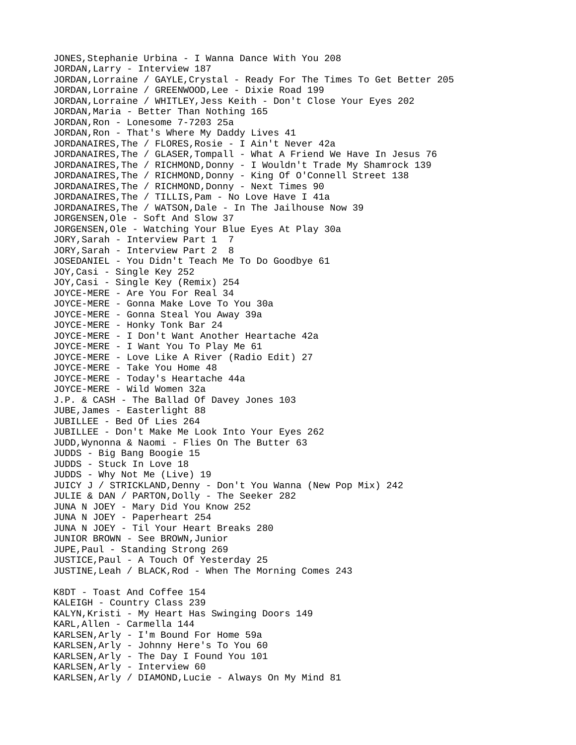JONES,Stephanie Urbina - I Wanna Dance With You 208 JORDAN,Larry - Interview 187 JORDAN,Lorraine / GAYLE,Crystal - Ready For The Times To Get Better 205 JORDAN,Lorraine / GREENWOOD,Lee - Dixie Road 199 JORDAN,Lorraine / WHITLEY,Jess Keith - Don't Close Your Eyes 202 JORDAN,Maria - Better Than Nothing 165 JORDAN, Ron - Lonesome 7-7203 25a JORDAN,Ron - That's Where My Daddy Lives 41 JORDANAIRES,The / FLORES,Rosie - I Ain't Never 42a JORDANAIRES,The / GLASER,Tompall - What A Friend We Have In Jesus 76 JORDANAIRES,The / RICHMOND,Donny - I Wouldn't Trade My Shamrock 139 JORDANAIRES,The / RICHMOND,Donny - King Of O'Connell Street 138 JORDANAIRES,The / RICHMOND,Donny - Next Times 90 JORDANAIRES,The / TILLIS,Pam - No Love Have I 41a JORDANAIRES,The / WATSON,Dale - In The Jailhouse Now 39 JORGENSEN,Ole - Soft And Slow 37 JORGENSEN,Ole - Watching Your Blue Eyes At Play 30a JORY, Sarah - Interview Part 1 7 JORY,Sarah - Interview Part 2 8 JOSEDANIEL - You Didn't Teach Me To Do Goodbye 61 JOY,Casi - Single Key 252 JOY,Casi - Single Key (Remix) 254 JOYCE-MERE - Are You For Real 34 JOYCE-MERE - Gonna Make Love To You 30a JOYCE-MERE - Gonna Steal You Away 39a JOYCE-MERE - Honky Tonk Bar 24 JOYCE-MERE - I Don't Want Another Heartache 42a JOYCE-MERE - I Want You To Play Me 61 JOYCE-MERE - Love Like A River (Radio Edit) 27 JOYCE-MERE - Take You Home 48 JOYCE-MERE - Today's Heartache 44a JOYCE-MERE - Wild Women 32a J.P. & CASH - The Ballad Of Davey Jones 103 JUBE,James - Easterlight 88 JUBILLEE - Bed Of Lies 264 JUBILLEE - Don't Make Me Look Into Your Eyes 262 JUDD,Wynonna & Naomi - Flies On The Butter 63 JUDDS - Big Bang Boogie 15 JUDDS - Stuck In Love 18 JUDDS - Why Not Me (Live) 19 JUICY J / STRICKLAND,Denny - Don't You Wanna (New Pop Mix) 242 JULIE & DAN / PARTON,Dolly - The Seeker 282 JUNA N JOEY - Mary Did You Know 252 JUNA N JOEY - Paperheart 254 JUNA N JOEY - Til Your Heart Breaks 280 JUNIOR BROWN - See BROWN,Junior JUPE,Paul - Standing Strong 269 JUSTICE,Paul - A Touch Of Yesterday 25 JUSTINE,Leah / BLACK,Rod - When The Morning Comes 243 K8DT - Toast And Coffee 154 KALEIGH - Country Class 239 KALYN,Kristi - My Heart Has Swinging Doors 149 KARL,Allen - Carmella 144 KARLSEN,Arly - I'm Bound For Home 59a KARLSEN,Arly - Johnny Here's To You 60 KARLSEN,Arly - The Day I Found You 101 KARLSEN,Arly - Interview 60 KARLSEN,Arly / DIAMOND,Lucie - Always On My Mind 81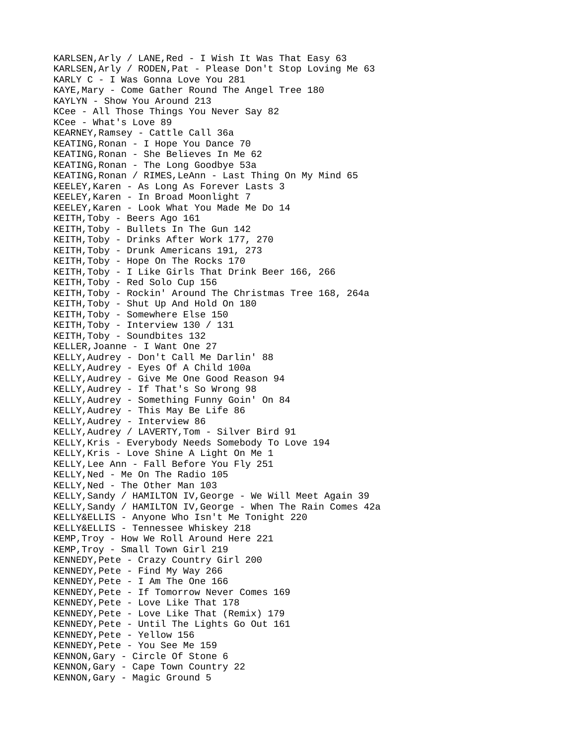KARLSEN,Arly / LANE,Red - I Wish It Was That Easy 63 KARLSEN,Arly / RODEN,Pat - Please Don't Stop Loving Me 63 KARLY C - I Was Gonna Love You 281 KAYE,Mary - Come Gather Round The Angel Tree 180 KAYLYN - Show You Around 213 KCee - All Those Things You Never Say 82 KCee - What's Love 89 KEARNEY,Ramsey - Cattle Call 36a KEATING,Ronan - I Hope You Dance 70 KEATING,Ronan - She Believes In Me 62 KEATING,Ronan - The Long Goodbye 53a KEATING,Ronan / RIMES,LeAnn - Last Thing On My Mind 65 KEELEY,Karen - As Long As Forever Lasts 3 KEELEY,Karen - In Broad Moonlight 7 KEELEY,Karen - Look What You Made Me Do 14 KEITH,Toby - Beers Ago 161 KEITH,Toby - Bullets In The Gun 142 KEITH,Toby - Drinks After Work 177, 270 KEITH,Toby - Drunk Americans 191, 273 KEITH,Toby - Hope On The Rocks 170 KEITH,Toby - I Like Girls That Drink Beer 166, 266 KEITH,Toby - Red Solo Cup 156 KEITH,Toby - Rockin' Around The Christmas Tree 168, 264a KEITH,Toby - Shut Up And Hold On 180 KEITH,Toby - Somewhere Else 150 KEITH,Toby - Interview 130 / 131 KEITH,Toby - Soundbites 132 KELLER,Joanne - I Want One 27 KELLY,Audrey - Don't Call Me Darlin' 88 KELLY,Audrey - Eyes Of A Child 100a KELLY,Audrey - Give Me One Good Reason 94 KELLY,Audrey - If That's So Wrong 98 KELLY,Audrey - Something Funny Goin' On 84 KELLY,Audrey - This May Be Life 86 KELLY,Audrey - Interview 86 KELLY,Audrey / LAVERTY,Tom - Silver Bird 91 KELLY,Kris - Everybody Needs Somebody To Love 194 KELLY,Kris - Love Shine A Light On Me 1 KELLY,Lee Ann - Fall Before You Fly 251 KELLY,Ned - Me On The Radio 105 KELLY, Ned - The Other Man 103 KELLY,Sandy / HAMILTON IV,George - We Will Meet Again 39 KELLY,Sandy / HAMILTON IV,George - When The Rain Comes 42a KELLY&ELLIS - Anyone Who Isn't Me Tonight 220 KELLY&ELLIS - Tennessee Whiskey 218 KEMP,Troy - How We Roll Around Here 221 KEMP,Troy - Small Town Girl 219 KENNEDY,Pete - Crazy Country Girl 200 KENNEDY, Pete - Find My Way 266 KENNEDY,Pete - I Am The One 166 KENNEDY,Pete - If Tomorrow Never Comes 169 KENNEDY,Pete - Love Like That 178 KENNEDY,Pete - Love Like That (Remix) 179 KENNEDY,Pete - Until The Lights Go Out 161 KENNEDY,Pete - Yellow 156 KENNEDY,Pete - You See Me 159 KENNON,Gary - Circle Of Stone 6 KENNON,Gary - Cape Town Country 22 KENNON,Gary - Magic Ground 5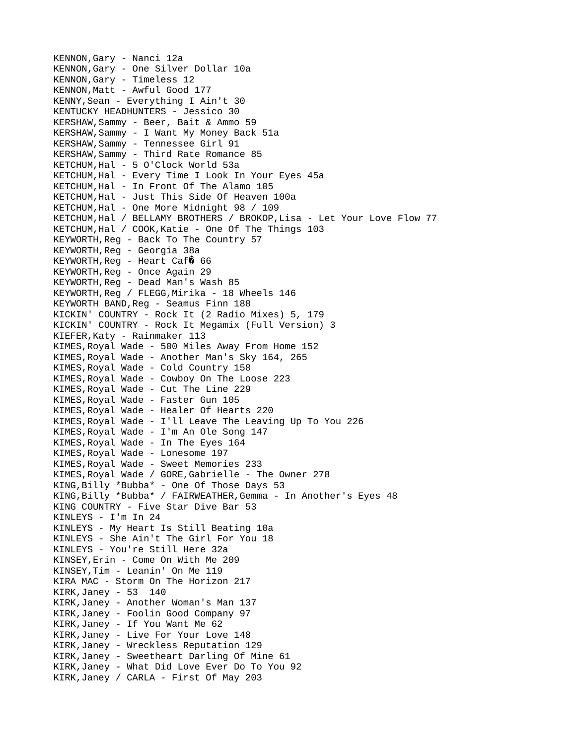KENNON,Gary - Nanci 12a KENNON,Gary - One Silver Dollar 10a KENNON,Gary - Timeless 12 KENNON, Matt - Awful Good 177 KENNY,Sean - Everything I Ain't 30 KENTUCKY HEADHUNTERS - Jessico 30 KERSHAW,Sammy - Beer, Bait & Ammo 59 KERSHAW,Sammy - I Want My Money Back 51a KERSHAW,Sammy - Tennessee Girl 91 KERSHAW,Sammy - Third Rate Romance 85 KETCHUM,Hal - 5 O'Clock World 53a KETCHUM,Hal - Every Time I Look In Your Eyes 45a KETCHUM,Hal - In Front Of The Alamo 105 KETCHUM,Hal - Just This Side Of Heaven 100a KETCHUM,Hal - One More Midnight 98 / 109 KETCHUM,Hal / BELLAMY BROTHERS / BROKOP,Lisa - Let Your Love Flow 77 KETCHUM,Hal / COOK,Katie - One Of The Things 103 KEYWORTH,Reg - Back To The Country 57 KEYWORTH,Reg - Georgia 38a KEYWORTH, Reg - Heart Caf 0 66 KEYWORTH,Reg - Once Again 29 KEYWORTH,Reg - Dead Man's Wash 85 KEYWORTH,Reg / FLEGG,Mirika - 18 Wheels 146 KEYWORTH BAND,Reg - Seamus Finn 188 KICKIN' COUNTRY - Rock It (2 Radio Mixes) 5, 179 KICKIN' COUNTRY - Rock It Megamix (Full Version) 3 KIEFER,Katy - Rainmaker 113 KIMES,Royal Wade - 500 Miles Away From Home 152 KIMES,Royal Wade - Another Man's Sky 164, 265 KIMES,Royal Wade - Cold Country 158 KIMES,Royal Wade - Cowboy On The Loose 223 KIMES,Royal Wade - Cut The Line 229 KIMES,Royal Wade - Faster Gun 105 KIMES,Royal Wade - Healer Of Hearts 220 KIMES,Royal Wade - I'll Leave The Leaving Up To You 226 KIMES,Royal Wade - I'm An Ole Song 147 KIMES,Royal Wade - In The Eyes 164 KIMES,Royal Wade - Lonesome 197 KIMES,Royal Wade - Sweet Memories 233 KIMES,Royal Wade / GORE,Gabrielle - The Owner 278 KING,Billy \*Bubba\* - One Of Those Days 53 KING,Billy \*Bubba\* / FAIRWEATHER,Gemma - In Another's Eyes 48 KING COUNTRY - Five Star Dive Bar 53 KINLEYS - I'm In 24 KINLEYS - My Heart Is Still Beating 10a KINLEYS - She Ain't The Girl For You 18 KINLEYS - You're Still Here 32a KINSEY,Erin - Come On With Me 209 KINSEY,Tim - Leanin' On Me 119 KIRA MAC - Storm On The Horizon 217 KIRK,Janey - 53 140 KIRK,Janey - Another Woman's Man 137 KIRK,Janey - Foolin Good Company 97 KIRK,Janey - If You Want Me 62 KIRK,Janey - Live For Your Love 148 KIRK,Janey - Wreckless Reputation 129 KIRK,Janey - Sweetheart Darling Of Mine 61 KIRK,Janey - What Did Love Ever Do To You 92 KIRK,Janey / CARLA - First Of May 203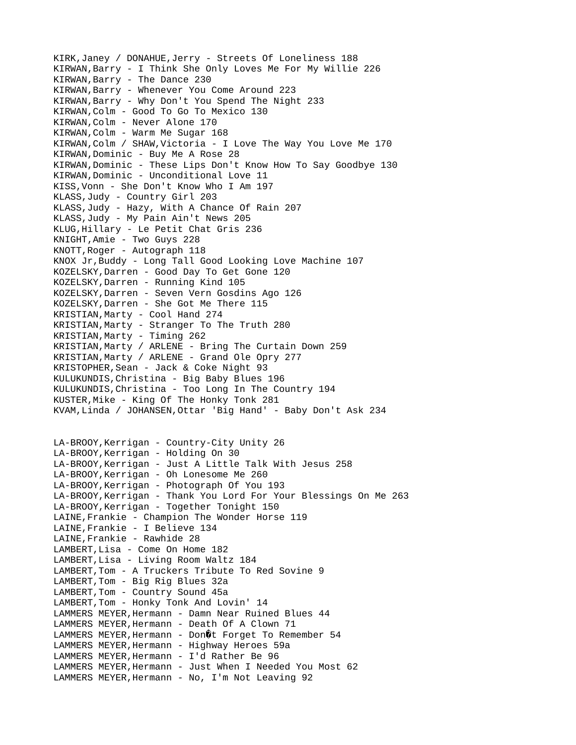KIRK,Janey / DONAHUE,Jerry - Streets Of Loneliness 188 KIRWAN,Barry - I Think She Only Loves Me For My Willie 226 KIRWAN,Barry - The Dance 230 KIRWAN,Barry - Whenever You Come Around 223 KIRWAN,Barry - Why Don't You Spend The Night 233 KIRWAN,Colm - Good To Go To Mexico 130 KIRWAN,Colm - Never Alone 170 KIRWAN,Colm - Warm Me Sugar 168 KIRWAN,Colm / SHAW,Victoria - I Love The Way You Love Me 170 KIRWAN,Dominic - Buy Me A Rose 28 KIRWAN,Dominic - These Lips Don't Know How To Say Goodbye 130 KIRWAN,Dominic - Unconditional Love 11 KISS,Vonn - She Don't Know Who I Am 197 KLASS,Judy - Country Girl 203 KLASS,Judy - Hazy, With A Chance Of Rain 207 KLASS,Judy - My Pain Ain't News 205 KLUG,Hillary - Le Petit Chat Gris 236 KNIGHT,Amie - Two Guys 228 KNOTT,Roger - Autograph 118 KNOX Jr,Buddy - Long Tall Good Looking Love Machine 107 KOZELSKY,Darren - Good Day To Get Gone 120 KOZELSKY,Darren - Running Kind 105 KOZELSKY,Darren - Seven Vern Gosdins Ago 126 KOZELSKY,Darren - She Got Me There 115 KRISTIAN,Marty - Cool Hand 274 KRISTIAN,Marty - Stranger To The Truth 280 KRISTIAN,Marty - Timing 262 KRISTIAN,Marty / ARLENE - Bring The Curtain Down 259 KRISTIAN, Marty / ARLENE - Grand Ole Opry 277 KRISTOPHER,Sean - Jack & Coke Night 93 KULUKUNDIS,Christina - Big Baby Blues 196 KULUKUNDIS,Christina - Too Long In The Country 194 KUSTER,Mike - King Of The Honky Tonk 281 KVAM,Linda / JOHANSEN,Ottar 'Big Hand' - Baby Don't Ask 234 LA-BROOY,Kerrigan - Country-City Unity 26 LA-BROOY,Kerrigan - Holding On 30 LA-BROOY,Kerrigan - Just A Little Talk With Jesus 258 LA-BROOY,Kerrigan - Oh Lonesome Me 260 LA-BROOY,Kerrigan - Photograph Of You 193 LA-BROOY,Kerrigan - Thank You Lord For Your Blessings On Me 263 LA-BROOY,Kerrigan - Together Tonight 150 LAINE,Frankie - Champion The Wonder Horse 119 LAINE,Frankie - I Believe 134 LAINE,Frankie - Rawhide 28 LAMBERT,Lisa - Come On Home 182 LAMBERT,Lisa - Living Room Waltz 184 LAMBERT,Tom - A Truckers Tribute To Red Sovine 9 LAMBERT,Tom - Big Rig Blues 32a LAMBERT,Tom - Country Sound 45a LAMBERT,Tom - Honky Tonk And Lovin' 14 LAMMERS MEYER,Hermann - Damn Near Ruined Blues 44 LAMMERS MEYER,Hermann - Death Of A Clown 71 LAMMERS MEYER, Hermann - Don 0t Forget To Remember 54 LAMMERS MEYER, Hermann - Highway Heroes 59a LAMMERS MEYER,Hermann - I'd Rather Be 96 LAMMERS MEYER,Hermann - Just When I Needed You Most 62 LAMMERS MEYER,Hermann - No, I'm Not Leaving 92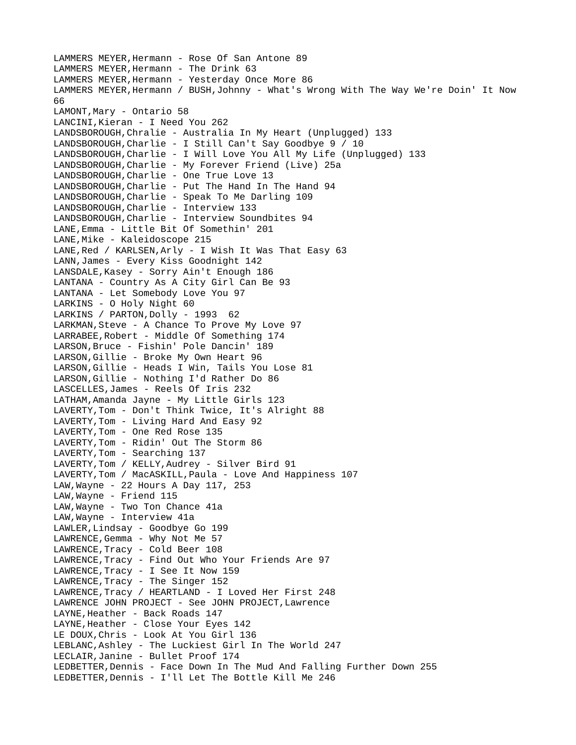```
LAMMERS MEYER,Hermann - Rose Of San Antone 89
LAMMERS MEYER, Hermann - The Drink 63
LAMMERS MEYER,Hermann - Yesterday Once More 86
LAMMERS MEYER,Hermann / BUSH,Johnny - What's Wrong With The Way We're Doin' It Now 
66
LAMONT, Mary - Ontario 58
LANCINI,Kieran - I Need You 262
LANDSBOROUGH,Chralie - Australia In My Heart (Unplugged) 133
LANDSBOROUGH, Charlie - I Still Can't Say Goodbye 9 / 10
LANDSBOROUGH,Charlie - I Will Love You All My Life (Unplugged) 133
LANDSBOROUGH,Charlie - My Forever Friend (Live) 25a
LANDSBOROUGH,Charlie - One True Love 13
LANDSBOROUGH,Charlie - Put The Hand In The Hand 94
LANDSBOROUGH,Charlie - Speak To Me Darling 109
LANDSBOROUGH,Charlie - Interview 133
LANDSBOROUGH,Charlie - Interview Soundbites 94
LANE,Emma - Little Bit Of Somethin' 201
LANE, Mike - Kaleidoscope 215
LANE,Red / KARLSEN,Arly - I Wish It Was That Easy 63
LANN,James - Every Kiss Goodnight 142
LANSDALE,Kasey - Sorry Ain't Enough 186
LANTANA - Country As A City Girl Can Be 93
LANTANA - Let Somebody Love You 97
LARKINS - O Holy Night 60
LARKINS / PARTON, Dolly - 1993 62
LARKMAN,Steve - A Chance To Prove My Love 97
LARRABEE,Robert - Middle Of Something 174
LARSON,Bruce - Fishin' Pole Dancin' 189
LARSON,Gillie - Broke My Own Heart 96
LARSON,Gillie - Heads I Win, Tails You Lose 81
LARSON,Gillie - Nothing I'd Rather Do 86
LASCELLES,James - Reels Of Iris 232
LATHAM,Amanda Jayne - My Little Girls 123
LAVERTY,Tom - Don't Think Twice, It's Alright 88
LAVERTY,Tom - Living Hard And Easy 92
LAVERTY,Tom - One Red Rose 135
LAVERTY,Tom - Ridin' Out The Storm 86
LAVERTY,Tom - Searching 137
LAVERTY,Tom / KELLY,Audrey - Silver Bird 91
LAVERTY,Tom / MacASKILL,Paula - Love And Happiness 107
LAW,Wayne - 22 Hours A Day 117, 253
LAW,Wayne - Friend 115
LAW,Wayne - Two Ton Chance 41a
LAW,Wayne - Interview 41a
LAWLER,Lindsay - Goodbye Go 199
LAWRENCE,Gemma - Why Not Me 57
LAWRENCE,Tracy - Cold Beer 108
LAWRENCE,Tracy - Find Out Who Your Friends Are 97
LAWRENCE,Tracy - I See It Now 159
LAWRENCE,Tracy - The Singer 152
LAWRENCE,Tracy / HEARTLAND - I Loved Her First 248
LAWRENCE JOHN PROJECT - See JOHN PROJECT,Lawrence
LAYNE, Heather - Back Roads 147
LAYNE, Heather - Close Your Eyes 142
LE DOUX,Chris - Look At You Girl 136
LEBLANC,Ashley - The Luckiest Girl In The World 247
LECLAIR,Janine - Bullet Proof 174
LEDBETTER,Dennis - Face Down In The Mud And Falling Further Down 255
LEDBETTER,Dennis - I'll Let The Bottle Kill Me 246
```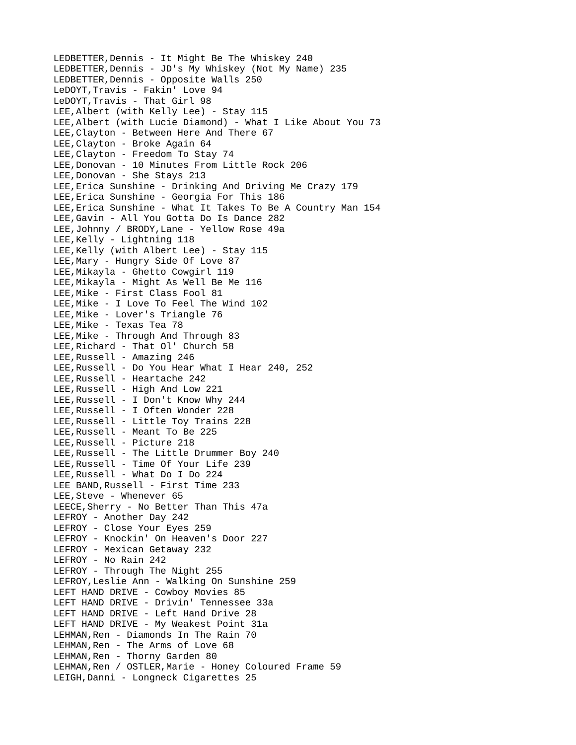LEDBETTER,Dennis - It Might Be The Whiskey 240 LEDBETTER,Dennis - JD's My Whiskey (Not My Name) 235 LEDBETTER,Dennis - Opposite Walls 250 LeDOYT,Travis - Fakin' Love 94 LeDOYT,Travis - That Girl 98 LEE,Albert (with Kelly Lee) - Stay 115 LEE,Albert (with Lucie Diamond) - What I Like About You 73 LEE,Clayton - Between Here And There 67 LEE,Clayton - Broke Again 64 LEE,Clayton - Freedom To Stay 74 LEE,Donovan - 10 Minutes From Little Rock 206 LEE,Donovan - She Stays 213 LEE,Erica Sunshine - Drinking And Driving Me Crazy 179 LEE,Erica Sunshine - Georgia For This 186 LEE,Erica Sunshine - What It Takes To Be A Country Man 154 LEE,Gavin - All You Gotta Do Is Dance 282 LEE,Johnny / BRODY,Lane - Yellow Rose 49a LEE,Kelly - Lightning 118 LEE,Kelly (with Albert Lee) - Stay 115 LEE,Mary - Hungry Side Of Love 87 LEE,Mikayla - Ghetto Cowgirl 119 LEE,Mikayla - Might As Well Be Me 116 LEE,Mike - First Class Fool 81 LEE,Mike - I Love To Feel The Wind 102 LEE,Mike - Lover's Triangle 76 LEE,Mike - Texas Tea 78 LEE, Mike - Through And Through 83 LEE,Richard - That Ol' Church 58 LEE,Russell - Amazing 246 LEE,Russell - Do You Hear What I Hear 240, 252 LEE,Russell - Heartache 242 LEE,Russell - High And Low 221 LEE,Russell - I Don't Know Why 244 LEE,Russell - I Often Wonder 228 LEE,Russell - Little Toy Trains 228 LEE,Russell - Meant To Be 225 LEE,Russell - Picture 218 LEE,Russell - The Little Drummer Boy 240 LEE,Russell - Time Of Your Life 239 LEE,Russell - What Do I Do 224 LEE BAND,Russell - First Time 233 LEE,Steve - Whenever 65 LEECE,Sherry - No Better Than This 47a LEFROY - Another Day 242 LEFROY - Close Your Eyes 259 LEFROY - Knockin' On Heaven's Door 227 LEFROY - Mexican Getaway 232 LEFROY - No Rain 242 LEFROY - Through The Night 255 LEFROY,Leslie Ann - Walking On Sunshine 259 LEFT HAND DRIVE - Cowboy Movies 85 LEFT HAND DRIVE - Drivin' Tennessee 33a LEFT HAND DRIVE - Left Hand Drive 28 LEFT HAND DRIVE - My Weakest Point 31a LEHMAN, Ren - Diamonds In The Rain 70 LEHMAN, Ren - The Arms of Love 68 LEHMAN, Ren - Thorny Garden 80 LEHMAN, Ren / OSTLER, Marie - Honey Coloured Frame 59 LEIGH,Danni - Longneck Cigarettes 25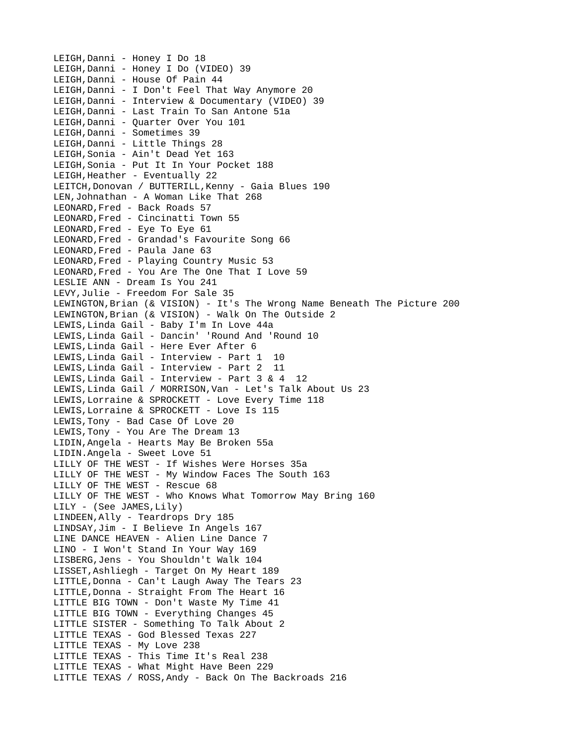LEIGH,Danni - Honey I Do 18 LEIGH,Danni - Honey I Do (VIDEO) 39 LEIGH,Danni - House Of Pain 44 LEIGH,Danni - I Don't Feel That Way Anymore 20 LEIGH,Danni - Interview & Documentary (VIDEO) 39 LEIGH,Danni - Last Train To San Antone 51a LEIGH,Danni - Quarter Over You 101 LEIGH, Danni - Sometimes 39 LEIGH,Danni - Little Things 28 LEIGH,Sonia - Ain't Dead Yet 163 LEIGH,Sonia - Put It In Your Pocket 188 LEIGH,Heather - Eventually 22 LEITCH,Donovan / BUTTERILL,Kenny - Gaia Blues 190 LEN,Johnathan - A Woman Like That 268 LEONARD,Fred - Back Roads 57 LEONARD,Fred - Cincinatti Town 55 LEONARD,Fred - Eye To Eye 61 LEONARD,Fred - Grandad's Favourite Song 66 LEONARD,Fred - Paula Jane 63 LEONARD,Fred - Playing Country Music 53 LEONARD,Fred - You Are The One That I Love 59 LESLIE ANN - Dream Is You 241 LEVY,Julie - Freedom For Sale 35 LEWINGTON,Brian (& VISION) - It's The Wrong Name Beneath The Picture 200 LEWINGTON,Brian (& VISION) - Walk On The Outside 2 LEWIS,Linda Gail - Baby I'm In Love 44a LEWIS,Linda Gail - Dancin' 'Round And 'Round 10 LEWIS,Linda Gail - Here Ever After 6 LEWIS,Linda Gail - Interview - Part 1 10 LEWIS,Linda Gail - Interview - Part 2 11 LEWIS,Linda Gail - Interview - Part 3 & 4 12 LEWIS,Linda Gail / MORRISON,Van - Let's Talk About Us 23 LEWIS,Lorraine & SPROCKETT - Love Every Time 118 LEWIS,Lorraine & SPROCKETT - Love Is 115 LEWIS,Tony - Bad Case Of Love 20 LEWIS,Tony - You Are The Dream 13 LIDIN,Angela - Hearts May Be Broken 55a LIDIN.Angela - Sweet Love 51 LILLY OF THE WEST - If Wishes Were Horses 35a LILLY OF THE WEST - My Window Faces The South 163 LILLY OF THE WEST - Rescue 68 LILLY OF THE WEST - Who Knows What Tomorrow May Bring 160 LILY - (See JAMES,Lily) LINDEEN,Ally - Teardrops Dry 185 LINDSAY,Jim - I Believe In Angels 167 LINE DANCE HEAVEN - Alien Line Dance 7 LINO - I Won't Stand In Your Way 169 LISBERG,Jens - You Shouldn't Walk 104 LISSET,Ashliegh - Target On My Heart 189 LITTLE,Donna - Can't Laugh Away The Tears 23 LITTLE,Donna - Straight From The Heart 16 LITTLE BIG TOWN - Don't Waste My Time 41 LITTLE BIG TOWN - Everything Changes 45 LITTLE SISTER - Something To Talk About 2 LITTLE TEXAS - God Blessed Texas 227 LITTLE TEXAS - My Love 238 LITTLE TEXAS - This Time It's Real 238 LITTLE TEXAS - What Might Have Been 229 LITTLE TEXAS / ROSS,Andy - Back On The Backroads 216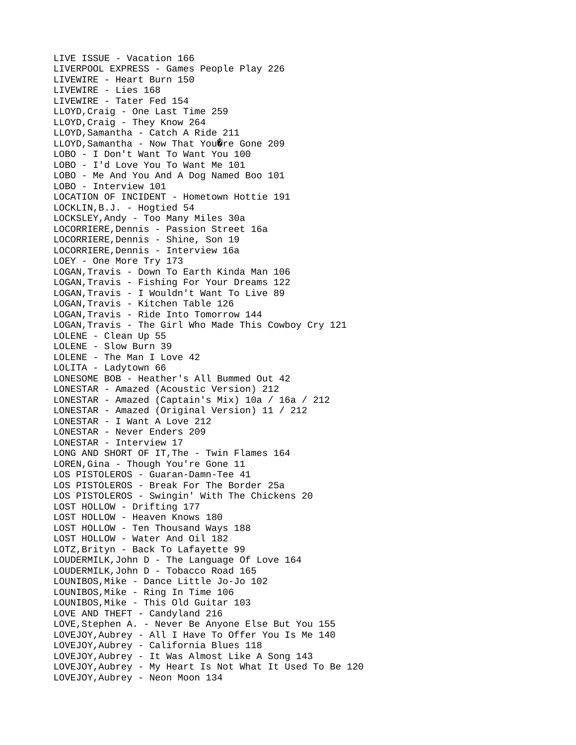LIVE ISSUE - Vacation 166 LIVERPOOL EXPRESS - Games People Play 226 LIVEWIRE - Heart Burn 150 LIVEWIRE - Lies 168 LIVEWIRE - Tater Fed 154 LLOYD,Craig - One Last Time 259 LLOYD, Craig - They Know 264 LLOYD,Samantha - Catch A Ride 211  $LLOYD$ , Samantha - Now That You $\hat{Q}$ re Gone 209 LOBO - I Don't Want To Want You 100 LOBO - I'd Love You To Want Me 101 LOBO - Me And You And A Dog Named Boo 101 LOBO - Interview 101 LOCATION OF INCIDENT - Hometown Hottie 191 LOCKLIN,B.J. - Hogtied 54 LOCKSLEY,Andy - Too Many Miles 30a LOCORRIERE,Dennis - Passion Street 16a LOCORRIERE,Dennis - Shine, Son 19 LOCORRIERE,Dennis - Interview 16a LOEY - One More Try 173 LOGAN,Travis - Down To Earth Kinda Man 106 LOGAN,Travis - Fishing For Your Dreams 122 LOGAN,Travis - I Wouldn't Want To Live 89 LOGAN,Travis - Kitchen Table 126 LOGAN,Travis - Ride Into Tomorrow 144 LOGAN,Travis - The Girl Who Made This Cowboy Cry 121 LOLENE - Clean Up 55 LOLENE - Slow Burn 39 LOLENE - The Man I Love 42 LOLITA - Ladytown 66 LONESOME BOB - Heather's All Bummed Out 42 LONESTAR - Amazed (Acoustic Version) 212 LONESTAR - Amazed (Captain's Mix) 10a / 16a / 212 LONESTAR - Amazed (Original Version) 11 / 212 LONESTAR - I Want A Love 212 LONESTAR - Never Enders 209 LONESTAR - Interview 17 LONG AND SHORT OF IT,The - Twin Flames 164 LOREN,Gina - Though You're Gone 11 LOS PISTOLEROS - Guaran-Damn-Tee 41 LOS PISTOLEROS - Break For The Border 25a LOS PISTOLEROS - Swingin' With The Chickens 20 LOST HOLLOW - Drifting 177 LOST HOLLOW - Heaven Knows 180 LOST HOLLOW - Ten Thousand Ways 188 LOST HOLLOW - Water And Oil 182 LOTZ,Brityn - Back To Lafayette 99 LOUDERMILK,John D - The Language Of Love 164 LOUDERMILK,John D - Tobacco Road 165 LOUNIBOS,Mike - Dance Little Jo-Jo 102 LOUNIBOS,Mike - Ring In Time 106 LOUNIBOS,Mike - This Old Guitar 103 LOVE AND THEFT - Candyland 216 LOVE,Stephen A. - Never Be Anyone Else But You 155 LOVEJOY,Aubrey - All I Have To Offer You Is Me 140 LOVEJOY,Aubrey - California Blues 118 LOVEJOY,Aubrey - It Was Almost Like A Song 143 LOVEJOY,Aubrey - My Heart Is Not What It Used To Be 120 LOVEJOY,Aubrey - Neon Moon 134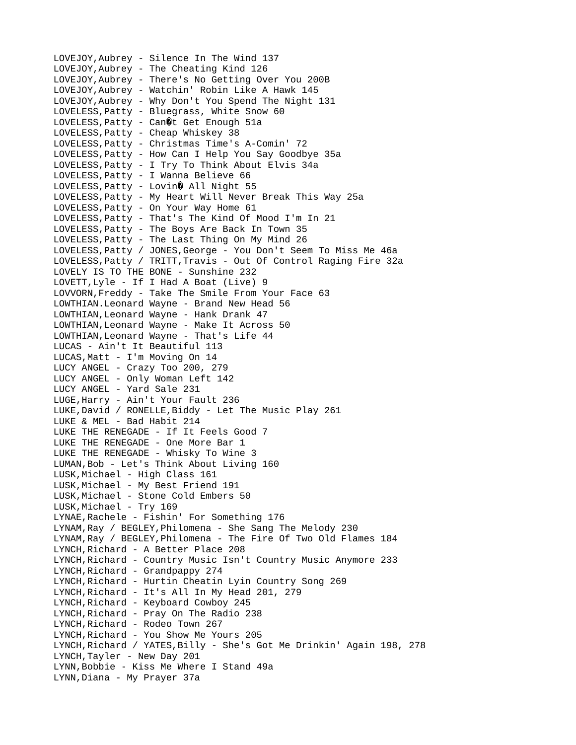LOVEJOY,Aubrey - Silence In The Wind 137 LOVEJOY,Aubrey - The Cheating Kind 126 LOVEJOY,Aubrey - There's No Getting Over You 200B LOVEJOY,Aubrey - Watchin' Robin Like A Hawk 145 LOVEJOY,Aubrey - Why Don't You Spend The Night 131 LOVELESS,Patty - Bluegrass, White Snow 60 LOVELESS, Patty - Can $\hat{\mathcal{C}}$ t Get Enough 51a LOVELESS,Patty - Cheap Whiskey 38 LOVELESS,Patty - Christmas Time's A-Comin' 72 LOVELESS,Patty - How Can I Help You Say Goodbye 35a LOVELESS,Patty - I Try To Think About Elvis 34a LOVELESS,Patty - I Wanna Believe 66 LOVELESS, Patty - Lovin $\hat{\mathbf{\theta}}$  All Night 55 LOVELESS,Patty - My Heart Will Never Break This Way 25a LOVELESS,Patty - On Your Way Home 61 LOVELESS,Patty - That's The Kind Of Mood I'm In 21 LOVELESS,Patty - The Boys Are Back In Town 35 LOVELESS,Patty - The Last Thing On My Mind 26 LOVELESS,Patty / JONES,George - You Don't Seem To Miss Me 46a LOVELESS,Patty / TRITT,Travis - Out Of Control Raging Fire 32a LOVELY IS TO THE BONE - Sunshine 232 LOVETT,Lyle - If I Had A Boat (Live) 9 LOVVORN,Freddy - Take The Smile From Your Face 63 LOWTHIAN.Leonard Wayne - Brand New Head 56 LOWTHIAN,Leonard Wayne - Hank Drank 47 LOWTHIAN,Leonard Wayne - Make It Across 50 LOWTHIAN,Leonard Wayne - That's Life 44 LUCAS - Ain't It Beautiful 113 LUCAS,Matt - I'm Moving On 14 LUCY ANGEL - Crazy Too 200, 279 LUCY ANGEL - Only Woman Left 142 LUCY ANGEL - Yard Sale 231 LUGE,Harry - Ain't Your Fault 236 LUKE,David / RONELLE,Biddy - Let The Music Play 261 LUKE & MEL - Bad Habit 214 LUKE THE RENEGADE - If It Feels Good 7 LUKE THE RENEGADE - One More Bar 1 LUKE THE RENEGADE - Whisky To Wine 3 LUMAN,Bob - Let's Think About Living 160 LUSK,Michael - High Class 161 LUSK,Michael - My Best Friend 191 LUSK,Michael - Stone Cold Embers 50 LUSK, Michael - Try 169 LYNAE, Rachele - Fishin' For Something 176 LYNAM,Ray / BEGLEY,Philomena - She Sang The Melody 230 LYNAM,Ray / BEGLEY,Philomena - The Fire Of Two Old Flames 184 LYNCH,Richard - A Better Place 208 LYNCH,Richard - Country Music Isn't Country Music Anymore 233 LYNCH, Richard - Grandpappy 274 LYNCH,Richard - Hurtin Cheatin Lyin Country Song 269 LYNCH,Richard - It's All In My Head 201, 279 LYNCH,Richard - Keyboard Cowboy 245 LYNCH,Richard - Pray On The Radio 238 LYNCH,Richard - Rodeo Town 267 LYNCH,Richard - You Show Me Yours 205 LYNCH,Richard / YATES,Billy - She's Got Me Drinkin' Again 198, 278 LYNCH,Tayler - New Day 201 LYNN,Bobbie - Kiss Me Where I Stand 49a LYNN,Diana - My Prayer 37a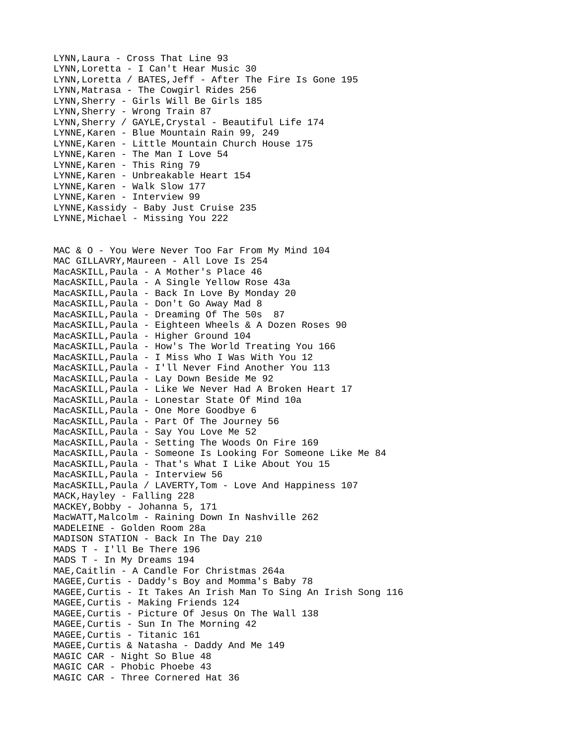LYNN,Laura - Cross That Line 93 LYNN,Loretta - I Can't Hear Music 30 LYNN,Loretta / BATES,Jeff - After The Fire Is Gone 195 LYNN,Matrasa - The Cowgirl Rides 256 LYNN,Sherry - Girls Will Be Girls 185 LYNN,Sherry - Wrong Train 87 LYNN,Sherry / GAYLE,Crystal - Beautiful Life 174 LYNNE,Karen - Blue Mountain Rain 99, 249 LYNNE,Karen - Little Mountain Church House 175 LYNNE, Karen - The Man I Love 54 LYNNE, Karen - This Ring 79 LYNNE, Karen - Unbreakable Heart 154 LYNNE,Karen - Walk Slow 177 LYNNE, Karen - Interview 99 LYNNE,Kassidy - Baby Just Cruise 235 LYNNE, Michael - Missing You 222 MAC & O - You Were Never Too Far From My Mind 104 MAC GILLAVRY, Maureen - All Love Is 254 MacASKILL,Paula - A Mother's Place 46 MacASKILL,Paula - A Single Yellow Rose 43a MacASKILL,Paula - Back In Love By Monday 20 MacASKILL,Paula - Don't Go Away Mad 8 MacASKILL,Paula - Dreaming Of The 50s 87 MacASKILL,Paula - Eighteen Wheels & A Dozen Roses 90 MacASKILL,Paula - Higher Ground 104 MacASKILL,Paula - How's The World Treating You 166 MacASKILL,Paula - I Miss Who I Was With You 12 MacASKILL,Paula - I'll Never Find Another You 113 MacASKILL,Paula - Lay Down Beside Me 92 MacASKILL,Paula - Like We Never Had A Broken Heart 17 MacASKILL,Paula - Lonestar State Of Mind 10a MacASKILL,Paula - One More Goodbye 6 MacASKILL,Paula - Part Of The Journey 56 MacASKILL,Paula - Say You Love Me 52 MacASKILL,Paula - Setting The Woods On Fire 169 MacASKILL,Paula - Someone Is Looking For Someone Like Me 84 MacASKILL,Paula - That's What I Like About You 15 MacASKILL,Paula - Interview 56 MacASKILL, Paula / LAVERTY, Tom - Love And Happiness 107 MACK,Hayley - Falling 228 MACKEY, Bobby - Johanna 5, 171 MacWATT,Malcolm - Raining Down In Nashville 262 MADELEINE - Golden Room 28a MADISON STATION - Back In The Day 210 MADS T - I'll Be There 196 MADS T - In My Dreams 194 MAE,Caitlin - A Candle For Christmas 264a MAGEE,Curtis - Daddy's Boy and Momma's Baby 78 MAGEE,Curtis - It Takes An Irish Man To Sing An Irish Song 116 MAGEE,Curtis - Making Friends 124 MAGEE,Curtis - Picture Of Jesus On The Wall 138 MAGEE,Curtis - Sun In The Morning 42 MAGEE,Curtis - Titanic 161 MAGEE,Curtis & Natasha - Daddy And Me 149 MAGIC CAR - Night So Blue 48 MAGIC CAR - Phobic Phoebe 43 MAGIC CAR - Three Cornered Hat 36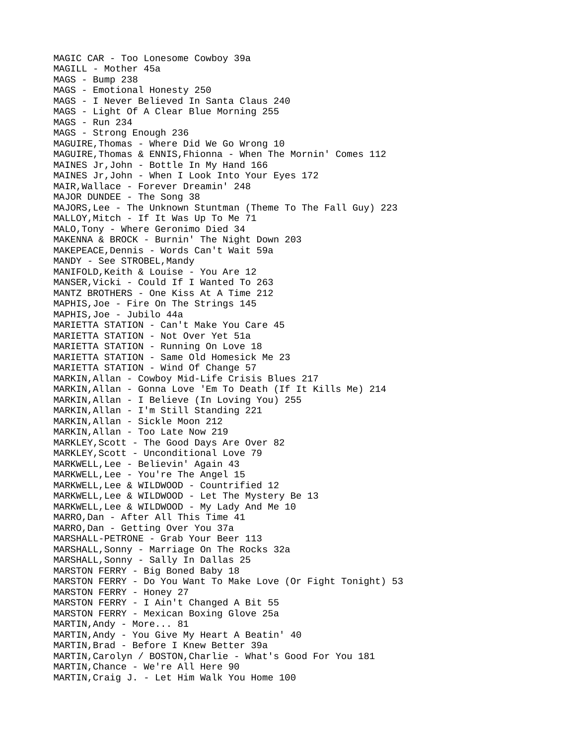MAGIC CAR - Too Lonesome Cowboy 39a MAGILL - Mother 45a MAGS - Bump 238 MAGS - Emotional Honesty 250 MAGS - I Never Believed In Santa Claus 240 MAGS - Light Of A Clear Blue Morning 255 MAGS - Run 234 MAGS - Strong Enough 236 MAGUIRE,Thomas - Where Did We Go Wrong 10 MAGUIRE,Thomas & ENNIS,Fhionna - When The Mornin' Comes 112 MAINES Jr,John - Bottle In My Hand 166 MAINES Jr,John - When I Look Into Your Eyes 172 MAIR,Wallace - Forever Dreamin' 248 MAJOR DUNDEE - The Song 38 MAJORS,Lee - The Unknown Stuntman (Theme To The Fall Guy) 223 MALLOY, Mitch - If It Was Up To Me 71 MALO,Tony - Where Geronimo Died 34 MAKENNA & BROCK - Burnin' The Night Down 203 MAKEPEACE,Dennis - Words Can't Wait 59a MANDY - See STROBEL, Mandy MANIFOLD,Keith & Louise - You Are 12 MANSER,Vicki - Could If I Wanted To 263 MANTZ BROTHERS - One Kiss At A Time 212 MAPHIS,Joe - Fire On The Strings 145 MAPHIS,Joe - Jubilo 44a MARIETTA STATION - Can't Make You Care 45 MARIETTA STATION - Not Over Yet 51a MARIETTA STATION - Running On Love 18 MARIETTA STATION - Same Old Homesick Me 23 MARIETTA STATION - Wind Of Change 57 MARKIN,Allan - Cowboy Mid-Life Crisis Blues 217 MARKIN,Allan - Gonna Love 'Em To Death (If It Kills Me) 214 MARKIN,Allan - I Believe (In Loving You) 255 MARKIN,Allan - I'm Still Standing 221 MARKIN,Allan - Sickle Moon 212 MARKIN,Allan - Too Late Now 219 MARKLEY,Scott - The Good Days Are Over 82 MARKLEY,Scott - Unconditional Love 79 MARKWELL,Lee - Believin' Again 43 MARKWELL,Lee - You're The Angel 15 MARKWELL,Lee & WILDWOOD - Countrified 12 MARKWELL,Lee & WILDWOOD - Let The Mystery Be 13 MARKWELL,Lee & WILDWOOD - My Lady And Me 10 MARRO, Dan - After All This Time 41 MARRO,Dan - Getting Over You 37a MARSHALL-PETRONE - Grab Your Beer 113 MARSHALL,Sonny - Marriage On The Rocks 32a MARSHALL,Sonny - Sally In Dallas 25 MARSTON FERRY - Big Boned Baby 18 MARSTON FERRY - Do You Want To Make Love (Or Fight Tonight) 53 MARSTON FERRY - Honey 27 MARSTON FERRY - I Ain't Changed A Bit 55 MARSTON FERRY - Mexican Boxing Glove 25a MARTIN,Andy - More... 81 MARTIN,Andy - You Give My Heart A Beatin' 40 MARTIN,Brad - Before I Knew Better 39a MARTIN, Carolyn / BOSTON, Charlie - What's Good For You 181 MARTIN,Chance - We're All Here 90 MARTIN,Craig J. - Let Him Walk You Home 100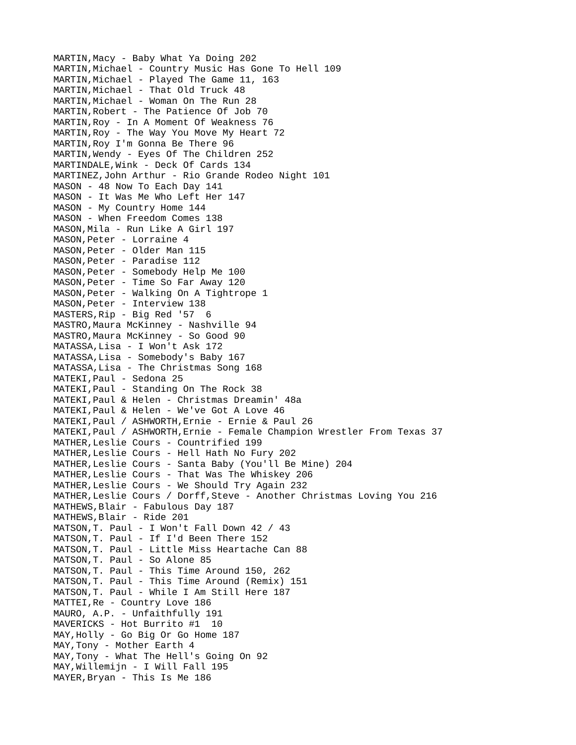MARTIN,Macy - Baby What Ya Doing 202 MARTIN, Michael - Country Music Has Gone To Hell 109 MARTIN,Michael - Played The Game 11, 163 MARTIN, Michael - That Old Truck 48 MARTIN, Michael - Woman On The Run 28 MARTIN,Robert - The Patience Of Job 70 MARTIN,Roy - In A Moment Of Weakness 76 MARTIN,Roy - The Way You Move My Heart 72 MARTIN,Roy I'm Gonna Be There 96 MARTIN,Wendy - Eyes Of The Children 252 MARTINDALE, Wink - Deck Of Cards 134 MARTINEZ,John Arthur - Rio Grande Rodeo Night 101 MASON - 48 Now To Each Day 141 MASON - It Was Me Who Left Her 147 MASON - My Country Home 144 MASON - When Freedom Comes 138 MASON,Mila - Run Like A Girl 197 MASON,Peter - Lorraine 4 MASON,Peter - Older Man 115 MASON,Peter - Paradise 112 MASON,Peter - Somebody Help Me 100 MASON,Peter - Time So Far Away 120 MASON,Peter - Walking On A Tightrope 1 MASON,Peter - Interview 138 MASTERS,Rip - Big Red '57 6 MASTRO, Maura McKinney - Nashville 94 MASTRO, Maura McKinney - So Good 90 MATASSA,Lisa - I Won't Ask 172 MATASSA,Lisa - Somebody's Baby 167 MATASSA,Lisa - The Christmas Song 168 MATEKI,Paul - Sedona 25 MATEKI,Paul - Standing On The Rock 38 MATEKI,Paul & Helen - Christmas Dreamin' 48a MATEKI,Paul & Helen - We've Got A Love 46 MATEKI,Paul / ASHWORTH,Ernie - Ernie & Paul 26 MATEKI,Paul / ASHWORTH,Ernie - Female Champion Wrestler From Texas 37 MATHER,Leslie Cours - Countrified 199 MATHER,Leslie Cours - Hell Hath No Fury 202 MATHER,Leslie Cours - Santa Baby (You'll Be Mine) 204 MATHER,Leslie Cours - That Was The Whiskey 206 MATHER,Leslie Cours - We Should Try Again 232 MATHER,Leslie Cours / Dorff,Steve - Another Christmas Loving You 216 MATHEWS,Blair - Fabulous Day 187 MATHEWS,Blair - Ride 201 MATSON,T. Paul - I Won't Fall Down 42 / 43 MATSON,T. Paul - If I'd Been There 152 MATSON,T. Paul - Little Miss Heartache Can 88 MATSON,T. Paul - So Alone 85 MATSON,T. Paul - This Time Around 150, 262 MATSON,T. Paul - This Time Around (Remix) 151 MATSON,T. Paul - While I Am Still Here 187 MATTEI,Re - Country Love 186 MAURO, A.P. - Unfaithfully 191 MAVERICKS - Hot Burrito #1 10 MAY, Holly - Go Big Or Go Home 187 MAY,Tony - Mother Earth 4 MAY,Tony - What The Hell's Going On 92 MAY,Willemijn - I Will Fall 195 MAYER,Bryan - This Is Me 186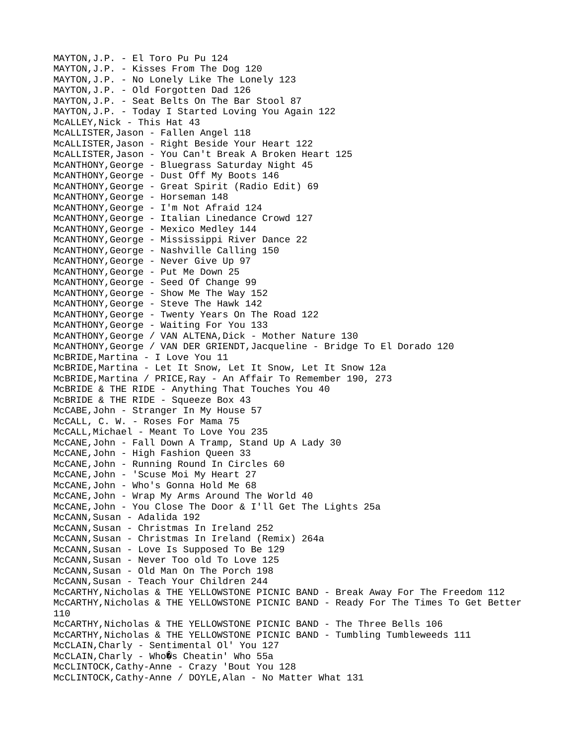MAYTON,J.P. - El Toro Pu Pu 124 MAYTON,J.P. - Kisses From The Dog 120 MAYTON,J.P. - No Lonely Like The Lonely 123 MAYTON,J.P. - Old Forgotten Dad 126 MAYTON,J.P. - Seat Belts On The Bar Stool 87 MAYTON,J.P. - Today I Started Loving You Again 122 McALLEY, Nick - This Hat 43 McALLISTER,Jason - Fallen Angel 118 McALLISTER,Jason - Right Beside Your Heart 122 McALLISTER,Jason - You Can't Break A Broken Heart 125 McANTHONY,George - Bluegrass Saturday Night 45 McANTHONY,George - Dust Off My Boots 146 McANTHONY,George - Great Spirit (Radio Edit) 69 McANTHONY, George - Horseman 148 McANTHONY,George - I'm Not Afraid 124 McANTHONY,George - Italian Linedance Crowd 127 McANTHONY,George - Mexico Medley 144 McANTHONY,George - Mississippi River Dance 22 McANTHONY,George - Nashville Calling 150 McANTHONY,George - Never Give Up 97 McANTHONY,George - Put Me Down 25 McANTHONY,George - Seed Of Change 99 McANTHONY,George - Show Me The Way 152 McANTHONY,George - Steve The Hawk 142 McANTHONY,George - Twenty Years On The Road 122 McANTHONY,George - Waiting For You 133 McANTHONY, George / VAN ALTENA, Dick - Mother Nature 130 McANTHONY,George / VAN DER GRIENDT,Jacqueline - Bridge To El Dorado 120 McBRIDE,Martina - I Love You 11 McBRIDE,Martina - Let It Snow, Let It Snow, Let It Snow 12a McBRIDE,Martina / PRICE,Ray - An Affair To Remember 190, 273 McBRIDE & THE RIDE - Anything That Touches You 40 McBRIDE & THE RIDE - Squeeze Box 43 McCABE,John - Stranger In My House 57 McCALL, C. W. - Roses For Mama 75 McCALL,Michael - Meant To Love You 235 McCANE,John - Fall Down A Tramp, Stand Up A Lady 30 McCANE,John - High Fashion Queen 33 McCANE,John - Running Round In Circles 60 McCANE,John - 'Scuse Moi My Heart 27 McCANE,John - Who's Gonna Hold Me 68 McCANE,John - Wrap My Arms Around The World 40 McCANE,John - You Close The Door & I'll Get The Lights 25a McCANN, Susan - Adalida 192 McCANN,Susan - Christmas In Ireland 252 McCANN,Susan - Christmas In Ireland (Remix) 264a McCANN,Susan - Love Is Supposed To Be 129 McCANN,Susan - Never Too old To Love 125 McCANN,Susan - Old Man On The Porch 198 McCANN, Susan - Teach Your Children 244 McCARTHY,Nicholas & THE YELLOWSTONE PICNIC BAND - Break Away For The Freedom 112 McCARTHY,Nicholas & THE YELLOWSTONE PICNIC BAND - Ready For The Times To Get Better 110 McCARTHY, Nicholas & THE YELLOWSTONE PICNIC BAND - The Three Bells 106 McCARTHY, Nicholas & THE YELLOWSTONE PICNIC BAND - Tumbling Tumbleweeds 111 McCLAIN,Charly - Sentimental Ol' You 127  $McCLAIN, Charly - Who@s Cheatin' Who 55a$ McCLINTOCK,Cathy-Anne - Crazy 'Bout You 128 McCLINTOCK,Cathy-Anne / DOYLE,Alan - No Matter What 131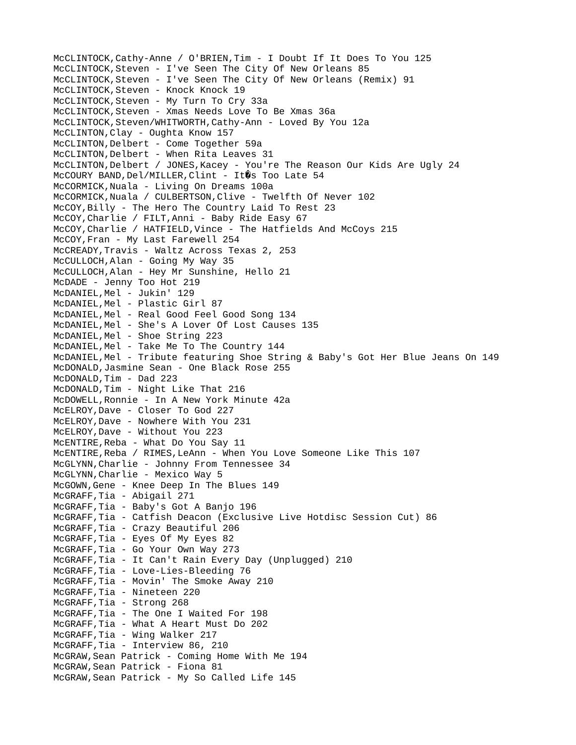McCLINTOCK,Cathy-Anne / O'BRIEN,Tim - I Doubt If It Does To You 125 McCLINTOCK,Steven - I've Seen The City Of New Orleans 85 McCLINTOCK,Steven - I've Seen The City Of New Orleans (Remix) 91 McCLINTOCK, Steven - Knock Knock 19 McCLINTOCK,Steven - My Turn To Cry 33a McCLINTOCK,Steven - Xmas Needs Love To Be Xmas 36a McCLINTOCK,Steven/WHITWORTH,Cathy-Ann - Loved By You 12a McCLINTON,Clay - Oughta Know 157 McCLINTON,Delbert - Come Together 59a McCLINTON, Delbert - When Rita Leaves 31 McCLINTON,Delbert / JONES,Kacey - You're The Reason Our Kids Are Ugly 24 McCOURY BAND, Del/MILLER, Clint - It 0s Too Late 54 McCORMICK,Nuala - Living On Dreams 100a McCORMICK,Nuala / CULBERTSON,Clive - Twelfth Of Never 102 McCOY,Billy - The Hero The Country Laid To Rest 23 McCOY,Charlie / FILT,Anni - Baby Ride Easy 67 McCOY,Charlie / HATFIELD,Vince - The Hatfields And McCoys 215 McCOY,Fran - My Last Farewell 254 McCREADY,Travis - Waltz Across Texas 2, 253 McCULLOCH, Alan - Going My Way 35 McCULLOCH,Alan - Hey Mr Sunshine, Hello 21 McDADE - Jenny Too Hot 219 McDANIEL, Mel - Jukin' 129 McDANIEL, Mel - Plastic Girl 87 McDANIEL,Mel - Real Good Feel Good Song 134 McDANIEL,Mel - She's A Lover Of Lost Causes 135 McDANIEL, Mel - Shoe String 223 McDANIEL,Mel - Take Me To The Country 144 McDANIEL,Mel - Tribute featuring Shoe String & Baby's Got Her Blue Jeans On 149 McDONALD,Jasmine Sean - One Black Rose 255 McDONALD,Tim - Dad 223 McDONALD,Tim - Night Like That 216 McDOWELL,Ronnie - In A New York Minute 42a McELROY,Dave - Closer To God 227 McELROY,Dave - Nowhere With You 231 McELROY,Dave - Without You 223 McENTIRE,Reba - What Do You Say 11 McENTIRE,Reba / RIMES,LeAnn - When You Love Someone Like This 107 McGLYNN,Charlie - Johnny From Tennessee 34 McGLYNN,Charlie - Mexico Way 5 McGOWN,Gene - Knee Deep In The Blues 149 McGRAFF,Tia - Abigail 271 McGRAFF,Tia - Baby's Got A Banjo 196 McGRAFF,Tia - Catfish Deacon (Exclusive Live Hotdisc Session Cut) 86 McGRAFF,Tia - Crazy Beautiful 206 McGRAFF,Tia - Eyes Of My Eyes 82 McGRAFF,Tia - Go Your Own Way 273 McGRAFF,Tia - It Can't Rain Every Day (Unplugged) 210 McGRAFF,Tia - Love-Lies-Bleeding 76 McGRAFF,Tia - Movin' The Smoke Away 210 McGRAFF,Tia - Nineteen 220 McGRAFF, Tia - Strong 268 McGRAFF,Tia - The One I Waited For 198 McGRAFF,Tia - What A Heart Must Do 202 McGRAFF,Tia - Wing Walker 217 McGRAFF,Tia - Interview 86, 210 McGRAW,Sean Patrick - Coming Home With Me 194 McGRAW,Sean Patrick - Fiona 81 McGRAW,Sean Patrick - My So Called Life 145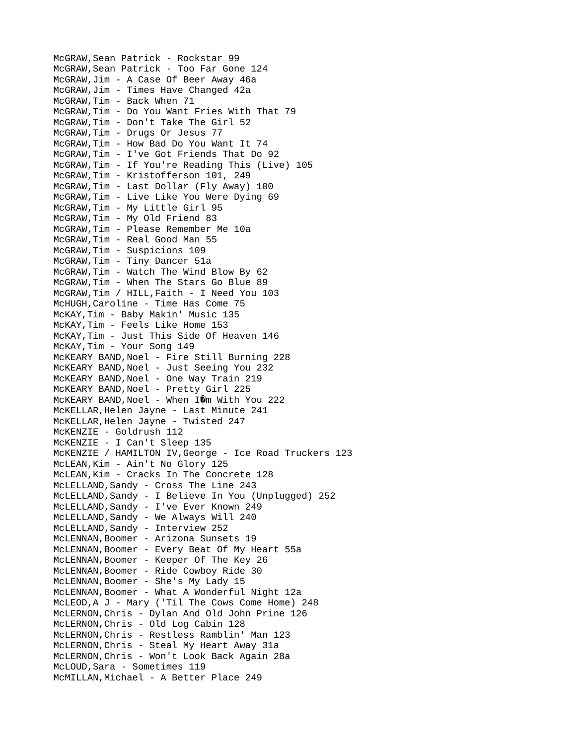McGRAW,Sean Patrick - Rockstar 99 McGRAW,Sean Patrick - Too Far Gone 124 McGRAW,Jim - A Case Of Beer Away 46a McGRAW,Jim - Times Have Changed 42a McGRAW,Tim - Back When 71 McGRAW,Tim - Do You Want Fries With That 79 McGRAW,Tim - Don't Take The Girl 52 McGRAW,Tim - Drugs Or Jesus 77 McGRAW,Tim - How Bad Do You Want It 74 McGRAW,Tim - I've Got Friends That Do 92 McGRAW,Tim - If You're Reading This (Live) 105 McGRAW,Tim - Kristofferson 101, 249 McGRAW,Tim - Last Dollar (Fly Away) 100 McGRAW,Tim - Live Like You Were Dying 69 McGRAW,Tim - My Little Girl 95 McGRAW,Tim - My Old Friend 83 McGRAW,Tim - Please Remember Me 10a McGRAW,Tim - Real Good Man 55 McGRAW,Tim - Suspicions 109 McGRAW,Tim - Tiny Dancer 51a McGRAW,Tim - Watch The Wind Blow By 62 McGRAW,Tim - When The Stars Go Blue 89 McGRAW,Tim / HILL,Faith - I Need You 103 McHUGH,Caroline - Time Has Come 75 McKAY,Tim - Baby Makin' Music 135 McKAY,Tim - Feels Like Home 153 McKAY,Tim - Just This Side Of Heaven 146 McKAY,Tim - Your Song 149 McKEARY BAND, Noel - Fire Still Burning 228 McKEARY BAND, Noel - Just Seeing You 232 McKEARY BAND, Noel - One Way Train 219 McKEARY BAND,Noel - Pretty Girl 225 MCKEARY BAND, Noel - When  $I\hat{\mathbf{Q}}$ m With You 222 McKELLAR,Helen Jayne - Last Minute 241 McKELLAR,Helen Jayne - Twisted 247 McKENZIE - Goldrush 112 McKENZIE - I Can't Sleep 135 McKENZIE / HAMILTON IV,George - Ice Road Truckers 123 McLEAN,Kim - Ain't No Glory 125 McLEAN,Kim - Cracks In The Concrete 128 McLELLAND,Sandy - Cross The Line 243 McLELLAND,Sandy - I Believe In You (Unplugged) 252 McLELLAND,Sandy - I've Ever Known 249 McLELLAND,Sandy - We Always Will 240 McLELLAND, Sandy - Interview 252 McLENNAN, Boomer - Arizona Sunsets 19 McLENNAN,Boomer - Every Beat Of My Heart 55a McLENNAN,Boomer - Keeper Of The Key 26 McLENNAN,Boomer - Ride Cowboy Ride 30 McLENNAN, Boomer - She's My Lady 15 McLENNAN, Boomer - What A Wonderful Night 12a McLEOD,A J - Mary ('Til The Cows Come Home) 248 McLERNON,Chris - Dylan And Old John Prine 126 McLERNON,Chris - Old Log Cabin 128 McLERNON,Chris - Restless Ramblin' Man 123 McLERNON,Chris - Steal My Heart Away 31a McLERNON,Chris - Won't Look Back Again 28a McLOUD,Sara - Sometimes 119 McMILLAN,Michael - A Better Place 249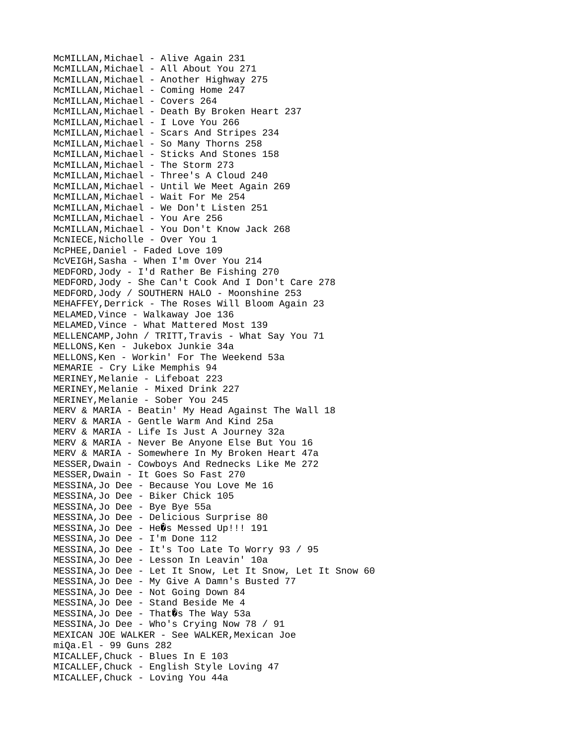McMILLAN, Michael - Alive Again 231 McMILLAN,Michael - All About You 271 McMILLAN, Michael - Another Highway 275 McMILLAN, Michael - Coming Home 247 MCMILLAN, Michael - Covers 264 MCMILLAN, Michael - Death By Broken Heart 237 McMILLAN, Michael - I Love You 266 McMILLAN, Michael - Scars And Stripes 234 McMILLAN, Michael - So Many Thorns 258 McMILLAN, Michael - Sticks And Stones 158 McMILLAN, Michael - The Storm 273 McMILLAN, Michael - Three's A Cloud 240 McMILLAN,Michael - Until We Meet Again 269 McMILLAN, Michael - Wait For Me 254 McMILLAN, Michael - We Don't Listen 251 MCMILLAN, Michael - You Are 256 McMILLAN,Michael - You Don't Know Jack 268 McNIECE,Nicholle - Over You 1 McPHEE,Daniel - Faded Love 109 McVEIGH,Sasha - When I'm Over You 214 MEDFORD,Jody - I'd Rather Be Fishing 270 MEDFORD,Jody - She Can't Cook And I Don't Care 278 MEDFORD,Jody / SOUTHERN HALO - Moonshine 253 MEHAFFEY,Derrick - The Roses Will Bloom Again 23 MELAMED,Vince - Walkaway Joe 136 MELAMED,Vince - What Mattered Most 139 MELLENCAMP, John / TRITT, Travis - What Say You 71 MELLONS,Ken - Jukebox Junkie 34a MELLONS,Ken - Workin' For The Weekend 53a MEMARIE - Cry Like Memphis 94 MERINEY,Melanie - Lifeboat 223 MERINEY,Melanie - Mixed Drink 227 MERINEY,Melanie - Sober You 245 MERV & MARIA - Beatin' My Head Against The Wall 18 MERV & MARIA - Gentle Warm And Kind 25a MERV & MARIA - Life Is Just A Journey 32a MERV & MARIA - Never Be Anyone Else But You 16 MERV & MARIA - Somewhere In My Broken Heart 47a MESSER,Dwain - Cowboys And Rednecks Like Me 272 MESSER,Dwain - It Goes So Fast 270 MESSINA,Jo Dee - Because You Love Me 16 MESSINA,Jo Dee - Biker Chick 105 MESSINA,Jo Dee - Bye Bye 55a MESSINA,Jo Dee - Delicious Surprise 80 MESSINA, Jo Dee - HeOs Messed Up!!! 191 MESSINA,Jo Dee - I'm Done 112 MESSINA,Jo Dee - It's Too Late To Worry 93 / 95 MESSINA,Jo Dee - Lesson In Leavin' 10a MESSINA,Jo Dee - Let It Snow, Let It Snow, Let It Snow 60 MESSINA,Jo Dee - My Give A Damn's Busted 77 MESSINA,Jo Dee - Not Going Down 84 MESSINA,Jo Dee - Stand Beside Me 4  $MESSINA,$  Jo Dee - That  $\emptyset$ s The Way 53a MESSINA,Jo Dee - Who's Crying Now 78 / 91 MEXICAN JOE WALKER - See WALKER,Mexican Joe miQa.El - 99 Guns 282 MICALLEF,Chuck - Blues In E 103 MICALLEF,Chuck - English Style Loving 47 MICALLEF,Chuck - Loving You 44a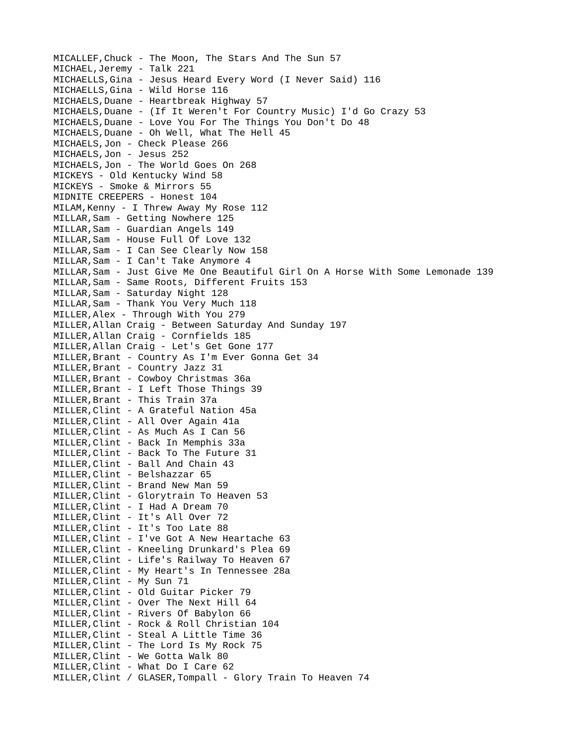MICALLEF,Chuck - The Moon, The Stars And The Sun 57 MICHAEL, Jeremy - Talk 221 MICHAELLS,Gina - Jesus Heard Every Word (I Never Said) 116 MICHAELLS,Gina - Wild Horse 116 MICHAELS,Duane - Heartbreak Highway 57 MICHAELS,Duane - (If It Weren't For Country Music) I'd Go Crazy 53 MICHAELS,Duane - Love You For The Things You Don't Do 48 MICHAELS,Duane - Oh Well, What The Hell 45 MICHAELS,Jon - Check Please 266 MICHAELS,Jon - Jesus 252 MICHAELS,Jon - The World Goes On 268 MICKEYS - Old Kentucky Wind 58 MICKEYS - Smoke & Mirrors 55 MIDNITE CREEPERS - Honest 104 MILAM,Kenny - I Threw Away My Rose 112 MILLAR,Sam - Getting Nowhere 125 MILLAR,Sam - Guardian Angels 149 MILLAR,Sam - House Full Of Love 132 MILLAR,Sam - I Can See Clearly Now 158 MILLAR,Sam - I Can't Take Anymore 4 MILLAR,Sam - Just Give Me One Beautiful Girl On A Horse With Some Lemonade 139 MILLAR,Sam - Same Roots, Different Fruits 153 MILLAR,Sam - Saturday Night 128 MILLAR,Sam - Thank You Very Much 118 MILLER,Alex - Through With You 279 MILLER,Allan Craig - Between Saturday And Sunday 197 MILLER,Allan Craig - Cornfields 185 MILLER,Allan Craig - Let's Get Gone 177 MILLER,Brant - Country As I'm Ever Gonna Get 34 MILLER, Brant - Country Jazz 31 MILLER, Brant - Cowboy Christmas 36a MILLER,Brant - I Left Those Things 39 MILLER,Brant - This Train 37a MILLER,Clint - A Grateful Nation 45a MILLER,Clint - All Over Again 41a MILLER, Clint - As Much As I Can 56 MILLER,Clint - Back In Memphis 33a MILLER,Clint - Back To The Future 31 MILLER,Clint - Ball And Chain 43 MILLER,Clint - Belshazzar 65 MILLER,Clint - Brand New Man 59 MILLER,Clint - Glorytrain To Heaven 53 MILLER,Clint - I Had A Dream 70 MILLER,Clint - It's All Over 72 MILLER,Clint - It's Too Late 88 MILLER,Clint - I've Got A New Heartache 63 MILLER,Clint - Kneeling Drunkard's Plea 69 MILLER,Clint - Life's Railway To Heaven 67 MILLER,Clint - My Heart's In Tennessee 28a MILLER,Clint - My Sun 71 MILLER,Clint - Old Guitar Picker 79 MILLER,Clint - Over The Next Hill 64 MILLER,Clint - Rivers Of Babylon 66 MILLER,Clint - Rock & Roll Christian 104 MILLER,Clint - Steal A Little Time 36 MILLER,Clint - The Lord Is My Rock 75 MILLER,Clint - We Gotta Walk 80 MILLER,Clint - What Do I Care 62 MILLER,Clint / GLASER,Tompall - Glory Train To Heaven 74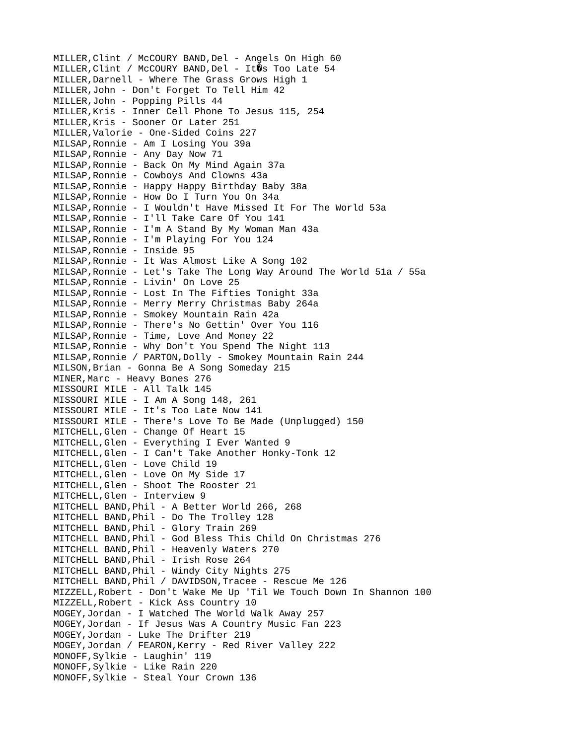MILLER, Clint / McCOURY BAND, Del - Angels On High 60 MILLER, Clint / McCOURY BAND, Del - It0s Too Late 54 MILLER,Darnell - Where The Grass Grows High 1 MILLER,John - Don't Forget To Tell Him 42 MILLER,John - Popping Pills 44 MILLER,Kris - Inner Cell Phone To Jesus 115, 254 MILLER,Kris - Sooner Or Later 251 MILLER,Valorie - One-Sided Coins 227 MILSAP,Ronnie - Am I Losing You 39a MILSAP,Ronnie - Any Day Now 71 MILSAP,Ronnie - Back On My Mind Again 37a MILSAP,Ronnie - Cowboys And Clowns 43a MILSAP,Ronnie - Happy Happy Birthday Baby 38a MILSAP,Ronnie - How Do I Turn You On 34a MILSAP,Ronnie - I Wouldn't Have Missed It For The World 53a MILSAP,Ronnie - I'll Take Care Of You 141 MILSAP,Ronnie - I'm A Stand By My Woman Man 43a MILSAP,Ronnie - I'm Playing For You 124 MILSAP,Ronnie - Inside 95 MILSAP,Ronnie - It Was Almost Like A Song 102 MILSAP,Ronnie - Let's Take The Long Way Around The World 51a / 55a MILSAP,Ronnie - Livin' On Love 25 MILSAP,Ronnie - Lost In The Fifties Tonight 33a MILSAP,Ronnie - Merry Merry Christmas Baby 264a MILSAP,Ronnie - Smokey Mountain Rain 42a MILSAP,Ronnie - There's No Gettin' Over You 116 MILSAP,Ronnie - Time, Love And Money 22 MILSAP,Ronnie - Why Don't You Spend The Night 113 MILSAP,Ronnie / PARTON,Dolly - Smokey Mountain Rain 244 MILSON,Brian - Gonna Be A Song Someday 215 MINER,Marc - Heavy Bones 276 MISSOURI MILE - All Talk 145 MISSOURI MILE - I Am A Song 148, 261 MISSOURI MILE - It's Too Late Now 141 MISSOURI MILE - There's Love To Be Made (Unplugged) 150 MITCHELL,Glen - Change Of Heart 15 MITCHELL,Glen - Everything I Ever Wanted 9 MITCHELL,Glen - I Can't Take Another Honky-Tonk 12 MITCHELL,Glen - Love Child 19 MITCHELL,Glen - Love On My Side 17 MITCHELL,Glen - Shoot The Rooster 21 MITCHELL,Glen - Interview 9 MITCHELL BAND,Phil - A Better World 266, 268 MITCHELL BAND,Phil - Do The Trolley 128 MITCHELL BAND,Phil - Glory Train 269 MITCHELL BAND,Phil - God Bless This Child On Christmas 276 MITCHELL BAND,Phil - Heavenly Waters 270 MITCHELL BAND,Phil - Irish Rose 264 MITCHELL BAND,Phil - Windy City Nights 275 MITCHELL BAND,Phil / DAVIDSON,Tracee - Rescue Me 126 MIZZELL,Robert - Don't Wake Me Up 'Til We Touch Down In Shannon 100 MIZZELL,Robert - Kick Ass Country 10 MOGEY,Jordan - I Watched The World Walk Away 257 MOGEY,Jordan - If Jesus Was A Country Music Fan 223 MOGEY,Jordan - Luke The Drifter 219 MOGEY,Jordan / FEARON,Kerry - Red River Valley 222 MONOFF,Sylkie - Laughin' 119 MONOFF,Sylkie - Like Rain 220 MONOFF,Sylkie - Steal Your Crown 136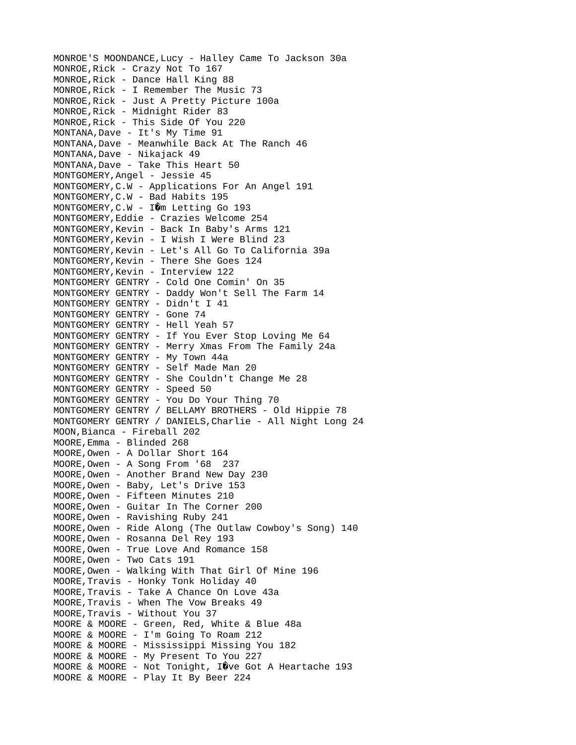MONROE'S MOONDANCE,Lucy - Halley Came To Jackson 30a MONROE,Rick - Crazy Not To 167 MONROE,Rick - Dance Hall King 88 MONROE,Rick - I Remember The Music 73 MONROE,Rick - Just A Pretty Picture 100a MONROE,Rick - Midnight Rider 83 MONROE,Rick - This Side Of You 220 MONTANA,Dave - It's My Time 91 MONTANA,Dave - Meanwhile Back At The Ranch 46 MONTANA,Dave - Nikajack 49 MONTANA,Dave - Take This Heart 50 MONTGOMERY,Angel - Jessie 45 MONTGOMERY,C.W - Applications For An Angel 191 MONTGOMERY,C.W - Bad Habits 195 MONTGOMERY, C.W - IOm Letting Go 193 MONTGOMERY,Eddie - Crazies Welcome 254 MONTGOMERY,Kevin - Back In Baby's Arms 121 MONTGOMERY,Kevin - I Wish I Were Blind 23 MONTGOMERY,Kevin - Let's All Go To California 39a MONTGOMERY,Kevin - There She Goes 124 MONTGOMERY,Kevin - Interview 122 MONTGOMERY GENTRY - Cold One Comin' On 35 MONTGOMERY GENTRY - Daddy Won't Sell The Farm 14 MONTGOMERY GENTRY - Didn't I 41 MONTGOMERY GENTRY - Gone 74 MONTGOMERY GENTRY - Hell Yeah 57 MONTGOMERY GENTRY - If You Ever Stop Loving Me 64 MONTGOMERY GENTRY - Merry Xmas From The Family 24a MONTGOMERY GENTRY - My Town 44a MONTGOMERY GENTRY - Self Made Man 20 MONTGOMERY GENTRY - She Couldn't Change Me 28 MONTGOMERY GENTRY - Speed 50 MONTGOMERY GENTRY - You Do Your Thing 70 MONTGOMERY GENTRY / BELLAMY BROTHERS - Old Hippie 78 MONTGOMERY GENTRY / DANIELS,Charlie - All Night Long 24 MOON,Bianca - Fireball 202 MOORE,Emma - Blinded 268 MOORE,Owen - A Dollar Short 164 MOORE,Owen - A Song From '68 237 MOORE,Owen - Another Brand New Day 230 MOORE,Owen - Baby, Let's Drive 153 MOORE,Owen - Fifteen Minutes 210 MOORE,Owen - Guitar In The Corner 200 MOORE,Owen - Ravishing Ruby 241 MOORE,Owen - Ride Along (The Outlaw Cowboy's Song) 140 MOORE,Owen - Rosanna Del Rey 193 MOORE,Owen - True Love And Romance 158 MOORE,Owen - Two Cats 191 MOORE,Owen - Walking With That Girl Of Mine 196 MOORE,Travis - Honky Tonk Holiday 40 MOORE,Travis - Take A Chance On Love 43a MOORE,Travis - When The Vow Breaks 49 MOORE,Travis - Without You 37 MOORE & MOORE - Green, Red, White & Blue 48a MOORE & MOORE - I'm Going To Roam 212 MOORE & MOORE - Mississippi Missing You 182 MOORE & MOORE - My Present To You 227 MOORE & MOORE - Not Tonight,  $\hat{I}$  ve Got A Heartache 193 MOORE & MOORE - Play It By Beer 224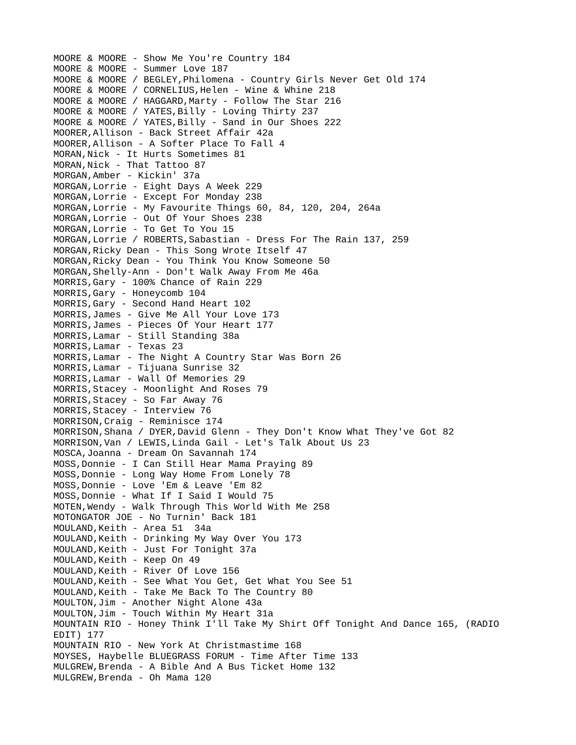MOORE & MOORE - Show Me You're Country 184 MOORE & MOORE - Summer Love 187 MOORE & MOORE / BEGLEY,Philomena - Country Girls Never Get Old 174 MOORE & MOORE / CORNELIUS,Helen - Wine & Whine 218 MOORE & MOORE / HAGGARD,Marty - Follow The Star 216 MOORE & MOORE / YATES,Billy - Loving Thirty 237 MOORE & MOORE / YATES,Billy - Sand in Our Shoes 222 MOORER,Allison - Back Street Affair 42a MOORER,Allison - A Softer Place To Fall 4 MORAN,Nick - It Hurts Sometimes 81 MORAN, Nick - That Tattoo 87 MORGAN,Amber - Kickin' 37a MORGAN,Lorrie - Eight Days A Week 229 MORGAN,Lorrie - Except For Monday 238 MORGAN,Lorrie - My Favourite Things 60, 84, 120, 204, 264a MORGAN,Lorrie - Out Of Your Shoes 238 MORGAN,Lorrie - To Get To You 15 MORGAN,Lorrie / ROBERTS,Sabastian - Dress For The Rain 137, 259 MORGAN,Ricky Dean - This Song Wrote Itself 47 MORGAN,Ricky Dean - You Think You Know Someone 50 MORGAN,Shelly-Ann - Don't Walk Away From Me 46a MORRIS,Gary - 100% Chance of Rain 229 MORRIS,Gary - Honeycomb 104 MORRIS,Gary - Second Hand Heart 102 MORRIS,James - Give Me All Your Love 173 MORRIS,James - Pieces Of Your Heart 177 MORRIS,Lamar - Still Standing 38a MORRIS,Lamar - Texas 23 MORRIS,Lamar - The Night A Country Star Was Born 26 MORRIS,Lamar - Tijuana Sunrise 32 MORRIS,Lamar - Wall Of Memories 29 MORRIS,Stacey - Moonlight And Roses 79 MORRIS,Stacey - So Far Away 76 MORRIS,Stacey - Interview 76 MORRISON,Craig - Reminisce 174 MORRISON,Shana / DYER,David Glenn - They Don't Know What They've Got 82 MORRISON,Van / LEWIS,Linda Gail - Let's Talk About Us 23 MOSCA,Joanna - Dream On Savannah 174 MOSS,Donnie - I Can Still Hear Mama Praying 89 MOSS,Donnie - Long Way Home From Lonely 78 MOSS,Donnie - Love 'Em & Leave 'Em 82 MOSS,Donnie - What If I Said I Would 75 MOTEN,Wendy - Walk Through This World With Me 258 MOTONGATOR JOE - No Turnin' Back 181 MOULAND,Keith - Area 51 34a MOULAND,Keith - Drinking My Way Over You 173 MOULAND,Keith - Just For Tonight 37a MOULAND, Keith - Keep On 49 MOULAND,Keith - River Of Love 156 MOULAND,Keith - See What You Get, Get What You See 51 MOULAND,Keith - Take Me Back To The Country 80 MOULTON,Jim - Another Night Alone 43a MOULTON,Jim - Touch Within My Heart 31a MOUNTAIN RIO - Honey Think I'll Take My Shirt Off Tonight And Dance 165, (RADIO EDIT) 177 MOUNTAIN RIO - New York At Christmastime 168 MOYSES, Haybelle BLUEGRASS FORUM - Time After Time 133 MULGREW,Brenda - A Bible And A Bus Ticket Home 132 MULGREW,Brenda - Oh Mama 120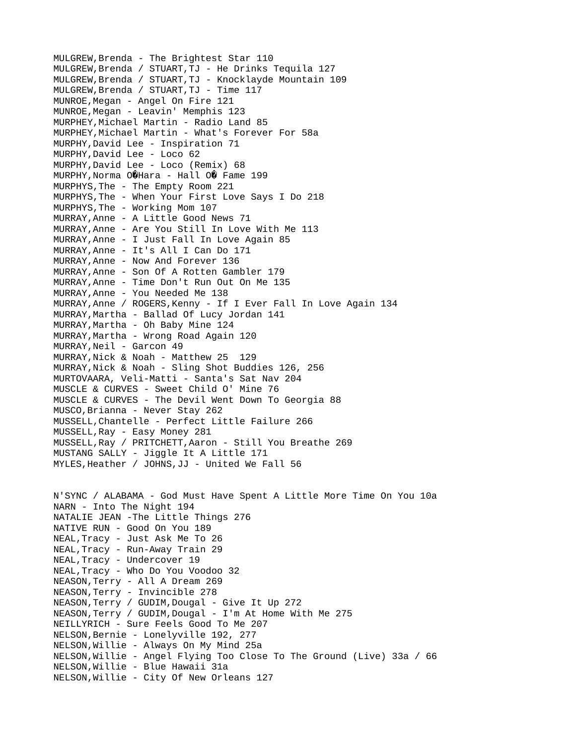MULGREW,Brenda - The Brightest Star 110 MULGREW,Brenda / STUART,TJ - He Drinks Tequila 127 MULGREW,Brenda / STUART,TJ - Knocklayde Mountain 109 MULGREW,Brenda / STUART,TJ - Time 117 MUNROE,Megan - Angel On Fire 121 MUNROE,Megan - Leavin' Memphis 123 MURPHEY, Michael Martin - Radio Land 85 MURPHEY, Michael Martin - What's Forever For 58a MURPHY,David Lee - Inspiration 71 MURPHY,David Lee - Loco 62 MURPHY,David Lee - Loco (Remix) 68 MURPHY, Norma O@Hara - Hall O@ Fame 199 MURPHYS,The - The Empty Room 221 MURPHYS,The - When Your First Love Says I Do 218 MURPHYS,The - Working Mom 107 MURRAY,Anne - A Little Good News 71 MURRAY,Anne - Are You Still In Love With Me 113 MURRAY,Anne - I Just Fall In Love Again 85 MURRAY,Anne - It's All I Can Do 171 MURRAY,Anne - Now And Forever 136 MURRAY,Anne - Son Of A Rotten Gambler 179 MURRAY,Anne - Time Don't Run Out On Me 135 MURRAY,Anne - You Needed Me 138 MURRAY,Anne / ROGERS,Kenny - If I Ever Fall In Love Again 134 MURRAY,Martha - Ballad Of Lucy Jordan 141 MURRAY,Martha - Oh Baby Mine 124 MURRAY,Martha - Wrong Road Again 120 MURRAY, Neil - Garcon 49 MURRAY,Nick & Noah - Matthew 25 129 MURRAY,Nick & Noah - Sling Shot Buddies 126, 256 MURTOVAARA, Veli-Matti - Santa's Sat Nav 204 MUSCLE & CURVES - Sweet Child O' Mine 76 MUSCLE & CURVES - The Devil Went Down To Georgia 88 MUSCO,Brianna - Never Stay 262 MUSSELL,Chantelle - Perfect Little Failure 266 MUSSELL,Ray - Easy Money 281 MUSSELL,Ray / PRITCHETT,Aaron - Still You Breathe 269 MUSTANG SALLY - Jiggle It A Little 171 MYLES, Heather / JOHNS, JJ - United We Fall 56 N'SYNC / ALABAMA - God Must Have Spent A Little More Time On You 10a NARN - Into The Night 194 NATALIE JEAN -The Little Things 276 NATIVE RUN - Good On You 189 NEAL,Tracy - Just Ask Me To 26 NEAL,Tracy - Run-Away Train 29 NEAL,Tracy - Undercover 19 NEAL,Tracy - Who Do You Voodoo 32 NEASON,Terry - All A Dream 269 NEASON,Terry - Invincible 278 NEASON,Terry / GUDIM,Dougal - Give It Up 272 NEASON,Terry / GUDIM,Dougal - I'm At Home With Me 275 NEILLYRICH - Sure Feels Good To Me 207 NELSON,Bernie - Lonelyville 192, 277 NELSON,Willie - Always On My Mind 25a NELSON,Willie - Angel Flying Too Close To The Ground (Live) 33a / 66 NELSON,Willie - Blue Hawaii 31a NELSON,Willie - City Of New Orleans 127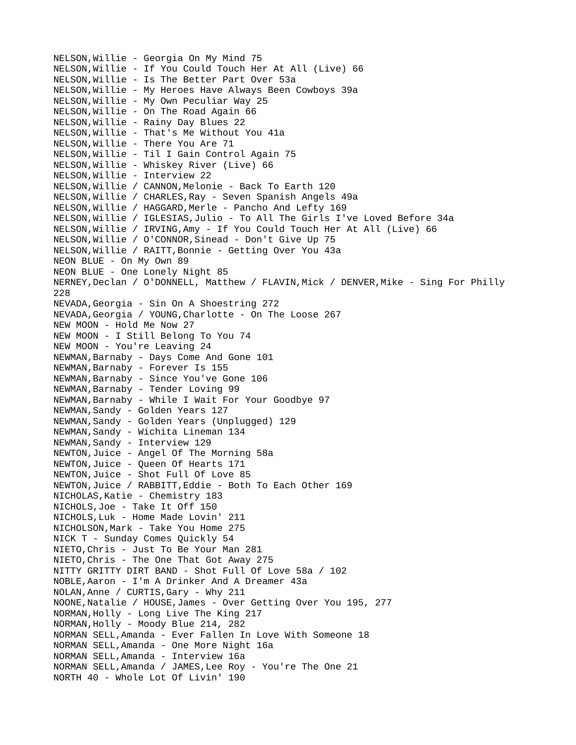NELSON,Willie - Georgia On My Mind 75 NELSON,Willie - If You Could Touch Her At All (Live) 66 NELSON,Willie - Is The Better Part Over 53a NELSON,Willie - My Heroes Have Always Been Cowboys 39a NELSON,Willie - My Own Peculiar Way 25 NELSON,Willie - On The Road Again 66 NELSON,Willie - Rainy Day Blues 22 NELSON,Willie - That's Me Without You 41a NELSON,Willie - There You Are 71 NELSON,Willie - Til I Gain Control Again 75 NELSON,Willie - Whiskey River (Live) 66 NELSON,Willie - Interview 22 NELSON,Willie / CANNON,Melonie - Back To Earth 120 NELSON,Willie / CHARLES,Ray - Seven Spanish Angels 49a NELSON,Willie / HAGGARD,Merle - Pancho And Lefty 169 NELSON,Willie / IGLESIAS,Julio - To All The Girls I've Loved Before 34a NELSON,Willie / IRVING,Amy - If You Could Touch Her At All (Live) 66 NELSON,Willie / O'CONNOR,Sinead - Don't Give Up 75 NELSON,Willie / RAITT,Bonnie - Getting Over You 43a NEON BLUE - On My Own 89 NEON BLUE - One Lonely Night 85 NERNEY,Declan / O'DONNELL, Matthew / FLAVIN,Mick / DENVER,Mike - Sing For Philly 228 NEVADA,Georgia - Sin On A Shoestring 272 NEVADA,Georgia / YOUNG,Charlotte - On The Loose 267 NEW MOON - Hold Me Now 27 NEW MOON - I Still Belong To You 74 NEW MOON - You're Leaving 24 NEWMAN,Barnaby - Days Come And Gone 101 NEWMAN,Barnaby - Forever Is 155 NEWMAN,Barnaby - Since You've Gone 106 NEWMAN,Barnaby - Tender Loving 99 NEWMAN,Barnaby - While I Wait For Your Goodbye 97 NEWMAN,Sandy - Golden Years 127 NEWMAN,Sandy - Golden Years (Unplugged) 129 NEWMAN,Sandy - Wichita Lineman 134 NEWMAN,Sandy - Interview 129 NEWTON,Juice - Angel Of The Morning 58a NEWTON,Juice - Queen Of Hearts 171 NEWTON,Juice - Shot Full Of Love 85 NEWTON,Juice / RABBITT,Eddie - Both To Each Other 169 NICHOLAS,Katie - Chemistry 183 NICHOLS,Joe - Take It Off 150 NICHOLS,Luk - Home Made Lovin' 211 NICHOLSON, Mark - Take You Home 275 NICK T - Sunday Comes Quickly 54 NIETO,Chris - Just To Be Your Man 281 NIETO,Chris - The One That Got Away 275 NITTY GRITTY DIRT BAND - Shot Full Of Love 58a / 102 NOBLE,Aaron - I'm A Drinker And A Dreamer 43a NOLAN,Anne / CURTIS,Gary - Why 211 NOONE,Natalie / HOUSE,James - Over Getting Over You 195, 277 NORMAN,Holly - Long Live The King 217 NORMAN,Holly - Moody Blue 214, 282 NORMAN SELL,Amanda - Ever Fallen In Love With Someone 18 NORMAN SELL,Amanda - One More Night 16a NORMAN SELL,Amanda - Interview 16a NORMAN SELL,Amanda / JAMES,Lee Roy - You're The One 21 NORTH 40 - Whole Lot Of Livin' 190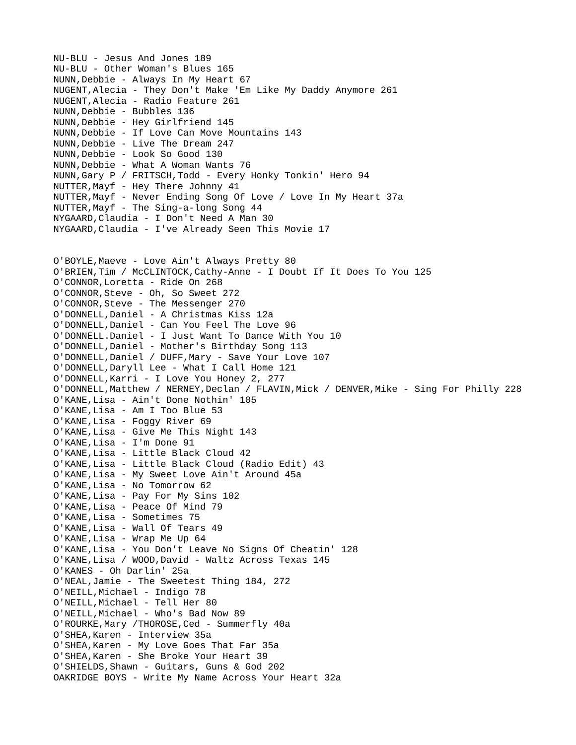NU-BLU - Jesus And Jones 189 NU-BLU - Other Woman's Blues 165 NUNN,Debbie - Always In My Heart 67 NUGENT,Alecia - They Don't Make 'Em Like My Daddy Anymore 261 NUGENT,Alecia - Radio Feature 261 NUNN,Debbie - Bubbles 136 NUNN,Debbie - Hey Girlfriend 145 NUNN,Debbie - If Love Can Move Mountains 143 NUNN, Debbie - Live The Dream 247 NUNN,Debbie - Look So Good 130 NUNN,Debbie - What A Woman Wants 76 NUNN,Gary P / FRITSCH,Todd - Every Honky Tonkin' Hero 94 NUTTER,Mayf - Hey There Johnny 41 NUTTER,Mayf - Never Ending Song Of Love / Love In My Heart 37a NUTTER,Mayf - The Sing-a-long Song 44 NYGAARD,Claudia - I Don't Need A Man 30 NYGAARD,Claudia - I've Already Seen This Movie 17 O'BOYLE,Maeve - Love Ain't Always Pretty 80 O'BRIEN,Tim / McCLINTOCK,Cathy-Anne - I Doubt If It Does To You 125 O'CONNOR,Loretta - Ride On 268 O'CONNOR,Steve - Oh, So Sweet 272 O'CONNOR,Steve - The Messenger 270 O'DONNELL,Daniel - A Christmas Kiss 12a O'DONNELL,Daniel - Can You Feel The Love 96 O'DONNELL.Daniel - I Just Want To Dance With You 10 O'DONNELL,Daniel - Mother's Birthday Song 113 O'DONNELL,Daniel / DUFF,Mary - Save Your Love 107 O'DONNELL,Daryll Lee - What I Call Home 121 O'DONNELL,Karri - I Love You Honey 2, 277 O'DONNELL,Matthew / NERNEY,Declan / FLAVIN,Mick / DENVER,Mike - Sing For Philly 228 O'KANE,Lisa - Ain't Done Nothin' 105 O'KANE,Lisa - Am I Too Blue 53 O'KANE,Lisa - Foggy River 69 O'KANE,Lisa - Give Me This Night 143 O'KANE,Lisa - I'm Done 91 O'KANE,Lisa - Little Black Cloud 42 O'KANE,Lisa - Little Black Cloud (Radio Edit) 43 O'KANE,Lisa - My Sweet Love Ain't Around 45a O'KANE,Lisa - No Tomorrow 62 O'KANE,Lisa - Pay For My Sins 102 O'KANE,Lisa - Peace Of Mind 79 O'KANE,Lisa - Sometimes 75 O'KANE,Lisa - Wall Of Tears 49 O'KANE,Lisa - Wrap Me Up 64 O'KANE,Lisa - You Don't Leave No Signs Of Cheatin' 128 O'KANE,Lisa / WOOD,David - Waltz Across Texas 145 O'KANES - Oh Darlin' 25a O'NEAL,Jamie - The Sweetest Thing 184, 272 O'NEILL,Michael - Indigo 78 O'NEILL,Michael - Tell Her 80 O'NEILL,Michael - Who's Bad Now 89 O'ROURKE,Mary /THOROSE,Ced - Summerfly 40a O'SHEA,Karen - Interview 35a O'SHEA,Karen - My Love Goes That Far 35a O'SHEA,Karen - She Broke Your Heart 39 O'SHIELDS,Shawn - Guitars, Guns & God 202 OAKRIDGE BOYS - Write My Name Across Your Heart 32a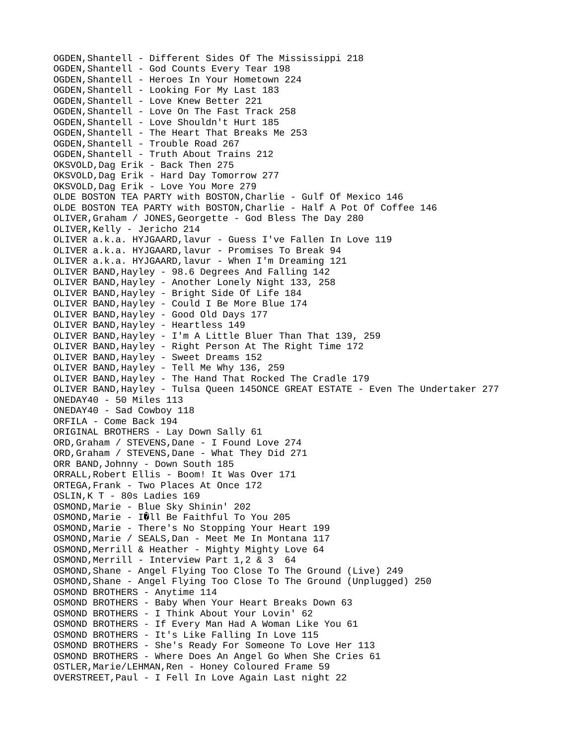OGDEN,Shantell - Different Sides Of The Mississippi 218 OGDEN,Shantell - God Counts Every Tear 198 OGDEN,Shantell - Heroes In Your Hometown 224 OGDEN,Shantell - Looking For My Last 183 OGDEN,Shantell - Love Knew Better 221 OGDEN,Shantell - Love On The Fast Track 258 OGDEN,Shantell - Love Shouldn't Hurt 185 OGDEN,Shantell - The Heart That Breaks Me 253 OGDEN,Shantell - Trouble Road 267 OGDEN,Shantell - Truth About Trains 212 OKSVOLD,Dag Erik - Back Then 275 OKSVOLD,Dag Erik - Hard Day Tomorrow 277 OKSVOLD,Dag Erik - Love You More 279 OLDE BOSTON TEA PARTY with BOSTON,Charlie - Gulf Of Mexico 146 OLDE BOSTON TEA PARTY with BOSTON,Charlie - Half A Pot Of Coffee 146 OLIVER,Graham / JONES,Georgette - God Bless The Day 280 OLIVER,Kelly - Jericho 214 OLIVER a.k.a. HYJGAARD, lavur - Guess I've Fallen In Love 119 OLIVER a.k.a. HYJGAARD,lavur - Promises To Break 94 OLIVER a.k.a. HYJGAARD,lavur - When I'm Dreaming 121 OLIVER BAND,Hayley - 98.6 Degrees And Falling 142 OLIVER BAND,Hayley - Another Lonely Night 133, 258 OLIVER BAND,Hayley - Bright Side Of Life 184 OLIVER BAND,Hayley - Could I Be More Blue 174 OLIVER BAND,Hayley - Good Old Days 177 OLIVER BAND,Hayley - Heartless 149 OLIVER BAND,Hayley - I'm A Little Bluer Than That 139, 259 OLIVER BAND,Hayley - Right Person At The Right Time 172 OLIVER BAND, Hayley - Sweet Dreams 152 OLIVER BAND,Hayley - Tell Me Why 136, 259 OLIVER BAND,Hayley - The Hand That Rocked The Cradle 179 OLIVER BAND,Hayley - Tulsa Queen 145ONCE GREAT ESTATE - Even The Undertaker 277 ONEDAY40 - 50 Miles 113 ONEDAY40 - Sad Cowboy 118 ORFILA - Come Back 194 ORIGINAL BROTHERS - Lay Down Sally 61 ORD, Graham / STEVENS, Dane - I Found Love 274 ORD, Graham / STEVENS, Dane - What They Did 271 ORR BAND,Johnny - Down South 185 ORRALL,Robert Ellis - Boom! It Was Over 171 ORTEGA,Frank - Two Places At Once 172 OSLIN,K T - 80s Ladies 169 OSMOND,Marie - Blue Sky Shinin' 202 OSMOND, Marie - IOLL Be Faithful To You 205 OSMOND,Marie - There's No Stopping Your Heart 199 OSMOND,Marie / SEALS,Dan - Meet Me In Montana 117 OSMOND,Merrill & Heather - Mighty Mighty Love 64 OSMOND,Merrill - Interview Part 1,2 & 3 64 OSMOND,Shane - Angel Flying Too Close To The Ground (Live) 249 OSMOND,Shane - Angel Flying Too Close To The Ground (Unplugged) 250 OSMOND BROTHERS - Anytime 114 OSMOND BROTHERS - Baby When Your Heart Breaks Down 63 OSMOND BROTHERS - I Think About Your Lovin' 62 OSMOND BROTHERS - If Every Man Had A Woman Like You 61 OSMOND BROTHERS - It's Like Falling In Love 115 OSMOND BROTHERS - She's Ready For Someone To Love Her 113 OSMOND BROTHERS - Where Does An Angel Go When She Cries 61 OSTLER,Marie/LEHMAN,Ren - Honey Coloured Frame 59 OVERSTREET,Paul - I Fell In Love Again Last night 22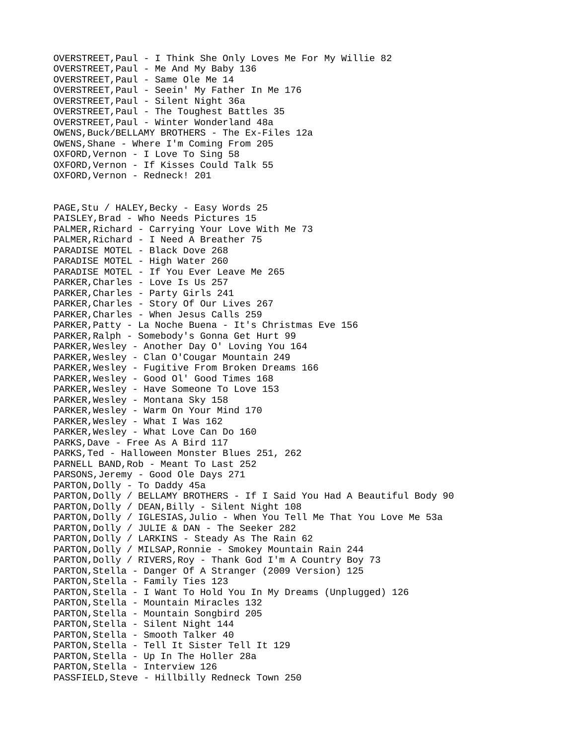OVERSTREET,Paul - I Think She Only Loves Me For My Willie 82 OVERSTREET,Paul - Me And My Baby 136 OVERSTREET,Paul - Same Ole Me 14 OVERSTREET,Paul - Seein' My Father In Me 176 OVERSTREET,Paul - Silent Night 36a OVERSTREET,Paul - The Toughest Battles 35 OVERSTREET,Paul - Winter Wonderland 48a OWENS, Buck/BELLAMY BROTHERS - The Ex-Files 12a OWENS,Shane - Where I'm Coming From 205 OXFORD,Vernon - I Love To Sing 58 OXFORD,Vernon - If Kisses Could Talk 55 OXFORD,Vernon - Redneck! 201 PAGE, Stu / HALEY, Becky - Easy Words 25 PAISLEY,Brad - Who Needs Pictures 15 PALMER,Richard - Carrying Your Love With Me 73 PALMER,Richard - I Need A Breather 75 PARADISE MOTEL - Black Dove 268 PARADISE MOTEL - High Water 260 PARADISE MOTEL - If You Ever Leave Me 265 PARKER,Charles - Love Is Us 257 PARKER,Charles - Party Girls 241 PARKER,Charles - Story Of Our Lives 267 PARKER,Charles - When Jesus Calls 259 PARKER,Patty - La Noche Buena - It's Christmas Eve 156 PARKER,Ralph - Somebody's Gonna Get Hurt 99 PARKER,Wesley - Another Day O' Loving You 164 PARKER,Wesley - Clan O'Cougar Mountain 249 PARKER, Wesley - Fugitive From Broken Dreams 166 PARKER,Wesley - Good Ol' Good Times 168 PARKER,Wesley - Have Someone To Love 153 PARKER,Wesley - Montana Sky 158 PARKER,Wesley - Warm On Your Mind 170 PARKER,Wesley - What I Was 162 PARKER,Wesley - What Love Can Do 160 PARKS, Dave - Free As A Bird 117 PARKS,Ted - Halloween Monster Blues 251, 262 PARNELL BAND, Rob - Meant To Last 252 PARSONS,Jeremy - Good Ole Days 271 PARTON, Dolly - To Daddy 45a PARTON, Dolly / BELLAMY BROTHERS - If I Said You Had A Beautiful Body 90 PARTON,Dolly / DEAN,Billy - Silent Night 108 PARTON, Dolly / IGLESIAS, Julio - When You Tell Me That You Love Me 53a PARTON,Dolly / JULIE & DAN - The Seeker 282 PARTON,Dolly / LARKINS - Steady As The Rain 62 PARTON, Dolly / MILSAP, Ronnie - Smokey Mountain Rain 244 PARTON, Dolly / RIVERS, Roy - Thank God I'm A Country Boy 73 PARTON,Stella - Danger Of A Stranger (2009 Version) 125 PARTON,Stella - Family Ties 123 PARTON,Stella - I Want To Hold You In My Dreams (Unplugged) 126 PARTON,Stella - Mountain Miracles 132 PARTON,Stella - Mountain Songbird 205 PARTON,Stella - Silent Night 144 PARTON, Stella - Smooth Talker 40 PARTON,Stella - Tell It Sister Tell It 129 PARTON,Stella - Up In The Holler 28a PARTON, Stella - Interview 126 PASSFIELD, Steve - Hillbilly Redneck Town 250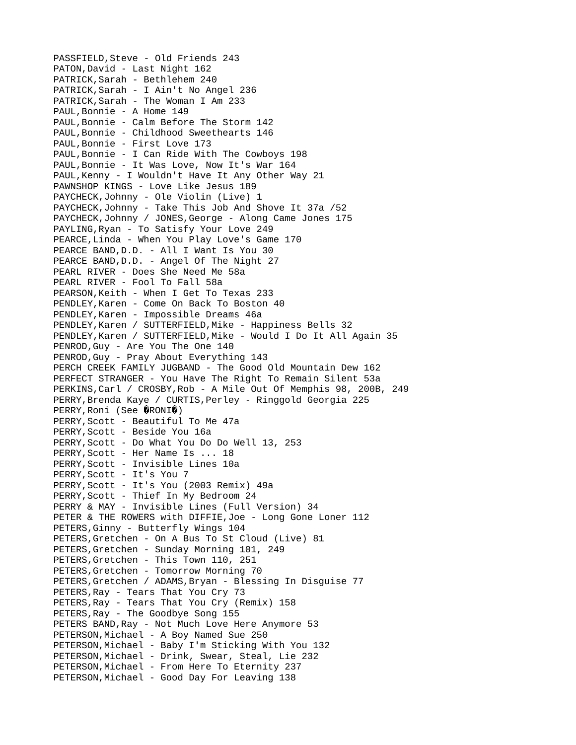PASSFIELD, Steve - Old Friends 243 PATON,David - Last Night 162 PATRICK,Sarah - Bethlehem 240 PATRICK,Sarah - I Ain't No Angel 236 PATRICK,Sarah - The Woman I Am 233 PAUL,Bonnie - A Home 149 PAUL,Bonnie - Calm Before The Storm 142 PAUL,Bonnie - Childhood Sweethearts 146 PAUL,Bonnie - First Love 173 PAUL,Bonnie - I Can Ride With The Cowboys 198 PAUL,Bonnie - It Was Love, Now It's War 164 PAUL,Kenny - I Wouldn't Have It Any Other Way 21 PAWNSHOP KINGS - Love Like Jesus 189 PAYCHECK,Johnny - Ole Violin (Live) 1 PAYCHECK,Johnny - Take This Job And Shove It 37a /52 PAYCHECK, Johnny / JONES, George - Along Came Jones 175 PAYLING,Ryan - To Satisfy Your Love 249 PEARCE, Linda - When You Play Love's Game 170 PEARCE BAND,D.D. - All I Want Is You 30 PEARCE BAND, D.D. - Angel Of The Night 27 PEARL RIVER - Does She Need Me 58a PEARL RIVER - Fool To Fall 58a PEARSON,Keith - When I Get To Texas 233 PENDLEY,Karen - Come On Back To Boston 40 PENDLEY,Karen - Impossible Dreams 46a PENDLEY, Karen / SUTTERFIELD, Mike - Happiness Bells 32 PENDLEY, Karen / SUTTERFIELD, Mike - Would I Do It All Again 35 PENROD,Guy - Are You The One 140 PENROD,Guy - Pray About Everything 143 PERCH CREEK FAMILY JUGBAND - The Good Old Mountain Dew 162 PERFECT STRANGER - You Have The Right To Remain Silent 53a PERKINS,Carl / CROSBY,Rob - A Mile Out Of Memphis 98, 200B, 249 PERRY,Brenda Kaye / CURTIS,Perley - Ringgold Georgia 225 PERRY, Roni (See @RONI@) PERRY, Scott - Beautiful To Me 47a PERRY,Scott - Beside You 16a PERRY,Scott - Do What You Do Do Well 13, 253 PERRY, Scott - Her Name Is ... 18 PERRY,Scott - Invisible Lines 10a PERRY,Scott - It's You 7 PERRY,Scott - It's You (2003 Remix) 49a PERRY, Scott - Thief In My Bedroom 24 PERRY & MAY - Invisible Lines (Full Version) 34 PETER & THE ROWERS with DIFFIE, Joe - Long Gone Loner 112 PETERS,Ginny - Butterfly Wings 104 PETERS,Gretchen - On A Bus To St Cloud (Live) 81 PETERS,Gretchen - Sunday Morning 101, 249 PETERS,Gretchen - This Town 110, 251 PETERS,Gretchen - Tomorrow Morning 70 PETERS, Gretchen / ADAMS, Bryan - Blessing In Disguise 77 PETERS,Ray - Tears That You Cry 73 PETERS,Ray - Tears That You Cry (Remix) 158 PETERS,Ray - The Goodbye Song 155 PETERS BAND, Ray - Not Much Love Here Anymore 53 PETERSON,Michael - A Boy Named Sue 250 PETERSON,Michael - Baby I'm Sticking With You 132 PETERSON,Michael - Drink, Swear, Steal, Lie 232 PETERSON,Michael - From Here To Eternity 237 PETERSON, Michael - Good Day For Leaving 138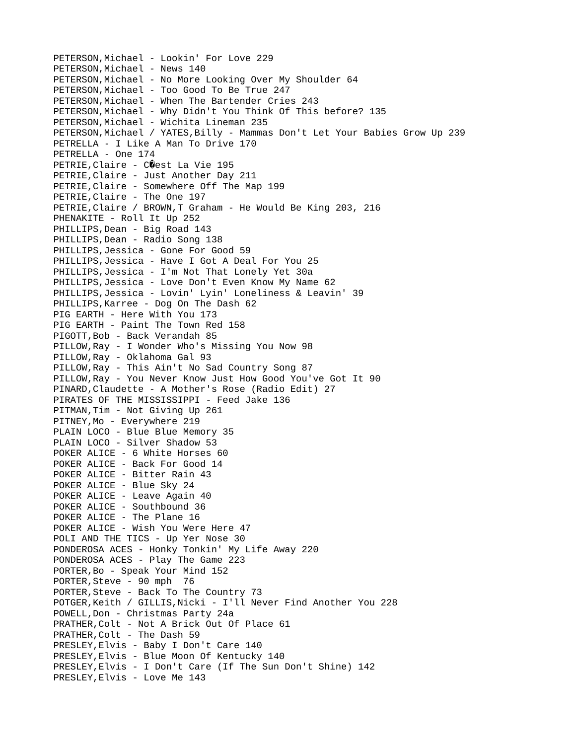PETERSON,Michael - Lookin' For Love 229 PETERSON, Michael - News 140 PETERSON,Michael - No More Looking Over My Shoulder 64 PETERSON,Michael - Too Good To Be True 247 PETERSON,Michael - When The Bartender Cries 243 PETERSON,Michael - Why Didn't You Think Of This before? 135 PETERSON,Michael - Wichita Lineman 235 PETERSON,Michael / YATES,Billy - Mammas Don't Let Your Babies Grow Up 239 PETRELLA - I Like A Man To Drive 170 PETRELLA - One 174 PETRIE, Claire - COest La Vie 195 PETRIE,Claire - Just Another Day 211 PETRIE,Claire - Somewhere Off The Map 199 PETRIE,Claire - The One 197 PETRIE,Claire / BROWN,T Graham - He Would Be King 203, 216 PHENAKITE - Roll It Up 252 PHILLIPS, Dean - Big Road 143 PHILLIPS,Dean - Radio Song 138 PHILLIPS,Jessica - Gone For Good 59 PHILLIPS,Jessica - Have I Got A Deal For You 25 PHILLIPS,Jessica - I'm Not That Lonely Yet 30a PHILLIPS,Jessica - Love Don't Even Know My Name 62 PHILLIPS,Jessica - Lovin' Lyin' Loneliness & Leavin' 39 PHILLIPS, Karree - Dog On The Dash 62 PIG EARTH - Here With You 173 PIG EARTH - Paint The Town Red 158 PIGOTT,Bob - Back Verandah 85 PILLOW,Ray - I Wonder Who's Missing You Now 98 PILLOW,Ray - Oklahoma Gal 93 PILLOW,Ray - This Ain't No Sad Country Song 87 PILLOW,Ray - You Never Know Just How Good You've Got It 90 PINARD,Claudette - A Mother's Rose (Radio Edit) 27 PIRATES OF THE MISSISSIPPI - Feed Jake 136 PITMAN,Tim - Not Giving Up 261 PITNEY, Mo - Everywhere 219 PLAIN LOCO - Blue Blue Memory 35 PLAIN LOCO - Silver Shadow 53 POKER ALICE - 6 White Horses 60 POKER ALICE - Back For Good 14 POKER ALICE - Bitter Rain 43 POKER ALICE - Blue Sky 24 POKER ALICE - Leave Again 40 POKER ALICE - Southbound 36 POKER ALICE - The Plane 16 POKER ALICE - Wish You Were Here 47 POLI AND THE TICS - Up Yer Nose 30 PONDEROSA ACES - Honky Tonkin' My Life Away 220 PONDEROSA ACES - Play The Game 223 PORTER,Bo - Speak Your Mind 152 PORTER,Steve - 90 mph 76 PORTER,Steve - Back To The Country 73 POTGER,Keith / GILLIS,Nicki - I'll Never Find Another You 228 POWELL,Don - Christmas Party 24a PRATHER,Colt - Not A Brick Out Of Place 61 PRATHER, Colt - The Dash 59 PRESLEY,Elvis - Baby I Don't Care 140 PRESLEY,Elvis - Blue Moon Of Kentucky 140 PRESLEY,Elvis - I Don't Care (If The Sun Don't Shine) 142 PRESLEY,Elvis - Love Me 143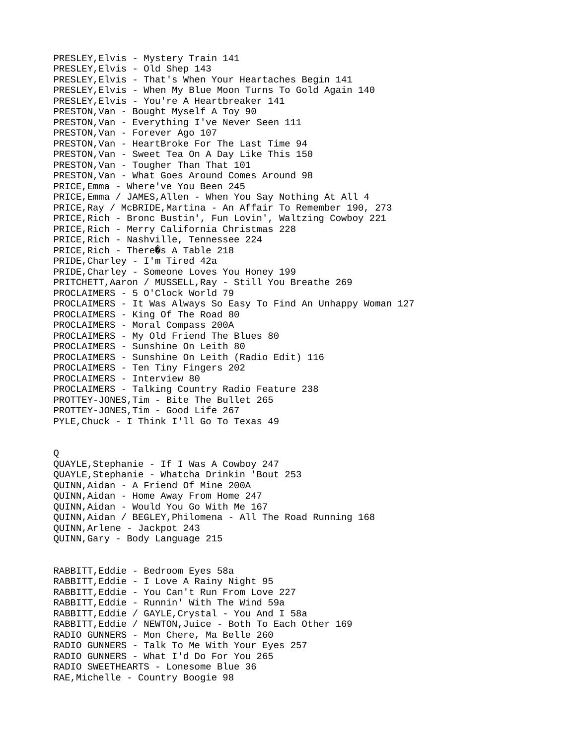PRESLEY,Elvis - Mystery Train 141 PRESLEY,Elvis - Old Shep 143 PRESLEY,Elvis - That's When Your Heartaches Begin 141 PRESLEY,Elvis - When My Blue Moon Turns To Gold Again 140 PRESLEY,Elvis - You're A Heartbreaker 141 PRESTON,Van - Bought Myself A Toy 90 PRESTON,Van - Everything I've Never Seen 111 PRESTON,Van - Forever Ago 107 PRESTON,Van - HeartBroke For The Last Time 94 PRESTON,Van - Sweet Tea On A Day Like This 150 PRESTON, Van - Tougher Than That 101 PRESTON,Van - What Goes Around Comes Around 98 PRICE,Emma - Where've You Been 245 PRICE,Emma / JAMES,Allen - When You Say Nothing At All 4 PRICE, Ray / McBRIDE, Martina - An Affair To Remember 190, 273 PRICE,Rich - Bronc Bustin', Fun Lovin', Waltzing Cowboy 221 PRICE,Rich - Merry California Christmas 228 PRICE, Rich - Nashville, Tennessee 224 PRICE, Rich - There  $\hat{\mathbf{Q}}$ s A Table 218 PRIDE,Charley - I'm Tired 42a PRIDE, Charley - Someone Loves You Honey 199 PRITCHETT,Aaron / MUSSELL,Ray - Still You Breathe 269 PROCLAIMERS - 5 O'Clock World 79 PROCLAIMERS - It Was Always So Easy To Find An Unhappy Woman 127 PROCLAIMERS - King Of The Road 80 PROCLAIMERS - Moral Compass 200A PROCLAIMERS - My Old Friend The Blues 80 PROCLAIMERS - Sunshine On Leith 80 PROCLAIMERS - Sunshine On Leith (Radio Edit) 116 PROCLAIMERS - Ten Tiny Fingers 202 PROCLAIMERS - Interview 80 PROCLAIMERS - Talking Country Radio Feature 238 PROTTEY-JONES,Tim - Bite The Bullet 265 PROTTEY-JONES,Tim - Good Life 267 PYLE,Chuck - I Think I'll Go To Texas 49 Q QUAYLE,Stephanie - If I Was A Cowboy 247 QUAYLE,Stephanie - Whatcha Drinkin 'Bout 253 QUINN,Aidan - A Friend Of Mine 200A QUINN,Aidan - Home Away From Home 247 QUINN,Aidan - Would You Go With Me 167 QUINN,Aidan / BEGLEY,Philomena - All The Road Running 168 QUINN,Arlene - Jackpot 243 QUINN,Gary - Body Language 215 RABBITT,Eddie - Bedroom Eyes 58a RABBITT,Eddie - I Love A Rainy Night 95 RABBITT,Eddie - You Can't Run From Love 227 RABBITT,Eddie - Runnin' With The Wind 59a RABBITT,Eddie / GAYLE,Crystal - You And I 58a RABBITT,Eddie / NEWTON,Juice - Both To Each Other 169 RADIO GUNNERS - Mon Chere, Ma Belle 260 RADIO GUNNERS - Talk To Me With Your Eyes 257 RADIO GUNNERS - What I'd Do For You 265 RADIO SWEETHEARTS - Lonesome Blue 36 RAE,Michelle - Country Boogie 98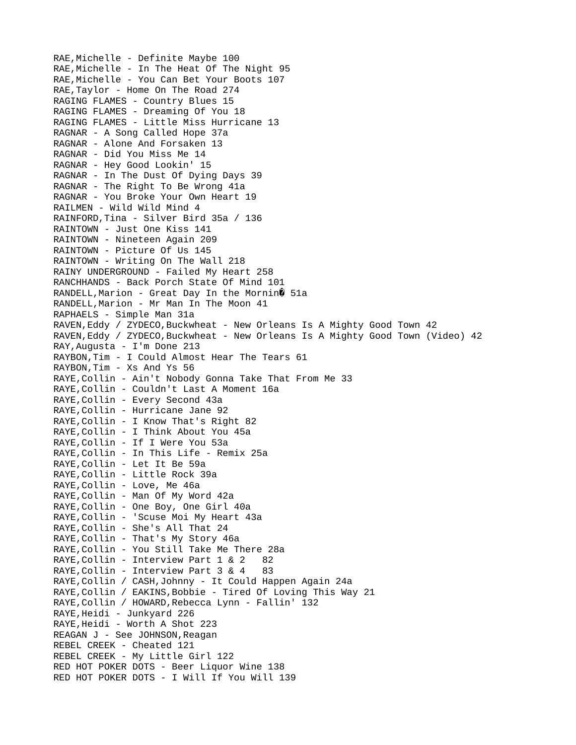RAE,Michelle - Definite Maybe 100 RAE,Michelle - In The Heat Of The Night 95 RAE, Michelle - You Can Bet Your Boots 107 RAE,Taylor - Home On The Road 274 RAGING FLAMES - Country Blues 15 RAGING FLAMES - Dreaming Of You 18 RAGING FLAMES - Little Miss Hurricane 13 RAGNAR - A Song Called Hope 37a RAGNAR - Alone And Forsaken 13 RAGNAR - Did You Miss Me 14 RAGNAR - Hey Good Lookin' 15 RAGNAR - In The Dust Of Dying Days 39 RAGNAR - The Right To Be Wrong 41a RAGNAR - You Broke Your Own Heart 19 RAILMEN - Wild Wild Mind 4 RAINFORD,Tina - Silver Bird 35a / 136 RAINTOWN - Just One Kiss 141 RAINTOWN - Nineteen Again 209 RAINTOWN - Picture Of Us 145 RAINTOWN - Writing On The Wall 218 RAINY UNDERGROUND - Failed My Heart 258 RANCHHANDS - Back Porch State Of Mind 101 RANDELL, Marion - Great Day In the Mornin $\hat{\mathbf{Q}}$  51a RANDELL, Marion - Mr Man In The Moon 41 RAPHAELS - Simple Man 31a RAVEN, Eddy / ZYDECO, Buckwheat - New Orleans Is A Mighty Good Town 42 RAVEN, Eddy / ZYDECO, Buckwheat - New Orleans Is A Mighty Good Town (Video) 42 RAY,Augusta - I'm Done 213 RAYBON,Tim - I Could Almost Hear The Tears 61 RAYBON,Tim - Xs And Ys 56 RAYE,Collin - Ain't Nobody Gonna Take That From Me 33 RAYE,Collin - Couldn't Last A Moment 16a RAYE, Collin - Every Second 43a RAYE,Collin - Hurricane Jane 92 RAYE,Collin - I Know That's Right 82 RAYE, Collin - I Think About You 45a RAYE, Collin - If I Were You 53a RAYE,Collin - In This Life - Remix 25a RAYE,Collin - Let It Be 59a RAYE,Collin - Little Rock 39a RAYE, Collin - Love, Me 46a RAYE,Collin - Man Of My Word 42a RAYE,Collin - One Boy, One Girl 40a RAYE, Collin - 'Scuse Moi My Heart 43a RAYE, Collin - She's All That 24 RAYE,Collin - That's My Story 46a RAYE,Collin - You Still Take Me There 28a RAYE, Collin - Interview Part 1 & 2 82 RAYE,Collin - Interview Part 3 & 4 83 RAYE, Collin / CASH, Johnny - It Could Happen Again 24a RAYE, Collin / EAKINS, Bobbie - Tired Of Loving This Way 21 RAYE, Collin / HOWARD, Rebecca Lynn - Fallin' 132 RAYE,Heidi - Junkyard 226 RAYE,Heidi - Worth A Shot 223 REAGAN J - See JOHNSON, Reagan REBEL CREEK - Cheated 121 REBEL CREEK - My Little Girl 122 RED HOT POKER DOTS - Beer Liquor Wine 138 RED HOT POKER DOTS - I Will If You Will 139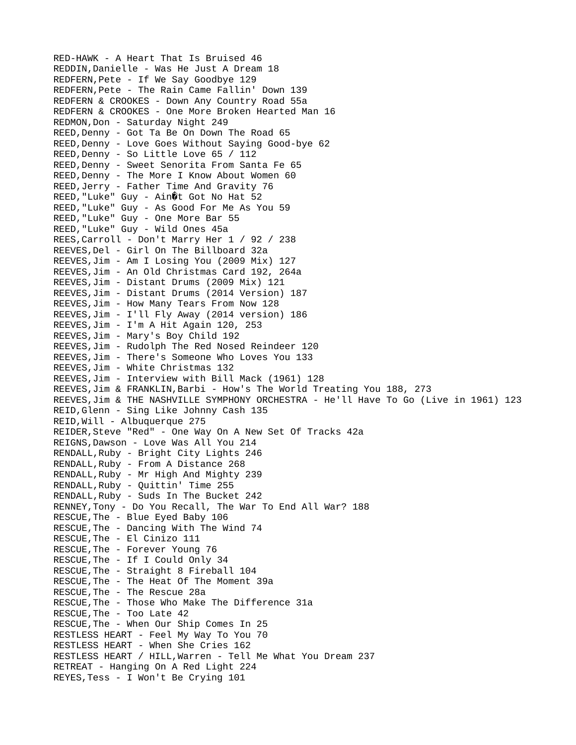RED-HAWK - A Heart That Is Bruised 46 REDDIN,Danielle - Was He Just A Dream 18 REDFERN,Pete - If We Say Goodbye 129 REDFERN,Pete - The Rain Came Fallin' Down 139 REDFERN & CROOKES - Down Any Country Road 55a REDFERN & CROOKES - One More Broken Hearted Man 16 REDMON,Don - Saturday Night 249 REED, Denny - Got Ta Be On Down The Road 65 REED,Denny - Love Goes Without Saying Good-bye 62 REED, Denny - So Little Love 65 / 112 REED,Denny - Sweet Senorita From Santa Fe 65 REED, Denny - The More I Know About Women 60 REED,Jerry - Father Time And Gravity 76 REED, "Luke" Guy - Ain it Got No Hat 52 REED,"Luke" Guy - As Good For Me As You 59 REED,"Luke" Guy - One More Bar 55 REED,"Luke" Guy - Wild Ones 45a REES,Carroll - Don't Marry Her 1 / 92 / 238 REEVES,Del - Girl On The Billboard 32a REEVES,Jim - Am I Losing You (2009 Mix) 127 REEVES,Jim - An Old Christmas Card 192, 264a REEVES,Jim - Distant Drums (2009 Mix) 121 REEVES,Jim - Distant Drums (2014 Version) 187 REEVES,Jim - How Many Tears From Now 128 REEVES,Jim - I'll Fly Away (2014 version) 186 REEVES,Jim - I'm A Hit Again 120, 253 REEVES,Jim - Mary's Boy Child 192 REEVES,Jim - Rudolph The Red Nosed Reindeer 120 REEVES,Jim - There's Someone Who Loves You 133 REEVES,Jim - White Christmas 132 REEVES,Jim - Interview with Bill Mack (1961) 128 REEVES,Jim & FRANKLIN,Barbi - How's The World Treating You 188, 273 REEVES,Jim & THE NASHVILLE SYMPHONY ORCHESTRA - He'll Have To Go (Live in 1961) 123 REID,Glenn - Sing Like Johnny Cash 135 REID,Will - Albuquerque 275 REIDER,Steve "Red" - One Way On A New Set Of Tracks 42a REIGNS,Dawson - Love Was All You 214 RENDALL,Ruby - Bright City Lights 246 RENDALL,Ruby - From A Distance 268 RENDALL,Ruby - Mr High And Mighty 239 RENDALL,Ruby - Quittin' Time 255 RENDALL,Ruby - Suds In The Bucket 242 RENNEY,Tony - Do You Recall, The War To End All War? 188 RESCUE,The - Blue Eyed Baby 106 RESCUE,The - Dancing With The Wind 74 RESCUE,The - El Cinizo 111 RESCUE,The - Forever Young 76 RESCUE,The - If I Could Only 34 RESCUE,The - Straight 8 Fireball 104 RESCUE,The - The Heat Of The Moment 39a RESCUE,The - The Rescue 28a RESCUE,The - Those Who Make The Difference 31a RESCUE,The - Too Late 42 RESCUE,The - When Our Ship Comes In 25 RESTLESS HEART - Feel My Way To You 70 RESTLESS HEART - When She Cries 162 RESTLESS HEART / HILL,Warren - Tell Me What You Dream 237 RETREAT - Hanging On A Red Light 224 REYES,Tess - I Won't Be Crying 101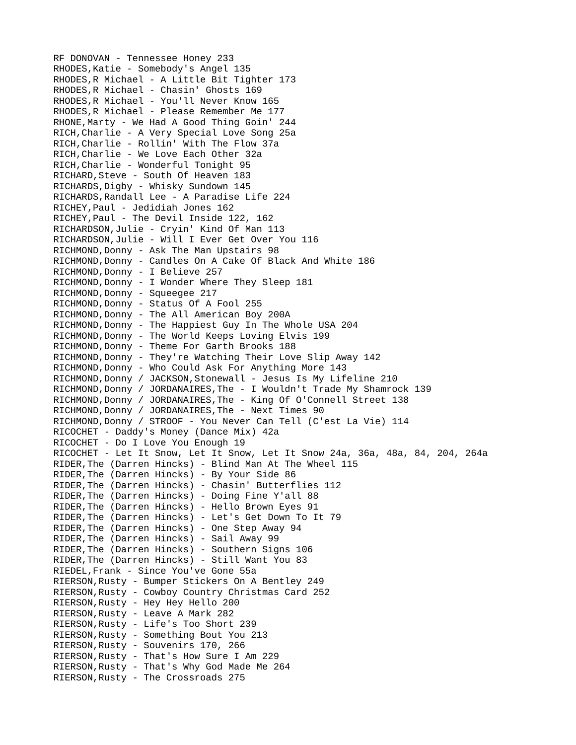RF DONOVAN - Tennessee Honey 233 RHODES,Katie - Somebody's Angel 135 RHODES,R Michael - A Little Bit Tighter 173 RHODES,R Michael - Chasin' Ghosts 169 RHODES,R Michael - You'll Never Know 165 RHODES,R Michael - Please Remember Me 177 RHONE,Marty - We Had A Good Thing Goin' 244 RICH,Charlie - A Very Special Love Song 25a RICH,Charlie - Rollin' With The Flow 37a RICH,Charlie - We Love Each Other 32a RICH,Charlie - Wonderful Tonight 95 RICHARD,Steve - South Of Heaven 183 RICHARDS,Digby - Whisky Sundown 145 RICHARDS,Randall Lee - A Paradise Life 224 RICHEY,Paul - Jedidiah Jones 162 RICHEY,Paul - The Devil Inside 122, 162 RICHARDSON,Julie - Cryin' Kind Of Man 113 RICHARDSON,Julie - Will I Ever Get Over You 116 RICHMOND,Donny - Ask The Man Upstairs 98 RICHMOND,Donny - Candles On A Cake Of Black And White 186 RICHMOND,Donny - I Believe 257 RICHMOND,Donny - I Wonder Where They Sleep 181 RICHMOND, Donny - Squeegee 217 RICHMOND,Donny - Status Of A Fool 255 RICHMOND,Donny - The All American Boy 200A RICHMOND,Donny - The Happiest Guy In The Whole USA 204 RICHMOND,Donny - The World Keeps Loving Elvis 199 RICHMOND,Donny - Theme For Garth Brooks 188 RICHMOND, Donny - They're Watching Their Love Slip Away 142 RICHMOND,Donny - Who Could Ask For Anything More 143 RICHMOND, Donny / JACKSON, Stonewall - Jesus Is My Lifeline 210 RICHMOND,Donny / JORDANAIRES,The - I Wouldn't Trade My Shamrock 139 RICHMOND,Donny / JORDANAIRES,The - King Of O'Connell Street 138 RICHMOND, Donny / JORDANAIRES, The - Next Times 90 RICHMOND,Donny / STROOF - You Never Can Tell (C'est La Vie) 114 RICOCHET - Daddy's Money (Dance Mix) 42a RICOCHET - Do I Love You Enough 19 RICOCHET - Let It Snow, Let It Snow, Let It Snow 24a, 36a, 48a, 84, 204, 264a RIDER,The (Darren Hincks) - Blind Man At The Wheel 115 RIDER,The (Darren Hincks) - By Your Side 86 RIDER,The (Darren Hincks) - Chasin' Butterflies 112 RIDER, The (Darren Hincks) - Doing Fine Y'all 88 RIDER,The (Darren Hincks) - Hello Brown Eyes 91 RIDER,The (Darren Hincks) - Let's Get Down To It 79 RIDER,The (Darren Hincks) - One Step Away 94 RIDER,The (Darren Hincks) - Sail Away 99 RIDER,The (Darren Hincks) - Southern Signs 106 RIDER,The (Darren Hincks) - Still Want You 83 RIEDEL,Frank - Since You've Gone 55a RIERSON,Rusty - Bumper Stickers On A Bentley 249 RIERSON,Rusty - Cowboy Country Christmas Card 252 RIERSON,Rusty - Hey Hey Hello 200 RIERSON,Rusty - Leave A Mark 282 RIERSON,Rusty - Life's Too Short 239 RIERSON,Rusty - Something Bout You 213 RIERSON, Rusty - Souvenirs 170, 266 RIERSON,Rusty - That's How Sure I Am 229 RIERSON,Rusty - That's Why God Made Me 264 RIERSON,Rusty - The Crossroads 275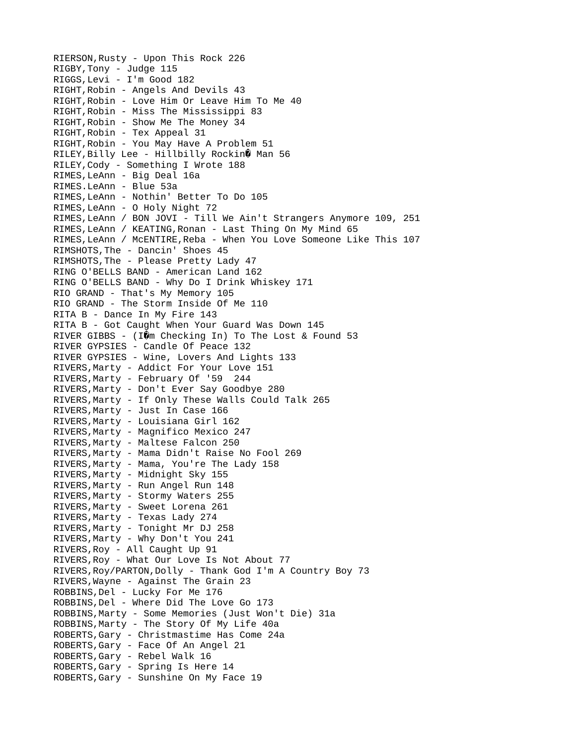RIERSON,Rusty - Upon This Rock 226 RIGBY,Tony - Judge 115 RIGGS,Levi - I'm Good 182 RIGHT,Robin - Angels And Devils 43 RIGHT,Robin - Love Him Or Leave Him To Me 40 RIGHT,Robin - Miss The Mississippi 83 RIGHT,Robin - Show Me The Money 34 RIGHT,Robin - Tex Appeal 31 RIGHT,Robin - You May Have A Problem 51 RILEY, Billy Lee - Hillbilly Rockin $\hat{\mathbf{\theta}}$  Man 56 RILEY,Cody - Something I Wrote 188 RIMES,LeAnn - Big Deal 16a RIMES.LeAnn - Blue 53a RIMES,LeAnn - Nothin' Better To Do 105 RIMES,LeAnn - O Holy Night 72 RIMES,LeAnn / BON JOVI - Till We Ain't Strangers Anymore 109, 251 RIMES,LeAnn / KEATING,Ronan - Last Thing On My Mind 65 RIMES,LeAnn / McENTIRE,Reba - When You Love Someone Like This 107 RIMSHOTS,The - Dancin' Shoes 45 RIMSHOTS,The - Please Pretty Lady 47 RING O'BELLS BAND - American Land 162 RING O'BELLS BAND - Why Do I Drink Whiskey 171 RIO GRAND - That's My Memory 105 RIO GRAND - The Storm Inside Of Me 110 RITA B - Dance In My Fire 143 RITA B - Got Caught When Your Guard Was Down 145 RIVER GIBBS - (IOm Checking In) To The Lost & Found 53 RIVER GYPSIES - Candle Of Peace 132 RIVER GYPSIES - Wine, Lovers And Lights 133 RIVERS,Marty - Addict For Your Love 151 RIVERS,Marty - February Of '59 244 RIVERS,Marty - Don't Ever Say Goodbye 280 RIVERS,Marty - If Only These Walls Could Talk 265 RIVERS,Marty - Just In Case 166 RIVERS,Marty - Louisiana Girl 162 RIVERS,Marty - Magnifico Mexico 247 RIVERS,Marty - Maltese Falcon 250 RIVERS,Marty - Mama Didn't Raise No Fool 269 RIVERS,Marty - Mama, You're The Lady 158 RIVERS,Marty - Midnight Sky 155 RIVERS,Marty - Run Angel Run 148 RIVERS,Marty - Stormy Waters 255 RIVERS,Marty - Sweet Lorena 261 RIVERS,Marty - Texas Lady 274 RIVERS,Marty - Tonight Mr DJ 258 RIVERS,Marty - Why Don't You 241 RIVERS,Roy - All Caught Up 91 RIVERS,Roy - What Our Love Is Not About 77 RIVERS,Roy/PARTON,Dolly - Thank God I'm A Country Boy 73 RIVERS,Wayne - Against The Grain 23 ROBBINS,Del - Lucky For Me 176 ROBBINS,Del - Where Did The Love Go 173 ROBBINS,Marty - Some Memories (Just Won't Die) 31a ROBBINS,Marty - The Story Of My Life 40a ROBERTS,Gary - Christmastime Has Come 24a ROBERTS,Gary - Face Of An Angel 21 ROBERTS,Gary - Rebel Walk 16 ROBERTS,Gary - Spring Is Here 14 ROBERTS,Gary - Sunshine On My Face 19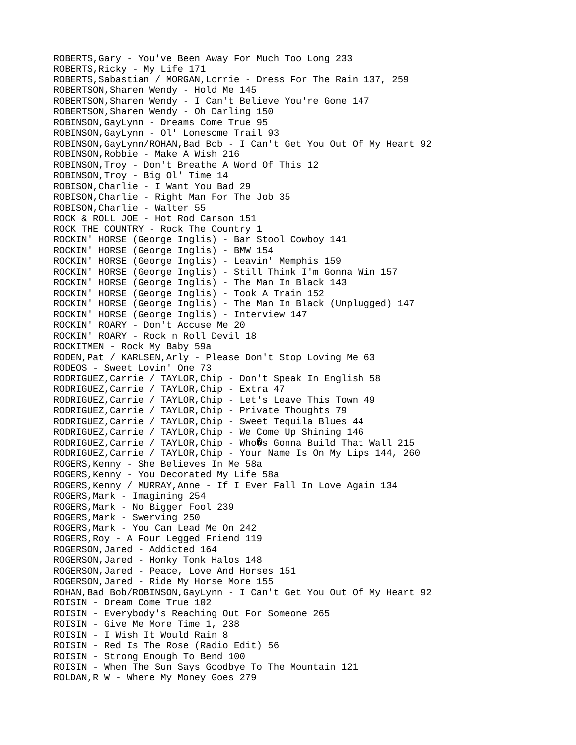ROBERTS,Gary - You've Been Away For Much Too Long 233 ROBERTS,Ricky - My Life 171 ROBERTS,Sabastian / MORGAN,Lorrie - Dress For The Rain 137, 259 ROBERTSON,Sharen Wendy - Hold Me 145 ROBERTSON,Sharen Wendy - I Can't Believe You're Gone 147 ROBERTSON,Sharen Wendy - Oh Darling 150 ROBINSON,GayLynn - Dreams Come True 95 ROBINSON,GayLynn - Ol' Lonesome Trail 93 ROBINSON,GayLynn/ROHAN,Bad Bob - I Can't Get You Out Of My Heart 92 ROBINSON,Robbie - Make A Wish 216 ROBINSON,Troy - Don't Breathe A Word Of This 12 ROBINSON,Troy - Big Ol' Time 14 ROBISON,Charlie - I Want You Bad 29 ROBISON,Charlie - Right Man For The Job 35 ROBISON,Charlie - Walter 55 ROCK & ROLL JOE - Hot Rod Carson 151 ROCK THE COUNTRY - Rock The Country 1 ROCKIN' HORSE (George Inglis) - Bar Stool Cowboy 141 ROCKIN' HORSE (George Inglis) - BMW 154 ROCKIN' HORSE (George Inglis) - Leavin' Memphis 159 ROCKIN' HORSE (George Inglis) - Still Think I'm Gonna Win 157 ROCKIN' HORSE (George Inglis) - The Man In Black 143 ROCKIN' HORSE (George Inglis) - Took A Train 152 ROCKIN' HORSE (George Inglis) - The Man In Black (Unplugged) 147 ROCKIN' HORSE (George Inglis) - Interview 147 ROCKIN' ROARY - Don't Accuse Me 20 ROCKIN' ROARY - Rock n Roll Devil 18 ROCKITMEN - Rock My Baby 59a RODEN,Pat / KARLSEN,Arly - Please Don't Stop Loving Me 63 RODEOS - Sweet Lovin' One 73 RODRIGUEZ,Carrie / TAYLOR,Chip - Don't Speak In English 58 RODRIGUEZ,Carrie / TAYLOR,Chip - Extra 47 RODRIGUEZ,Carrie / TAYLOR,Chip - Let's Leave This Town 49 RODRIGUEZ,Carrie / TAYLOR,Chip - Private Thoughts 79 RODRIGUEZ,Carrie / TAYLOR,Chip - Sweet Tequila Blues 44 RODRIGUEZ, Carrie / TAYLOR, Chip - We Come Up Shining 146 RODRIGUEZ, Carrie / TAYLOR, Chip - Who $\hat{\mathbf{Q}}$ s Gonna Build That Wall 215 RODRIGUEZ,Carrie / TAYLOR,Chip - Your Name Is On My Lips 144, 260 ROGERS,Kenny - She Believes In Me 58a ROGERS,Kenny - You Decorated My Life 58a ROGERS,Kenny / MURRAY,Anne - If I Ever Fall In Love Again 134 ROGERS,Mark - Imagining 254 ROGERS,Mark - No Bigger Fool 239 ROGERS,Mark - Swerving 250 ROGERS,Mark - You Can Lead Me On 242 ROGERS,Roy - A Four Legged Friend 119 ROGERSON,Jared - Addicted 164 ROGERSON,Jared - Honky Tonk Halos 148 ROGERSON,Jared - Peace, Love And Horses 151 ROGERSON,Jared - Ride My Horse More 155 ROHAN,Bad Bob/ROBINSON,GayLynn - I Can't Get You Out Of My Heart 92 ROISIN - Dream Come True 102 ROISIN - Everybody's Reaching Out For Someone 265 ROISIN - Give Me More Time 1, 238 ROISIN - I Wish It Would Rain 8 ROISIN - Red Is The Rose (Radio Edit) 56 ROISIN - Strong Enough To Bend 100 ROISIN - When The Sun Says Goodbye To The Mountain 121 ROLDAN,R W - Where My Money Goes 279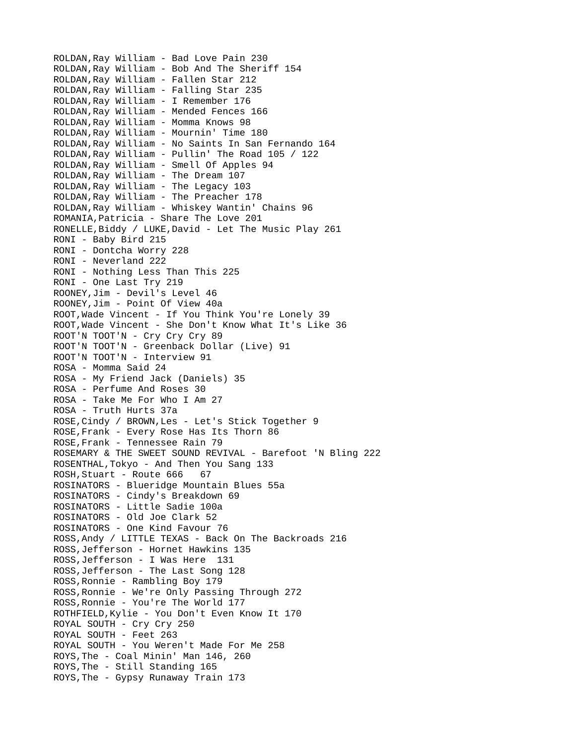ROLDAN,Ray William - Bad Love Pain 230 ROLDAN,Ray William - Bob And The Sheriff 154 ROLDAN,Ray William - Fallen Star 212 ROLDAN,Ray William - Falling Star 235 ROLDAN,Ray William - I Remember 176 ROLDAN,Ray William - Mended Fences 166 ROLDAN,Ray William - Momma Knows 98 ROLDAN,Ray William - Mournin' Time 180 ROLDAN,Ray William - No Saints In San Fernando 164 ROLDAN,Ray William - Pullin' The Road 105 / 122 ROLDAN,Ray William - Smell Of Apples 94 ROLDAN,Ray William - The Dream 107 ROLDAN,Ray William - The Legacy 103 ROLDAN,Ray William - The Preacher 178 ROLDAN,Ray William - Whiskey Wantin' Chains 96 ROMANIA,Patricia - Share The Love 201 RONELLE,Biddy / LUKE,David - Let The Music Play 261 RONI - Baby Bird 215 RONI - Dontcha Worry 228 RONI - Neverland 222 RONI - Nothing Less Than This 225 RONI - One Last Try 219 ROONEY,Jim - Devil's Level 46 ROONEY,Jim - Point Of View 40a ROOT,Wade Vincent - If You Think You're Lonely 39 ROOT,Wade Vincent - She Don't Know What It's Like 36 ROOT'N TOOT'N - Cry Cry Cry 89 ROOT'N TOOT'N - Greenback Dollar (Live) 91 ROOT'N TOOT'N - Interview 91 ROSA - Momma Said 24 ROSA - My Friend Jack (Daniels) 35 ROSA - Perfume And Roses 30 ROSA - Take Me For Who I Am 27 ROSA - Truth Hurts 37a ROSE,Cindy / BROWN,Les - Let's Stick Together 9 ROSE,Frank - Every Rose Has Its Thorn 86 ROSE,Frank - Tennessee Rain 79 ROSEMARY & THE SWEET SOUND REVIVAL - Barefoot 'N Bling 222 ROSENTHAL,Tokyo - And Then You Sang 133 ROSH, Stuart - Route 666 67 ROSINATORS - Blueridge Mountain Blues 55a ROSINATORS - Cindy's Breakdown 69 ROSINATORS - Little Sadie 100a ROSINATORS - Old Joe Clark 52 ROSINATORS - One Kind Favour 76 ROSS,Andy / LITTLE TEXAS - Back On The Backroads 216 ROSS,Jefferson - Hornet Hawkins 135 ROSS,Jefferson - I Was Here 131 ROSS,Jefferson - The Last Song 128 ROSS,Ronnie - Rambling Boy 179 ROSS,Ronnie - We're Only Passing Through 272 ROSS,Ronnie - You're The World 177 ROTHFIELD,Kylie - You Don't Even Know It 170 ROYAL SOUTH - Cry Cry 250 ROYAL SOUTH - Feet 263 ROYAL SOUTH - You Weren't Made For Me 258 ROYS,The - Coal Minin' Man 146, 260 ROYS,The - Still Standing 165 ROYS,The - Gypsy Runaway Train 173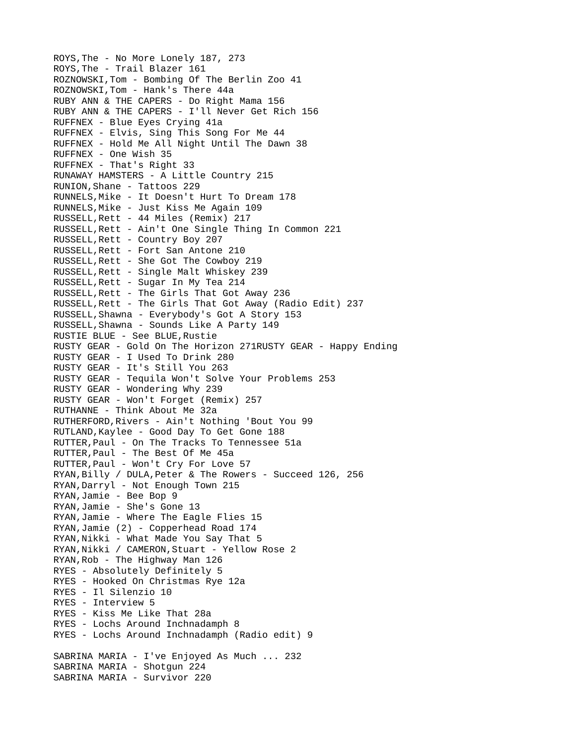ROYS,The - No More Lonely 187, 273 ROYS,The - Trail Blazer 161 ROZNOWSKI,Tom - Bombing Of The Berlin Zoo 41 ROZNOWSKI,Tom - Hank's There 44a RUBY ANN & THE CAPERS - Do Right Mama 156 RUBY ANN & THE CAPERS - I'll Never Get Rich 156 RUFFNEX - Blue Eyes Crying 41a RUFFNEX - Elvis, Sing This Song For Me 44 RUFFNEX - Hold Me All Night Until The Dawn 38 RUFFNEX - One Wish 35 RUFFNEX - That's Right 33 RUNAWAY HAMSTERS - A Little Country 215 RUNION,Shane - Tattoos 229 RUNNELS,Mike - It Doesn't Hurt To Dream 178 RUNNELS,Mike - Just Kiss Me Again 109 RUSSELL,Rett - 44 Miles (Remix) 217 RUSSELL,Rett - Ain't One Single Thing In Common 221 RUSSELL,Rett - Country Boy 207 RUSSELL,Rett - Fort San Antone 210 RUSSELL,Rett - She Got The Cowboy 219 RUSSELL,Rett - Single Malt Whiskey 239 RUSSELL,Rett - Sugar In My Tea 214 RUSSELL,Rett - The Girls That Got Away 236 RUSSELL,Rett - The Girls That Got Away (Radio Edit) 237 RUSSELL,Shawna - Everybody's Got A Story 153 RUSSELL,Shawna - Sounds Like A Party 149 RUSTIE BLUE - See BLUE,Rustie RUSTY GEAR - Gold On The Horizon 271RUSTY GEAR - Happy Ending RUSTY GEAR - I Used To Drink 280 RUSTY GEAR - It's Still You 263 RUSTY GEAR - Tequila Won't Solve Your Problems 253 RUSTY GEAR - Wondering Why 239 RUSTY GEAR - Won't Forget (Remix) 257 RUTHANNE - Think About Me 32a RUTHERFORD,Rivers - Ain't Nothing 'Bout You 99 RUTLAND,Kaylee - Good Day To Get Gone 188 RUTTER,Paul - On The Tracks To Tennessee 51a RUTTER,Paul - The Best Of Me 45a RUTTER,Paul - Won't Cry For Love 57 RYAN,Billy / DULA,Peter & The Rowers - Succeed 126, 256 RYAN,Darryl - Not Enough Town 215 RYAN,Jamie - Bee Bop 9 RYAN,Jamie - She's Gone 13 RYAN,Jamie - Where The Eagle Flies 15 RYAN,Jamie (2) - Copperhead Road 174 RYAN,Nikki - What Made You Say That 5 RYAN, Nikki / CAMERON, Stuart - Yellow Rose 2 RYAN,Rob - The Highway Man 126 RYES - Absolutely Definitely 5 RYES - Hooked On Christmas Rye 12a RYES - Il Silenzio 10 RYES - Interview 5 RYES - Kiss Me Like That 28a RYES - Lochs Around Inchnadamph 8 RYES - Lochs Around Inchnadamph (Radio edit) 9 SABRINA MARIA - I've Enjoyed As Much ... 232 SABRINA MARIA - Shotgun 224 SABRINA MARIA - Survivor 220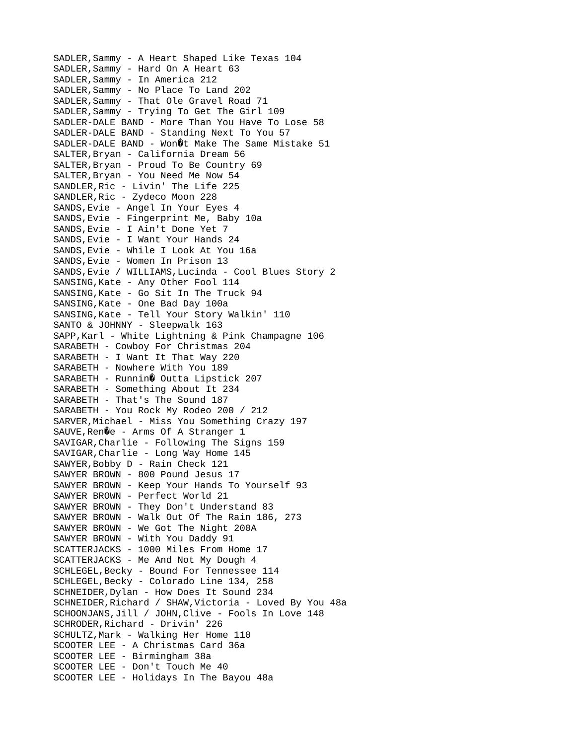SADLER,Sammy - A Heart Shaped Like Texas 104 SADLER,Sammy - Hard On A Heart 63 SADLER,Sammy - In America 212 SADLER,Sammy - No Place To Land 202 SADLER,Sammy - That Ole Gravel Road 71 SADLER,Sammy - Trying To Get The Girl 109 SADLER-DALE BAND - More Than You Have To Lose 58 SADLER-DALE BAND - Standing Next To You 57 SADLER-DALE BAND - Won $0$ <sup>t</sup> Make The Same Mistake 51 SALTER,Bryan - California Dream 56 SALTER,Bryan - Proud To Be Country 69 SALTER,Bryan - You Need Me Now 54 SANDLER,Ric - Livin' The Life 225 SANDLER, Ric - Zydeco Moon 228 SANDS,Evie - Angel In Your Eyes 4 SANDS,Evie - Fingerprint Me, Baby 10a SANDS,Evie - I Ain't Done Yet 7 SANDS,Evie - I Want Your Hands 24 SANDS,Evie - While I Look At You 16a SANDS,Evie - Women In Prison 13 SANDS,Evie / WILLIAMS,Lucinda - Cool Blues Story 2 SANSING,Kate - Any Other Fool 114 SANSING,Kate - Go Sit In The Truck 94 SANSING,Kate - One Bad Day 100a SANSING,Kate - Tell Your Story Walkin' 110 SANTO & JOHNNY - Sleepwalk 163 SAPP,Karl - White Lightning & Pink Champagne 106 SARABETH - Cowboy For Christmas 204 SARABETH - I Want It That Way 220 SARABETH - Nowhere With You 189 SARABETH - Runnin $\hat{\mathbf{Q}}$  Outta Lipstick 207 SARABETH - Something About It 234 SARABETH - That's The Sound 187 SARABETH - You Rock My Rodeo 200 / 212 SARVER,Michael - Miss You Something Crazy 197 SAUVE, Ren $\hat{Q}$ e - Arms Of A Stranger 1 SAVIGAR,Charlie - Following The Signs 159 SAVIGAR,Charlie - Long Way Home 145 SAWYER, Bobby D - Rain Check 121 SAWYER BROWN - 800 Pound Jesus 17 SAWYER BROWN - Keep Your Hands To Yourself 93 SAWYER BROWN - Perfect World 21 SAWYER BROWN - They Don't Understand 83 SAWYER BROWN - Walk Out Of The Rain 186, 273 SAWYER BROWN - We Got The Night 200A SAWYER BROWN - With You Daddy 91 SCATTERJACKS - 1000 Miles From Home 17 SCATTERJACKS - Me And Not My Dough 4 SCHLEGEL,Becky - Bound For Tennessee 114 SCHLEGEL,Becky - Colorado Line 134, 258 SCHNEIDER,Dylan - How Does It Sound 234 SCHNEIDER,Richard / SHAW,Victoria - Loved By You 48a SCHOONJANS,Jill / JOHN,Clive - Fools In Love 148 SCHRODER,Richard - Drivin' 226 SCHULTZ,Mark - Walking Her Home 110 SCOOTER LEE - A Christmas Card 36a SCOOTER LEE - Birmingham 38a SCOOTER LEE - Don't Touch Me 40 SCOOTER LEE - Holidays In The Bayou 48a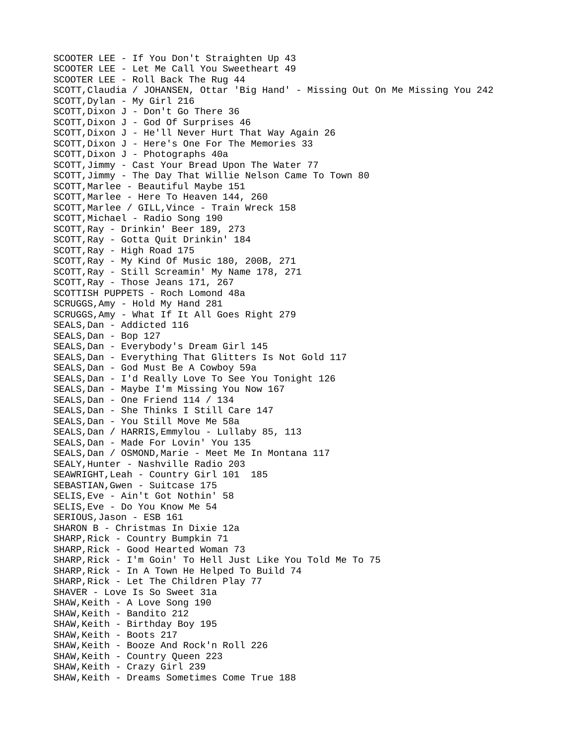SCOOTER LEE - If You Don't Straighten Up 43 SCOOTER LEE - Let Me Call You Sweetheart 49 SCOOTER LEE - Roll Back The Rug 44 SCOTT,Claudia / JOHANSEN, Ottar 'Big Hand' - Missing Out On Me Missing You 242 SCOTT,Dylan - My Girl 216 SCOTT,Dixon J - Don't Go There 36 SCOTT,Dixon J - God Of Surprises 46 SCOTT,Dixon J - He'll Never Hurt That Way Again 26 SCOTT,Dixon J - Here's One For The Memories 33 SCOTT,Dixon J - Photographs 40a SCOTT,Jimmy - Cast Your Bread Upon The Water 77 SCOTT,Jimmy - The Day That Willie Nelson Came To Town 80 SCOTT,Marlee - Beautiful Maybe 151 SCOTT,Marlee - Here To Heaven 144, 260 SCOTT,Marlee / GILL,Vince - Train Wreck 158 SCOTT,Michael - Radio Song 190 SCOTT,Ray - Drinkin' Beer 189, 273 SCOTT,Ray - Gotta Quit Drinkin' 184 SCOTT,Ray - High Road 175 SCOTT,Ray - My Kind Of Music 180, 200B, 271 SCOTT,Ray - Still Screamin' My Name 178, 271 SCOTT,Ray - Those Jeans 171, 267 SCOTTISH PUPPETS - Roch Lomond 48a SCRUGGS,Amy - Hold My Hand 281 SCRUGGS,Amy - What If It All Goes Right 279 SEALS, Dan - Addicted 116 SEALS, Dan - Bop 127 SEALS,Dan - Everybody's Dream Girl 145 SEALS,Dan - Everything That Glitters Is Not Gold 117 SEALS,Dan - God Must Be A Cowboy 59a SEALS,Dan - I'd Really Love To See You Tonight 126 SEALS,Dan - Maybe I'm Missing You Now 167 SEALS,Dan - One Friend 114 / 134 SEALS,Dan - She Thinks I Still Care 147 SEALS,Dan - You Still Move Me 58a SEALS, Dan / HARRIS, Emmylou - Lullaby 85, 113 SEALS, Dan - Made For Lovin' You 135 SEALS, Dan / OSMOND, Marie - Meet Me In Montana 117 SEALY,Hunter - Nashville Radio 203 SEAWRIGHT,Leah - Country Girl 101 185 SEBASTIAN,Gwen - Suitcase 175 SELIS,Eve - Ain't Got Nothin' 58 SELIS,Eve - Do You Know Me 54 SERIOUS,Jason - ESB 161 SHARON B - Christmas In Dixie 12a SHARP,Rick - Country Bumpkin 71 SHARP,Rick - Good Hearted Woman 73 SHARP,Rick - I'm Goin' To Hell Just Like You Told Me To 75 SHARP,Rick - In A Town He Helped To Build 74 SHARP, Rick - Let The Children Play 77 SHAVER - Love Is So Sweet 31a SHAW,Keith - A Love Song 190 SHAW, Keith - Bandito 212 SHAW,Keith - Birthday Boy 195 SHAW, Keith - Boots 217 SHAW,Keith - Booze And Rock'n Roll 226 SHAW, Keith - Country Queen 223 SHAW,Keith - Crazy Girl 239 SHAW, Keith - Dreams Sometimes Come True 188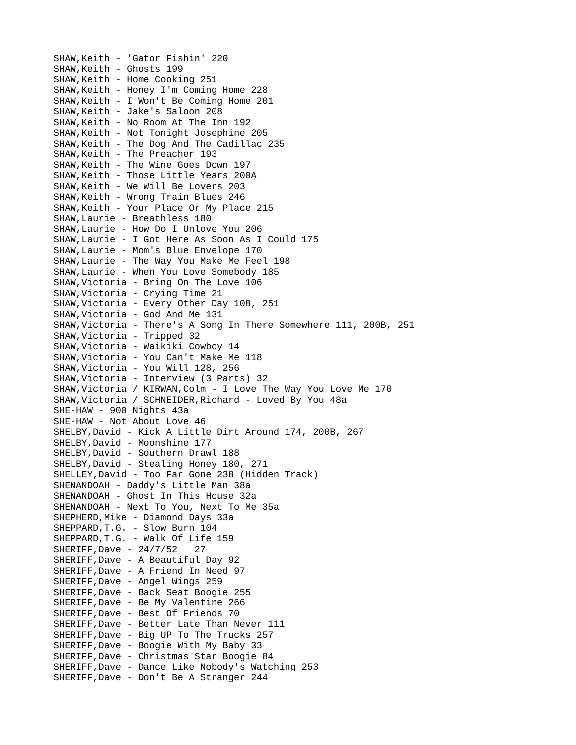SHAW,Keith - 'Gator Fishin' 220 SHAW, Keith - Ghosts 199 SHAW, Keith - Home Cooking 251 SHAW,Keith - Honey I'm Coming Home 228 SHAW,Keith - I Won't Be Coming Home 201 SHAW,Keith - Jake's Saloon 208 SHAW,Keith - No Room At The Inn 192 SHAW,Keith - Not Tonight Josephine 205 SHAW,Keith - The Dog And The Cadillac 235 SHAW, Keith - The Preacher 193 SHAW, Keith - The Wine Goes Down 197 SHAW,Keith - Those Little Years 200A SHAW,Keith - We Will Be Lovers 203 SHAW, Keith - Wrong Train Blues 246 SHAW,Keith - Your Place Or My Place 215 SHAW,Laurie - Breathless 180 SHAW,Laurie - How Do I Unlove You 206 SHAW,Laurie - I Got Here As Soon As I Could 175 SHAW,Laurie - Mom's Blue Envelope 170 SHAW,Laurie - The Way You Make Me Feel 198 SHAW,Laurie - When You Love Somebody 185 SHAW,Victoria - Bring On The Love 106 SHAW,Victoria - Crying Time 21 SHAW,Victoria - Every Other Day 108, 251 SHAW,Victoria - God And Me 131 SHAW,Victoria - There's A Song In There Somewhere 111, 200B, 251 SHAW,Victoria - Tripped 32 SHAW,Victoria - Waikiki Cowboy 14 SHAW,Victoria - You Can't Make Me 118 SHAW,Victoria - You Will 128, 256 SHAW,Victoria - Interview (3 Parts) 32 SHAW,Victoria / KIRWAN,Colm - I Love The Way You Love Me 170 SHAW,Victoria / SCHNEIDER,Richard - Loved By You 48a SHE-HAW - 900 Nights 43a SHE-HAW - Not About Love 46 SHELBY,David - Kick A Little Dirt Around 174, 200B, 267 SHELBY,David - Moonshine 177 SHELBY,David - Southern Drawl 188 SHELBY, David - Stealing Honey 180, 271 SHELLEY,David - Too Far Gone 238 (Hidden Track) SHENANDOAH - Daddy's Little Man 38a SHENANDOAH - Ghost In This House 32a SHENANDOAH - Next To You, Next To Me 35a SHEPHERD, Mike - Diamond Days 33a SHEPPARD,T.G. - Slow Burn 104 SHEPPARD,T.G. - Walk Of Life 159 SHERIFF,Dave - 24/7/52 27 SHERIFF,Dave - A Beautiful Day 92 SHERIFF,Dave - A Friend In Need 97 SHERIFF,Dave - Angel Wings 259 SHERIFF,Dave - Back Seat Boogie 255 SHERIFF,Dave - Be My Valentine 266 SHERIFF,Dave - Best Of Friends 70 SHERIFF,Dave - Better Late Than Never 111 SHERIFF,Dave - Big UP To The Trucks 257 SHERIFF,Dave - Boogie With My Baby 33 SHERIFF,Dave - Christmas Star Boogie 84 SHERIFF,Dave - Dance Like Nobody's Watching 253 SHERIFF,Dave - Don't Be A Stranger 244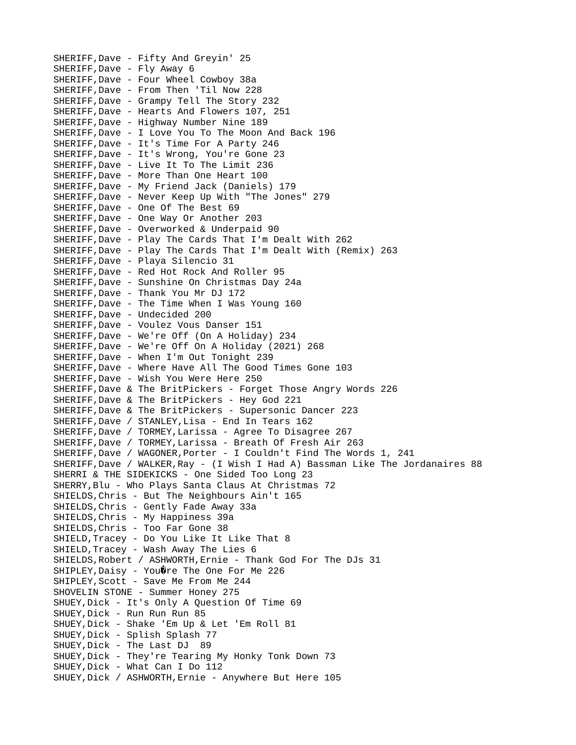SHERIFF,Dave - Fifty And Greyin' 25 SHERIFF,Dave - Fly Away 6 SHERIFF,Dave - Four Wheel Cowboy 38a SHERIFF,Dave - From Then 'Til Now 228 SHERIFF,Dave - Grampy Tell The Story 232 SHERIFF,Dave - Hearts And Flowers 107, 251 SHERIFF,Dave - Highway Number Nine 189 SHERIFF,Dave - I Love You To The Moon And Back 196 SHERIFF,Dave - It's Time For A Party 246 SHERIFF,Dave - It's Wrong, You're Gone 23 SHERIFF,Dave - Live It To The Limit 236 SHERIFF,Dave - More Than One Heart 100 SHERIFF,Dave - My Friend Jack (Daniels) 179 SHERIFF,Dave - Never Keep Up With "The Jones" 279 SHERIFF,Dave - One Of The Best 69 SHERIFF,Dave - One Way Or Another 203 SHERIFF,Dave - Overworked & Underpaid 90 SHERIFF,Dave - Play The Cards That I'm Dealt With 262 SHERIFF,Dave - Play The Cards That I'm Dealt With (Remix) 263 SHERIFF,Dave - Playa Silencio 31 SHERIFF,Dave - Red Hot Rock And Roller 95 SHERIFF,Dave - Sunshine On Christmas Day 24a SHERIFF,Dave - Thank You Mr DJ 172 SHERIFF,Dave - The Time When I Was Young 160 SHERIFF,Dave - Undecided 200 SHERIFF,Dave - Voulez Vous Danser 151 SHERIFF,Dave - We're Off (On A Holiday) 234 SHERIFF,Dave - We're Off On A Holiday (2021) 268 SHERIFF,Dave - When I'm Out Tonight 239 SHERIFF,Dave - Where Have All The Good Times Gone 103 SHERIFF,Dave - Wish You Were Here 250 SHERIFF,Dave & The BritPickers - Forget Those Angry Words 226 SHERIFF,Dave & The BritPickers - Hey God 221 SHERIFF,Dave & The BritPickers - Supersonic Dancer 223 SHERIFF,Dave / STANLEY,Lisa - End In Tears 162 SHERIFF,Dave / TORMEY,Larissa - Agree To Disagree 267 SHERIFF,Dave / TORMEY,Larissa - Breath Of Fresh Air 263 SHERIFF,Dave / WAGONER,Porter - I Couldn't Find The Words 1, 241 SHERIFF,Dave / WALKER,Ray - (I Wish I Had A) Bassman Like The Jordanaires 88 SHERRI & THE SIDEKICKS - One Sided Too Long 23 SHERRY,Blu - Who Plays Santa Claus At Christmas 72 SHIELDS,Chris - But The Neighbours Ain't 165 SHIELDS,Chris - Gently Fade Away 33a SHIELDS,Chris - My Happiness 39a SHIELDS,Chris - Too Far Gone 38 SHIELD,Tracey - Do You Like It Like That 8 SHIELD,Tracey - Wash Away The Lies 6 SHIELDS,Robert / ASHWORTH,Ernie - Thank God For The DJs 31 SHIPLEY, Daisy - You@re The One For Me 226 SHIPLEY,Scott - Save Me From Me 244 SHOVELIN STONE - Summer Honey 275 SHUEY,Dick - It's Only A Question Of Time 69 SHUEY,Dick - Run Run Run 85 SHUEY,Dick - Shake 'Em Up & Let 'Em Roll 81 SHUEY, Dick - Splish Splash 77 SHUEY,Dick - The Last DJ 89 SHUEY, Dick - They're Tearing My Honky Tonk Down 73 SHUEY,Dick - What Can I Do 112 SHUEY,Dick / ASHWORTH,Ernie - Anywhere But Here 105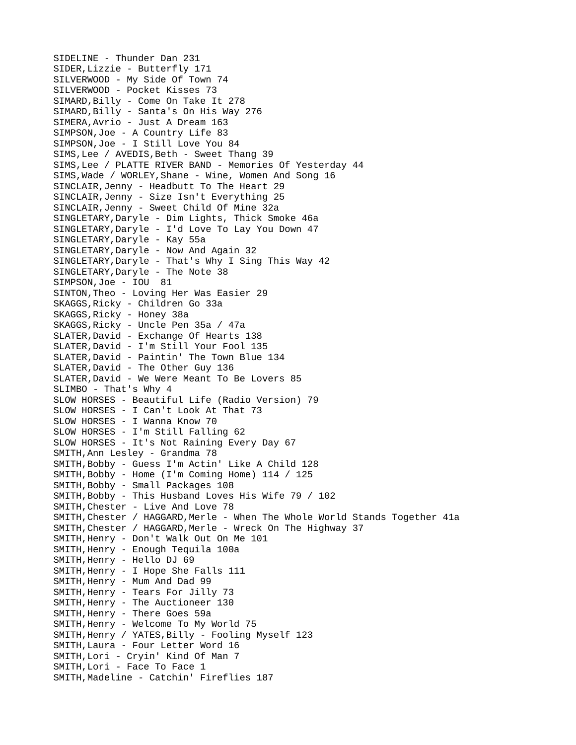SIDELINE - Thunder Dan 231 SIDER,Lizzie - Butterfly 171 SILVERWOOD - My Side Of Town 74 SILVERWOOD - Pocket Kisses 73 SIMARD, Billy - Come On Take It 278 SIMARD,Billy - Santa's On His Way 276 SIMERA,Avrio - Just A Dream 163 SIMPSON,Joe - A Country Life 83 SIMPSON,Joe - I Still Love You 84 SIMS, Lee / AVEDIS, Beth - Sweet Thang 39 SIMS,Lee / PLATTE RIVER BAND - Memories Of Yesterday 44 SIMS,Wade / WORLEY,Shane - Wine, Women And Song 16 SINCLAIR,Jenny - Headbutt To The Heart 29 SINCLAIR,Jenny - Size Isn't Everything 25 SINCLAIR,Jenny - Sweet Child Of Mine 32a SINGLETARY,Daryle - Dim Lights, Thick Smoke 46a SINGLETARY,Daryle - I'd Love To Lay You Down 47 SINGLETARY, Daryle - Kay 55a SINGLETARY,Daryle - Now And Again 32 SINGLETARY,Daryle - That's Why I Sing This Way 42 SINGLETARY,Daryle - The Note 38 SIMPSON,Joe - IOU 81 SINTON,Theo - Loving Her Was Easier 29 SKAGGS,Ricky - Children Go 33a SKAGGS, Ricky - Honey 38a SKAGGS,Ricky - Uncle Pen 35a / 47a SLATER,David - Exchange Of Hearts 138 SLATER,David - I'm Still Your Fool 135 SLATER,David - Paintin' The Town Blue 134 SLATER,David - The Other Guy 136 SLATER,David - We Were Meant To Be Lovers 85 SLIMBO - That's Why 4 SLOW HORSES - Beautiful Life (Radio Version) 79 SLOW HORSES - I Can't Look At That 73 SLOW HORSES - I Wanna Know 70 SLOW HORSES - I'm Still Falling 62 SLOW HORSES - It's Not Raining Every Day 67 SMITH,Ann Lesley - Grandma 78 SMITH,Bobby - Guess I'm Actin' Like A Child 128 SMITH,Bobby - Home (I'm Coming Home) 114 / 125 SMITH,Bobby - Small Packages 108 SMITH,Bobby - This Husband Loves His Wife 79 / 102 SMITH,Chester - Live And Love 78 SMITH, Chester / HAGGARD, Merle - When The Whole World Stands Together 41a SMITH, Chester / HAGGARD, Merle - Wreck On The Highway 37 SMITH,Henry - Don't Walk Out On Me 101 SMITH, Henry - Enough Tequila 100a SMITH,Henry - Hello DJ 69 SMITH, Henry - I Hope She Falls 111 SMITH, Henry - Mum And Dad 99 SMITH,Henry - Tears For Jilly 73 SMITH, Henry - The Auctioneer 130 SMITH, Henry - There Goes 59a SMITH, Henry - Welcome To My World 75 SMITH,Henry / YATES,Billy - Fooling Myself 123 SMITH,Laura - Four Letter Word 16 SMITH,Lori - Cryin' Kind Of Man 7 SMITH,Lori - Face To Face 1 SMITH,Madeline - Catchin' Fireflies 187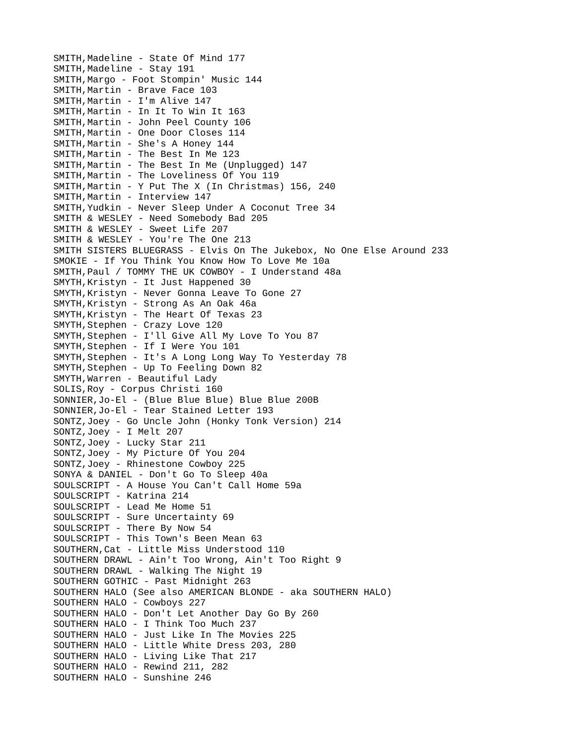SMITH,Madeline - State Of Mind 177 SMITH, Madeline - Stay 191 SMITH,Margo - Foot Stompin' Music 144 SMITH,Martin - Brave Face 103 SMITH,Martin - I'm Alive 147 SMITH,Martin - In It To Win It 163 SMITH, Martin - John Peel County 106 SMITH, Martin - One Door Closes 114 SMITH,Martin - She's A Honey 144 SMITH,Martin - The Best In Me 123 SMITH,Martin - The Best In Me (Unplugged) 147 SMITH,Martin - The Loveliness Of You 119 SMITH,Martin - Y Put The X (In Christmas) 156, 240 SMITH, Martin - Interview 147 SMITH,Yudkin - Never Sleep Under A Coconut Tree 34 SMITH & WESLEY - Need Somebody Bad 205 SMITH & WESLEY - Sweet Life 207 SMITH & WESLEY - You're The One 213 SMITH SISTERS BLUEGRASS - Elvis On The Jukebox, No One Else Around 233 SMOKIE - If You Think You Know How To Love Me 10a SMITH,Paul / TOMMY THE UK COWBOY - I Understand 48a SMYTH,Kristyn - It Just Happened 30 SMYTH,Kristyn - Never Gonna Leave To Gone 27 SMYTH,Kristyn - Strong As An Oak 46a SMYTH,Kristyn - The Heart Of Texas 23 SMYTH, Stephen - Crazy Love 120 SMYTH,Stephen - I'll Give All My Love To You 87 SMYTH,Stephen - If I Were You 101 SMYTH,Stephen - It's A Long Long Way To Yesterday 78 SMYTH,Stephen - Up To Feeling Down 82 SMYTH,Warren - Beautiful Lady SOLIS,Roy - Corpus Christi 160 SONNIER,Jo-El - (Blue Blue Blue) Blue Blue 200B SONNIER,Jo-El - Tear Stained Letter 193 SONTZ,Joey - Go Uncle John (Honky Tonk Version) 214 SONTZ,Joey - I Melt 207 SONTZ,Joey - Lucky Star 211 SONTZ,Joey - My Picture Of You 204 SONTZ,Joey - Rhinestone Cowboy 225 SONYA & DANIEL - Don't Go To Sleep 40a SOULSCRIPT - A House You Can't Call Home 59a SOULSCRIPT - Katrina 214 SOULSCRIPT - Lead Me Home 51 SOULSCRIPT - Sure Uncertainty 69 SOULSCRIPT - There By Now 54 SOULSCRIPT - This Town's Been Mean 63 SOUTHERN,Cat - Little Miss Understood 110 SOUTHERN DRAWL - Ain't Too Wrong, Ain't Too Right 9 SOUTHERN DRAWL - Walking The Night 19 SOUTHERN GOTHIC - Past Midnight 263 SOUTHERN HALO (See also AMERICAN BLONDE - aka SOUTHERN HALO) SOUTHERN HALO - Cowboys 227 SOUTHERN HALO - Don't Let Another Day Go By 260 SOUTHERN HALO - I Think Too Much 237 SOUTHERN HALO - Just Like In The Movies 225 SOUTHERN HALO - Little White Dress 203, 280 SOUTHERN HALO - Living Like That 217 SOUTHERN HALO - Rewind 211, 282 SOUTHERN HALO - Sunshine 246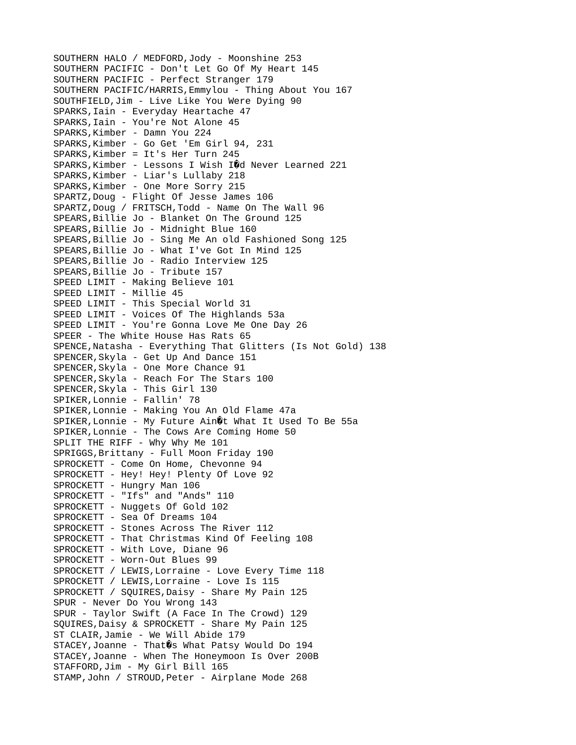SOUTHERN HALO / MEDFORD,Jody - Moonshine 253 SOUTHERN PACIFIC - Don't Let Go Of My Heart 145 SOUTHERN PACIFIC - Perfect Stranger 179 SOUTHERN PACIFIC/HARRIS,Emmylou - Thing About You 167 SOUTHFIELD,Jim - Live Like You Were Dying 90 SPARKS,Iain - Everyday Heartache 47 SPARKS,Iain - You're Not Alone 45 SPARKS, Kimber - Damn You 224 SPARKS,Kimber - Go Get 'Em Girl 94, 231 SPARKS,Kimber = It's Her Turn 245 SPARKS, Kimber - Lessons I Wish IOd Never Learned 221 SPARKS,Kimber - Liar's Lullaby 218 SPARKS,Kimber - One More Sorry 215 SPARTZ,Doug - Flight Of Jesse James 106 SPARTZ, Doug / FRITSCH, Todd - Name On The Wall 96 SPEARS,Billie Jo - Blanket On The Ground 125 SPEARS,Billie Jo - Midnight Blue 160 SPEARS,Billie Jo - Sing Me An old Fashioned Song 125 SPEARS,Billie Jo - What I've Got In Mind 125 SPEARS,Billie Jo - Radio Interview 125 SPEARS,Billie Jo - Tribute 157 SPEED LIMIT - Making Believe 101 SPEED LIMIT - Millie 45 SPEED LIMIT - This Special World 31 SPEED LIMIT - Voices Of The Highlands 53a SPEED LIMIT - You're Gonna Love Me One Day 26 SPEER - The White House Has Rats 65 SPENCE,Natasha - Everything That Glitters (Is Not Gold) 138 SPENCER,Skyla - Get Up And Dance 151 SPENCER,Skyla - One More Chance 91 SPENCER,Skyla - Reach For The Stars 100 SPENCER,Skyla - This Girl 130 SPIKER,Lonnie - Fallin' 78 SPIKER,Lonnie - Making You An Old Flame 47a SPIKER, Lonnie - My Future Ain 0t What It Used To Be 55a SPIKER,Lonnie - The Cows Are Coming Home 50 SPLIT THE RIFF - Why Why Me 101 SPRIGGS,Brittany - Full Moon Friday 190 SPROCKETT - Come On Home, Chevonne 94 SPROCKETT - Hey! Hey! Plenty Of Love 92 SPROCKETT - Hungry Man 106 SPROCKETT - "Ifs" and "Ands" 110 SPROCKETT - Nuggets Of Gold 102 SPROCKETT - Sea Of Dreams 104 SPROCKETT - Stones Across The River 112 SPROCKETT - That Christmas Kind Of Feeling 108 SPROCKETT - With Love, Diane 96 SPROCKETT - Worn-Out Blues 99 SPROCKETT / LEWIS,Lorraine - Love Every Time 118 SPROCKETT / LEWIS,Lorraine - Love Is 115 SPROCKETT / SQUIRES, Daisy - Share My Pain 125 SPUR - Never Do You Wrong 143 SPUR - Taylor Swift (A Face In The Crowd) 129 SQUIRES,Daisy & SPROCKETT - Share My Pain 125 ST CLAIR,Jamie - We Will Abide 179 STACEY, Joanne - That $\hat{\mathbf{v}}$ s What Patsy Would Do 194 STACEY,Joanne - When The Honeymoon Is Over 200B STAFFORD,Jim - My Girl Bill 165 STAMP,John / STROUD,Peter - Airplane Mode 268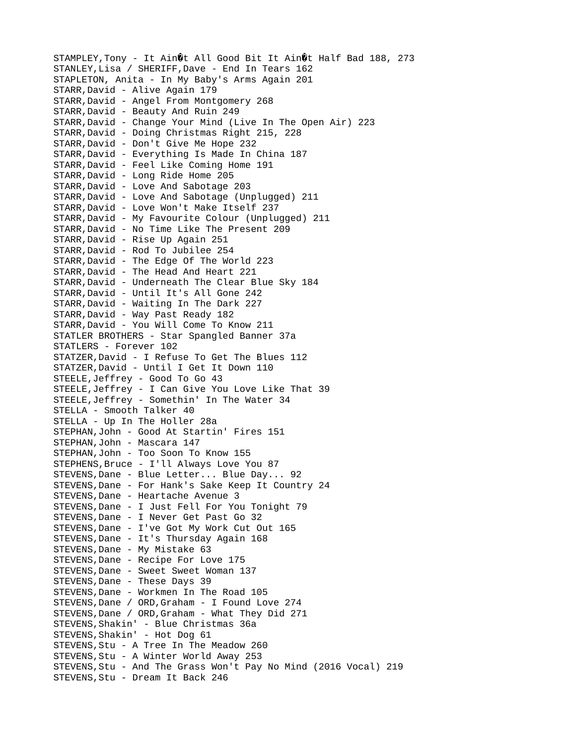STAMPLEY, Tony - It Ain $\hat{\mathbf{\theta}}$ t All Good Bit It Ain $\hat{\mathbf{\theta}}$ t Half Bad 188, 273 STANLEY,Lisa / SHERIFF,Dave - End In Tears 162 STAPLETON, Anita - In My Baby's Arms Again 201 STARR,David - Alive Again 179 STARR,David - Angel From Montgomery 268 STARR,David - Beauty And Ruin 249 STARR,David - Change Your Mind (Live In The Open Air) 223 STARR,David - Doing Christmas Right 215, 228 STARR,David - Don't Give Me Hope 232 STARR,David - Everything Is Made In China 187 STARR,David - Feel Like Coming Home 191 STARR,David - Long Ride Home 205 STARR,David - Love And Sabotage 203 STARR,David - Love And Sabotage (Unplugged) 211 STARR,David - Love Won't Make Itself 237 STARR,David - My Favourite Colour (Unplugged) 211 STARR,David - No Time Like The Present 209 STARR,David - Rise Up Again 251 STARR,David - Rod To Jubilee 254 STARR,David - The Edge Of The World 223 STARR,David - The Head And Heart 221 STARR,David - Underneath The Clear Blue Sky 184 STARR,David - Until It's All Gone 242 STARR,David - Waiting In The Dark 227 STARR,David - Way Past Ready 182 STARR,David - You Will Come To Know 211 STATLER BROTHERS - Star Spangled Banner 37a STATLERS - Forever 102 STATZER,David - I Refuse To Get The Blues 112 STATZER,David - Until I Get It Down 110 STEELE,Jeffrey - Good To Go 43 STEELE,Jeffrey - I Can Give You Love Like That 39 STEELE,Jeffrey - Somethin' In The Water 34 STELLA - Smooth Talker 40 STELLA - Up In The Holler 28a STEPHAN,John - Good At Startin' Fires 151 STEPHAN,John - Mascara 147 STEPHAN,John - Too Soon To Know 155 STEPHENS,Bruce - I'll Always Love You 87 STEVENS,Dane - Blue Letter... Blue Day... 92 STEVENS,Dane - For Hank's Sake Keep It Country 24 STEVENS,Dane - Heartache Avenue 3 STEVENS,Dane - I Just Fell For You Tonight 79 STEVENS,Dane - I Never Get Past Go 32 STEVENS,Dane - I've Got My Work Cut Out 165 STEVENS,Dane - It's Thursday Again 168 STEVENS,Dane - My Mistake 63 STEVENS,Dane - Recipe For Love 175 STEVENS,Dane - Sweet Sweet Woman 137 STEVENS,Dane - These Days 39 STEVENS,Dane - Workmen In The Road 105 STEVENS,Dane / ORD,Graham - I Found Love 274 STEVENS,Dane / ORD,Graham - What They Did 271 STEVENS,Shakin' - Blue Christmas 36a STEVENS, Shakin' - Hot Dog 61 STEVENS,Stu - A Tree In The Meadow 260 STEVENS,Stu - A Winter World Away 253 STEVENS,Stu - And The Grass Won't Pay No Mind (2016 Vocal) 219 STEVENS,Stu - Dream It Back 246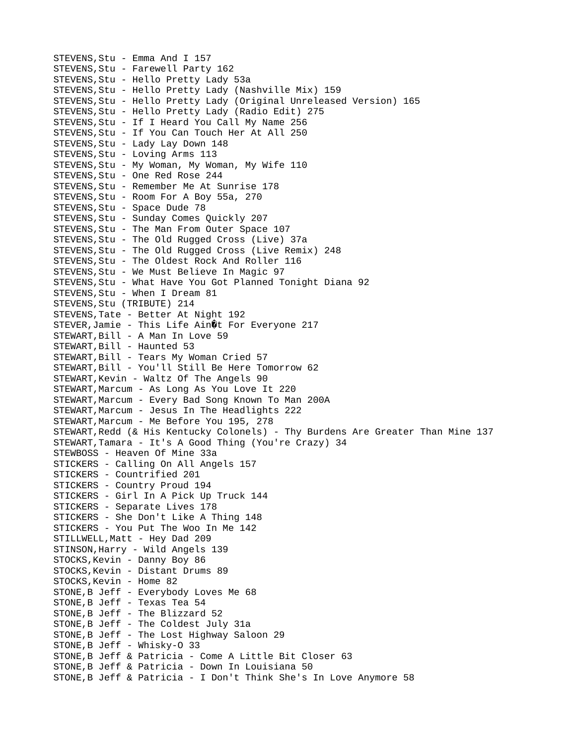STEVENS,Stu - Emma And I 157 STEVENS,Stu - Farewell Party 162 STEVENS,Stu - Hello Pretty Lady 53a STEVENS,Stu - Hello Pretty Lady (Nashville Mix) 159 STEVENS,Stu - Hello Pretty Lady (Original Unreleased Version) 165 STEVENS,Stu - Hello Pretty Lady (Radio Edit) 275 STEVENS,Stu - If I Heard You Call My Name 256 STEVENS,Stu - If You Can Touch Her At All 250 STEVENS, Stu - Lady Lay Down 148 STEVENS,Stu - Loving Arms 113 STEVENS,Stu - My Woman, My Woman, My Wife 110 STEVENS,Stu - One Red Rose 244 STEVENS,Stu - Remember Me At Sunrise 178 STEVENS,Stu - Room For A Boy 55a, 270 STEVENS,Stu - Space Dude 78 STEVENS,Stu - Sunday Comes Quickly 207 STEVENS,Stu - The Man From Outer Space 107 STEVENS,Stu - The Old Rugged Cross (Live) 37a STEVENS,Stu - The Old Rugged Cross (Live Remix) 248 STEVENS,Stu - The Oldest Rock And Roller 116 STEVENS,Stu - We Must Believe In Magic 97 STEVENS,Stu - What Have You Got Planned Tonight Diana 92 STEVENS,Stu - When I Dream 81 STEVENS, Stu (TRIBUTE) 214 STEVENS,Tate - Better At Night 192 STEVER, Jamie - This Life Ain $\mathbf{\hat{Q}}$ t For Everyone 217 STEWART,Bill - A Man In Love 59 STEWART, Bill - Haunted 53 STEWART,Bill - Tears My Woman Cried 57 STEWART,Bill - You'll Still Be Here Tomorrow 62 STEWART,Kevin - Waltz Of The Angels 90 STEWART, Marcum - As Long As You Love It 220 STEWART, Marcum - Every Bad Song Known To Man 200A STEWART, Marcum - Jesus In The Headlights 222 STEWART,Marcum - Me Before You 195, 278 STEWART,Redd (& His Kentucky Colonels) - Thy Burdens Are Greater Than Mine 137 STEWART,Tamara - It's A Good Thing (You're Crazy) 34 STEWBOSS - Heaven Of Mine 33a STICKERS - Calling On All Angels 157 STICKERS - Countrified 201 STICKERS - Country Proud 194 STICKERS - Girl In A Pick Up Truck 144 STICKERS - Separate Lives 178 STICKERS - She Don't Like A Thing 148 STICKERS - You Put The Woo In Me 142 STILLWELL, Matt - Hey Dad 209 STINSON,Harry - Wild Angels 139 STOCKS,Kevin - Danny Boy 86 STOCKS, Kevin - Distant Drums 89 STOCKS, Kevin - Home 82 STONE,B Jeff - Everybody Loves Me 68 STONE,B Jeff - Texas Tea 54 STONE,B Jeff - The Blizzard 52 STONE,B Jeff - The Coldest July 31a STONE,B Jeff - The Lost Highway Saloon 29 STONE,B Jeff - Whisky-O 33 STONE,B Jeff & Patricia - Come A Little Bit Closer 63 STONE,B Jeff & Patricia - Down In Louisiana 50 STONE,B Jeff & Patricia - I Don't Think She's In Love Anymore 58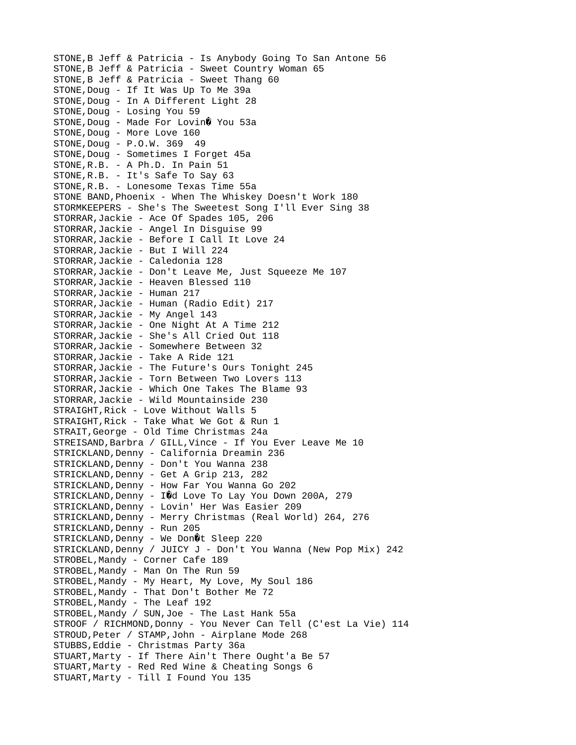STONE,B Jeff & Patricia - Is Anybody Going To San Antone 56 STONE,B Jeff & Patricia - Sweet Country Woman 65 STONE,B Jeff & Patricia - Sweet Thang 60 STONE,Doug - If It Was Up To Me 39a STONE, Doug - In A Different Light 28 STONE,Doug - Losing You 59 STONE, Doug - Made For Lovin Vou 53a STONE, Doug - More Love 160 STONE,Doug - P.O.W. 369 49 STONE, Doug - Sometimes I Forget 45a STONE,R.B. - A Ph.D. In Pain 51 STONE,R.B. - It's Safe To Say 63 STONE,R.B. - Lonesome Texas Time 55a STONE BAND,Phoenix - When The Whiskey Doesn't Work 180 STORMKEEPERS - She's The Sweetest Song I'll Ever Sing 38 STORRAR,Jackie - Ace Of Spades 105, 206 STORRAR,Jackie - Angel In Disguise 99 STORRAR,Jackie - Before I Call It Love 24 STORRAR,Jackie - But I Will 224 STORRAR,Jackie - Caledonia 128 STORRAR,Jackie - Don't Leave Me, Just Squeeze Me 107 STORRAR,Jackie - Heaven Blessed 110 STORRAR,Jackie - Human 217 STORRAR,Jackie - Human (Radio Edit) 217 STORRAR,Jackie - My Angel 143 STORRAR,Jackie - One Night At A Time 212 STORRAR,Jackie - She's All Cried Out 118 STORRAR,Jackie - Somewhere Between 32 STORRAR,Jackie - Take A Ride 121 STORRAR,Jackie - The Future's Ours Tonight 245 STORRAR,Jackie - Torn Between Two Lovers 113 STORRAR,Jackie - Which One Takes The Blame 93 STORRAR,Jackie - Wild Mountainside 230 STRAIGHT,Rick - Love Without Walls 5 STRAIGHT,Rick - Take What We Got & Run 1 STRAIT,George - Old Time Christmas 24a STREISAND, Barbra / GILL, Vince - If You Ever Leave Me 10 STRICKLAND, Denny - California Dreamin 236 STRICKLAND, Denny - Don't You Wanna 238 STRICKLAND,Denny - Get A Grip 213, 282 STRICKLAND, Denny - How Far You Wanna Go 202 STRICKLAND, Denny - IOd Love To Lay You Down 200A, 279 STRICKLAND,Denny - Lovin' Her Was Easier 209 STRICKLAND,Denny - Merry Christmas (Real World) 264, 276 STRICKLAND, Denny - Run 205 STRICKLAND, Denny - We Don 0t Sleep 220 STRICKLAND, Denny / JUICY J - Don't You Wanna (New Pop Mix) 242 STROBEL,Mandy - Corner Cafe 189 STROBEL, Mandy - Man On The Run 59 STROBEL,Mandy - My Heart, My Love, My Soul 186 STROBEL,Mandy - That Don't Bother Me 72 STROBEL,Mandy - The Leaf 192 STROBEL,Mandy / SUN,Joe - The Last Hank 55a STROOF / RICHMOND,Donny - You Never Can Tell (C'est La Vie) 114 STROUD,Peter / STAMP,John - Airplane Mode 268 STUBBS,Eddie - Christmas Party 36a STUART, Marty - If There Ain't There Ought'a Be 57 STUART, Marty - Red Red Wine & Cheating Songs 6 STUART,Marty - Till I Found You 135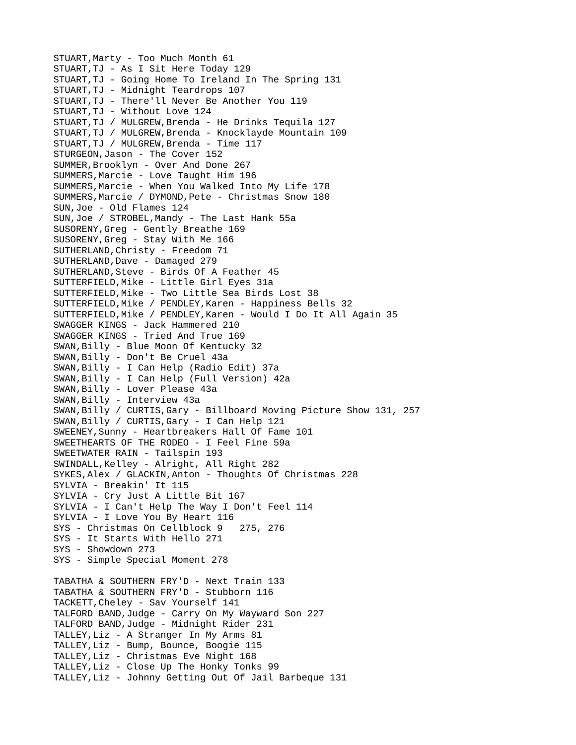STUART, Marty - Too Much Month 61 STUART,TJ - As I Sit Here Today 129 STUART,TJ - Going Home To Ireland In The Spring 131 STUART,TJ - Midnight Teardrops 107 STUART,TJ - There'll Never Be Another You 119 STUART,TJ - Without Love 124 STUART,TJ / MULGREW,Brenda - He Drinks Tequila 127 STUART,TJ / MULGREW,Brenda - Knocklayde Mountain 109 STUART,TJ / MULGREW,Brenda - Time 117 STURGEON,Jason - The Cover 152 SUMMER,Brooklyn - Over And Done 267 SUMMERS,Marcie - Love Taught Him 196 SUMMERS,Marcie - When You Walked Into My Life 178 SUMMERS,Marcie / DYMOND,Pete - Christmas Snow 180 SUN,Joe - Old Flames 124 SUN, Joe / STROBEL, Mandy - The Last Hank 55a SUSORENY,Greg - Gently Breathe 169 SUSORENY,Greg - Stay With Me 166 SUTHERLAND,Christy - Freedom 71 SUTHERLAND, Dave - Damaged 279 SUTHERLAND,Steve - Birds Of A Feather 45 SUTTERFIELD,Mike - Little Girl Eyes 31a SUTTERFIELD,Mike - Two Little Sea Birds Lost 38 SUTTERFIELD,Mike / PENDLEY,Karen - Happiness Bells 32 SUTTERFIELD,Mike / PENDLEY,Karen - Would I Do It All Again 35 SWAGGER KINGS - Jack Hammered 210 SWAGGER KINGS - Tried And True 169 SWAN,Billy - Blue Moon Of Kentucky 32 SWAN,Billy - Don't Be Cruel 43a SWAN,Billy - I Can Help (Radio Edit) 37a SWAN,Billy - I Can Help (Full Version) 42a SWAN,Billy - Lover Please 43a SWAN,Billy - Interview 43a SWAN,Billy / CURTIS,Gary - Billboard Moving Picture Show 131, 257 SWAN,Billy / CURTIS,Gary - I Can Help 121 SWEENEY,Sunny - Heartbreakers Hall Of Fame 101 SWEETHEARTS OF THE RODEO - I Feel Fine 59a SWEETWATER RAIN - Tailspin 193 SWINDALL,Kelley - Alright, All Right 282 SYKES,Alex / GLACKIN,Anton - Thoughts Of Christmas 228 SYLVIA - Breakin' It 115 SYLVIA - Cry Just A Little Bit 167 SYLVIA - I Can't Help The Way I Don't Feel 114 SYLVIA - I Love You By Heart 116 SYS - Christmas On Cellblock 9 275, 276 SYS - It Starts With Hello 271 SYS - Showdown 273 SYS - Simple Special Moment 278 TABATHA & SOUTHERN FRY'D - Next Train 133 TABATHA & SOUTHERN FRY'D - Stubborn 116 TACKETT,Cheley - Sav Yourself 141 TALFORD BAND,Judge - Carry On My Wayward Son 227 TALFORD BAND,Judge - Midnight Rider 231 TALLEY,Liz - A Stranger In My Arms 81 TALLEY,Liz - Bump, Bounce, Boogie 115 TALLEY,Liz - Christmas Eve Night 168 TALLEY,Liz - Close Up The Honky Tonks 99 TALLEY,Liz - Johnny Getting Out Of Jail Barbeque 131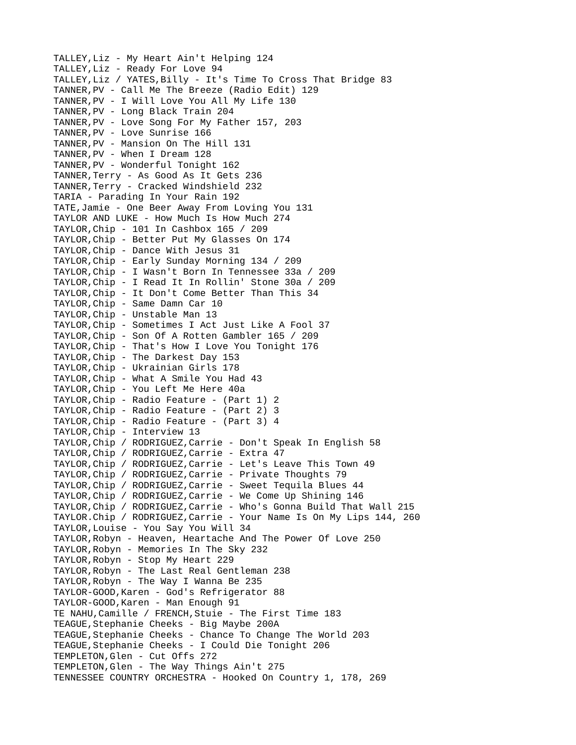TALLEY,Liz - My Heart Ain't Helping 124 TALLEY,Liz - Ready For Love 94 TALLEY,Liz / YATES,Billy - It's Time To Cross That Bridge 83 TANNER,PV - Call Me The Breeze (Radio Edit) 129 TANNER,PV - I Will Love You All My Life 130 TANNER,PV - Long Black Train 204 TANNER,PV - Love Song For My Father 157, 203 TANNER,PV - Love Sunrise 166 TANNER,PV - Mansion On The Hill 131 TANNER,PV - When I Dream 128 TANNER,PV - Wonderful Tonight 162 TANNER,Terry - As Good As It Gets 236 TANNER,Terry - Cracked Windshield 232 TARIA - Parading In Your Rain 192 TATE,Jamie - One Beer Away From Loving You 131 TAYLOR AND LUKE - How Much Is How Much 274 TAYLOR,Chip - 101 In Cashbox 165 / 209 TAYLOR,Chip - Better Put My Glasses On 174 TAYLOR,Chip - Dance With Jesus 31 TAYLOR,Chip - Early Sunday Morning 134 / 209 TAYLOR,Chip - I Wasn't Born In Tennessee 33a / 209 TAYLOR,Chip - I Read It In Rollin' Stone 30a / 209 TAYLOR,Chip - It Don't Come Better Than This 34 TAYLOR,Chip - Same Damn Car 10 TAYLOR,Chip - Unstable Man 13 TAYLOR,Chip - Sometimes I Act Just Like A Fool 37 TAYLOR,Chip - Son Of A Rotten Gambler 165 / 209 TAYLOR,Chip - That's How I Love You Tonight 176 TAYLOR,Chip - The Darkest Day 153 TAYLOR,Chip - Ukrainian Girls 178 TAYLOR,Chip - What A Smile You Had 43 TAYLOR,Chip - You Left Me Here 40a TAYLOR,Chip - Radio Feature - (Part 1) 2 TAYLOR,Chip - Radio Feature - (Part 2) 3 TAYLOR,Chip - Radio Feature - (Part 3) 4 TAYLOR,Chip - Interview 13 TAYLOR,Chip / RODRIGUEZ,Carrie - Don't Speak In English 58 TAYLOR,Chip / RODRIGUEZ,Carrie - Extra 47 TAYLOR,Chip / RODRIGUEZ,Carrie - Let's Leave This Town 49 TAYLOR,Chip / RODRIGUEZ,Carrie - Private Thoughts 79 TAYLOR,Chip / RODRIGUEZ,Carrie - Sweet Tequila Blues 44 TAYLOR,Chip / RODRIGUEZ,Carrie - We Come Up Shining 146 TAYLOR,Chip / RODRIGUEZ,Carrie - Who's Gonna Build That Wall 215 TAYLOR.Chip / RODRIGUEZ,Carrie - Your Name Is On My Lips 144, 260 TAYLOR,Louise - You Say You Will 34 TAYLOR,Robyn - Heaven, Heartache And The Power Of Love 250 TAYLOR,Robyn - Memories In The Sky 232 TAYLOR,Robyn - Stop My Heart 229 TAYLOR,Robyn - The Last Real Gentleman 238 TAYLOR,Robyn - The Way I Wanna Be 235 TAYLOR-GOOD,Karen - God's Refrigerator 88 TAYLOR-GOOD,Karen - Man Enough 91 TE NAHU,Camille / FRENCH,Stuie - The First Time 183 TEAGUE,Stephanie Cheeks - Big Maybe 200A TEAGUE, Stephanie Cheeks - Chance To Change The World 203 TEAGUE,Stephanie Cheeks - I Could Die Tonight 206 TEMPLETON,Glen - Cut Offs 272 TEMPLETON,Glen - The Way Things Ain't 275 TENNESSEE COUNTRY ORCHESTRA - Hooked On Country 1, 178, 269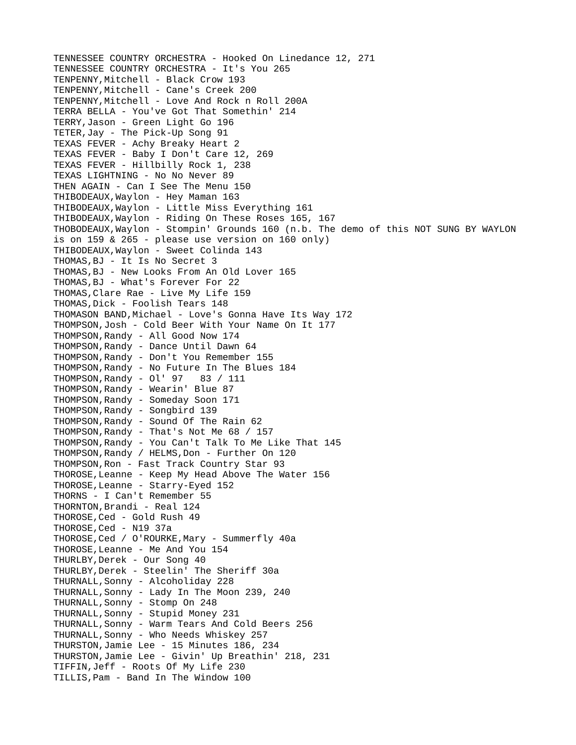TENNESSEE COUNTRY ORCHESTRA - Hooked On Linedance 12, 271 TENNESSEE COUNTRY ORCHESTRA - It's You 265 TENPENNY,Mitchell - Black Crow 193 TENPENNY,Mitchell - Cane's Creek 200 TENPENNY,Mitchell - Love And Rock n Roll 200A TERRA BELLA - You've Got That Somethin' 214 TERRY,Jason - Green Light Go 196 TETER,Jay - The Pick-Up Song 91 TEXAS FEVER - Achy Breaky Heart 2 TEXAS FEVER - Baby I Don't Care 12, 269 TEXAS FEVER - Hillbilly Rock 1, 238 TEXAS LIGHTNING - No No Never 89 THEN AGAIN - Can I See The Menu 150 THIBODEAUX,Waylon - Hey Maman 163 THIBODEAUX,Waylon - Little Miss Everything 161 THIBODEAUX,Waylon - Riding On These Roses 165, 167 THOBODEAUX,Waylon - Stompin' Grounds 160 (n.b. The demo of this NOT SUNG BY WAYLON is on 159 & 265 - please use version on 160 only) THIBODEAUX,Waylon - Sweet Colinda 143 THOMAS,BJ - It Is No Secret 3 THOMAS,BJ - New Looks From An Old Lover 165 THOMAS,BJ - What's Forever For 22 THOMAS,Clare Rae - Live My Life 159 THOMAS,Dick - Foolish Tears 148 THOMASON BAND,Michael - Love's Gonna Have Its Way 172 THOMPSON,Josh - Cold Beer With Your Name On It 177 THOMPSON,Randy - All Good Now 174 THOMPSON,Randy - Dance Until Dawn 64 THOMPSON,Randy - Don't You Remember 155 THOMPSON,Randy - No Future In The Blues 184 THOMPSON,Randy - Ol' 97 83 / 111 THOMPSON,Randy - Wearin' Blue 87 THOMPSON,Randy - Someday Soon 171 THOMPSON,Randy - Songbird 139 THOMPSON,Randy - Sound Of The Rain 62 THOMPSON,Randy - That's Not Me 68 / 157 THOMPSON,Randy - You Can't Talk To Me Like That 145 THOMPSON, Randy / HELMS, Don - Further On 120 THOMPSON,Ron - Fast Track Country Star 93 THOROSE,Leanne - Keep My Head Above The Water 156 THOROSE,Leanne - Starry-Eyed 152 THORNS - I Can't Remember 55 THORNTON,Brandi - Real 124 THOROSE, Ced - Gold Rush 49 THOROSE, Ced - N19 37a THOROSE,Ced / O'ROURKE,Mary - Summerfly 40a THOROSE,Leanne - Me And You 154 THURLBY, Derek - Our Song 40 THURLBY,Derek - Steelin' The Sheriff 30a THURNALL,Sonny - Alcoholiday 228 THURNALL,Sonny - Lady In The Moon 239, 240 THURNALL,Sonny - Stomp On 248 THURNALL,Sonny - Stupid Money 231 THURNALL,Sonny - Warm Tears And Cold Beers 256 THURNALL,Sonny - Who Needs Whiskey 257 THURSTON,Jamie Lee - 15 Minutes 186, 234 THURSTON,Jamie Lee - Givin' Up Breathin' 218, 231 TIFFIN,Jeff - Roots Of My Life 230 TILLIS,Pam - Band In The Window 100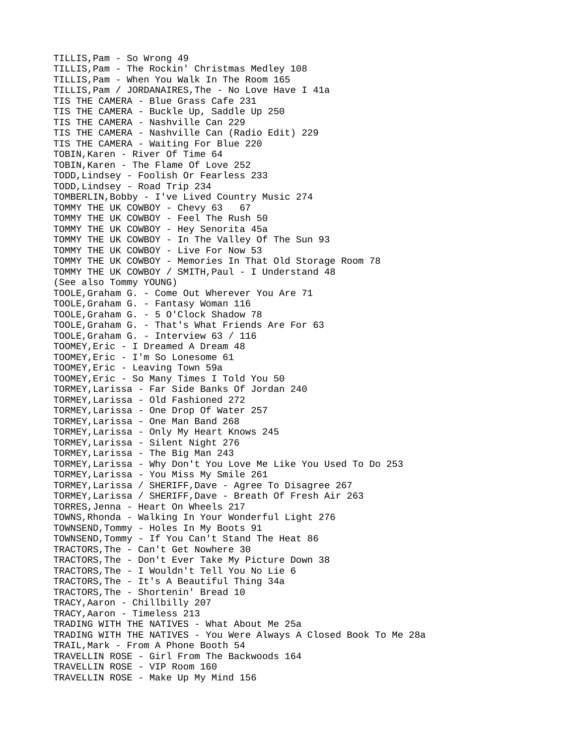TILLIS,Pam - So Wrong 49 TILLIS,Pam - The Rockin' Christmas Medley 108 TILLIS,Pam - When You Walk In The Room 165 TILLIS,Pam / JORDANAIRES,The - No Love Have I 41a TIS THE CAMERA - Blue Grass Cafe 231 TIS THE CAMERA - Buckle Up, Saddle Up 250 TIS THE CAMERA - Nashville Can 229 TIS THE CAMERA - Nashville Can (Radio Edit) 229 TIS THE CAMERA - Waiting For Blue 220 TOBIN,Karen - River Of Time 64 TOBIN,Karen - The Flame Of Love 252 TODD,Lindsey - Foolish Or Fearless 233 TODD,Lindsey - Road Trip 234 TOMBERLIN,Bobby - I've Lived Country Music 274 TOMMY THE UK COWBOY - Chevy 63 67 TOMMY THE UK COWBOY - Feel The Rush 50 TOMMY THE UK COWBOY - Hey Senorita 45a TOMMY THE UK COWBOY - In The Valley Of The Sun 93 TOMMY THE UK COWBOY - Live For Now 53 TOMMY THE UK COWBOY - Memories In That Old Storage Room 78 TOMMY THE UK COWBOY / SMITH,Paul - I Understand 48 (See also Tommy YOUNG) TOOLE,Graham G. - Come Out Wherever You Are 71 TOOLE,Graham G. - Fantasy Woman 116 TOOLE,Graham G. - 5 O'Clock Shadow 78 TOOLE,Graham G. - That's What Friends Are For 63 TOOLE,Graham G. - Interview 63 / 116 TOOMEY,Eric - I Dreamed A Dream 48 TOOMEY,Eric - I'm So Lonesome 61 TOOMEY,Eric - Leaving Town 59a TOOMEY,Eric - So Many Times I Told You 50 TORMEY,Larissa - Far Side Banks Of Jordan 240 TORMEY,Larissa - Old Fashioned 272 TORMEY,Larissa - One Drop Of Water 257 TORMEY,Larissa - One Man Band 268 TORMEY,Larissa - Only My Heart Knows 245 TORMEY,Larissa - Silent Night 276 TORMEY,Larissa - The Big Man 243 TORMEY,Larissa - Why Don't You Love Me Like You Used To Do 253 TORMEY,Larissa - You Miss My Smile 261 TORMEY,Larissa / SHERIFF,Dave - Agree To Disagree 267 TORMEY,Larissa / SHERIFF,Dave - Breath Of Fresh Air 263 TORRES,Jenna - Heart On Wheels 217 TOWNS,Rhonda - Walking In Your Wonderful Light 276 TOWNSEND,Tommy - Holes In My Boots 91 TOWNSEND,Tommy - If You Can't Stand The Heat 86 TRACTORS,The - Can't Get Nowhere 30 TRACTORS,The - Don't Ever Take My Picture Down 38 TRACTORS,The - I Wouldn't Tell You No Lie 6 TRACTORS,The - It's A Beautiful Thing 34a TRACTORS,The - Shortenin' Bread 10 TRACY,Aaron - Chillbilly 207 TRACY,Aaron - Timeless 213 TRADING WITH THE NATIVES - What About Me 25a TRADING WITH THE NATIVES - You Were Always A Closed Book To Me 28a TRAIL,Mark - From A Phone Booth 54 TRAVELLIN ROSE - Girl From The Backwoods 164 TRAVELLIN ROSE - VIP Room 160 TRAVELLIN ROSE - Make Up My Mind 156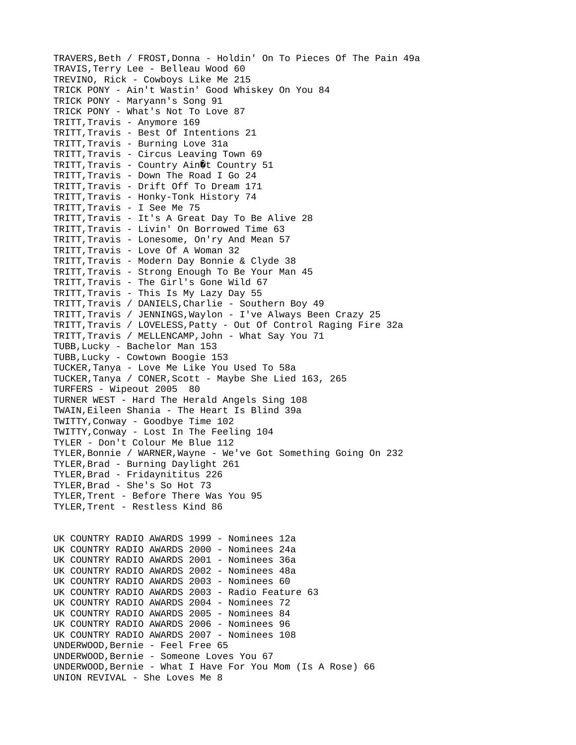TRAVERS,Beth / FROST,Donna - Holdin' On To Pieces Of The Pain 49a TRAVIS,Terry Lee - Belleau Wood 60 TREVINO, Rick - Cowboys Like Me 215 TRICK PONY - Ain't Wastin' Good Whiskey On You 84 TRICK PONY - Maryann's Song 91 TRICK PONY - What's Not To Love 87 TRITT,Travis - Anymore 169 TRITT,Travis - Best Of Intentions 21 TRITT,Travis - Burning Love 31a TRITT, Travis - Circus Leaving Town 69 TRITT, Travis - Country Ain $\hat{\mathbf{\theta}}$ t Country 51 TRITT,Travis - Down The Road I Go 24 TRITT,Travis - Drift Off To Dream 171 TRITT,Travis - Honky-Tonk History 74 TRITT,Travis - I See Me 75 TRITT,Travis - It's A Great Day To Be Alive 28 TRITT,Travis - Livin' On Borrowed Time 63 TRITT,Travis - Lonesome, On'ry And Mean 57 TRITT,Travis - Love Of A Woman 32 TRITT,Travis - Modern Day Bonnie & Clyde 38 TRITT,Travis - Strong Enough To Be Your Man 45 TRITT,Travis - The Girl's Gone Wild 67 TRITT, Travis - This Is My Lazy Day 55 TRITT,Travis / DANIELS,Charlie - Southern Boy 49 TRITT,Travis / JENNINGS,Waylon - I've Always Been Crazy 25 TRITT,Travis / LOVELESS,Patty - Out Of Control Raging Fire 32a TRITT,Travis / MELLENCAMP,John - What Say You 71 TUBB,Lucky - Bachelor Man 153 TUBB,Lucky - Cowtown Boogie 153 TUCKER,Tanya - Love Me Like You Used To 58a TUCKER,Tanya / CONER,Scott - Maybe She Lied 163, 265 TURFERS - Wipeout 2005 80 TURNER WEST - Hard The Herald Angels Sing 108 TWAIN,Eileen Shania - The Heart Is Blind 39a TWITTY,Conway - Goodbye Time 102 TWITTY,Conway - Lost In The Feeling 104 TYLER - Don't Colour Me Blue 112 TYLER,Bonnie / WARNER,Wayne - We've Got Something Going On 232 TYLER,Brad - Burning Daylight 261 TYLER,Brad - Fridaynititus 226 TYLER,Brad - She's So Hot 73 TYLER,Trent - Before There Was You 95 TYLER,Trent - Restless Kind 86 UK COUNTRY RADIO AWARDS 1999 - Nominees 12a UK COUNTRY RADIO AWARDS 2000 - Nominees 24a UK COUNTRY RADIO AWARDS 2001 - Nominees 36a UK COUNTRY RADIO AWARDS 2002 - Nominees 48a UK COUNTRY RADIO AWARDS 2003 - Nominees 60 UK COUNTRY RADIO AWARDS 2003 - Radio Feature 63 UK COUNTRY RADIO AWARDS 2004 - Nominees 72 UK COUNTRY RADIO AWARDS 2005 - Nominees 84 UK COUNTRY RADIO AWARDS 2006 - Nominees 96 UK COUNTRY RADIO AWARDS 2007 - Nominees 108 UNDERWOOD,Bernie - Feel Free 65 UNDERWOOD,Bernie - Someone Loves You 67 UNDERWOOD,Bernie - What I Have For You Mom (Is A Rose) 66 UNION REVIVAL - She Loves Me 8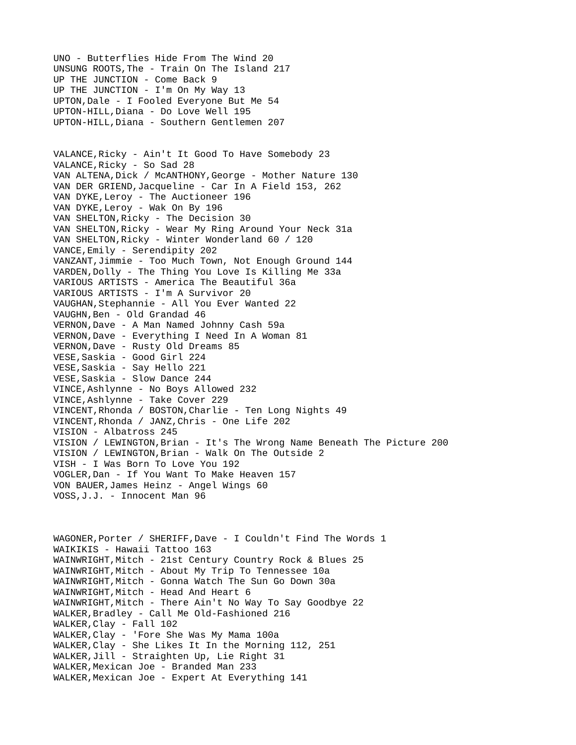UNO - Butterflies Hide From The Wind 20 UNSUNG ROOTS,The - Train On The Island 217 UP THE JUNCTION - Come Back 9 UP THE JUNCTION - I'm On My Way 13 UPTON,Dale - I Fooled Everyone But Me 54 UPTON-HILL,Diana - Do Love Well 195 UPTON-HILL,Diana - Southern Gentlemen 207 VALANCE,Ricky - Ain't It Good To Have Somebody 23 VALANCE, Ricky - So Sad 28 VAN ALTENA,Dick / McANTHONY,George - Mother Nature 130 VAN DER GRIEND,Jacqueline - Car In A Field 153, 262 VAN DYKE,Leroy - The Auctioneer 196 VAN DYKE,Leroy - Wak On By 196 VAN SHELTON,Ricky - The Decision 30 VAN SHELTON,Ricky - Wear My Ring Around Your Neck 31a VAN SHELTON,Ricky - Winter Wonderland 60 / 120 VANCE,Emily - Serendipity 202 VANZANT,Jimmie - Too Much Town, Not Enough Ground 144 VARDEN,Dolly - The Thing You Love Is Killing Me 33a VARIOUS ARTISTS - America The Beautiful 36a VARIOUS ARTISTS - I'm A Survivor 20 VAUGHAN,Stephannie - All You Ever Wanted 22 VAUGHN, Ben - Old Grandad 46 VERNON,Dave - A Man Named Johnny Cash 59a VERNON,Dave - Everything I Need In A Woman 81 VERNON,Dave - Rusty Old Dreams 85 VESE,Saskia - Good Girl 224 VESE,Saskia - Say Hello 221 VESE,Saskia - Slow Dance 244 VINCE,Ashlynne - No Boys Allowed 232 VINCE,Ashlynne - Take Cover 229 VINCENT,Rhonda / BOSTON,Charlie - Ten Long Nights 49 VINCENT,Rhonda / JANZ,Chris - One Life 202 VISION - Albatross 245 VISION / LEWINGTON,Brian - It's The Wrong Name Beneath The Picture 200 VISION / LEWINGTON,Brian - Walk On The Outside 2 VISH - I Was Born To Love You 192 VOGLER,Dan - If You Want To Make Heaven 157 VON BAUER,James Heinz - Angel Wings 60 VOSS,J.J. - Innocent Man 96 WAGONER,Porter / SHERIFF,Dave - I Couldn't Find The Words 1 WAIKIKIS - Hawaii Tattoo 163 WAINWRIGHT,Mitch - 21st Century Country Rock & Blues 25 WAINWRIGHT, Mitch - About My Trip To Tennessee 10a WAINWRIGHT,Mitch - Gonna Watch The Sun Go Down 30a WAINWRIGHT, Mitch - Head And Heart 6 WAINWRIGHT,Mitch - There Ain't No Way To Say Goodbye 22 WALKER,Bradley - Call Me Old-Fashioned 216 WALKER,Clay - Fall 102 WALKER,Clay - 'Fore She Was My Mama 100a WALKER, Clay - She Likes It In the Morning 112, 251 WALKER,Jill - Straighten Up, Lie Right 31 WALKER,Mexican Joe - Branded Man 233 WALKER,Mexican Joe - Expert At Everything 141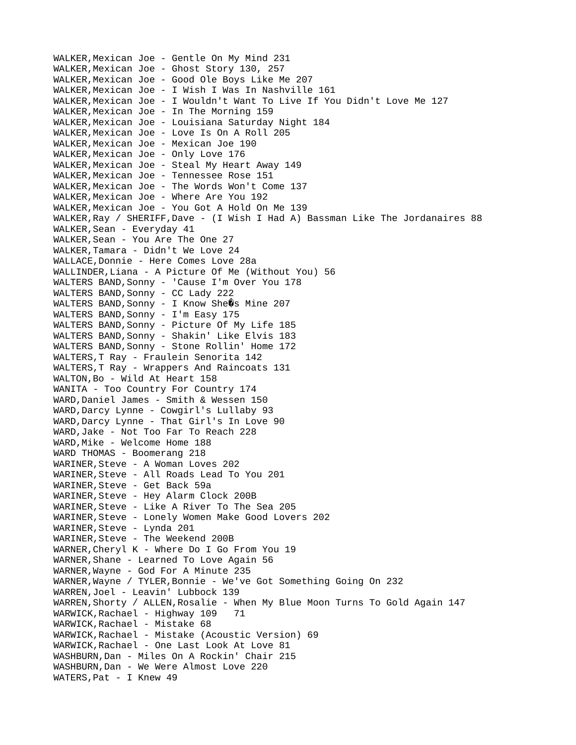WALKER,Mexican Joe - Gentle On My Mind 231 WALKER,Mexican Joe - Ghost Story 130, 257 WALKER,Mexican Joe - Good Ole Boys Like Me 207 WALKER,Mexican Joe - I Wish I Was In Nashville 161 WALKER,Mexican Joe - I Wouldn't Want To Live If You Didn't Love Me 127 WALKER,Mexican Joe - In The Morning 159 WALKER,Mexican Joe - Louisiana Saturday Night 184 WALKER,Mexican Joe - Love Is On A Roll 205 WALKER,Mexican Joe - Mexican Joe 190 WALKER,Mexican Joe - Only Love 176 WALKER,Mexican Joe - Steal My Heart Away 149 WALKER,Mexican Joe - Tennessee Rose 151 WALKER,Mexican Joe - The Words Won't Come 137 WALKER,Mexican Joe - Where Are You 192 WALKER,Mexican Joe - You Got A Hold On Me 139 WALKER,Ray / SHERIFF,Dave - (I Wish I Had A) Bassman Like The Jordanaires 88 WALKER, Sean - Everyday 41 WALKER,Sean - You Are The One 27 WALKER,Tamara - Didn't We Love 24 WALLACE,Donnie - Here Comes Love 28a WALLINDER,Liana - A Picture Of Me (Without You) 56 WALTERS BAND,Sonny - 'Cause I'm Over You 178 WALTERS BAND,Sonny - CC Lady 222 WALTERS BAND, Sonny - I Know She $\hat{Q}$ s Mine 207 WALTERS BAND,Sonny - I'm Easy 175 WALTERS BAND,Sonny - Picture Of My Life 185 WALTERS BAND,Sonny - Shakin' Like Elvis 183 WALTERS BAND,Sonny - Stone Rollin' Home 172 WALTERS,T Ray - Fraulein Senorita 142 WALTERS,T Ray - Wrappers And Raincoats 131 WALTON,Bo - Wild At Heart 158 WANITA - Too Country For Country 174 WARD, Daniel James - Smith & Wessen 150 WARD,Darcy Lynne - Cowgirl's Lullaby 93 WARD, Darcy Lynne - That Girl's In Love 90 WARD,Jake - Not Too Far To Reach 228 WARD, Mike - Welcome Home 188 WARD THOMAS - Boomerang 218 WARINER,Steve - A Woman Loves 202 WARINER,Steve - All Roads Lead To You 201 WARINER,Steve - Get Back 59a WARINER,Steve - Hey Alarm Clock 200B WARINER,Steve - Like A River To The Sea 205 WARINER,Steve - Lonely Women Make Good Lovers 202 WARINER,Steve - Lynda 201 WARINER,Steve - The Weekend 200B WARNER,Cheryl K - Where Do I Go From You 19 WARNER,Shane - Learned To Love Again 56 WARNER,Wayne - God For A Minute 235 WARNER,Wayne / TYLER,Bonnie - We've Got Something Going On 232 WARREN,Joel - Leavin' Lubbock 139 WARREN,Shorty / ALLEN,Rosalie - When My Blue Moon Turns To Gold Again 147 WARWICK,Rachael - Highway 109 71 WARWICK,Rachael - Mistake 68 WARWICK,Rachael - Mistake (Acoustic Version) 69 WARWICK,Rachael - One Last Look At Love 81 WASHBURN,Dan - Miles On A Rockin' Chair 215 WASHBURN,Dan - We Were Almost Love 220 WATERS,Pat - I Knew 49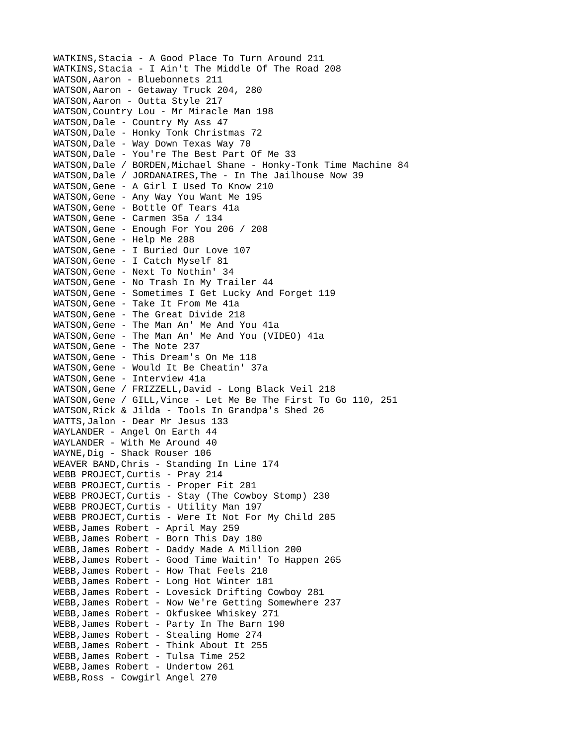WATKINS,Stacia - A Good Place To Turn Around 211 WATKINS,Stacia - I Ain't The Middle Of The Road 208 WATSON,Aaron - Bluebonnets 211 WATSON,Aaron - Getaway Truck 204, 280 WATSON,Aaron - Outta Style 217 WATSON,Country Lou - Mr Miracle Man 198 WATSON, Dale - Country My Ass 47 WATSON,Dale - Honky Tonk Christmas 72 WATSON,Dale - Way Down Texas Way 70 WATSON,Dale - You're The Best Part Of Me 33 WATSON, Dale / BORDEN, Michael Shane - Honky-Tonk Time Machine 84 WATSON, Dale / JORDANAIRES, The - In The Jailhouse Now 39 WATSON,Gene - A Girl I Used To Know 210 WATSON,Gene - Any Way You Want Me 195 WATSON,Gene - Bottle Of Tears 41a WATSON,Gene - Carmen 35a / 134 WATSON,Gene - Enough For You 206 / 208 WATSON,Gene - Help Me 208 WATSON,Gene - I Buried Our Love 107 WATSON,Gene - I Catch Myself 81 WATSON,Gene - Next To Nothin' 34 WATSON,Gene - No Trash In My Trailer 44 WATSON,Gene - Sometimes I Get Lucky And Forget 119 WATSON,Gene - Take It From Me 41a WATSON,Gene - The Great Divide 218 WATSON,Gene - The Man An' Me And You 41a WATSON,Gene - The Man An' Me And You (VIDEO) 41a WATSON, Gene - The Note 237 WATSON,Gene - This Dream's On Me 118 WATSON,Gene - Would It Be Cheatin' 37a WATSON,Gene - Interview 41a WATSON,Gene / FRIZZELL,David - Long Black Veil 218 WATSON, Gene / GILL, Vince - Let Me Be The First To Go 110, 251 WATSON,Rick & Jilda - Tools In Grandpa's Shed 26 WATTS,Jalon - Dear Mr Jesus 133 WAYLANDER - Angel On Earth 44 WAYLANDER - With Me Around 40 WAYNE,Dig - Shack Rouser 106 WEAVER BAND,Chris - Standing In Line 174 WEBB PROJECT,Curtis - Pray 214 WEBB PROJECT,Curtis - Proper Fit 201 WEBB PROJECT,Curtis - Stay (The Cowboy Stomp) 230 WEBB PROJECT, Curtis - Utility Man 197 WEBB PROJECT,Curtis - Were It Not For My Child 205 WEBB,James Robert - April May 259 WEBB,James Robert - Born This Day 180 WEBB,James Robert - Daddy Made A Million 200 WEBB,James Robert - Good Time Waitin' To Happen 265 WEBB,James Robert - How That Feels 210 WEBB,James Robert - Long Hot Winter 181 WEBB,James Robert - Lovesick Drifting Cowboy 281 WEBB,James Robert - Now We're Getting Somewhere 237 WEBB,James Robert - Okfuskee Whiskey 271 WEBB,James Robert - Party In The Barn 190 WEBB,James Robert - Stealing Home 274 WEBB,James Robert - Think About It 255 WEBB,James Robert - Tulsa Time 252 WEBB,James Robert - Undertow 261 WEBB,Ross - Cowgirl Angel 270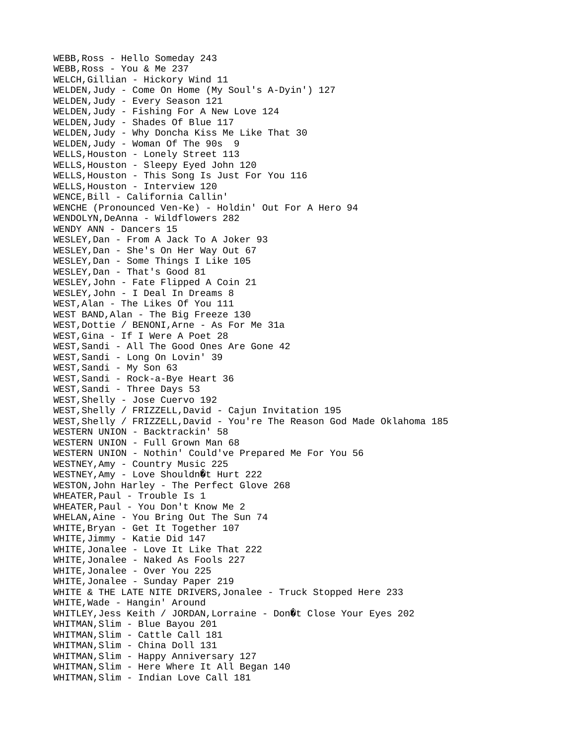WEBB,Ross - Hello Someday 243 WEBB,Ross - You & Me 237 WELCH,Gillian - Hickory Wind 11 WELDEN,Judy - Come On Home (My Soul's A-Dyin') 127 WELDEN,Judy - Every Season 121 WELDEN,Judy - Fishing For A New Love 124 WELDEN,Judy - Shades Of Blue 117 WELDEN,Judy - Why Doncha Kiss Me Like That 30 WELDEN,Judy - Woman Of The 90s 9 WELLS,Houston - Lonely Street 113 WELLS,Houston - Sleepy Eyed John 120 WELLS,Houston - This Song Is Just For You 116 WELLS,Houston - Interview 120 WENCE,Bill - California Callin' WENCHE (Pronounced Ven-Ke) - Holdin' Out For A Hero 94 WENDOLYN,DeAnna - Wildflowers 282 WENDY ANN - Dancers 15 WESLEY,Dan - From A Jack To A Joker 93 WESLEY,Dan - She's On Her Way Out 67 WESLEY,Dan - Some Things I Like 105 WESLEY,Dan - That's Good 81 WESLEY,John - Fate Flipped A Coin 21 WESLEY,John - I Deal In Dreams 8 WEST,Alan - The Likes Of You 111 WEST BAND,Alan - The Big Freeze 130 WEST,Dottie / BENONI,Arne - As For Me 31a WEST,Gina - If I Were A Poet 28 WEST,Sandi - All The Good Ones Are Gone 42 WEST,Sandi - Long On Lovin' 39 WEST,Sandi - My Son 63 WEST,Sandi - Rock-a-Bye Heart 36 WEST,Sandi - Three Days 53 WEST,Shelly - Jose Cuervo 192 WEST,Shelly / FRIZZELL,David - Cajun Invitation 195 WEST,Shelly / FRIZZELL,David - You're The Reason God Made Oklahoma 185 WESTERN UNION - Backtrackin' 58 WESTERN UNION - Full Grown Man 68 WESTERN UNION - Nothin' Could've Prepared Me For You 56 WESTNEY,Amy - Country Music 225  $WESTNEY$ , Amy - Love Shouldn $Qt$  Hurt 222 WESTON,John Harley - The Perfect Glove 268 WHEATER,Paul - Trouble Is 1 WHEATER,Paul - You Don't Know Me 2 WHELAN,Aine - You Bring Out The Sun 74 WHITE,Bryan - Get It Together 107 WHITE,Jimmy - Katie Did 147 WHITE,Jonalee - Love It Like That 222 WHITE,Jonalee - Naked As Fools 227 WHITE,Jonalee - Over You 225 WHITE,Jonalee - Sunday Paper 219 WHITE & THE LATE NITE DRIVERS, Jonalee - Truck Stopped Here 233 WHITE,Wade - Hangin' Around WHITLEY, Jess Keith / JORDAN, Lorraine - Don $\emptyset$ t Close Your Eyes 202 WHITMAN,Slim - Blue Bayou 201 WHITMAN,Slim - Cattle Call 181 WHITMAN,Slim - China Doll 131 WHITMAN, Slim - Happy Anniversary 127 WHITMAN,Slim - Here Where It All Began 140 WHITMAN,Slim - Indian Love Call 181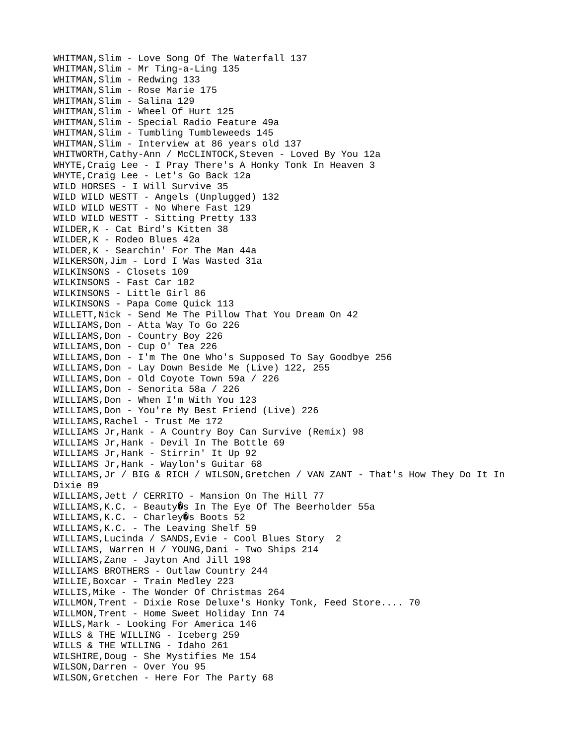WHITMAN,Slim - Love Song Of The Waterfall 137 WHITMAN,Slim - Mr Ting-a-Ling 135 WHITMAN,Slim - Redwing 133 WHITMAN,Slim - Rose Marie 175 WHITMAN,Slim - Salina 129 WHITMAN,Slim - Wheel Of Hurt 125 WHITMAN,Slim - Special Radio Feature 49a WHITMAN,Slim - Tumbling Tumbleweeds 145 WHITMAN,Slim - Interview at 86 years old 137 WHITWORTH,Cathy-Ann / McCLINTOCK,Steven - Loved By You 12a WHYTE,Craig Lee - I Pray There's A Honky Tonk In Heaven 3 WHYTE,Craig Lee - Let's Go Back 12a WILD HORSES - I Will Survive 35 WILD WILD WESTT - Angels (Unplugged) 132 WILD WILD WESTT - No Where Fast 129 WILD WILD WESTT - Sitting Pretty 133 WILDER,K - Cat Bird's Kitten 38 WILDER,K - Rodeo Blues 42a WILDER,K - Searchin' For The Man 44a WILKERSON,Jim - Lord I Was Wasted 31a WILKINSONS - Closets 109 WILKINSONS - Fast Car 102 WILKINSONS - Little Girl 86 WILKINSONS - Papa Come Quick 113 WILLETT,Nick - Send Me The Pillow That You Dream On 42 WILLIAMS,Don - Atta Way To Go 226 WILLIAMS, Don - Country Boy 226 WILLIAMS,Don - Cup O' Tea 226 WILLIAMS,Don - I'm The One Who's Supposed To Say Goodbye 256 WILLIAMS,Don - Lay Down Beside Me (Live) 122, 255 WILLIAMS,Don - Old Coyote Town 59a / 226 WILLIAMS,Don - Senorita 58a / 226 WILLIAMS,Don - When I'm With You 123 WILLIAMS,Don - You're My Best Friend (Live) 226 WILLIAMS,Rachel - Trust Me 172 WILLIAMS Jr,Hank - A Country Boy Can Survive (Remix) 98 WILLIAMS Jr,Hank - Devil In The Bottle 69 WILLIAMS Jr,Hank - Stirrin' It Up 92 WILLIAMS Jr,Hank - Waylon's Guitar 68 WILLIAMS, Jr / BIG & RICH / WILSON, Gretchen / VAN ZANT - That's How They Do It In Dixie 89 WILLIAMS,Jett / CERRITO - Mansion On The Hill 77  $WILLIAMS, K.C. - Bealty@s In The Eye Of The Beerholder 55a$ WILLIAMS, K.C. - Charley 0s Boots 52 WILLIAMS,K.C. - The Leaving Shelf 59 WILLIAMS,Lucinda / SANDS,Evie - Cool Blues Story 2 WILLIAMS, Warren H / YOUNG,Dani - Two Ships 214 WILLIAMS,Zane - Jayton And Jill 198 WILLIAMS BROTHERS - Outlaw Country 244 WILLIE,Boxcar - Train Medley 223 WILLIS,Mike - The Wonder Of Christmas 264 WILLMON,Trent - Dixie Rose Deluxe's Honky Tonk, Feed Store.... 70 WILLMON,Trent - Home Sweet Holiday Inn 74 WILLS,Mark - Looking For America 146 WILLS & THE WILLING - Iceberg 259 WILLS & THE WILLING - Idaho 261 WILSHIRE,Doug - She Mystifies Me 154 WILSON,Darren - Over You 95 WILSON,Gretchen - Here For The Party 68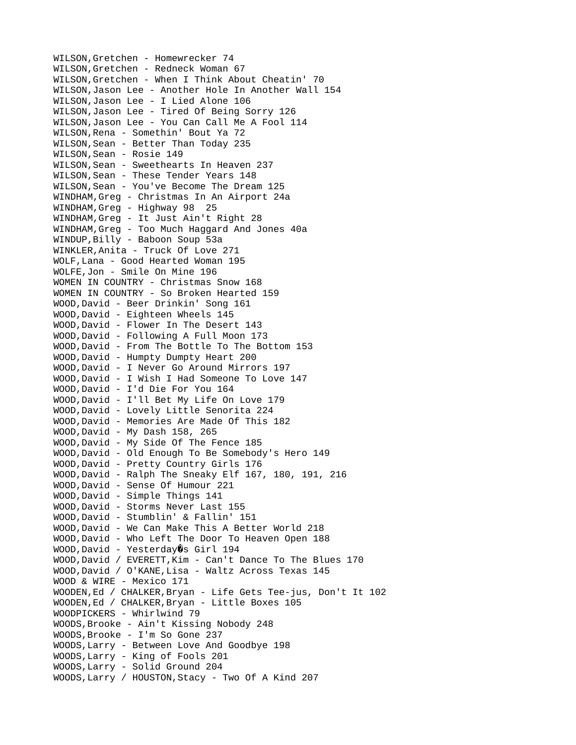WILSON,Gretchen - Homewrecker 74 WILSON,Gretchen - Redneck Woman 67 WILSON,Gretchen - When I Think About Cheatin' 70 WILSON,Jason Lee - Another Hole In Another Wall 154 WILSON,Jason Lee - I Lied Alone 106 WILSON,Jason Lee - Tired Of Being Sorry 126 WILSON,Jason Lee - You Can Call Me A Fool 114 WILSON,Rena - Somethin' Bout Ya 72 WILSON, Sean - Better Than Today 235 WILSON,Sean - Rosie 149 WILSON,Sean - Sweethearts In Heaven 237 WILSON, Sean - These Tender Years 148 WILSON,Sean - You've Become The Dream 125 WINDHAM,Greg - Christmas In An Airport 24a WINDHAM,Greg - Highway 98 25 WINDHAM,Greg - It Just Ain't Right 28 WINDHAM,Greg - Too Much Haggard And Jones 40a WINDUP,Billy - Baboon Soup 53a WINKLER,Anita - Truck Of Love 271 WOLF,Lana - Good Hearted Woman 195 WOLFE,Jon - Smile On Mine 196 WOMEN IN COUNTRY - Christmas Snow 168 WOMEN IN COUNTRY - So Broken Hearted 159 WOOD,David - Beer Drinkin' Song 161 WOOD,David - Eighteen Wheels 145 WOOD,David - Flower In The Desert 143 WOOD,David - Following A Full Moon 173 WOOD,David - From The Bottle To The Bottom 153 WOOD,David - Humpty Dumpty Heart 200 WOOD,David - I Never Go Around Mirrors 197 WOOD,David - I Wish I Had Someone To Love 147 WOOD,David - I'd Die For You 164 WOOD,David - I'll Bet My Life On Love 179 WOOD,David - Lovely Little Senorita 224 WOOD,David - Memories Are Made Of This 182 WOOD,David - My Dash 158, 265 WOOD,David - My Side Of The Fence 185 WOOD,David - Old Enough To Be Somebody's Hero 149 WOOD,David - Pretty Country Girls 176 WOOD,David - Ralph The Sneaky Elf 167, 180, 191, 216 WOOD,David - Sense Of Humour 221 WOOD,David - Simple Things 141 WOOD,David - Storms Never Last 155 WOOD,David - Stumblin' & Fallin' 151 WOOD,David - We Can Make This A Better World 218 WOOD,David - Who Left The Door To Heaven Open 188 WOOD, David - Yesterday $\hat{\mathbf{Q}}$ s Girl 194 WOOD,David / EVERETT,Kim - Can't Dance To The Blues 170 WOOD,David / O'KANE,Lisa - Waltz Across Texas 145 WOOD & WIRE - Mexico 171 WOODEN,Ed / CHALKER,Bryan - Life Gets Tee-jus, Don't It 102 WOODEN,Ed / CHALKER,Bryan - Little Boxes 105 WOODPICKERS - Whirlwind 79 WOODS,Brooke - Ain't Kissing Nobody 248 WOODS,Brooke - I'm So Gone 237 WOODS,Larry - Between Love And Goodbye 198 WOODS,Larry - King of Fools 201 WOODS,Larry - Solid Ground 204 WOODS,Larry / HOUSTON,Stacy - Two Of A Kind 207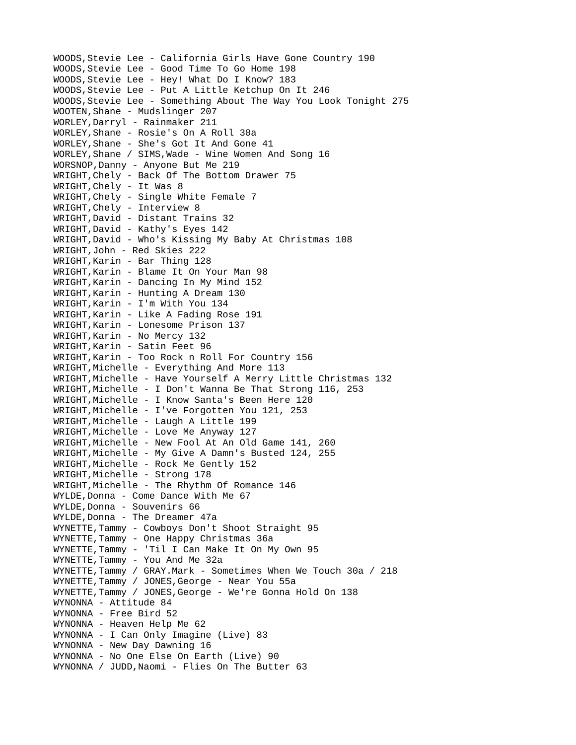WOODS,Stevie Lee - California Girls Have Gone Country 190 WOODS,Stevie Lee - Good Time To Go Home 198 WOODS,Stevie Lee - Hey! What Do I Know? 183 WOODS,Stevie Lee - Put A Little Ketchup On It 246 WOODS,Stevie Lee - Something About The Way You Look Tonight 275 WOOTEN,Shane - Mudslinger 207 WORLEY,Darryl - Rainmaker 211 WORLEY,Shane - Rosie's On A Roll 30a WORLEY,Shane - She's Got It And Gone 41 WORLEY,Shane / SIMS,Wade - Wine Women And Song 16 WORSNOP,Danny - Anyone But Me 219 WRIGHT,Chely - Back Of The Bottom Drawer 75 WRIGHT,Chely - It Was 8 WRIGHT,Chely - Single White Female 7 WRIGHT,Chely - Interview 8 WRIGHT,David - Distant Trains 32 WRIGHT,David - Kathy's Eyes 142 WRIGHT,David - Who's Kissing My Baby At Christmas 108 WRIGHT,John - Red Skies 222 WRIGHT,Karin - Bar Thing 128 WRIGHT,Karin - Blame It On Your Man 98 WRIGHT,Karin - Dancing In My Mind 152 WRIGHT,Karin - Hunting A Dream 130 WRIGHT,Karin - I'm With You 134 WRIGHT,Karin - Like A Fading Rose 191 WRIGHT,Karin - Lonesome Prison 137 WRIGHT,Karin - No Mercy 132 WRIGHT,Karin - Satin Feet 96 WRIGHT,Karin - Too Rock n Roll For Country 156 WRIGHT,Michelle - Everything And More 113 WRIGHT,Michelle - Have Yourself A Merry Little Christmas 132 WRIGHT,Michelle - I Don't Wanna Be That Strong 116, 253 WRIGHT,Michelle - I Know Santa's Been Here 120 WRIGHT,Michelle - I've Forgotten You 121, 253 WRIGHT, Michelle - Laugh A Little 199 WRIGHT,Michelle - Love Me Anyway 127 WRIGHT,Michelle - New Fool At An Old Game 141, 260 WRIGHT,Michelle - My Give A Damn's Busted 124, 255 WRIGHT,Michelle - Rock Me Gently 152 WRIGHT, Michelle - Strong 178 WRIGHT, Michelle - The Rhythm Of Romance 146 WYLDE, Donna - Come Dance With Me 67 WYLDE,Donna - Souvenirs 66 WYLDE,Donna - The Dreamer 47a WYNETTE,Tammy - Cowboys Don't Shoot Straight 95 WYNETTE,Tammy - One Happy Christmas 36a WYNETTE,Tammy - 'Til I Can Make It On My Own 95 WYNETTE,Tammy - You And Me 32a WYNETTE,Tammy / GRAY.Mark - Sometimes When We Touch 30a / 218 WYNETTE,Tammy / JONES,George - Near You 55a WYNETTE,Tammy / JONES,George - We're Gonna Hold On 138 WYNONNA - Attitude 84 WYNONNA - Free Bird 52 WYNONNA - Heaven Help Me 62 WYNONNA - I Can Only Imagine (Live) 83 WYNONNA - New Day Dawning 16 WYNONNA - No One Else On Earth (Live) 90 WYNONNA / JUDD, Naomi - Flies On The Butter 63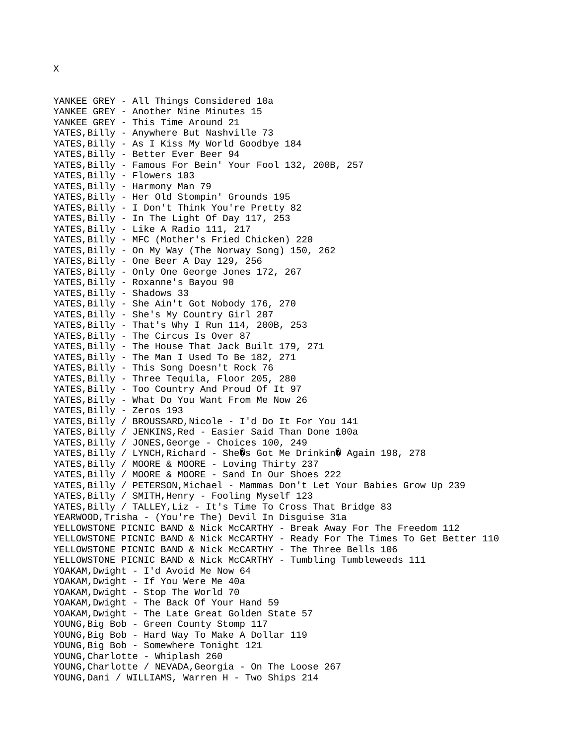YANKEE GREY - All Things Considered 10a YANKEE GREY - Another Nine Minutes 15 YANKEE GREY - This Time Around 21 YATES, Billy - Anywhere But Nashville 73 YATES,Billy - As I Kiss My World Goodbye 184 YATES,Billy - Better Ever Beer 94 YATES,Billy - Famous For Bein' Your Fool 132, 200B, 257 YATES,Billy - Flowers 103 YATES, Billy - Harmony Man 79 YATES,Billy - Her Old Stompin' Grounds 195 YATES, Billy - I Don't Think You're Pretty 82 YATES, Billy - In The Light Of Day 117, 253 YATES,Billy - Like A Radio 111, 217 YATES,Billy - MFC (Mother's Fried Chicken) 220 YATES,Billy - On My Way (The Norway Song) 150, 262 YATES,Billy - One Beer A Day 129, 256 YATES,Billy - Only One George Jones 172, 267 YATES, Billy - Roxanne's Bayou 90 YATES, Billy - Shadows 33 YATES,Billy - She Ain't Got Nobody 176, 270 YATES,Billy - She's My Country Girl 207 YATES,Billy - That's Why I Run 114, 200B, 253 YATES, Billy - The Circus Is Over 87 YATES, Billy - The House That Jack Built 179, 271 YATES, Billy - The Man I Used To Be 182, 271 YATES, Billy - This Song Doesn't Rock 76 YATES,Billy - Three Tequila, Floor 205, 280 YATES, Billy - Too Country And Proud Of It 97 YATES,Billy - What Do You Want From Me Now 26 YATES, Billy - Zeros 193 YATES, Billy / BROUSSARD, Nicole - I'd Do It For You 141 YATES, Billy / JENKINS, Red - Easier Said Than Done 100a YATES, Billy / JONES, George - Choices 100, 249 YATES,Billy / LYNCH,Richard - She $\hat{\mathbf{g}}$ s Got Me Drinkin $\hat{\mathbf{g}}$  Again 198, 278 YATES, Billy / MOORE & MOORE - Loving Thirty 237 YATES, Billy / MOORE & MOORE - Sand In Our Shoes 222 YATES, Billy / PETERSON, Michael - Mammas Don't Let Your Babies Grow Up 239 YATES,Billy / SMITH,Henry - Fooling Myself 123 YATES,Billy / TALLEY,Liz - It's Time To Cross That Bridge 83 YEARWOOD,Trisha - (You're The) Devil In Disguise 31a YELLOWSTONE PICNIC BAND & Nick McCARTHY - Break Away For The Freedom 112 YELLOWSTONE PICNIC BAND & Nick McCARTHY - Ready For The Times To Get Better 110 YELLOWSTONE PICNIC BAND & Nick McCARTHY - The Three Bells 106 YELLOWSTONE PICNIC BAND & Nick McCARTHY - Tumbling Tumbleweeds 111 YOAKAM,Dwight - I'd Avoid Me Now 64 YOAKAM,Dwight - If You Were Me 40a YOAKAM,Dwight - Stop The World 70 YOAKAM,Dwight - The Back Of Your Hand 59 YOAKAM,Dwight - The Late Great Golden State 57 YOUNG,Big Bob - Green County Stomp 117 YOUNG,Big Bob - Hard Way To Make A Dollar 119 YOUNG, Big Bob - Somewhere Tonight 121 YOUNG,Charlotte - Whiplash 260 YOUNG,Charlotte / NEVADA,Georgia - On The Loose 267 YOUNG,Dani / WILLIAMS, Warren H - Two Ships 214